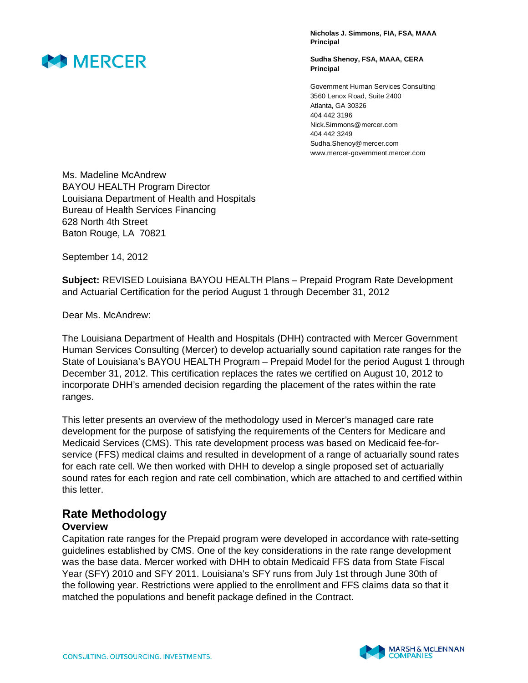

**Nicholas J. Simmons, FIA, FSA, MAAA Principal** 

**Sudha Shenoy, FSA, MAAA, CERA Principal** 

Government Human Services Consulting 3560 Lenox Road, Suite 2400 Atlanta, GA 30326 404 442 3196 Nick.Simmons@mercer.com 404 442 3249 Sudha.Shenoy@mercer.com www.mercer-government.mercer.com

Ms. Madeline McAndrew BAYOU HEALTH Program Director Louisiana Department of Health and Hospitals Bureau of Health Services Financing 628 North 4th Street Baton Rouge, LA 70821

September 14, 2012

**Subject:** REVISED Louisiana BAYOU HEALTH Plans – Prepaid Program Rate Development and Actuarial Certification for the period August 1 through December 31, 2012

Dear Ms. McAndrew:

The Louisiana Department of Health and Hospitals (DHH) contracted with Mercer Government Human Services Consulting (Mercer) to develop actuarially sound capitation rate ranges for the State of Louisiana's BAYOU HEALTH Program – Prepaid Model for the period August 1 through December 31, 2012. This certification replaces the rates we certified on August 10, 2012 to incorporate DHH's amended decision regarding the placement of the rates within the rate ranges.

This letter presents an overview of the methodology used in Mercer's managed care rate development for the purpose of satisfying the requirements of the Centers for Medicare and Medicaid Services (CMS). This rate development process was based on Medicaid fee-forservice (FFS) medical claims and resulted in development of a range of actuarially sound rates for each rate cell. We then worked with DHH to develop a single proposed set of actuarially sound rates for each region and rate cell combination, which are attached to and certified within this letter.

# **Rate Methodology**

#### **Overview**

Capitation rate ranges for the Prepaid program were developed in accordance with rate-setting guidelines established by CMS. One of the key considerations in the rate range development was the base data. Mercer worked with DHH to obtain Medicaid FFS data from State Fiscal Year (SFY) 2010 and SFY 2011. Louisiana's SFY runs from July 1st through June 30th of the following year. Restrictions were applied to the enrollment and FFS claims data so that it matched the populations and benefit package defined in the Contract.

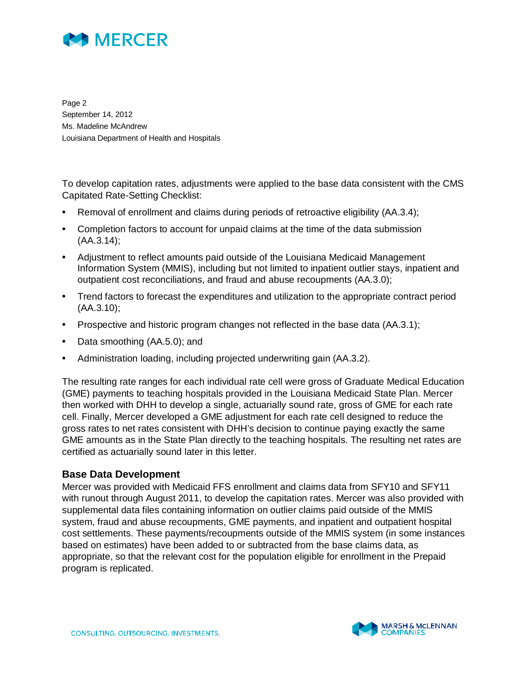

Page 2 September 14, 2012 Ms. Madeline McAndrew Louisiana Department of Health and Hospitals

To develop capitation rates, adjustments were applied to the base data consistent with the CMS Capitated Rate-Setting Checklist:

- Removal of enrollment and claims during periods of retroactive eligibility (AA.3.4);
- Completion factors to account for unpaid claims at the time of the data submission (AA.3.14);
- Adjustment to reflect amounts paid outside of the Louisiana Medicaid Management Information System (MMIS), including but not limited to inpatient outlier stays, inpatient and outpatient cost reconciliations, and fraud and abuse recoupments (AA.3.0);
- Trend factors to forecast the expenditures and utilization to the appropriate contract period (AA.3.10);
- Prospective and historic program changes not reflected in the base data (AA.3.1);
- Data smoothing (AA.5.0); and
- Administration loading, including projected underwriting gain (AA.3.2).

The resulting rate ranges for each individual rate cell were gross of Graduate Medical Education (GME) payments to teaching hospitals provided in the Louisiana Medicaid State Plan. Mercer then worked with DHH to develop a single, actuarially sound rate, gross of GME for each rate cell. Finally, Mercer developed a GME adjustment for each rate cell designed to reduce the gross rates to net rates consistent with DHH's decision to continue paying exactly the same GME amounts as in the State Plan directly to the teaching hospitals. The resulting net rates are certified as actuarially sound later in this letter.

#### **Base Data Development**

Mercer was provided with Medicaid FFS enrollment and claims data from SFY10 and SFY11 with runout through August 2011, to develop the capitation rates. Mercer was also provided with supplemental data files containing information on outlier claims paid outside of the MMIS system, fraud and abuse recoupments, GME payments, and inpatient and outpatient hospital cost settlements. These payments/recoupments outside of the MMIS system (in some instances based on estimates) have been added to or subtracted from the base claims data, as appropriate, so that the relevant cost for the population eligible for enrollment in the Prepaid program is replicated.

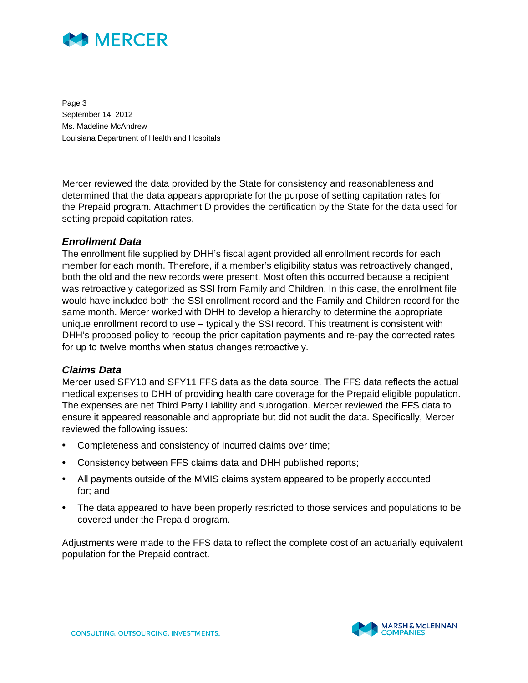

Page 3 September 14, 2012 Ms. Madeline McAndrew Louisiana Department of Health and Hospitals

Mercer reviewed the data provided by the State for consistency and reasonableness and determined that the data appears appropriate for the purpose of setting capitation rates for the Prepaid program. Attachment D provides the certification by the State for the data used for setting prepaid capitation rates.

#### *Enrollment Data*

The enrollment file supplied by DHH's fiscal agent provided all enrollment records for each member for each month. Therefore, if a member's eligibility status was retroactively changed, both the old and the new records were present. Most often this occurred because a recipient was retroactively categorized as SSI from Family and Children. In this case, the enrollment file would have included both the SSI enrollment record and the Family and Children record for the same month. Mercer worked with DHH to develop a hierarchy to determine the appropriate unique enrollment record to use – typically the SSI record. This treatment is consistent with DHH's proposed policy to recoup the prior capitation payments and re-pay the corrected rates for up to twelve months when status changes retroactively.

#### *Claims Data*

Mercer used SFY10 and SFY11 FFS data as the data source. The FFS data reflects the actual medical expenses to DHH of providing health care coverage for the Prepaid eligible population. The expenses are net Third Party Liability and subrogation. Mercer reviewed the FFS data to ensure it appeared reasonable and appropriate but did not audit the data. Specifically, Mercer reviewed the following issues:

- Completeness and consistency of incurred claims over time;
- Consistency between FFS claims data and DHH published reports;
- All payments outside of the MMIS claims system appeared to be properly accounted for; and
- The data appeared to have been properly restricted to those services and populations to be covered under the Prepaid program.

Adjustments were made to the FFS data to reflect the complete cost of an actuarially equivalent population for the Prepaid contract.

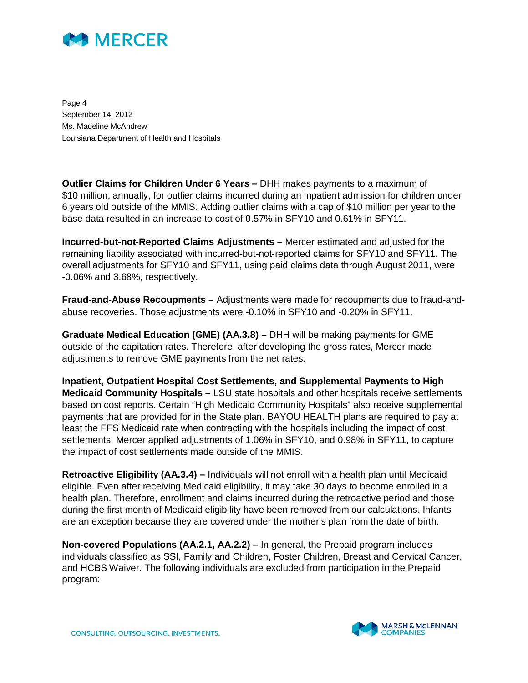

Page 4 September 14, 2012 Ms. Madeline McAndrew Louisiana Department of Health and Hospitals

**Outlier Claims for Children Under 6 Years –** DHH makes payments to a maximum of \$10 million, annually, for outlier claims incurred during an inpatient admission for children under 6 years old outside of the MMIS. Adding outlier claims with a cap of \$10 million per year to the base data resulted in an increase to cost of 0.57% in SFY10 and 0.61% in SFY11.

**Incurred-but-not-Reported Claims Adjustments –** Mercer estimated and adjusted for the remaining liability associated with incurred-but-not-reported claims for SFY10 and SFY11. The overall adjustments for SFY10 and SFY11, using paid claims data through August 2011, were -0.06% and 3.68%, respectively.

**Fraud-and-Abuse Recoupments –** Adjustments were made for recoupments due to fraud-andabuse recoveries. Those adjustments were -0.10% in SFY10 and -0.20% in SFY11.

**Graduate Medical Education (GME) (AA.3.8) –** DHH will be making payments for GME outside of the capitation rates. Therefore, after developing the gross rates, Mercer made adjustments to remove GME payments from the net rates.

**Inpatient, Outpatient Hospital Cost Settlements, and Supplemental Payments to High Medicaid Community Hospitals –** LSU state hospitals and other hospitals receive settlements based on cost reports. Certain "High Medicaid Community Hospitals" also receive supplemental payments that are provided for in the State plan. BAYOU HEALTH plans are required to pay at least the FFS Medicaid rate when contracting with the hospitals including the impact of cost settlements. Mercer applied adjustments of 1.06% in SFY10, and 0.98% in SFY11, to capture the impact of cost settlements made outside of the MMIS.

**Retroactive Eligibility (AA.3.4) –** Individuals will not enroll with a health plan until Medicaid eligible. Even after receiving Medicaid eligibility, it may take 30 days to become enrolled in a health plan. Therefore, enrollment and claims incurred during the retroactive period and those during the first month of Medicaid eligibility have been removed from our calculations. Infants are an exception because they are covered under the mother's plan from the date of birth.

**Non-covered Populations (AA.2.1, AA.2.2) –** In general, the Prepaid program includes individuals classified as SSI, Family and Children, Foster Children, Breast and Cervical Cancer, and HCBS Waiver. The following individuals are excluded from participation in the Prepaid program:

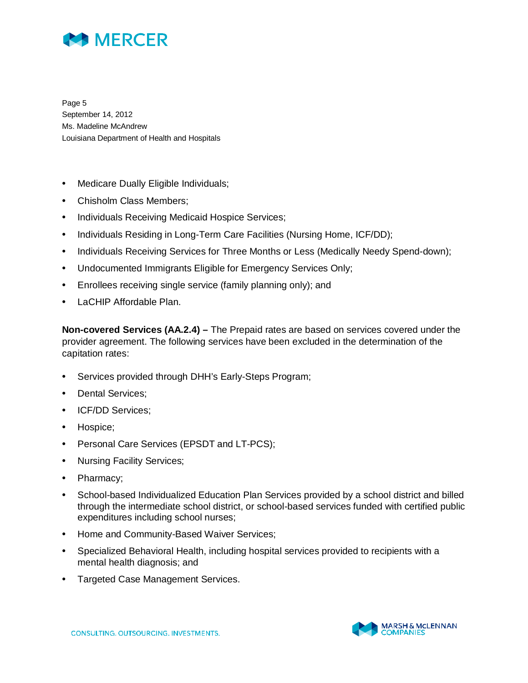

Page 5 September 14, 2012 Ms. Madeline McAndrew Louisiana Department of Health and Hospitals

- Medicare Dually Eligible Individuals;
- Chisholm Class Members;
- Individuals Receiving Medicaid Hospice Services;
- Individuals Residing in Long-Term Care Facilities (Nursing Home, ICF/DD);
- Individuals Receiving Services for Three Months or Less (Medically Needy Spend-down);
- Undocumented Immigrants Eligible for Emergency Services Only;
- Enrollees receiving single service (family planning only); and
- LaCHIP Affordable Plan.

**Non-covered Services (AA.2.4) –** The Prepaid rates are based on services covered under the provider agreement. The following services have been excluded in the determination of the capitation rates:

- Services provided through DHH's Early-Steps Program;
- Dental Services:
- ICF/DD Services;
- Hospice;
- Personal Care Services (EPSDT and LT-PCS);
- Nursing Facility Services;
- Pharmacy;
- School-based Individualized Education Plan Services provided by a school district and billed through the intermediate school district, or school-based services funded with certified public expenditures including school nurses;
- Home and Community-Based Waiver Services;
- Specialized Behavioral Health, including hospital services provided to recipients with a mental health diagnosis; and
- Targeted Case Management Services.

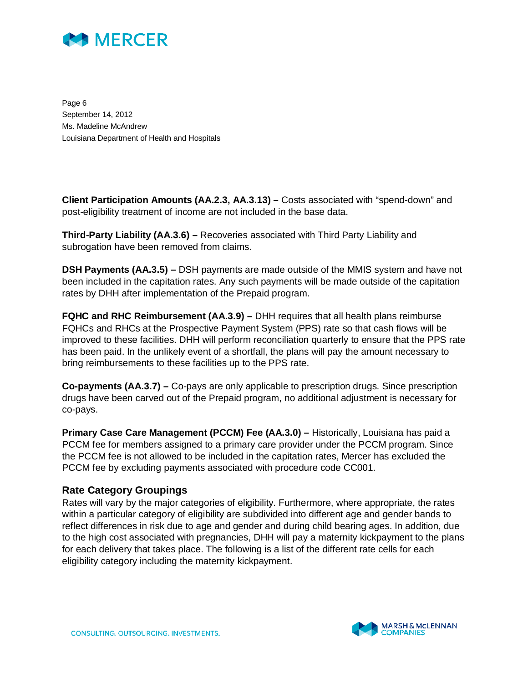

Page 6 September 14, 2012 Ms. Madeline McAndrew Louisiana Department of Health and Hospitals

**Client Participation Amounts (AA.2.3, AA.3.13) –** Costs associated with "spend-down" and post-eligibility treatment of income are not included in the base data.

**Third-Party Liability (AA.3.6) –** Recoveries associated with Third Party Liability and subrogation have been removed from claims.

**DSH Payments (AA.3.5) –** DSH payments are made outside of the MMIS system and have not been included in the capitation rates. Any such payments will be made outside of the capitation rates by DHH after implementation of the Prepaid program.

**FQHC and RHC Reimbursement (AA.3.9) –** DHH requires that all health plans reimburse FQHCs and RHCs at the Prospective Payment System (PPS) rate so that cash flows will be improved to these facilities. DHH will perform reconciliation quarterly to ensure that the PPS rate has been paid. In the unlikely event of a shortfall, the plans will pay the amount necessary to bring reimbursements to these facilities up to the PPS rate.

**Co-payments (AA.3.7) –** Co-pays are only applicable to prescription drugs. Since prescription drugs have been carved out of the Prepaid program, no additional adjustment is necessary for co-pays.

**Primary Case Care Management (PCCM) Fee (AA.3.0) – Historically, Louisiana has paid a** PCCM fee for members assigned to a primary care provider under the PCCM program. Since the PCCM fee is not allowed to be included in the capitation rates, Mercer has excluded the PCCM fee by excluding payments associated with procedure code CC001.

#### **Rate Category Groupings**

Rates will vary by the major categories of eligibility. Furthermore, where appropriate, the rates within a particular category of eligibility are subdivided into different age and gender bands to reflect differences in risk due to age and gender and during child bearing ages. In addition, due to the high cost associated with pregnancies, DHH will pay a maternity kickpayment to the plans for each delivery that takes place. The following is a list of the different rate cells for each eligibility category including the maternity kickpayment.

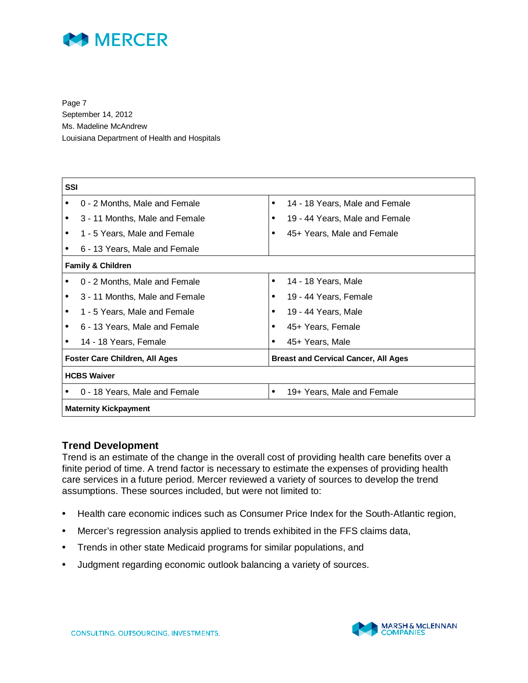

Page 7 September 14, 2012 Ms. Madeline McAndrew Louisiana Department of Health and Hospitals

| SSI       |                                       |           |                                             |  |  |
|-----------|---------------------------------------|-----------|---------------------------------------------|--|--|
|           | 0 - 2 Months, Male and Female         | ٠         | 14 - 18 Years, Male and Female              |  |  |
| $\bullet$ | 3 - 11 Months, Male and Female        | $\bullet$ | 19 - 44 Years, Male and Female              |  |  |
|           | 1 - 5 Years, Male and Female          |           | 45+ Years, Male and Female                  |  |  |
|           | 6 - 13 Years, Male and Female         |           |                                             |  |  |
|           | <b>Family &amp; Children</b>          |           |                                             |  |  |
|           | 0 - 2 Months, Male and Female         | $\bullet$ | 14 - 18 Years, Male                         |  |  |
|           | 3 - 11 Months, Male and Female        | ٠         | 19 - 44 Years, Female                       |  |  |
|           | 1 - 5 Years, Male and Female          |           | 19 - 44 Years, Male                         |  |  |
|           | 6 - 13 Years, Male and Female         |           | 45+ Years, Female                           |  |  |
|           | 14 - 18 Years, Female                 | ٠         | 45+ Years, Male                             |  |  |
|           | <b>Foster Care Children, All Ages</b> |           | <b>Breast and Cervical Cancer, All Ages</b> |  |  |
|           | <b>HCBS Waiver</b>                    |           |                                             |  |  |
|           | 0 - 18 Years, Male and Female         | ٠         | 19+ Years, Male and Female                  |  |  |
|           | <b>Maternity Kickpayment</b>          |           |                                             |  |  |

#### **Trend Development**

Trend is an estimate of the change in the overall cost of providing health care benefits over a finite period of time. A trend factor is necessary to estimate the expenses of providing health care services in a future period. Mercer reviewed a variety of sources to develop the trend assumptions. These sources included, but were not limited to:

- Health care economic indices such as Consumer Price Index for the South-Atlantic region,
- Mercer's regression analysis applied to trends exhibited in the FFS claims data,
- Trends in other state Medicaid programs for similar populations, and
- Judgment regarding economic outlook balancing a variety of sources.

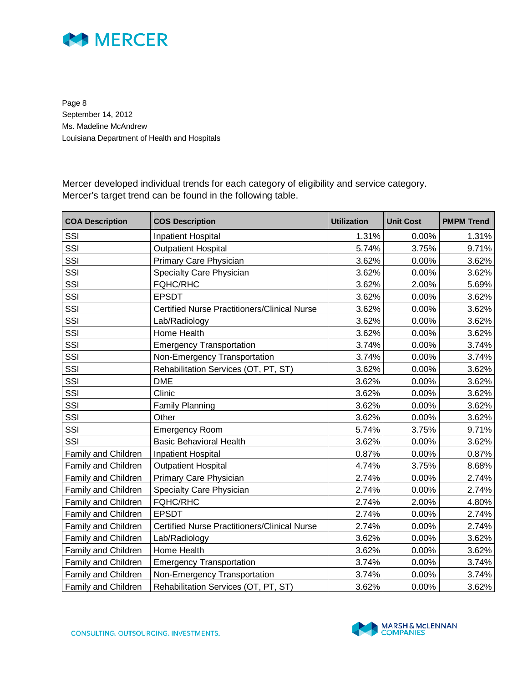

Page 8 September 14, 2012 Ms. Madeline McAndrew Louisiana Department of Health and Hospitals

Mercer developed individual trends for each category of eligibility and service category. Mercer's target trend can be found in the following table.

| <b>COA Description</b> | <b>COS Description</b>                              | <b>Utilization</b> | <b>Unit Cost</b> | <b>PMPM Trend</b> |
|------------------------|-----------------------------------------------------|--------------------|------------------|-------------------|
| SSI                    | Inpatient Hospital                                  | 1.31%              | 0.00%            | 1.31%             |
| SSI                    | <b>Outpatient Hospital</b>                          | 5.74%              | 3.75%            | 9.71%             |
| SSI                    | Primary Care Physician                              | 3.62%              | 0.00%            | 3.62%             |
| SSI                    | Specialty Care Physician                            | 3.62%              | 0.00%            | 3.62%             |
| SSI                    | <b>FQHC/RHC</b>                                     | 3.62%              | 2.00%            | 5.69%             |
| SSI                    | <b>EPSDT</b>                                        | 3.62%              | 0.00%            | 3.62%             |
| SSI                    | <b>Certified Nurse Practitioners/Clinical Nurse</b> | 3.62%              | 0.00%            | 3.62%             |
| SSI                    | Lab/Radiology                                       | 3.62%              | 0.00%            | 3.62%             |
| SSI                    | Home Health                                         | 3.62%              | 0.00%            | 3.62%             |
| SSI                    | <b>Emergency Transportation</b>                     | 3.74%              | 0.00%            | 3.74%             |
| SSI                    | Non-Emergency Transportation                        | 3.74%              | 0.00%            | 3.74%             |
| SSI                    | Rehabilitation Services (OT, PT, ST)                | 3.62%              | 0.00%            | 3.62%             |
| SSI                    | <b>DME</b>                                          | 3.62%              | 0.00%            | 3.62%             |
| SSI                    | Clinic                                              | 3.62%              | 0.00%            | 3.62%             |
| SSI                    | Family Planning                                     | 3.62%              | 0.00%            | 3.62%             |
| SSI                    | Other                                               | 3.62%              | 0.00%            | 3.62%             |
| SSI                    | <b>Emergency Room</b>                               | 5.74%              | 3.75%            | 9.71%             |
| SSI                    | <b>Basic Behavioral Health</b>                      | 3.62%              | $0.00\%$         | 3.62%             |
| Family and Children    | Inpatient Hospital                                  | 0.87%              | 0.00%            | 0.87%             |
| Family and Children    | <b>Outpatient Hospital</b>                          | 4.74%              | 3.75%            | 8.68%             |
| Family and Children    | Primary Care Physician                              | 2.74%              | $0.00\%$         | 2.74%             |
| Family and Children    | Specialty Care Physician                            | 2.74%              | 0.00%            | 2.74%             |
| Family and Children    | <b>FQHC/RHC</b>                                     | 2.74%              | 2.00%            | 4.80%             |
| Family and Children    | <b>EPSDT</b>                                        | 2.74%              | 0.00%            | 2.74%             |
| Family and Children    | <b>Certified Nurse Practitioners/Clinical Nurse</b> | 2.74%              | 0.00%            | 2.74%             |
| Family and Children    | Lab/Radiology                                       | 3.62%              | $0.00\%$         | 3.62%             |
| Family and Children    | Home Health                                         | 3.62%              | 0.00%            | 3.62%             |
| Family and Children    | <b>Emergency Transportation</b>                     | 3.74%              | $0.00\%$         | 3.74%             |
| Family and Children    | Non-Emergency Transportation                        | 3.74%              | 0.00%            | 3.74%             |
| Family and Children    | Rehabilitation Services (OT, PT, ST)                | 3.62%              | 0.00%            | 3.62%             |

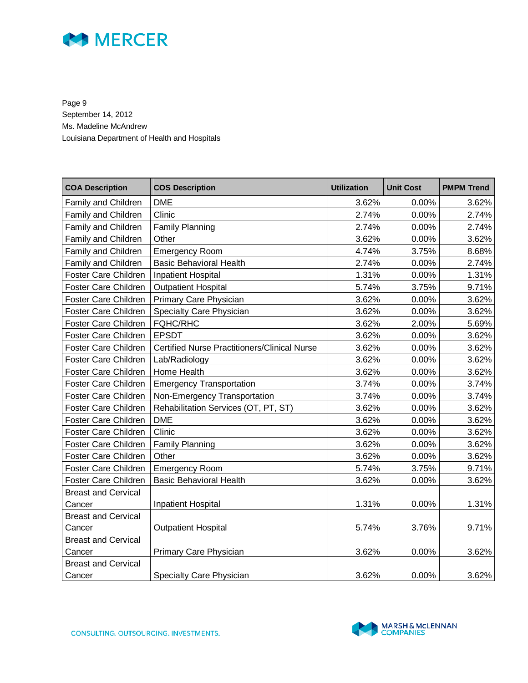

Page 9 September 14, 2012 Ms. Madeline McAndrew Louisiana Department of Health and Hospitals

| <b>COA Description</b>      | <b>COS Description</b>                              | <b>Utilization</b> | <b>Unit Cost</b> | <b>PMPM Trend</b> |
|-----------------------------|-----------------------------------------------------|--------------------|------------------|-------------------|
| Family and Children         | <b>DME</b>                                          | 3.62%              | 0.00%            | 3.62%             |
| Family and Children         | Clinic                                              | 2.74%              | 0.00%            | 2.74%             |
| Family and Children         | <b>Family Planning</b>                              | 2.74%              | 0.00%            | 2.74%             |
| Family and Children         | Other                                               | 3.62%              | 0.00%            | 3.62%             |
| Family and Children         | <b>Emergency Room</b>                               | 4.74%              | 3.75%            | 8.68%             |
| Family and Children         | <b>Basic Behavioral Health</b>                      | 2.74%              | 0.00%            | 2.74%             |
| <b>Foster Care Children</b> | <b>Inpatient Hospital</b>                           | 1.31%              | 0.00%            | 1.31%             |
| Foster Care Children        | <b>Outpatient Hospital</b>                          | 5.74%              | 3.75%            | 9.71%             |
| Foster Care Children        | Primary Care Physician                              | 3.62%              | 0.00%            | 3.62%             |
| Foster Care Children        | Specialty Care Physician                            | 3.62%              | 0.00%            | 3.62%             |
| <b>Foster Care Children</b> | <b>FQHC/RHC</b>                                     | 3.62%              | 2.00%            | 5.69%             |
| Foster Care Children        | <b>EPSDT</b>                                        | 3.62%              | 0.00%            | 3.62%             |
| Foster Care Children        | <b>Certified Nurse Practitioners/Clinical Nurse</b> | 3.62%              | 0.00%            | 3.62%             |
| Foster Care Children        | Lab/Radiology                                       | 3.62%              | 0.00%            | 3.62%             |
| Foster Care Children        | Home Health                                         | 3.62%              | 0.00%            | 3.62%             |
| Foster Care Children        | <b>Emergency Transportation</b>                     | 3.74%              | 0.00%            | 3.74%             |
| Foster Care Children        | Non-Emergency Transportation                        | 3.74%              | 0.00%            | 3.74%             |
| Foster Care Children        | Rehabilitation Services (OT, PT, ST)                | 3.62%              | 0.00%            | 3.62%             |
| Foster Care Children        | <b>DME</b>                                          | 3.62%              | 0.00%            | 3.62%             |
| Foster Care Children        | Clinic                                              | 3.62%              | 0.00%            | 3.62%             |
| Foster Care Children        | Family Planning                                     | 3.62%              | 0.00%            | 3.62%             |
| Foster Care Children        | Other                                               | 3.62%              | 0.00%            | 3.62%             |
| Foster Care Children        | <b>Emergency Room</b>                               | 5.74%              | 3.75%            | 9.71%             |
| Foster Care Children        | <b>Basic Behavioral Health</b>                      | 3.62%              | 0.00%            | 3.62%             |
| <b>Breast and Cervical</b>  |                                                     |                    |                  |                   |
| Cancer                      | Inpatient Hospital                                  | 1.31%              | 0.00%            | 1.31%             |
| <b>Breast and Cervical</b>  |                                                     |                    |                  |                   |
| Cancer                      | <b>Outpatient Hospital</b>                          | 5.74%              | 3.76%            | 9.71%             |
| <b>Breast and Cervical</b>  |                                                     |                    |                  |                   |
| Cancer                      | Primary Care Physician                              | 3.62%              | 0.00%            | 3.62%             |
| <b>Breast and Cervical</b>  |                                                     |                    |                  |                   |
| Cancer                      | Specialty Care Physician                            | 3.62%              | 0.00%            | 3.62%             |

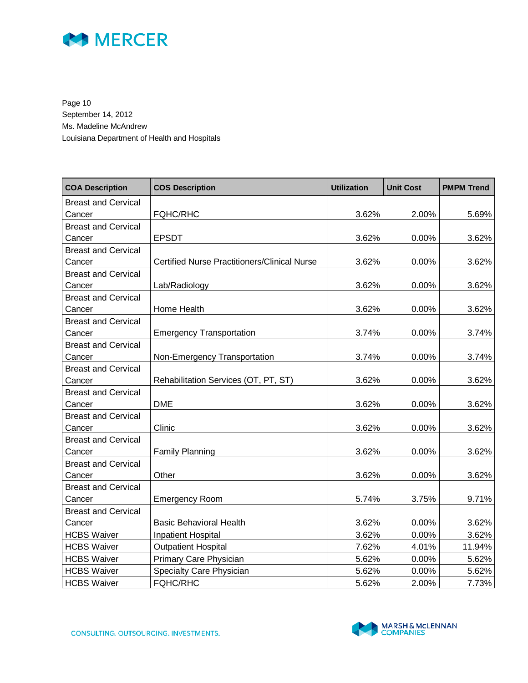

Page 10 September 14, 2012 Ms. Madeline McAndrew Louisiana Department of Health and Hospitals

| <b>COA Description</b>     | <b>COS Description</b>                              | <b>Utilization</b> | <b>Unit Cost</b> | <b>PMPM Trend</b> |
|----------------------------|-----------------------------------------------------|--------------------|------------------|-------------------|
| <b>Breast and Cervical</b> |                                                     |                    |                  |                   |
| Cancer                     | <b>FQHC/RHC</b>                                     | 3.62%              | 2.00%            | 5.69%             |
| <b>Breast and Cervical</b> |                                                     |                    |                  |                   |
| Cancer                     | <b>EPSDT</b>                                        | 3.62%              | 0.00%            | 3.62%             |
| <b>Breast and Cervical</b> |                                                     |                    |                  |                   |
| Cancer                     | <b>Certified Nurse Practitioners/Clinical Nurse</b> | 3.62%              | 0.00%            | 3.62%             |
| <b>Breast and Cervical</b> |                                                     |                    |                  |                   |
| Cancer                     | Lab/Radiology                                       | 3.62%              | 0.00%            | 3.62%             |
| <b>Breast and Cervical</b> |                                                     |                    |                  |                   |
| Cancer                     | Home Health                                         | 3.62%              | 0.00%            | 3.62%             |
| <b>Breast and Cervical</b> |                                                     |                    |                  |                   |
| Cancer                     | <b>Emergency Transportation</b>                     | 3.74%              | 0.00%            | 3.74%             |
| <b>Breast and Cervical</b> |                                                     |                    |                  |                   |
| Cancer                     | Non-Emergency Transportation                        | 3.74%              | 0.00%            | 3.74%             |
| <b>Breast and Cervical</b> |                                                     |                    |                  |                   |
| Cancer                     | Rehabilitation Services (OT, PT, ST)                | 3.62%              | 0.00%            | 3.62%             |
| <b>Breast and Cervical</b> |                                                     |                    |                  |                   |
| Cancer                     | <b>DME</b>                                          | 3.62%              | 0.00%            | 3.62%             |
| <b>Breast and Cervical</b> |                                                     |                    |                  |                   |
| Cancer                     | Clinic                                              | 3.62%              | 0.00%            | 3.62%             |
| <b>Breast and Cervical</b> |                                                     |                    |                  |                   |
| Cancer                     | <b>Family Planning</b>                              | 3.62%              | 0.00%            | 3.62%             |
| <b>Breast and Cervical</b> |                                                     |                    |                  |                   |
| Cancer                     | Other                                               | 3.62%              | 0.00%            | 3.62%             |
| <b>Breast and Cervical</b> |                                                     |                    |                  |                   |
| Cancer                     | <b>Emergency Room</b>                               | 5.74%              | 3.75%            | 9.71%             |
| <b>Breast and Cervical</b> |                                                     |                    |                  |                   |
| Cancer                     | <b>Basic Behavioral Health</b>                      | 3.62%              | 0.00%            | 3.62%             |
| <b>HCBS Waiver</b>         | <b>Inpatient Hospital</b>                           | 3.62%              | 0.00%            | 3.62%             |
| <b>HCBS Waiver</b>         | <b>Outpatient Hospital</b>                          | 7.62%              | 4.01%            | 11.94%            |
| <b>HCBS Waiver</b>         | Primary Care Physician                              | 5.62%              | 0.00%            | 5.62%             |
| <b>HCBS Waiver</b>         | Specialty Care Physician                            | 5.62%              | 0.00%            | 5.62%             |
| <b>HCBS Waiver</b>         | <b>FQHC/RHC</b>                                     | 5.62%              | 2.00%            | 7.73%             |

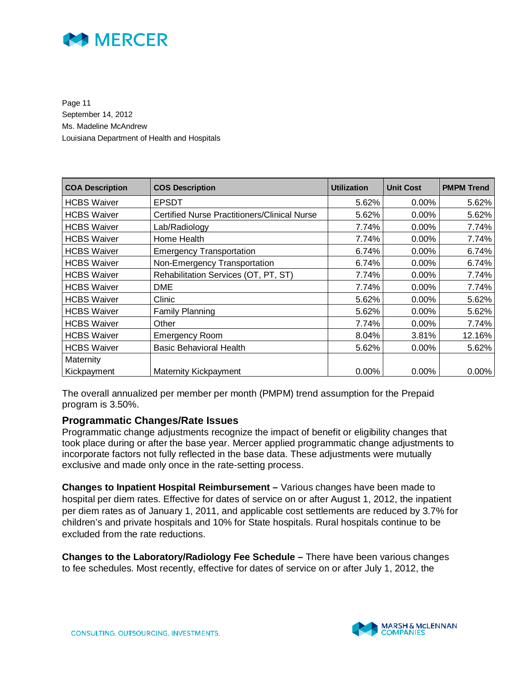

Page 11 September 14, 2012 Ms. Madeline McAndrew Louisiana Department of Health and Hospitals

| <b>COA Description</b> | <b>COS Description</b>                              | <b>Utilization</b> | <b>Unit Cost</b> | <b>PMPM Trend</b> |
|------------------------|-----------------------------------------------------|--------------------|------------------|-------------------|
| <b>HCBS Waiver</b>     | <b>EPSDT</b>                                        | 5.62%              | $0.00\%$         | 5.62%             |
| <b>HCBS Waiver</b>     | <b>Certified Nurse Practitioners/Clinical Nurse</b> | 5.62%              | $0.00\%$         | 5.62%             |
| <b>HCBS Waiver</b>     | Lab/Radiology                                       | 7.74%              | $0.00\%$         | 7.74%             |
| <b>HCBS Waiver</b>     | Home Health                                         | 7.74%              | 0.00%            | 7.74%             |
| <b>HCBS Waiver</b>     | <b>Emergency Transportation</b>                     | 6.74%              | $0.00\%$         | 6.74%             |
| <b>HCBS Waiver</b>     | Non-Emergency Transportation                        | 6.74%              | $0.00\%$         | 6.74%             |
| <b>HCBS Waiver</b>     | Rehabilitation Services (OT, PT, ST)                | 7.74%              | $0.00\%$         | 7.74%             |
| <b>HCBS Waiver</b>     | <b>DME</b>                                          | 7.74%              | $0.00\%$         | 7.74%             |
| <b>HCBS Waiver</b>     | Clinic                                              | 5.62%              | $0.00\%$         | 5.62%             |
| <b>HCBS Waiver</b>     | <b>Family Planning</b>                              | 5.62%              | $0.00\%$         | 5.62%             |
| <b>HCBS Waiver</b>     | Other                                               | 7.74%              | $0.00\%$         | 7.74%             |
| <b>HCBS Waiver</b>     | <b>Emergency Room</b>                               | 8.04%              | 3.81%            | 12.16%            |
| <b>HCBS Waiver</b>     | <b>Basic Behavioral Health</b>                      | 5.62%              | $0.00\%$         | 5.62%             |
| Maternity              |                                                     |                    |                  |                   |
| Kickpayment            | Maternity Kickpayment                               | $0.00\%$           | $0.00\%$         | $0.00\%$          |

The overall annualized per member per month (PMPM) trend assumption for the Prepaid program is 3.50%.

#### **Programmatic Changes/Rate Issues**

Programmatic change adjustments recognize the impact of benefit or eligibility changes that took place during or after the base year. Mercer applied programmatic change adjustments to incorporate factors not fully reflected in the base data. These adjustments were mutually exclusive and made only once in the rate-setting process.

**Changes to Inpatient Hospital Reimbursement –** Various changes have been made to hospital per diem rates. Effective for dates of service on or after August 1, 2012, the inpatient per diem rates as of January 1, 2011, and applicable cost settlements are reduced by 3.7% for children's and private hospitals and 10% for State hospitals. Rural hospitals continue to be excluded from the rate reductions.

**Changes to the Laboratory/Radiology Fee Schedule –** There have been various changes to fee schedules. Most recently, effective for dates of service on or after July 1, 2012, the

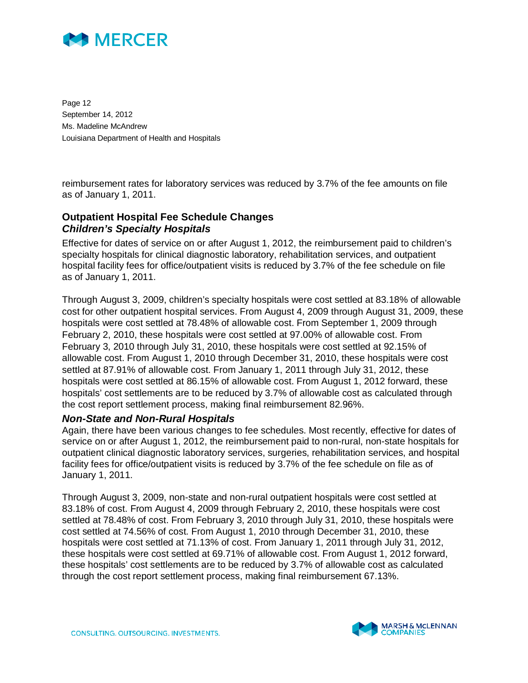

Page 12 September 14, 2012 Ms. Madeline McAndrew Louisiana Department of Health and Hospitals

reimbursement rates for laboratory services was reduced by 3.7% of the fee amounts on file as of January 1, 2011.

#### **Outpatient Hospital Fee Schedule Changes**  *Children's Specialty Hospitals*

Effective for dates of service on or after August 1, 2012, the reimbursement paid to children's specialty hospitals for clinical diagnostic laboratory, rehabilitation services, and outpatient hospital facility fees for office/outpatient visits is reduced by 3.7% of the fee schedule on file as of January 1, 2011.

Through August 3, 2009, children's specialty hospitals were cost settled at 83.18% of allowable cost for other outpatient hospital services. From August 4, 2009 through August 31, 2009, these hospitals were cost settled at 78.48% of allowable cost. From September 1, 2009 through February 2, 2010, these hospitals were cost settled at 97.00% of allowable cost. From February 3, 2010 through July 31, 2010, these hospitals were cost settled at 92.15% of allowable cost. From August 1, 2010 through December 31, 2010, these hospitals were cost settled at 87.91% of allowable cost. From January 1, 2011 through July 31, 2012, these hospitals were cost settled at 86.15% of allowable cost. From August 1, 2012 forward, these hospitals' cost settlements are to be reduced by 3.7% of allowable cost as calculated through the cost report settlement process, making final reimbursement 82.96%.

#### *Non-State and Non-Rural Hospitals*

Again, there have been various changes to fee schedules. Most recently, effective for dates of service on or after August 1, 2012, the reimbursement paid to non-rural, non-state hospitals for outpatient clinical diagnostic laboratory services, surgeries, rehabilitation services, and hospital facility fees for office/outpatient visits is reduced by 3.7% of the fee schedule on file as of January 1, 2011.

Through August 3, 2009, non-state and non-rural outpatient hospitals were cost settled at 83.18% of cost. From August 4, 2009 through February 2, 2010, these hospitals were cost settled at 78.48% of cost. From February 3, 2010 through July 31, 2010, these hospitals were cost settled at 74.56% of cost. From August 1, 2010 through December 31, 2010, these hospitals were cost settled at 71.13% of cost. From January 1, 2011 through July 31, 2012, these hospitals were cost settled at 69.71% of allowable cost. From August 1, 2012 forward, these hospitals' cost settlements are to be reduced by 3.7% of allowable cost as calculated through the cost report settlement process, making final reimbursement 67.13%.

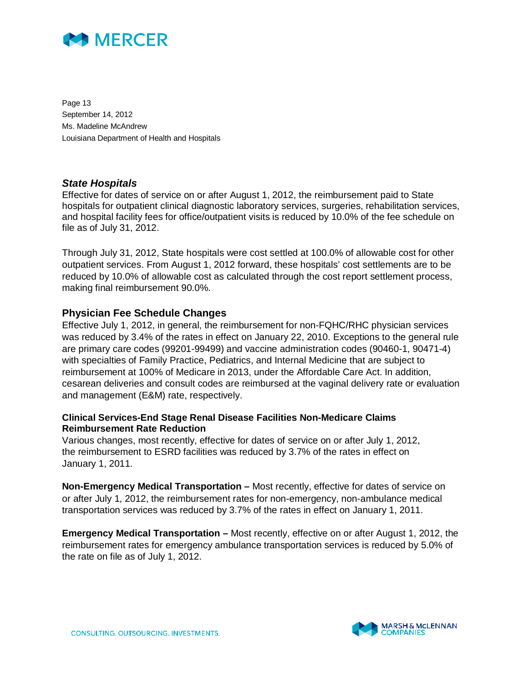

Page 13 September 14, 2012 Ms. Madeline McAndrew Louisiana Department of Health and Hospitals

#### *State Hospitals*

Effective for dates of service on or after August 1, 2012, the reimbursement paid to State hospitals for outpatient clinical diagnostic laboratory services, surgeries, rehabilitation services, and hospital facility fees for office/outpatient visits is reduced by 10.0% of the fee schedule on file as of July 31, 2012.

Through July 31, 2012, State hospitals were cost settled at 100.0% of allowable cost for other outpatient services. From August 1, 2012 forward, these hospitals' cost settlements are to be reduced by 10.0% of allowable cost as calculated through the cost report settlement process, making final reimbursement 90.0%.

#### **Physician Fee Schedule Changes**

Effective July 1, 2012, in general, the reimbursement for non-FQHC/RHC physician services was reduced by 3.4% of the rates in effect on January 22, 2010. Exceptions to the general rule are primary care codes (99201-99499) and vaccine administration codes (90460-1, 90471-4) with specialties of Family Practice, Pediatrics, and Internal Medicine that are subject to reimbursement at 100% of Medicare in 2013, under the Affordable Care Act. In addition, cesarean deliveries and consult codes are reimbursed at the vaginal delivery rate or evaluation and management (E&M) rate, respectively.

#### **Clinical Services-End Stage Renal Disease Facilities Non-Medicare Claims Reimbursement Rate Reduction**

Various changes, most recently, effective for dates of service on or after July 1, 2012, the reimbursement to ESRD facilities was reduced by 3.7% of the rates in effect on January 1, 2011.

**Non-Emergency Medical Transportation –** Most recently, effective for dates of service on or after July 1, 2012, the reimbursement rates for non-emergency, non-ambulance medical transportation services was reduced by 3.7% of the rates in effect on January 1, 2011.

**Emergency Medical Transportation –** Most recently, effective on or after August 1, 2012, the reimbursement rates for emergency ambulance transportation services is reduced by 5.0% of the rate on file as of July 1, 2012.

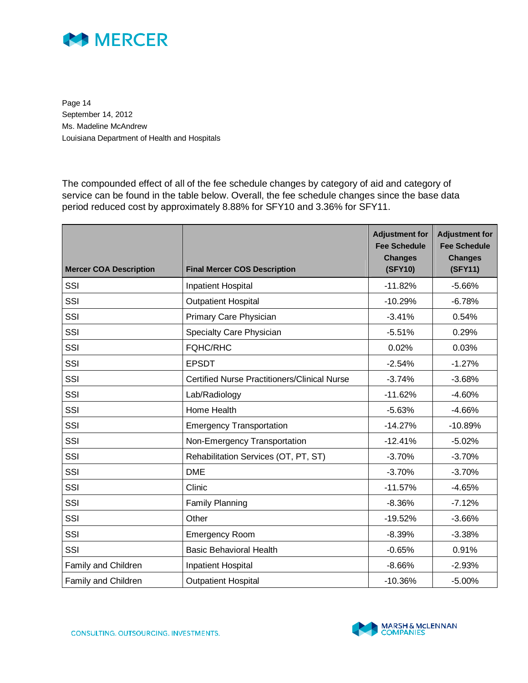

Page 14 September 14, 2012 Ms. Madeline McAndrew Louisiana Department of Health and Hospitals

The compounded effect of all of the fee schedule changes by category of aid and category of service can be found in the table below. Overall, the fee schedule changes since the base data period reduced cost by approximately 8.88% for SFY10 and 3.36% for SFY11.

| <b>Mercer COA Description</b> | <b>Final Mercer COS Description</b>                 | <b>Adjustment for</b><br><b>Fee Schedule</b><br><b>Changes</b><br>(SFY10) | <b>Adjustment for</b><br><b>Fee Schedule</b><br><b>Changes</b><br>(SFY11) |
|-------------------------------|-----------------------------------------------------|---------------------------------------------------------------------------|---------------------------------------------------------------------------|
| SSI                           | Inpatient Hospital                                  | $-11.82%$                                                                 | $-5.66%$                                                                  |
| SSI                           | <b>Outpatient Hospital</b>                          | $-10.29%$                                                                 | $-6.78%$                                                                  |
| SSI                           | Primary Care Physician                              | $-3.41%$                                                                  | 0.54%                                                                     |
| SSI                           | Specialty Care Physician                            | $-5.51%$                                                                  | 0.29%                                                                     |
| SSI                           | <b>FQHC/RHC</b>                                     | 0.02%                                                                     | 0.03%                                                                     |
| SSI                           | <b>EPSDT</b>                                        | $-2.54%$                                                                  | $-1.27%$                                                                  |
| SSI                           | <b>Certified Nurse Practitioners/Clinical Nurse</b> | $-3.74%$                                                                  | $-3.68%$                                                                  |
| SSI                           | Lab/Radiology                                       | $-11.62%$                                                                 | $-4.60%$                                                                  |
| SSI                           | Home Health                                         | $-5.63%$                                                                  | $-4.66%$                                                                  |
| SSI                           | <b>Emergency Transportation</b>                     | $-14.27%$                                                                 | $-10.89%$                                                                 |
| SSI                           | Non-Emergency Transportation                        | $-12.41%$                                                                 | $-5.02%$                                                                  |
| SSI                           | Rehabilitation Services (OT, PT, ST)                | $-3.70%$                                                                  | $-3.70%$                                                                  |
| SSI                           | <b>DME</b>                                          | $-3.70%$                                                                  | $-3.70%$                                                                  |
| SSI                           | Clinic                                              | $-11.57%$                                                                 | $-4.65%$                                                                  |
| SSI                           | <b>Family Planning</b>                              | $-8.36%$                                                                  | $-7.12%$                                                                  |
| SSI                           | Other                                               | $-19.52%$                                                                 | $-3.66%$                                                                  |
| SSI                           | <b>Emergency Room</b>                               | $-8.39%$                                                                  | $-3.38%$                                                                  |
| SSI                           | <b>Basic Behavioral Health</b>                      | $-0.65%$                                                                  | 0.91%                                                                     |
| Family and Children           | <b>Inpatient Hospital</b>                           | $-8.66%$                                                                  | $-2.93%$                                                                  |
| Family and Children           | <b>Outpatient Hospital</b>                          | $-10.36%$                                                                 | $-5.00%$                                                                  |

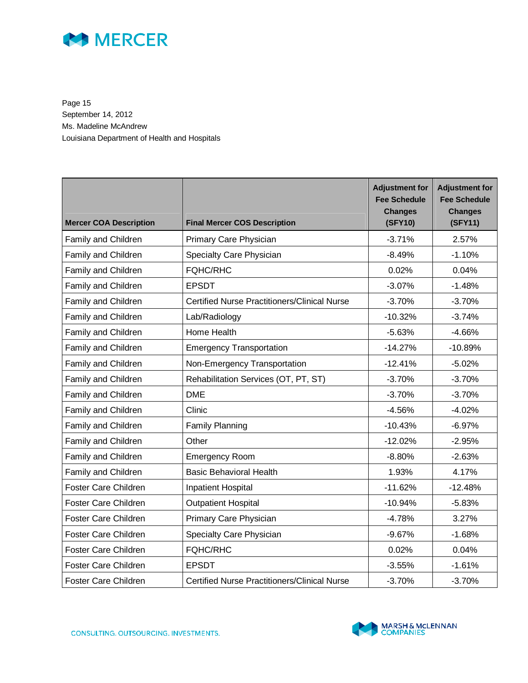

Page 15 September 14, 2012 Ms. Madeline McAndrew Louisiana Department of Health and Hospitals

| <b>Mercer COA Description</b> | <b>Final Mercer COS Description</b>                 | <b>Adjustment for</b><br><b>Fee Schedule</b><br><b>Changes</b><br>(SFY10) | <b>Adjustment for</b><br><b>Fee Schedule</b><br><b>Changes</b><br>(SFY11) |
|-------------------------------|-----------------------------------------------------|---------------------------------------------------------------------------|---------------------------------------------------------------------------|
| Family and Children           | Primary Care Physician                              | $-3.71%$                                                                  | 2.57%                                                                     |
| Family and Children           | Specialty Care Physician                            | $-8.49%$                                                                  | $-1.10%$                                                                  |
| Family and Children           | <b>FQHC/RHC</b>                                     | 0.02%                                                                     | 0.04%                                                                     |
| Family and Children           | <b>EPSDT</b>                                        | $-3.07%$                                                                  | $-1.48%$                                                                  |
| Family and Children           | <b>Certified Nurse Practitioners/Clinical Nurse</b> | $-3.70%$                                                                  | $-3.70%$                                                                  |
| Family and Children           | Lab/Radiology                                       | $-10.32%$                                                                 | $-3.74%$                                                                  |
| Family and Children           | Home Health                                         | $-5.63%$                                                                  | $-4.66%$                                                                  |
| Family and Children           | <b>Emergency Transportation</b>                     | $-14.27%$                                                                 | $-10.89%$                                                                 |
| Family and Children           | Non-Emergency Transportation                        | $-12.41%$                                                                 | $-5.02%$                                                                  |
| Family and Children           | Rehabilitation Services (OT, PT, ST)                | $-3.70%$                                                                  | $-3.70%$                                                                  |
| Family and Children           | <b>DME</b>                                          | $-3.70%$                                                                  | $-3.70%$                                                                  |
| Family and Children           | Clinic                                              | $-4.56%$                                                                  | $-4.02%$                                                                  |
| Family and Children           | <b>Family Planning</b>                              | $-10.43%$                                                                 | $-6.97%$                                                                  |
| Family and Children           | Other                                               | $-12.02%$                                                                 | $-2.95%$                                                                  |
| Family and Children           | <b>Emergency Room</b>                               | $-8.80%$                                                                  | $-2.63%$                                                                  |
| Family and Children           | <b>Basic Behavioral Health</b>                      | 1.93%                                                                     | 4.17%                                                                     |
| <b>Foster Care Children</b>   | <b>Inpatient Hospital</b>                           | $-11.62%$                                                                 | $-12.48%$                                                                 |
| Foster Care Children          | <b>Outpatient Hospital</b>                          | $-10.94%$                                                                 | $-5.83%$                                                                  |
| <b>Foster Care Children</b>   | Primary Care Physician                              | $-4.78%$                                                                  | 3.27%                                                                     |
| Foster Care Children          | Specialty Care Physician                            | $-9.67%$                                                                  | $-1.68%$                                                                  |
| <b>Foster Care Children</b>   | <b>FQHC/RHC</b>                                     | 0.02%                                                                     | 0.04%                                                                     |
| <b>Foster Care Children</b>   | <b>EPSDT</b>                                        | $-3.55%$                                                                  | $-1.61%$                                                                  |
| Foster Care Children          | <b>Certified Nurse Practitioners/Clinical Nurse</b> | $-3.70%$                                                                  | $-3.70%$                                                                  |

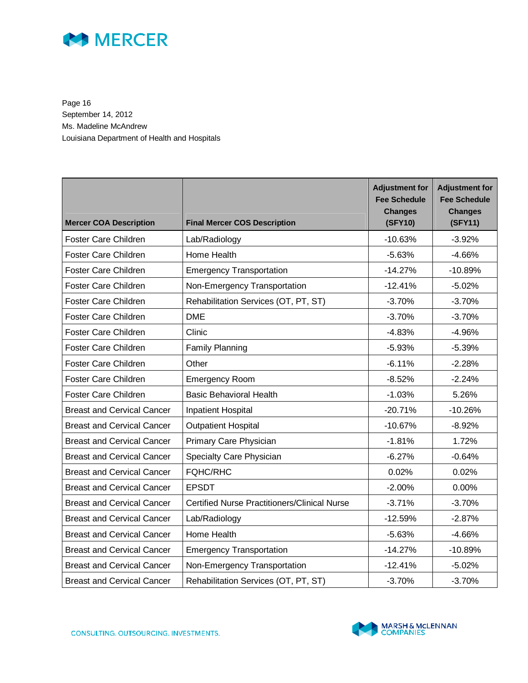

Page 16 September 14, 2012 Ms. Madeline McAndrew Louisiana Department of Health and Hospitals

| <b>Mercer COA Description</b>     | <b>Final Mercer COS Description</b>                 | <b>Adjustment for</b><br><b>Fee Schedule</b><br><b>Changes</b><br>(SFY10) | <b>Adjustment for</b><br><b>Fee Schedule</b><br><b>Changes</b><br>(SFY11) |
|-----------------------------------|-----------------------------------------------------|---------------------------------------------------------------------------|---------------------------------------------------------------------------|
| Foster Care Children              | Lab/Radiology                                       | $-10.63%$                                                                 | $-3.92%$                                                                  |
| Foster Care Children              | Home Health                                         | $-5.63%$                                                                  | $-4.66%$                                                                  |
| Foster Care Children              | <b>Emergency Transportation</b>                     | $-14.27%$                                                                 | $-10.89%$                                                                 |
| <b>Foster Care Children</b>       | Non-Emergency Transportation                        | $-12.41%$                                                                 | $-5.02%$                                                                  |
| <b>Foster Care Children</b>       | Rehabilitation Services (OT, PT, ST)                | $-3.70%$                                                                  | $-3.70%$                                                                  |
| <b>Foster Care Children</b>       | <b>DME</b>                                          | $-3.70%$                                                                  | $-3.70%$                                                                  |
| <b>Foster Care Children</b>       | Clinic                                              | $-4.83%$                                                                  | $-4.96%$                                                                  |
| <b>Foster Care Children</b>       | <b>Family Planning</b>                              | $-5.93%$                                                                  | $-5.39%$                                                                  |
| <b>Foster Care Children</b>       | Other                                               | $-6.11%$                                                                  | $-2.28%$                                                                  |
| <b>Foster Care Children</b>       | <b>Emergency Room</b>                               | $-8.52%$                                                                  | $-2.24%$                                                                  |
| <b>Foster Care Children</b>       | <b>Basic Behavioral Health</b>                      | $-1.03%$                                                                  | 5.26%                                                                     |
| <b>Breast and Cervical Cancer</b> | <b>Inpatient Hospital</b>                           | $-20.71%$                                                                 | $-10.26%$                                                                 |
| <b>Breast and Cervical Cancer</b> | <b>Outpatient Hospital</b>                          | $-10.67%$                                                                 | $-8.92%$                                                                  |
| <b>Breast and Cervical Cancer</b> | Primary Care Physician                              | $-1.81%$                                                                  | 1.72%                                                                     |
| <b>Breast and Cervical Cancer</b> | Specialty Care Physician                            | $-6.27%$                                                                  | $-0.64%$                                                                  |
| <b>Breast and Cervical Cancer</b> | <b>FQHC/RHC</b>                                     | 0.02%                                                                     | 0.02%                                                                     |
| <b>Breast and Cervical Cancer</b> | <b>EPSDT</b>                                        | $-2.00%$                                                                  | 0.00%                                                                     |
| <b>Breast and Cervical Cancer</b> | <b>Certified Nurse Practitioners/Clinical Nurse</b> | $-3.71%$                                                                  | $-3.70%$                                                                  |
| <b>Breast and Cervical Cancer</b> | Lab/Radiology                                       | $-12.59%$                                                                 | $-2.87%$                                                                  |
| <b>Breast and Cervical Cancer</b> | Home Health                                         | $-5.63%$                                                                  | $-4.66%$                                                                  |
| <b>Breast and Cervical Cancer</b> | <b>Emergency Transportation</b>                     | $-14.27%$                                                                 | $-10.89%$                                                                 |
| <b>Breast and Cervical Cancer</b> | Non-Emergency Transportation                        | $-12.41%$                                                                 | $-5.02%$                                                                  |
| <b>Breast and Cervical Cancer</b> | Rehabilitation Services (OT, PT, ST)                | $-3.70%$                                                                  | $-3.70%$                                                                  |

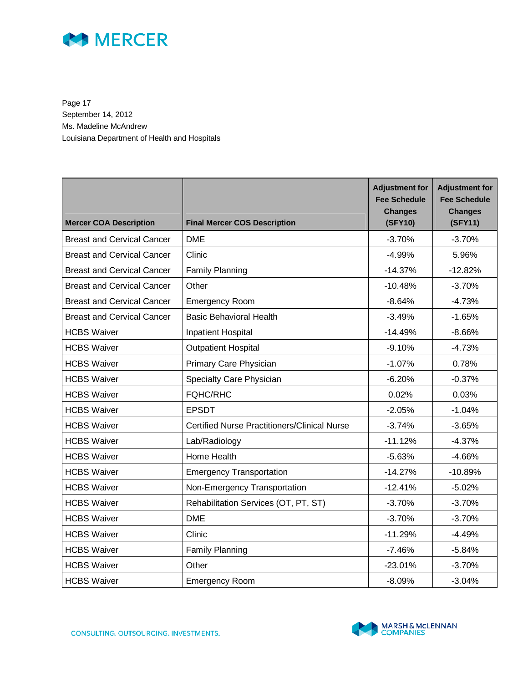

Page 17 September 14, 2012 Ms. Madeline McAndrew Louisiana Department of Health and Hospitals

| <b>Mercer COA Description</b>     | <b>Final Mercer COS Description</b>                 | <b>Adjustment for</b><br><b>Fee Schedule</b><br><b>Changes</b><br>(SFY10) | <b>Adjustment for</b><br><b>Fee Schedule</b><br><b>Changes</b><br>(SFY11) |
|-----------------------------------|-----------------------------------------------------|---------------------------------------------------------------------------|---------------------------------------------------------------------------|
| <b>Breast and Cervical Cancer</b> | <b>DME</b>                                          | $-3.70%$                                                                  | $-3.70%$                                                                  |
| <b>Breast and Cervical Cancer</b> | Clinic                                              | $-4.99%$                                                                  | 5.96%                                                                     |
| <b>Breast and Cervical Cancer</b> | <b>Family Planning</b>                              | $-14.37%$                                                                 | $-12.82%$                                                                 |
| <b>Breast and Cervical Cancer</b> | Other                                               | $-10.48%$                                                                 | $-3.70%$                                                                  |
| <b>Breast and Cervical Cancer</b> | <b>Emergency Room</b>                               | $-8.64%$                                                                  | $-4.73%$                                                                  |
| <b>Breast and Cervical Cancer</b> | <b>Basic Behavioral Health</b>                      | $-3.49%$                                                                  | $-1.65%$                                                                  |
| <b>HCBS Waiver</b>                | <b>Inpatient Hospital</b>                           | $-14.49%$                                                                 | $-8.66%$                                                                  |
| <b>HCBS Waiver</b>                | <b>Outpatient Hospital</b>                          | $-9.10%$                                                                  | $-4.73%$                                                                  |
| <b>HCBS Waiver</b>                | Primary Care Physician                              | $-1.07%$                                                                  | 0.78%                                                                     |
| <b>HCBS Waiver</b>                | Specialty Care Physician                            | $-6.20%$                                                                  | $-0.37%$                                                                  |
| <b>HCBS Waiver</b>                | <b>FQHC/RHC</b>                                     | 0.02%                                                                     | 0.03%                                                                     |
| <b>HCBS Waiver</b>                | <b>EPSDT</b>                                        | $-2.05%$                                                                  | $-1.04%$                                                                  |
| <b>HCBS Waiver</b>                | <b>Certified Nurse Practitioners/Clinical Nurse</b> | $-3.74%$                                                                  | $-3.65%$                                                                  |
| <b>HCBS Waiver</b>                | Lab/Radiology                                       | $-11.12%$                                                                 | $-4.37%$                                                                  |
| <b>HCBS Waiver</b>                | Home Health                                         | $-5.63%$                                                                  | $-4.66%$                                                                  |
| <b>HCBS Waiver</b>                | <b>Emergency Transportation</b>                     | $-14.27%$                                                                 | $-10.89%$                                                                 |
| <b>HCBS Waiver</b>                | Non-Emergency Transportation                        | $-12.41%$                                                                 | $-5.02%$                                                                  |
| <b>HCBS Waiver</b>                | Rehabilitation Services (OT, PT, ST)                | $-3.70%$                                                                  | $-3.70%$                                                                  |
| <b>HCBS Waiver</b>                | <b>DME</b>                                          | $-3.70%$                                                                  | $-3.70%$                                                                  |
| <b>HCBS Waiver</b>                | Clinic                                              | $-11.29%$                                                                 | $-4.49%$                                                                  |
| <b>HCBS Waiver</b>                | <b>Family Planning</b>                              | $-7.46%$                                                                  | $-5.84%$                                                                  |
| <b>HCBS Waiver</b>                | Other                                               | $-23.01%$                                                                 | $-3.70%$                                                                  |
| <b>HCBS Waiver</b>                | <b>Emergency Room</b>                               | $-8.09%$                                                                  | $-3.04%$                                                                  |

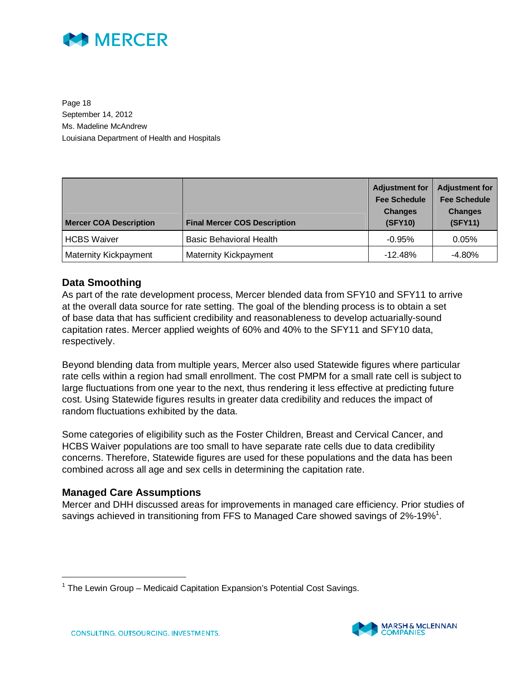

Page 18 September 14, 2012 Ms. Madeline McAndrew Louisiana Department of Health and Hospitals

| <b>Mercer COA Description</b> | <b>Final Mercer COS Description</b> | <b>Adjustment for</b><br><b>Fee Schedule</b><br><b>Changes</b><br>(SFY10) | <b>Adjustment for</b><br><b>Fee Schedule</b><br><b>Changes</b><br>(SFY11) |
|-------------------------------|-------------------------------------|---------------------------------------------------------------------------|---------------------------------------------------------------------------|
| <b>HCBS Waiver</b>            | <b>Basic Behavioral Health</b>      | $-0.95%$                                                                  | 0.05%                                                                     |
| <b>Maternity Kickpayment</b>  | Maternity Kickpayment               | $-12.48%$                                                                 | $-4.80\%$                                                                 |

#### **Data Smoothing**

As part of the rate development process, Mercer blended data from SFY10 and SFY11 to arrive at the overall data source for rate setting. The goal of the blending process is to obtain a set of base data that has sufficient credibility and reasonableness to develop actuarially-sound capitation rates. Mercer applied weights of 60% and 40% to the SFY11 and SFY10 data, respectively.

Beyond blending data from multiple years, Mercer also used Statewide figures where particular rate cells within a region had small enrollment. The cost PMPM for a small rate cell is subject to large fluctuations from one year to the next, thus rendering it less effective at predicting future cost. Using Statewide figures results in greater data credibility and reduces the impact of random fluctuations exhibited by the data.

Some categories of eligibility such as the Foster Children, Breast and Cervical Cancer, and HCBS Waiver populations are too small to have separate rate cells due to data credibility concerns. Therefore, Statewide figures are used for these populations and the data has been combined across all age and sex cells in determining the capitation rate.

#### **Managed Care Assumptions**

-

Mercer and DHH discussed areas for improvements in managed care efficiency. Prior studies of savings achieved in transitioning from FFS to Managed Care showed savings of 2%-19%<sup>1</sup>.

<sup>&</sup>lt;sup>1</sup> The Lewin Group – Medicaid Capitation Expansion's Potential Cost Savings.

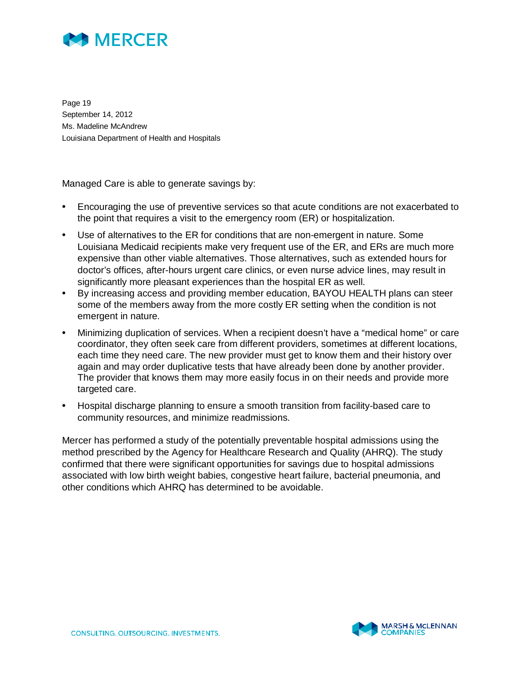

Page 19 September 14, 2012 Ms. Madeline McAndrew Louisiana Department of Health and Hospitals

Managed Care is able to generate savings by:

- Encouraging the use of preventive services so that acute conditions are not exacerbated to the point that requires a visit to the emergency room (ER) or hospitalization.
- Use of alternatives to the ER for conditions that are non-emergent in nature. Some Louisiana Medicaid recipients make very frequent use of the ER, and ERs are much more expensive than other viable alternatives. Those alternatives, such as extended hours for doctor's offices, after-hours urgent care clinics, or even nurse advice lines, may result in significantly more pleasant experiences than the hospital ER as well.
- By increasing access and providing member education, BAYOU HEALTH plans can steer some of the members away from the more costly ER setting when the condition is not emergent in nature.
- Minimizing duplication of services. When a recipient doesn't have a "medical home" or care coordinator, they often seek care from different providers, sometimes at different locations, each time they need care. The new provider must get to know them and their history over again and may order duplicative tests that have already been done by another provider. The provider that knows them may more easily focus in on their needs and provide more targeted care.
- Hospital discharge planning to ensure a smooth transition from facility-based care to community resources, and minimize readmissions.

Mercer has performed a study of the potentially preventable hospital admissions using the method prescribed by the Agency for Healthcare Research and Quality (AHRQ). The study confirmed that there were significant opportunities for savings due to hospital admissions associated with low birth weight babies, congestive heart failure, bacterial pneumonia, and other conditions which AHRQ has determined to be avoidable.

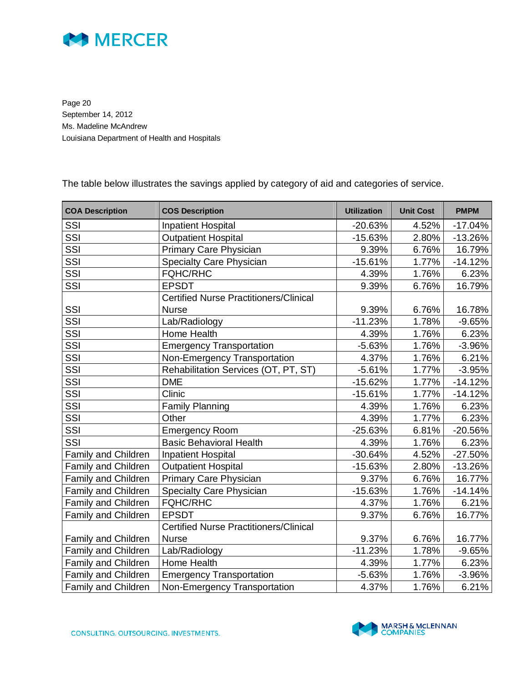

Page 20 September 14, 2012 Ms. Madeline McAndrew Louisiana Department of Health and Hospitals

The table below illustrates the savings applied by category of aid and categories of service.

| <b>COA Description</b> | <b>COS Description</b>                        | <b>Utilization</b> | <b>Unit Cost</b> | <b>PMPM</b> |
|------------------------|-----------------------------------------------|--------------------|------------------|-------------|
| SSI                    | <b>Inpatient Hospital</b>                     | $-20.63%$          | 4.52%            | $-17.04%$   |
| SSI                    | <b>Outpatient Hospital</b>                    | $-15.63%$          | 2.80%            | $-13.26%$   |
| SSI                    | <b>Primary Care Physician</b>                 | 9.39%              | 6.76%            | 16.79%      |
| SSI                    | Specialty Care Physician                      | $-15.61%$          | 1.77%            | $-14.12%$   |
| SSI                    | <b>FQHC/RHC</b>                               | 4.39%              | 1.76%            | 6.23%       |
| SSI                    | <b>EPSDT</b>                                  | 9.39%              | 6.76%            | 16.79%      |
|                        | <b>Certified Nurse Practitioners/Clinical</b> |                    |                  |             |
| SSI                    | <b>Nurse</b>                                  | 9.39%              | 6.76%            | 16.78%      |
| SSI                    | Lab/Radiology                                 | $-11.23%$          | 1.78%            | $-9.65%$    |
| SSI                    | Home Health                                   | 4.39%              | 1.76%            | 6.23%       |
| SSI                    | <b>Emergency Transportation</b>               | $-5.63%$           | 1.76%            | $-3.96%$    |
| SSI                    | Non-Emergency Transportation                  | 4.37%              | 1.76%            | 6.21%       |
| SSI                    | Rehabilitation Services (OT, PT, ST)          | $-5.61%$           | 1.77%            | $-3.95%$    |
| SSI                    | <b>DME</b>                                    | $-15.62%$          | 1.77%            | $-14.12%$   |
| SSI                    | Clinic                                        | $-15.61%$          | 1.77%            | $-14.12%$   |
| SSI                    | <b>Family Planning</b>                        | 4.39%              | 1.76%            | 6.23%       |
| SSI                    | Other                                         | 4.39%              | 1.77%            | 6.23%       |
| SSI                    | <b>Emergency Room</b>                         | $-25.63%$          | 6.81%            | $-20.56\%$  |
| SSI                    | <b>Basic Behavioral Health</b>                | 4.39%              | 1.76%            | 6.23%       |
| Family and Children    | <b>Inpatient Hospital</b>                     | $-30.64%$          | 4.52%            | $-27.50%$   |
| Family and Children    | <b>Outpatient Hospital</b>                    | $-15.63%$          | 2.80%            | $-13.26%$   |
| Family and Children    | Primary Care Physician                        | 9.37%              | 6.76%            | 16.77%      |
| Family and Children    | Specialty Care Physician                      | $-15.63%$          | 1.76%            | $-14.14%$   |
| Family and Children    | <b>FQHC/RHC</b>                               | 4.37%              | 1.76%            | 6.21%       |
| Family and Children    | <b>EPSDT</b>                                  | 9.37%              | 6.76%            | 16.77%      |
|                        | <b>Certified Nurse Practitioners/Clinical</b> |                    |                  |             |
| Family and Children    | <b>Nurse</b>                                  | 9.37%              | 6.76%            | 16.77%      |
| Family and Children    | Lab/Radiology                                 | $-11.23%$          | 1.78%            | $-9.65%$    |
| Family and Children    | Home Health                                   | 4.39%              | 1.77%            | 6.23%       |
| Family and Children    | <b>Emergency Transportation</b>               | $-5.63%$           | 1.76%            | $-3.96%$    |
| Family and Children    | Non-Emergency Transportation                  | 4.37%              | 1.76%            | 6.21%       |

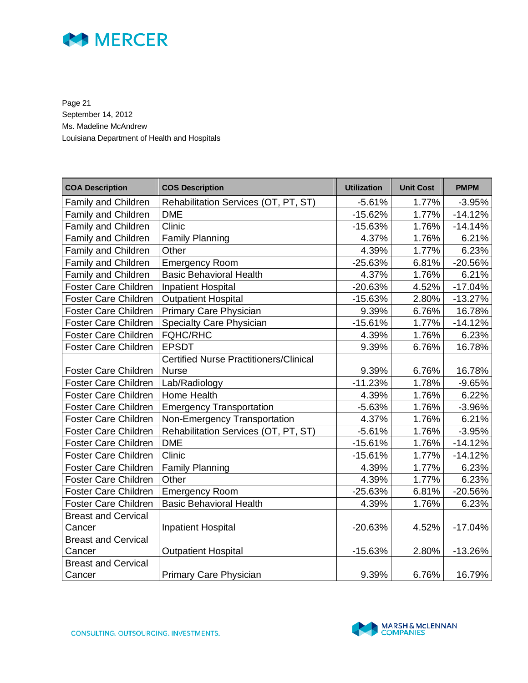

Page 21 September 14, 2012 Ms. Madeline McAndrew Louisiana Department of Health and Hospitals

| <b>COA Description</b>      | <b>COS Description</b>                        | <b>Utilization</b> | <b>Unit Cost</b> | <b>PMPM</b> |
|-----------------------------|-----------------------------------------------|--------------------|------------------|-------------|
| Family and Children         | Rehabilitation Services (OT, PT, ST)          | $-5.61%$           | 1.77%            | $-3.95%$    |
| Family and Children         | <b>DME</b>                                    | $-15.62%$          | 1.77%            | $-14.12%$   |
| Family and Children         | Clinic                                        | $-15.63%$          | 1.76%            | $-14.14%$   |
|                             |                                               |                    |                  |             |
| Family and Children         | <b>Family Planning</b>                        | 4.37%              | 1.76%            | 6.21%       |
| <b>Family and Children</b>  | Other                                         | 4.39%              | 1.77%            | 6.23%       |
| Family and Children         | <b>Emergency Room</b>                         | $-25.63%$          | 6.81%            | $-20.56%$   |
| Family and Children         | <b>Basic Behavioral Health</b>                | 4.37%              | 1.76%            | 6.21%       |
| <b>Foster Care Children</b> | <b>Inpatient Hospital</b>                     | $-20.63%$          | 4.52%            | $-17.04%$   |
| <b>Foster Care Children</b> | <b>Outpatient Hospital</b>                    | $-15.63%$          | 2.80%            | $-13.27%$   |
| Foster Care Children        | Primary Care Physician                        | 9.39%              | 6.76%            | 16.78%      |
| <b>Foster Care Children</b> | Specialty Care Physician                      | $-15.61%$          | 1.77%            | $-14.12%$   |
| <b>Foster Care Children</b> | <b>FQHC/RHC</b>                               | 4.39%              | 1.76%            | 6.23%       |
| Foster Care Children        | <b>EPSDT</b>                                  | 9.39%              | 6.76%            | 16.78%      |
|                             | <b>Certified Nurse Practitioners/Clinical</b> |                    |                  |             |
| Foster Care Children        | <b>Nurse</b>                                  | 9.39%              | 6.76%            | 16.78%      |
| <b>Foster Care Children</b> | Lab/Radiology                                 | $-11.23%$          | 1.78%            | $-9.65%$    |
| <b>Foster Care Children</b> | Home Health                                   | 4.39%              | 1.76%            | 6.22%       |
| Foster Care Children        | <b>Emergency Transportation</b>               | $-5.63%$           | 1.76%            | $-3.96%$    |
| <b>Foster Care Children</b> | Non-Emergency Transportation                  | 4.37%              | 1.76%            | 6.21%       |
| <b>Foster Care Children</b> | Rehabilitation Services (OT, PT, ST)          | $-5.61%$           | 1.76%            | $-3.95%$    |
| <b>Foster Care Children</b> | <b>DME</b>                                    | $-15.61%$          | 1.76%            | $-14.12%$   |
| <b>Foster Care Children</b> | Clinic                                        | $-15.61%$          | 1.77%            | $-14.12%$   |
| <b>Foster Care Children</b> | <b>Family Planning</b>                        | 4.39%              | 1.77%            | 6.23%       |
| <b>Foster Care Children</b> | Other                                         | 4.39%              | 1.77%            | 6.23%       |
| <b>Foster Care Children</b> | <b>Emergency Room</b>                         | $-25.63%$          | 6.81%            | $-20.56%$   |
| <b>Foster Care Children</b> | <b>Basic Behavioral Health</b>                | 4.39%              | 1.76%            | 6.23%       |
| <b>Breast and Cervical</b>  |                                               |                    |                  |             |
| Cancer                      | <b>Inpatient Hospital</b>                     | -20.63%            | 4.52%            | $-17.04%$   |
| <b>Breast and Cervical</b>  |                                               |                    |                  |             |
| Cancer                      | Outpatient Hospital                           | $-15.63%$          | 2.80%            | $-13.26%$   |
| <b>Breast and Cervical</b>  |                                               |                    |                  |             |
| Cancer                      | Primary Care Physician                        | 9.39%              | 6.76%            | 16.79%      |

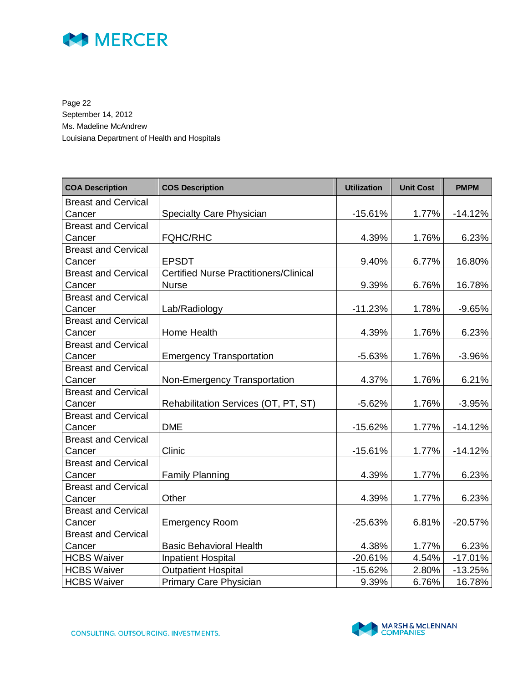

Page 22 September 14, 2012 Ms. Madeline McAndrew Louisiana Department of Health and Hospitals

| <b>COA Description</b>     | <b>COS Description</b>                        | <b>Utilization</b> | <b>Unit Cost</b> | <b>PMPM</b> |
|----------------------------|-----------------------------------------------|--------------------|------------------|-------------|
| <b>Breast and Cervical</b> |                                               |                    |                  |             |
| Cancer                     | Specialty Care Physician                      | $-15.61%$          | 1.77%            | $-14.12%$   |
| <b>Breast and Cervical</b> |                                               |                    |                  |             |
| Cancer                     | <b>FQHC/RHC</b>                               | 4.39%              | 1.76%            | 6.23%       |
| <b>Breast and Cervical</b> |                                               |                    |                  |             |
| Cancer                     | <b>EPSDT</b>                                  | 9.40%              | 6.77%            | 16.80%      |
| <b>Breast and Cervical</b> | <b>Certified Nurse Practitioners/Clinical</b> |                    |                  |             |
| Cancer                     | <b>Nurse</b>                                  | 9.39%              | 6.76%            | 16.78%      |
| <b>Breast and Cervical</b> |                                               |                    |                  |             |
| Cancer                     | Lab/Radiology                                 | $-11.23%$          | 1.78%            | $-9.65%$    |
| <b>Breast and Cervical</b> |                                               |                    |                  |             |
| Cancer                     | Home Health                                   | 4.39%              | 1.76%            | 6.23%       |
| <b>Breast and Cervical</b> |                                               |                    |                  |             |
| Cancer                     | <b>Emergency Transportation</b>               | $-5.63%$           | 1.76%            | $-3.96%$    |
| <b>Breast and Cervical</b> |                                               |                    |                  |             |
| Cancer                     | Non-Emergency Transportation                  | 4.37%              | 1.76%            | 6.21%       |
| <b>Breast and Cervical</b> |                                               |                    |                  |             |
| Cancer                     | Rehabilitation Services (OT, PT, ST)          | $-5.62%$           | 1.76%            | $-3.95%$    |
| <b>Breast and Cervical</b> |                                               |                    |                  |             |
| Cancer                     | <b>DME</b>                                    | $-15.62%$          | 1.77%            | $-14.12%$   |
| <b>Breast and Cervical</b> |                                               |                    |                  |             |
| Cancer                     | Clinic                                        | $-15.61%$          | 1.77%            | $-14.12%$   |
| <b>Breast and Cervical</b> |                                               |                    |                  |             |
| Cancer                     | <b>Family Planning</b>                        | 4.39%              | 1.77%            | 6.23%       |
| <b>Breast and Cervical</b> |                                               |                    |                  |             |
| Cancer                     | Other                                         | 4.39%              | 1.77%            | 6.23%       |
| <b>Breast and Cervical</b> |                                               |                    |                  |             |
| Cancer                     | <b>Emergency Room</b>                         | $-25.63%$          | 6.81%            | $-20.57%$   |
| <b>Breast and Cervical</b> |                                               |                    |                  |             |
| Cancer                     | <b>Basic Behavioral Health</b>                | 4.38%              | 1.77%            | 6.23%       |
| <b>HCBS Waiver</b>         | Inpatient Hospital                            | $-20.61%$          | 4.54%            | $-17.01%$   |
| <b>HCBS Waiver</b>         | <b>Outpatient Hospital</b>                    | $-15.62%$          | 2.80%            | $-13.25%$   |
| <b>HCBS Waiver</b>         | <b>Primary Care Physician</b>                 | 9.39%              | 6.76%            | 16.78%      |

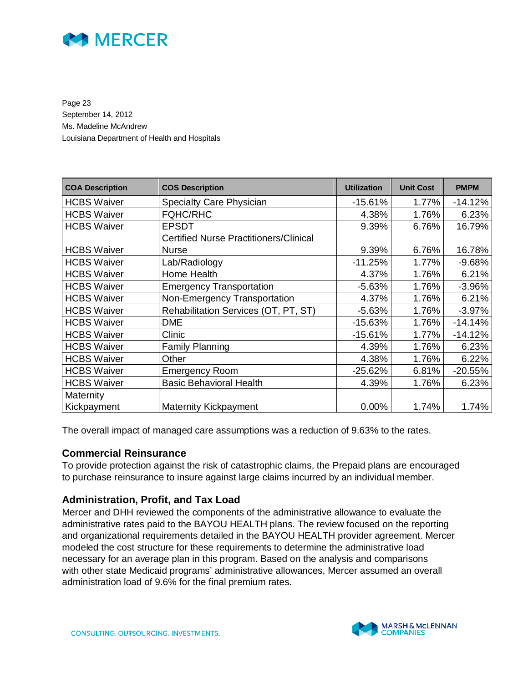

Page 23 September 14, 2012 Ms. Madeline McAndrew Louisiana Department of Health and Hospitals

| <b>COA Description</b> | <b>COS Description</b>                        | <b>Utilization</b> | <b>Unit Cost</b> | <b>PMPM</b> |
|------------------------|-----------------------------------------------|--------------------|------------------|-------------|
| <b>HCBS Waiver</b>     | <b>Specialty Care Physician</b>               | $-15.61%$          | 1.77%            | $-14.12%$   |
| <b>HCBS Waiver</b>     | <b>FQHC/RHC</b>                               | 4.38%              | 1.76%            | 6.23%       |
| <b>HCBS Waiver</b>     | <b>EPSDT</b>                                  | 9.39%              | 6.76%            | 16.79%      |
|                        | <b>Certified Nurse Practitioners/Clinical</b> |                    |                  |             |
| <b>HCBS Waiver</b>     | <b>Nurse</b>                                  | 9.39%              | 6.76%            | 16.78%      |
| <b>HCBS Waiver</b>     | Lab/Radiology                                 | $-11.25%$          | 1.77%            | $-9.68%$    |
| <b>HCBS Waiver</b>     | Home Health                                   | 4.37%              | 1.76%            | 6.21%       |
| <b>HCBS Waiver</b>     | <b>Emergency Transportation</b>               | $-5.63%$           | 1.76%            | $-3.96%$    |
| <b>HCBS Waiver</b>     | Non-Emergency Transportation                  | 4.37%              | 1.76%            | 6.21%       |
| <b>HCBS Waiver</b>     | Rehabilitation Services (OT, PT, ST)          | $-5.63%$           | 1.76%            | $-3.97%$    |
| <b>HCBS Waiver</b>     | <b>DME</b>                                    | $-15.63%$          | 1.76%            | $-14.14%$   |
| <b>HCBS Waiver</b>     | Clinic                                        | $-15.61%$          | 1.77%            | $-14.12%$   |
| <b>HCBS Waiver</b>     | <b>Family Planning</b>                        | 4.39%              | 1.76%            | 6.23%       |
| <b>HCBS Waiver</b>     | Other                                         | 4.38%              | 1.76%            | 6.22%       |
| <b>HCBS Waiver</b>     | <b>Emergency Room</b>                         | $-25.62%$          | 6.81%            | $-20.55%$   |
| <b>HCBS Waiver</b>     | <b>Basic Behavioral Health</b>                | 4.39%              | 1.76%            | 6.23%       |
| Maternity              |                                               |                    |                  |             |
| Kickpayment            | <b>Maternity Kickpayment</b>                  | 0.00%              | 1.74%            | 1.74%       |

The overall impact of managed care assumptions was a reduction of 9.63% to the rates.

#### **Commercial Reinsurance**

To provide protection against the risk of catastrophic claims, the Prepaid plans are encouraged to purchase reinsurance to insure against large claims incurred by an individual member.

#### **Administration, Profit, and Tax Load**

Mercer and DHH reviewed the components of the administrative allowance to evaluate the administrative rates paid to the BAYOU HEALTH plans. The review focused on the reporting and organizational requirements detailed in the BAYOU HEALTH provider agreement. Mercer modeled the cost structure for these requirements to determine the administrative load necessary for an average plan in this program. Based on the analysis and comparisons with other state Medicaid programs' administrative allowances, Mercer assumed an overall administration load of 9.6% for the final premium rates.

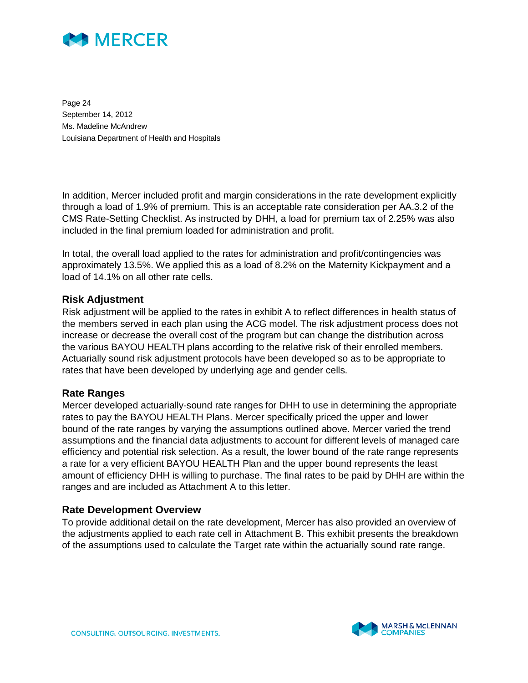

Page 24 September 14, 2012 Ms. Madeline McAndrew Louisiana Department of Health and Hospitals

In addition, Mercer included profit and margin considerations in the rate development explicitly through a load of 1.9% of premium. This is an acceptable rate consideration per AA.3.2 of the CMS Rate-Setting Checklist. As instructed by DHH, a load for premium tax of 2.25% was also included in the final premium loaded for administration and profit.

In total, the overall load applied to the rates for administration and profit/contingencies was approximately 13.5%. We applied this as a load of 8.2% on the Maternity Kickpayment and a load of 14.1% on all other rate cells.

#### **Risk Adjustment**

Risk adjustment will be applied to the rates in exhibit A to reflect differences in health status of the members served in each plan using the ACG model. The risk adjustment process does not increase or decrease the overall cost of the program but can change the distribution across the various BAYOU HEALTH plans according to the relative risk of their enrolled members. Actuarially sound risk adjustment protocols have been developed so as to be appropriate to rates that have been developed by underlying age and gender cells.

#### **Rate Ranges**

Mercer developed actuarially-sound rate ranges for DHH to use in determining the appropriate rates to pay the BAYOU HEALTH Plans. Mercer specifically priced the upper and lower bound of the rate ranges by varying the assumptions outlined above. Mercer varied the trend assumptions and the financial data adjustments to account for different levels of managed care efficiency and potential risk selection. As a result, the lower bound of the rate range represents a rate for a very efficient BAYOU HEALTH Plan and the upper bound represents the least amount of efficiency DHH is willing to purchase. The final rates to be paid by DHH are within the ranges and are included as Attachment A to this letter.

#### **Rate Development Overview**

To provide additional detail on the rate development, Mercer has also provided an overview of the adjustments applied to each rate cell in Attachment B. This exhibit presents the breakdown of the assumptions used to calculate the Target rate within the actuarially sound rate range.

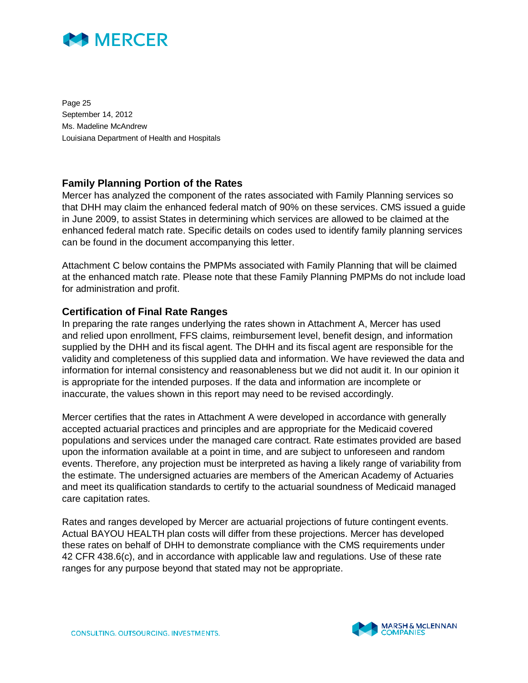

Page 25 September 14, 2012 Ms. Madeline McAndrew Louisiana Department of Health and Hospitals

#### **Family Planning Portion of the Rates**

Mercer has analyzed the component of the rates associated with Family Planning services so that DHH may claim the enhanced federal match of 90% on these services. CMS issued a guide in June 2009, to assist States in determining which services are allowed to be claimed at the enhanced federal match rate. Specific details on codes used to identify family planning services can be found in the document accompanying this letter.

Attachment C below contains the PMPMs associated with Family Planning that will be claimed at the enhanced match rate. Please note that these Family Planning PMPMs do not include load for administration and profit.

#### **Certification of Final Rate Ranges**

In preparing the rate ranges underlying the rates shown in Attachment A, Mercer has used and relied upon enrollment, FFS claims, reimbursement level, benefit design, and information supplied by the DHH and its fiscal agent. The DHH and its fiscal agent are responsible for the validity and completeness of this supplied data and information. We have reviewed the data and information for internal consistency and reasonableness but we did not audit it. In our opinion it is appropriate for the intended purposes. If the data and information are incomplete or inaccurate, the values shown in this report may need to be revised accordingly.

Mercer certifies that the rates in Attachment A were developed in accordance with generally accepted actuarial practices and principles and are appropriate for the Medicaid covered populations and services under the managed care contract. Rate estimates provided are based upon the information available at a point in time, and are subject to unforeseen and random events. Therefore, any projection must be interpreted as having a likely range of variability from the estimate. The undersigned actuaries are members of the American Academy of Actuaries and meet its qualification standards to certify to the actuarial soundness of Medicaid managed care capitation rates.

Rates and ranges developed by Mercer are actuarial projections of future contingent events. Actual BAYOU HEALTH plan costs will differ from these projections. Mercer has developed these rates on behalf of DHH to demonstrate compliance with the CMS requirements under 42 CFR 438.6(c), and in accordance with applicable law and regulations. Use of these rate ranges for any purpose beyond that stated may not be appropriate.

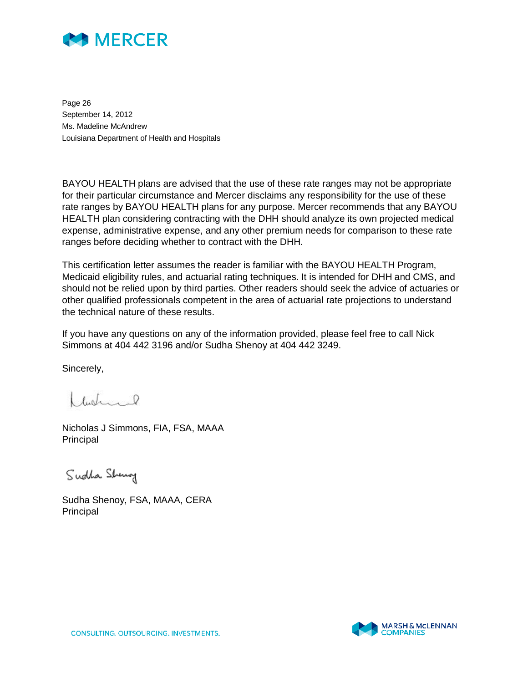

Page 26 September 14, 2012 Ms. Madeline McAndrew Louisiana Department of Health and Hospitals

BAYOU HEALTH plans are advised that the use of these rate ranges may not be appropriate for their particular circumstance and Mercer disclaims any responsibility for the use of these rate ranges by BAYOU HEALTH plans for any purpose. Mercer recommends that any BAYOU HEALTH plan considering contracting with the DHH should analyze its own projected medical expense, administrative expense, and any other premium needs for comparison to these rate ranges before deciding whether to contract with the DHH.

This certification letter assumes the reader is familiar with the BAYOU HEALTH Program, Medicaid eligibility rules, and actuarial rating techniques. It is intended for DHH and CMS, and should not be relied upon by third parties. Other readers should seek the advice of actuaries or other qualified professionals competent in the area of actuarial rate projections to understand the technical nature of these results.

If you have any questions on any of the information provided, please feel free to call Nick Simmons at 404 442 3196 and/or Sudha Shenoy at 404 442 3249.

Sincerely,

 $ldot_{\alpha}$ 

Nicholas J Simmons, FIA, FSA, MAAA Principal

Sudha Sheng

Sudha Shenoy, FSA, MAAA, CERA Principal

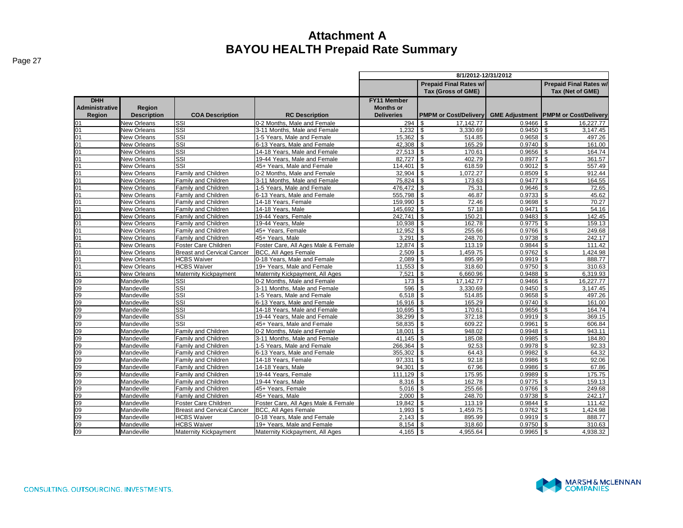|                                               |                              |                                   |                                     | 8/1/2012-12/31/2012                                         |                                                     |                       |                                                   |  |  |  |  |
|-----------------------------------------------|------------------------------|-----------------------------------|-------------------------------------|-------------------------------------------------------------|-----------------------------------------------------|-----------------------|---------------------------------------------------|--|--|--|--|
|                                               |                              |                                   |                                     |                                                             | <b>Prepaid Final Rates w/</b><br>Tax (Gross of GME) |                       | <b>Prepaid Final Rates w/</b><br>Tax (Net of GME) |  |  |  |  |
| <b>DHH</b><br><b>Administrative</b><br>Region | Region<br><b>Description</b> | <b>COA Description</b>            | <b>RC Description</b>               | <b>FY11 Member</b><br><b>Months or</b><br><b>Deliveries</b> | <b>PMPM or Cost/Delivery</b>                        | <b>GME Adjustment</b> | <b>PMPM or Cost/Delivery</b>                      |  |  |  |  |
| 01                                            | <b>New Orleans</b>           | SSI                               | 0-2 Months. Male and Female         | 294                                                         | \$<br>17.142.77                                     | 0.9466                | 16.227.77<br>\$.                                  |  |  |  |  |
| 01                                            | <b>New Orleans</b>           | SSI                               | 3-11 Months. Male and Female        | 1,232                                                       | \$<br>3,330.69                                      | 0.9450                | \$<br>3,147.45                                    |  |  |  |  |
| 01                                            | <b>New Orleans</b>           | SSI                               | 1-5 Years. Male and Female          | 15.362                                                      | $\mathbf{s}$<br>514.85                              | 0.9658                | \$<br>497.26                                      |  |  |  |  |
| 01                                            | <b>New Orleans</b>           | <b>SSI</b>                        | 6-13 Years, Male and Female         | 42,308                                                      | l \$<br>165.29                                      | 0.9740                | \$<br>161.00                                      |  |  |  |  |
| 01                                            | <b>New Orleans</b>           | SSI                               | 14-18 Years, Male and Female        | 27,513                                                      | l \$<br>170.61                                      | 0.9656                | \$<br>164.74                                      |  |  |  |  |
| 01                                            | <b>New Orleans</b>           | SSI                               | 19-44 Years, Male and Female        | 82,727                                                      | <b>S</b><br>402.79                                  | 0.8977                | \$<br>361.57                                      |  |  |  |  |
| 01                                            | <b>New Orleans</b>           | SSI                               | 45+ Years. Male and Female          | 114.401                                                     | l \$<br>618.59                                      | 0.9012                | $\mathfrak{s}$<br>557.49                          |  |  |  |  |
| 01                                            | <b>New Orleans</b>           | Family and Children               | 0-2 Months. Male and Female         | $32,904$ \$                                                 | 1,072.27                                            | 0.8509                | \$<br>912.44                                      |  |  |  |  |
| 01                                            | New Orleans                  | Family and Children               | 3-11 Months, Male and Female        | 75,824 \$                                                   | 173.63                                              | 0.9477                | \$<br>164.55                                      |  |  |  |  |
| 01                                            | <b>New Orleans</b>           | Family and Children               | 1-5 Years. Male and Female          | 476.472                                                     | l \$<br>75.31                                       | 0.9646                | \$<br>72.65                                       |  |  |  |  |
| 01                                            | <b>New Orleans</b>           | Family and Children               | 6-13 Years, Male and Female         | 555,798 \$                                                  | 46.87                                               | 0.9733                | $\mathfrak{L}$<br>45.62                           |  |  |  |  |
| 01                                            | New Orleans                  | Family and Children               | 14-18 Years, Female                 | 159,990                                                     | $\sqrt{3}$<br>72.46                                 | 0.9698                | 70.27<br>\$                                       |  |  |  |  |
| 01                                            | New Orleans                  | Family and Children               | 14-18 Years, Male                   | 145,692 \$                                                  | 57.18                                               | 0.9471                | \$<br>54.16                                       |  |  |  |  |
| 01                                            | <b>New Orleans</b>           | Family and Children               | 19-44 Years, Female                 | 242,741                                                     | l s<br>150.21                                       | 0.9483                | \$<br>142.45                                      |  |  |  |  |
| 01                                            | New Orleans                  | Family and Children               | 19-44 Years, Male                   | 10,938                                                      | <b>S</b><br>162.78                                  | 0.9775                | \$<br>159.13                                      |  |  |  |  |
| 01                                            | New Orleans                  | Family and Children               | 45+ Years. Female                   | 12.952                                                      | $\mathbf{s}$<br>255.66                              | 0.9766                | \$<br>249.68                                      |  |  |  |  |
| 01                                            | New Orleans                  | Family and Children               | 45+ Years, Male                     | 3,291                                                       | l \$<br>248.70                                      | 0.9738                | \$<br>242.17                                      |  |  |  |  |
| 01                                            | <b>New Orleans</b>           | Foster Care Children              | Foster Care, All Ages Male & Female | 12,874                                                      | l s<br>113.19                                       | 0.9844                | \$<br>111.42                                      |  |  |  |  |
| 01                                            | <b>New Orleans</b>           | <b>Breast and Cervical Cancer</b> | <b>BCC, All Ages Female</b>         | $2,509$ \$                                                  | 1,459.75                                            | 0.9762                | \$<br>1,424.98                                    |  |  |  |  |
| 01                                            | New Orleans                  | <b>HCBS Waiver</b>                | 0-18 Years, Male and Female         | 2.089                                                       | l \$<br>895.99                                      | 0.9919                | $\mathbf{s}$<br>888.77                            |  |  |  |  |
| 01                                            | New Orleans                  | <b>HCBS Waiver</b>                | 19+ Years. Male and Female          | 11,553                                                      | l \$<br>318.60                                      | 0.9750                | \$<br>310.63                                      |  |  |  |  |
| 01                                            | New Orleans                  | Maternity Kickpayment             | Maternity Kickpayment, All Ages     | 7.521                                                       | $\sqrt{3}$<br>6,660.96                              | 0.9488                | \$<br>6,319.93                                    |  |  |  |  |
| 09                                            | Mandeville                   | SSI                               | 0-2 Months. Male and Female         | $173$ \$                                                    | 17,142.77                                           | 0.9466                | 16.227.77<br>\$                                   |  |  |  |  |
| 09                                            | Mandeville                   | SSI                               | 3-11 Months. Male and Female        | 596                                                         | 3.330.69<br>l \$                                    | 0.9450                | $\mathfrak{s}$<br>3,147.45                        |  |  |  |  |
| 09                                            | Mandeville                   | SSI                               | 1-5 Years, Male and Female          | $6,518$ \$                                                  | 514.85                                              | 0.9658                | \$<br>497.26                                      |  |  |  |  |
| 09                                            | Mandeville                   | SSI                               | 6-13 Years. Male and Female         | $16.916$ \ \$                                               | 165.29                                              | 0.9740                | $\mathfrak{S}$<br>161.00                          |  |  |  |  |
| $\overline{09}$                               | Mandeville                   | SSI                               | 14-18 Years. Male and Female        | 10,695                                                      | l \$<br>170.61                                      | 0.9656                | \$<br>164.74                                      |  |  |  |  |
| 09                                            | Mandeville                   | SSI                               | 19-44 Years. Male and Female        | 38,299                                                      | $\overline{\mathsf{I}}$<br>372.18                   | 0.9919                | \$<br>369.15                                      |  |  |  |  |
| $\overline{09}$                               | Mandeville                   | SSI                               | 45+ Years, Male and Female          | 58,835                                                      | ls.<br>609.22                                       | 0.9961                | \$<br>606.84                                      |  |  |  |  |
| $\overline{09}$                               | Mandeville                   | Family and Children               | 0-2 Months. Male and Female         | 18.001                                                      | l s<br>948.02                                       | 0.9948                | \$<br>943.11                                      |  |  |  |  |
| $\overline{09}$                               | Mandeville                   | Family and Children               | 3-11 Months, Male and Female        | 41,145                                                      | l s<br>185.08                                       | 0.9985                | \$<br>184.80                                      |  |  |  |  |
| 09                                            | Mandeville                   | Family and Children               | 1-5 Years. Male and Female          | 266,364                                                     | l \$<br>92.53                                       | 0.9978                | \$<br>92.33                                       |  |  |  |  |
| 09                                            | Mandeville                   | Family and Children               | 6-13 Years, Male and Female         | 355,302                                                     | <b>S</b><br>64.43                                   | 0.9982                | \$<br>64.32                                       |  |  |  |  |
| 09                                            | Mandeville                   | Family and Children               | 14-18 Years, Female                 | 97,331                                                      | l \$<br>92.18                                       | 0.9986                | \$<br>92.06                                       |  |  |  |  |
| 09                                            | Mandeville                   | Family and Children               | 14-18 Years, Male                   | 94.301                                                      | l \$<br>67.96                                       | 0.9986                | \$<br>67.86                                       |  |  |  |  |
| 09                                            | Mandeville                   | Family and Children               | 19-44 Years, Female                 | 111,129                                                     | $\overline{\phantom{a}}$<br>175.95                  | 0.9989                | \$<br>175.75                                      |  |  |  |  |
| 09                                            | Mandeville                   | Family and Children               | 19-44 Years, Male                   | 8,316                                                       | l \$<br>162.78                                      | 0.9775                | \$<br>159.13                                      |  |  |  |  |
| 09                                            | Mandeville                   | Family and Children               | 45+ Years, Female                   | $5,016$ \$                                                  | 255.66                                              | 0.9766                | \$<br>249.68                                      |  |  |  |  |
| 09                                            | Mandeville                   | <b>Family and Children</b>        | 45+ Years. Male                     | 2.000                                                       | $\overline{\mathsf{I}}$<br>248.70                   | 0.9738                | \$<br>242.17                                      |  |  |  |  |
| 09                                            | Mandeville                   | Foster Care Children              | Foster Care, All Ages Male & Female | 19,842                                                      | \$<br>113.19                                        | 0.9844                | \$<br>111.42                                      |  |  |  |  |
| 09                                            | Mandeville                   | <b>Breast and Cervical Cancer</b> | <b>BCC, All Ages Female</b>         | 1,993                                                       | l \$<br>1,459.75                                    | 0.9762                | \$<br>1,424.98                                    |  |  |  |  |
| 09                                            | Mandeville                   | <b>HCBS Waiver</b>                | 0-18 Years. Male and Female         | 2,143                                                       | l s<br>895.99                                       | $0.9919$ \$           | 888.77                                            |  |  |  |  |
| 09                                            | Mandeville                   | <b>HCBS Waiver</b>                | 19+ Years. Male and Female          |                                                             | 318.60                                              | 0.9750                | \$<br>310.63                                      |  |  |  |  |
| 09                                            | Mandeville                   | <b>Maternity Kickpayment</b>      | Maternity Kickpayment, All Ages     | 4,165                                                       | l \$<br>4,955.64                                    | 0.9965                | \$<br>4,938.32                                    |  |  |  |  |

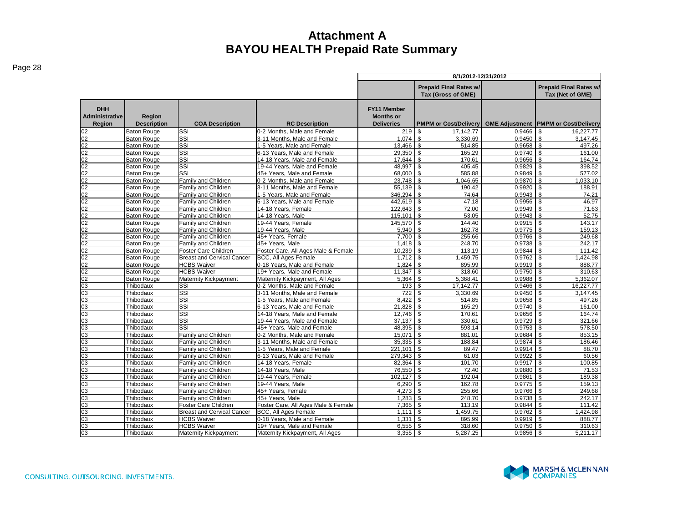|                                               |                                          |                                                    |                                                               | 8/1/2012-12/31/2012                                  |                                                     |                  |                                                   |  |  |  |  |
|-----------------------------------------------|------------------------------------------|----------------------------------------------------|---------------------------------------------------------------|------------------------------------------------------|-----------------------------------------------------|------------------|---------------------------------------------------|--|--|--|--|
|                                               |                                          |                                                    |                                                               |                                                      | <b>Prepaid Final Rates w/</b><br>Tax (Gross of GME) |                  | <b>Prepaid Final Rates w/</b><br>Tax (Net of GME) |  |  |  |  |
| <b>DHH</b><br><b>Administrative</b><br>Region | Region<br><b>Description</b>             | <b>COA Description</b>                             | <b>RC Description</b>                                         | FY11 Member<br><b>Months or</b><br><b>Deliveries</b> | <b>PMPM or Cost/Delivery</b>                        |                  | <b>GME Adjustment PMPM or Cost/Delivery</b>       |  |  |  |  |
| 02                                            | <b>Baton Rouge</b>                       | SSI                                                | 0-2 Months. Male and Female                                   | 219                                                  | l \$<br>17, 142. 77                                 | 0.9466           | 16,227.77                                         |  |  |  |  |
| $\overline{02}$                               | <b>Baton Rouge</b>                       | SSI                                                | 3-11 Months. Male and Female                                  | 1.074                                                | $\mathbf{s}$<br>3,330.69                            | 0.9450           | 3.147.45                                          |  |  |  |  |
| 02                                            | <b>Baton Rouge</b>                       | SSI                                                | 1-5 Years, Male and Female                                    | 13,466 \$                                            | 514.85                                              | 0.9658           | 497.26                                            |  |  |  |  |
| $\overline{02}$                               | <b>Baton Rouge</b>                       | SSI                                                | 6-13 Years. Male and Female                                   | $29.350$ \$                                          | 165.29                                              | 0.9740           | 161.00                                            |  |  |  |  |
| $\overline{02}$                               | <b>Baton Rouge</b>                       | SSI                                                | 14-18 Years, Male and Female                                  | $17,644$ \$                                          | 170.61                                              | 0.9656           | 164.74                                            |  |  |  |  |
| $\overline{02}$                               | <b>Baton Rouge</b>                       | SSI                                                | 19-44 Years, Male and Female                                  | 48,997                                               | l \$<br>405.45                                      | 0.9829           | 398.52                                            |  |  |  |  |
| $02\,$                                        | <b>Baton Rouge</b>                       | $\overline{\text{SSI}}$                            | 45+ Years. Male and Female                                    | 68,000 \$                                            | 585.88                                              | 0.9849           | 577.02                                            |  |  |  |  |
| $\overline{02}$                               | <b>Baton Rouge</b>                       | Family and Children                                | 0-2 Months. Male and Female                                   |                                                      | 1.046.65                                            | 0.9870           | 1,033.10<br>\$                                    |  |  |  |  |
| $\overline{02}$                               | <b>Baton Rouge</b>                       | Family and Children                                | 3-11 Months, Male and Female                                  | $55,139$ \$                                          | 190.42                                              | 0.9920           | 188.91<br>\$                                      |  |  |  |  |
| 02                                            | <b>Baton Rouge</b>                       | <b>Family and Children</b>                         | 1-5 Years, Male and Female                                    | 346,294                                              | l \$<br>74.64                                       | 0.9943           | 74.21                                             |  |  |  |  |
| 02                                            | <b>Baton Rouge</b>                       | Family and Children                                | 6-13 Years, Male and Female                                   | 442,619 \$                                           | 47.18                                               | 0.9956           | 46.97                                             |  |  |  |  |
| 02                                            | <b>Baton Rouge</b>                       | <b>Family and Children</b>                         | 4-18 Years, Female                                            | 122.643 \$                                           | 72.00                                               | 0.9949           | 71.63                                             |  |  |  |  |
| $\overline{02}$                               | <b>Baton Rouge</b>                       | Family and Children                                | 14-18 Years, Male                                             | 115,101                                              | l \$<br>53.05                                       | 0.9943           | 52.75                                             |  |  |  |  |
| 02                                            | <b>Baton Rouge</b>                       | <b>Family and Children</b>                         | 19-44 Years, Female                                           | 145,570 \$                                           | 144.40                                              | 0.9915           | 143.17                                            |  |  |  |  |
| 02                                            | <b>Baton Rouge</b>                       | Family and Children                                | 19-44 Years, Male                                             | $5,940$ \$                                           | 162.78                                              | 0.9775           | 159.13<br>\$                                      |  |  |  |  |
| 02                                            | <b>Baton Rouge</b>                       | Family and Children                                | 45+ Years, Female                                             | 7,700                                                | l s<br>255.66                                       | 0.9766           | 249.68                                            |  |  |  |  |
| $\overline{02}$                               | <b>Baton Rouge</b>                       | <b>Family and Children</b>                         | 45+ Years, Male                                               | $1,418$ \$                                           | 248.70                                              | 0.9738           | 242.17                                            |  |  |  |  |
| 02                                            | <b>Baton Rouge</b>                       | Foster Care Children                               | Foster Care, All Ages Male & Female                           | $10,239$ \$                                          | 113.19                                              | 0.9844           | 111.42                                            |  |  |  |  |
| 02                                            | <b>Baton Rouge</b>                       | <b>Breast and Cervical Cancer</b>                  | <b>BCC, All Ages Female</b>                                   | $1,712$ \$                                           | 1,459.75                                            | 0.9762           | 1,424.98                                          |  |  |  |  |
| 02                                            | <b>Baton Rouge</b>                       | <b>HCBS Waiver</b>                                 | 0-18 Years, Male and Female                                   | 1,824                                                | 895.99<br>l \$                                      | 0.9919           | 888.77                                            |  |  |  |  |
| 02<br>$\overline{02}$                         | <b>Baton Rouge</b><br><b>Baton Rouge</b> | <b>HCBS Waiver</b><br><b>Maternity Kickpayment</b> | 19+ Years, Male and Female<br>Maternity Kickpayment, All Ages | 11,347<br>5,364                                      | <b>S</b><br>318.60<br>l s<br>5,368.41               | 0.9750<br>0.9988 | 310.63<br>5,362.07                                |  |  |  |  |
|                                               | Thibodaux                                | SSI                                                | 0-2 Months. Male and Female                                   | 193                                                  | $\mathbf{s}$<br>17.142.77                           | 0.9466           | 16.227.77                                         |  |  |  |  |
| 03                                            | Thibodaux                                | SSI                                                | 3-11 Months, Male and Female                                  | 722                                                  | 3,330.69<br>l \$                                    | 0.9450           | 3,147.45                                          |  |  |  |  |
| 03<br>03                                      | Thibodaux                                | SSI                                                | 1-5 Years. Male and Female                                    | 8.422                                                | 514.85<br>l \$                                      | 0.9658           | 497.26                                            |  |  |  |  |
| 03                                            | Thibodaux                                | SSI                                                | 6-13 Years, Male and Female                                   | 21,828 \$                                            | 165.29                                              | 0.9740           | 161.00                                            |  |  |  |  |
| $\overline{03}$                               | Thibodaux                                | SSI                                                | 14-18 Years, Male and Female                                  | 12.746                                               | l \$<br>170.61                                      | 0.9656           | 164.74                                            |  |  |  |  |
| $\overline{03}$                               | Thibodaux                                | SSI                                                | 19-44 Years, Male and Female                                  | 37,137                                               | $\sqrt{3}$<br>330.61                                | 0.9729           | 321.66                                            |  |  |  |  |
| $\overline{03}$                               | Thibodaux                                | SSI                                                | 45+ Years, Male and Female                                    | 48,395 \$                                            | 593.14                                              | 0.9753           | 578.50                                            |  |  |  |  |
| 03                                            | Thibodaux                                | <b>Family and Children</b>                         | 0-2 Months. Male and Female                                   | 15.071                                               | l s<br>881.01                                       | 0.9684           | 853.15                                            |  |  |  |  |
| 03                                            | Thibodaux                                | <b>Family and Children</b>                         | 3-11 Months, Male and Female                                  | $35,335$ \$                                          | 188.84                                              | 0.9874           | 186.46<br>\$                                      |  |  |  |  |
| 03                                            | Thibodaux                                | <b>Family and Children</b>                         | 1-5 Years. Male and Female                                    | 221.101                                              | l s<br>89.47                                        | 0.9914           | 88.70                                             |  |  |  |  |
| $\overline{03}$                               | Thibodaux                                | Family and Children                                | 6-13 Years, Male and Female                                   | $279,343$ \$                                         | 61.03                                               | 0.9922           | 60.56                                             |  |  |  |  |
| 03                                            | Thibodaux                                | Family and Children                                | 14-18 Years, Female                                           | 82,364                                               | l s<br>101.70                                       | 0.9917           | 100.85                                            |  |  |  |  |
| $\overline{03}$                               | Thibodaux                                | <b>Family and Children</b>                         | 14-18 Years, Male                                             | 76,550 \$                                            | 72.40                                               | 0.9880           | 71.53                                             |  |  |  |  |
| $\overline{03}$                               | Thibodaux                                | Family and Children                                | 19-44 Years, Female                                           | 102,127 \$                                           | 192.04                                              | 0.9861           | 189.38                                            |  |  |  |  |
| $\overline{03}$                               | Thibodaux                                | Family and Children                                | 19-44 Years, Male                                             | 6.290                                                | l s<br>162.78                                       | 0.9775           | 159.13<br>\$                                      |  |  |  |  |
| 03                                            | Thibodaux                                | <b>Family and Children</b>                         | 45+ Years, Female                                             | $4,273$ \$                                           | 255.66                                              | 0.9766           | $\mathfrak{s}$<br>249.68                          |  |  |  |  |
| 03                                            | Thibodaux                                | <b>Family and Children</b>                         | 45+ Years, Male                                               | 1,283                                                | l s<br>248.70                                       | 0.9738           | 242.17                                            |  |  |  |  |
| 03                                            | Thibodaux                                | Foster Care Children                               | Foster Care, All Ages Male & Female                           | $7,365$ \$                                           | 113.19                                              | 0.9844           | 111.42                                            |  |  |  |  |
| 03                                            | Thibodaux                                | <b>Breast and Cervical Cancer</b>                  | <b>BCC, All Ages Female</b>                                   | 1,111                                                | 1,459.75<br><b>S</b>                                | 0.9762           | 1,424.98                                          |  |  |  |  |
| $\overline{03}$                               | Thibodaux                                | <b>HCBS Waiver</b>                                 | 0-18 Years, Male and Female                                   | 1.331                                                | 895.99<br>l \$                                      | 0.9919           | 888.77                                            |  |  |  |  |
| 03                                            | Thibodaux                                | <b>HCBS Waiver</b>                                 | 19+ Years, Male and Female                                    | 6,555                                                | l s<br>318.60                                       | 0.9750           | 310.63                                            |  |  |  |  |
| 03                                            | Thibodaux                                | Maternity Kickpayment                              | Maternity Kickpayment, All Ages                               | 3,355                                                | l \$<br>5,287.25                                    | 0.9856           | 5,211.17<br>\$                                    |  |  |  |  |

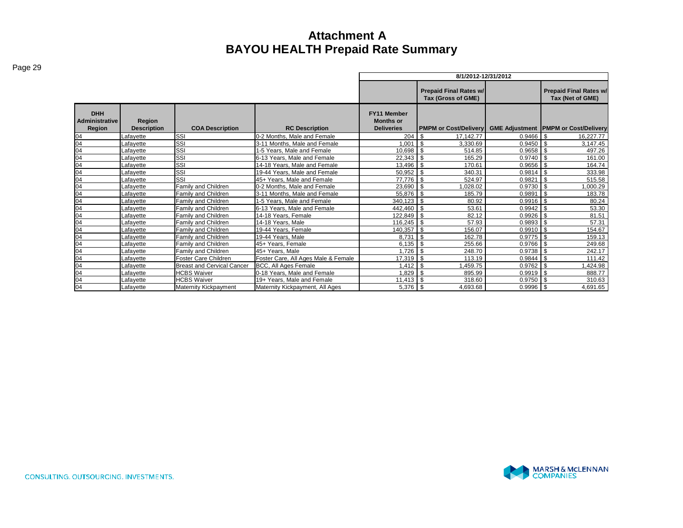|                                               |                              |                                   |                                     | 8/1/2012-12/31/2012                                  |                                                   |             |                                             |  |  |  |  |
|-----------------------------------------------|------------------------------|-----------------------------------|-------------------------------------|------------------------------------------------------|---------------------------------------------------|-------------|---------------------------------------------|--|--|--|--|
|                                               |                              |                                   |                                     |                                                      | <b>Prepaid Final Rates w/</b><br>Tax (Net of GME) |             |                                             |  |  |  |  |
| <b>DHH</b><br><b>Administrative</b><br>Region | Region<br><b>Description</b> | <b>COA Description</b>            | <b>RC Description</b>               | FY11 Member<br><b>Months or</b><br><b>Deliveries</b> | <b>PMPM or Cost/Delivery</b>                      |             | <b>GME Adjustment PMPM or Cost/Delivery</b> |  |  |  |  |
| 04                                            | Lafavette                    | Issi                              | 0-2 Months. Male and Female         | 204                                                  | 17.142.77                                         | $0.9466$ \$ | 16.227.77                                   |  |  |  |  |
| 04                                            | Lafavette                    | Issı                              | 3-11 Months, Male and Female        | 1,001                                                | l \$<br>3,330.69                                  | $0.9450$ \$ | 3,147.45                                    |  |  |  |  |
| 04                                            | Lafayette                    | SSI                               | 1-5 Years, Male and Female          | 10,698                                               | 514.85                                            | 0.9658      | 497.26<br>- \$                              |  |  |  |  |
| 04                                            | Lafavette                    | <b>SSI</b>                        | 6-13 Years. Male and Female         | 22,343                                               | $\overline{1}$ s<br>165.29                        | $0.9740$ \$ | 161.00                                      |  |  |  |  |
| 04                                            | Lafavette                    | lssı                              | 14-18 Years, Male and Female        | 13,496                                               | 170.61                                            | 0.9656      | 164.74                                      |  |  |  |  |
| 04                                            | Lafavette                    | lssı                              | 19-44 Years, Male and Female        | 50,952                                               | l \$<br>340.31                                    | 0.9814      | 333.98                                      |  |  |  |  |
| 04                                            | Lafayette                    | SSI                               | 45+ Years. Male and Female          | 77.776                                               | 1 \$<br>524.97                                    | 0.9821      | 515.58                                      |  |  |  |  |
| 04                                            | Lafavette                    | <b>Family and Children</b>        | 0-2 Months. Male and Female         | 23.690 \$                                            | 028.02                                            | $0.9730$ \$ | ,000.29                                     |  |  |  |  |
| 04                                            | Lafavette                    | Family and Children               | 3-11 Months, Male and Female        | 55,876 \$                                            | 185.79                                            | 0.9891      | \$<br>183.78                                |  |  |  |  |
| 04                                            | Lafavette                    | Family and Children               | 1-5 Years. Male and Female          | 340,123 \$                                           | 80.92                                             | $0.9916$ \$ | 80.24                                       |  |  |  |  |
| 04                                            | Lafavette                    | Family and Children               | 6-13 Years. Male and Female         | 442,460                                              | l \$<br>53.61                                     | $0.9942$ \$ | 53.30                                       |  |  |  |  |
| 04                                            | Lafavette                    | <b>Family and Children</b>        | 14-18 Years. Female                 | 122,849                                              | $\overline{1}$ \$<br>82.12                        | $0.9926$ \$ | 81.51                                       |  |  |  |  |
| 04                                            | Lafavette                    | Family and Children               | 14-18 Years, Male                   | 116,245                                              | $\overline{1}$ s<br>57.93                         | $0.9893$ \$ | 57.31                                       |  |  |  |  |
| 04                                            | Lafavette                    | Family and Children               | 19-44 Years, Female                 | 140,357                                              | l \$<br>156.07                                    | $0.9910$ \$ | 154.67                                      |  |  |  |  |
| 04                                            | Lafayette                    | Family and Children               | 19-44 Years, Male                   | 8.731                                                | l \$<br>162.78                                    | $0.9775$ \$ | 159.13                                      |  |  |  |  |
| 04                                            | Lafayette                    | <b>Family and Children</b>        | 45+ Years, Female                   | $6,135$ \$                                           | 255.66                                            | 0.9766      | 249.68                                      |  |  |  |  |
| 04                                            | Lafavette                    | <b>Family and Children</b>        | 45+ Years. Male                     | 1,726                                                | l s<br>248.70                                     | $0.9738$ \$ | 242.17                                      |  |  |  |  |
| 04                                            | Lafayette                    | <b>Foster Care Children</b>       | Foster Care, All Ages Male & Female | 17,319                                               | $\overline{1}$ \$<br>113.19                       | 0.9844      | 111.42<br>- \$                              |  |  |  |  |
| 04                                            | Lafayette                    | <b>Breast and Cervical Cancer</b> | BCC, All Ages Female                | 1.412                                                | l \$<br>1,459.75                                  | 0.9762      | ,424.98<br>l \$                             |  |  |  |  |
| 04                                            | Lafavette                    | <b>HCBS Waiver</b>                | 0-18 Years, Male and Female         | 1.829                                                | 895.99                                            | 0.9919      | 888.77                                      |  |  |  |  |
| 04                                            | Lafayette                    | <b>HCBS Waiver</b>                | 19+ Years, Male and Female          | $11.413$ \$                                          | 318.60                                            | 0.9750      | l \$<br>310.63                              |  |  |  |  |
| 04                                            | Lafayette                    | <b>Maternity Kickpayment</b>      | Maternity Kickpayment, All Ages     | 5,376 \$                                             | 4,693.68                                          | $0.9996$ \$ | 4,691.65                                    |  |  |  |  |

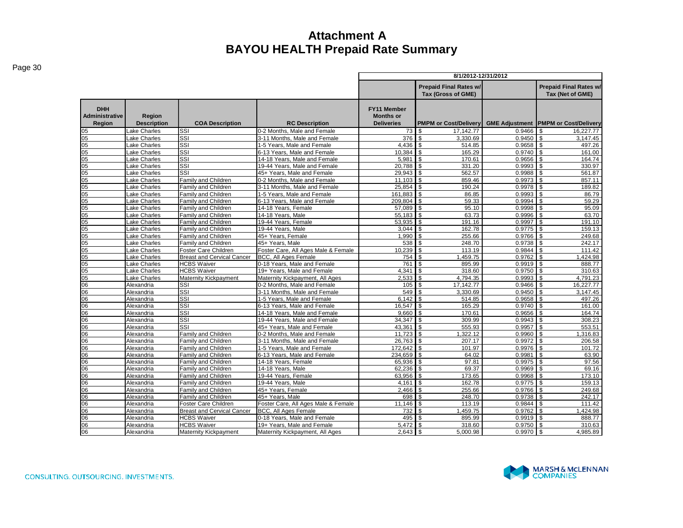| ıne |
|-----|
|-----|

|                                               |                              |                                                           |                                                                    | 8/1/2012-12/31/2012                                         |                                                     |                  |                                                   |  |  |  |  |
|-----------------------------------------------|------------------------------|-----------------------------------------------------------|--------------------------------------------------------------------|-------------------------------------------------------------|-----------------------------------------------------|------------------|---------------------------------------------------|--|--|--|--|
|                                               |                              |                                                           |                                                                    |                                                             | <b>Prepaid Final Rates w/</b><br>Tax (Gross of GME) |                  | <b>Prepaid Final Rates w/</b><br>Tax (Net of GME) |  |  |  |  |
| <b>DHH</b><br><b>Administrative</b><br>Region | Region<br><b>Description</b> | <b>COA Description</b>                                    | <b>RC Description</b>                                              | <b>FY11 Member</b><br><b>Months or</b><br><b>Deliveries</b> | <b>PMPM or Cost/Delivery</b>                        |                  | <b>GME Adjustment PMPM or Cost/Delivery</b>       |  |  |  |  |
| 05                                            | Lake Charles                 | SSI                                                       | 0-2 Months. Male and Female                                        | 73 \$                                                       | 17, 142. 77                                         | 0.9466           | 16,227.77                                         |  |  |  |  |
| $\overline{05}$                               | Lake Charles                 | SSI                                                       | 3-11 Months, Male and Female                                       | 376                                                         | $\mathbf{s}$<br>3,330.69                            | 0.9450           | \$<br>3,147.45                                    |  |  |  |  |
| 05                                            | Lake Charles                 | SSI                                                       | 1-5 Years. Male and Female                                         | 4.436                                                       | $\mathbf{s}$<br>514.85                              | 0.9658           | $\mathfrak{s}$<br>497.26                          |  |  |  |  |
| $\overline{05}$                               | ake Charles                  | SSI                                                       | 6-13 Years. Male and Female                                        | 10.384                                                      | 165.29<br>$\mathfrak{s}$                            | 0.9740           | \$.<br>161.00                                     |  |  |  |  |
| $\overline{05}$                               | ake Charles                  | SSI                                                       | 14-18 Years, Male and Female                                       | 5,981                                                       | 170.61<br>l \$                                      | 0.9656           | $\mathfrak{s}$<br>164.74                          |  |  |  |  |
| 05                                            | Lake Charles                 | SSI                                                       | 19-44 Years, Male and Female                                       | 20,788                                                      | $\mathbf{s}$<br>331.20                              | 0.9993           | 330.97                                            |  |  |  |  |
| $\overline{05}$                               | ake Charles                  | SSI                                                       | 45+ Years, Male and Female                                         | 29,943                                                      | l \$<br>562.57                                      | 0.9988           | 561.87<br>\$                                      |  |  |  |  |
| $\overline{05}$                               | ake Charles                  | Family and Children                                       | 0-2 Months, Male and Female                                        | 11.103                                                      | <b>S</b><br>859.46                                  | 0.9973           | $\mathfrak{s}$<br>857.11                          |  |  |  |  |
| $\overline{05}$                               | ake Charles                  | Family and Children                                       | 3-11 Months. Male and Female                                       | 25.854                                                      | $\mathbf{s}$<br>190.24                              | 0.9978           | \$<br>189.82                                      |  |  |  |  |
| $\overline{05}$                               | ake Charles                  | Family and Children                                       | 1-5 Years, Male and Female                                         | 161,883                                                     | $\mathbf{s}$<br>86.85                               | 0.9993           | \$<br>86.79                                       |  |  |  |  |
| $05\,$                                        | Lake Charles                 | Family and Children                                       | 6-13 Years, Male and Female                                        | 209,804                                                     | 59.33<br>\$                                         | 0.9994           | 59.29                                             |  |  |  |  |
| $\overline{05}$                               | ake Charles                  | Family and Children                                       | 14-18 Years, Female                                                | 57,089                                                      | <b>S</b><br>95.10                                   | 0.9998           | 95.09<br>\$                                       |  |  |  |  |
| 05                                            | Lake Charles                 | Family and Children                                       | 14-18 Years, Male                                                  | 55,183                                                      | \$<br>63.73                                         | 0.9996           | 63.70                                             |  |  |  |  |
| $05\,$                                        | ake Charles                  | Family and Children                                       | 19-44 Years, Female                                                | 53,935                                                      | $\mathbf{s}$<br>191.16                              | 0.9997           | 191.10<br>$\mathbf{s}$                            |  |  |  |  |
| 05                                            | Lake Charles                 | Family and Children                                       | 19-44 Years, Male                                                  | 3.044                                                       | $\mathbf{s}$<br>162.78                              | 0.9775           | $\mathfrak{s}$<br>159.13                          |  |  |  |  |
| 05                                            | ake Charles                  | Family and Children                                       | 45+ Years, Female                                                  | 1,990                                                       | $\mathbf{s}$<br>255.66                              | 0.9766           | 249.68<br>\$.<br>$\mathfrak{s}$                   |  |  |  |  |
| 05                                            | ake Charles                  | Family and Children                                       | 45+ Years, Male                                                    | 538                                                         | \$<br>248.70                                        | 0.9738           | 242.17                                            |  |  |  |  |
| 05                                            | ake Charles                  | Foster Care Children<br><b>Breast and Cervical Cancer</b> | Foster Care, All Ages Male & Female<br><b>BCC, All Ages Female</b> | 10,239                                                      | \$<br>113.19<br>1,459.75<br>$\mathbf{s}$            | 0.9844<br>0.9762 | 111.42<br>1,424.98<br>$\mathbf{s}$                |  |  |  |  |
| $\overline{05}$<br>$\overline{05}$            | ake Charles<br>Lake Charles  | <b>HCBS Waiver</b>                                        | 0-18 Years, Male and Female                                        | 754<br>761                                                  | \$<br>895.99                                        | 0.9919           | 888.77                                            |  |  |  |  |
| $\overline{05}$                               | ake Charles                  | <b>HCBS Waiver</b>                                        | 19+ Years, Male and Female                                         | 4,341                                                       | \$<br>318.60                                        | 0.9750           | 310.63                                            |  |  |  |  |
| $\overline{05}$                               | Lake Charles                 | <b>Maternity Kickpayment</b>                              | Maternity Kickpayment, All Ages                                    | 2,533                                                       | 4,794.35<br>l \$                                    | 0.9993           | $\mathfrak{s}$<br>4,791.23                        |  |  |  |  |
| 06                                            | Alexandria                   | SSI                                                       | 0-2 Months, Male and Female                                        | 105                                                         | 17, 142. 77<br>l \$                                 | 0.9466           | \$<br>16,227.77                                   |  |  |  |  |
| 06                                            | Alexandria                   | SSI                                                       | 3-11 Months, Male and Female                                       | 549                                                         | $\mathbf{s}$<br>3,330.69                            | 0.9450           | $\mathbf{s}$<br>3,147.45                          |  |  |  |  |
| 06                                            | Alexandria                   | SSI                                                       | 1-5 Years, Male and Female                                         | 6.142                                                       | $\mathbf{s}$<br>514.85                              | 0.9658           | \$<br>497.26                                      |  |  |  |  |
| 06                                            | Alexandria                   | SSI                                                       | 6-13 Years. Male and Female                                        | 16.547                                                      | $\mathbf{s}$<br>165.29                              | 0.9740           | \$<br>161.00                                      |  |  |  |  |
| 06                                            | Alexandria                   | SSI                                                       | 14-18 Years, Male and Female                                       | 9.660                                                       | 170.61<br>\$                                        | 0.9656           | 164.74                                            |  |  |  |  |
| 06                                            | Alexandria                   | SSI                                                       | 19-44 Years, Male and Female                                       | 34,347                                                      | \$<br>309.99                                        | 0.9943           | 308.23<br>\$                                      |  |  |  |  |
| 06                                            | Alexandria                   | SSI                                                       | 45+ Years, Male and Female                                         | 43,361                                                      | \$<br>555.93                                        | 0.9957           | 553.51<br>\$                                      |  |  |  |  |
| 06                                            | Alexandria                   | Family and Children                                       | 0-2 Months, Male and Female                                        | 11,723                                                      | $\sqrt{3}$<br>1,322.12                              | 0.9960           | \$<br>1,316.83                                    |  |  |  |  |
| 06                                            | Alexandria                   | <b>Family and Children</b>                                | 3-11 Months, Male and Female                                       | 26,763                                                      | $\mathbf{s}$<br>207.17                              | 0.9972           | $\mathfrak{L}$<br>206.58                          |  |  |  |  |
| 06                                            | Alexandria                   | Family and Children                                       | 1-5 Years, Male and Female                                         | 172,642                                                     | <b>S</b><br>101.97                                  | 0.9976           | $\mathfrak{L}$<br>101.72                          |  |  |  |  |
| 06                                            | Alexandria                   | <b>Family and Children</b>                                | 6-13 Years. Male and Female                                        | 234.659                                                     | l \$<br>64.02                                       | 0.9981           | 63.90<br>\$                                       |  |  |  |  |
| 06                                            | Alexandria                   | Family and Children                                       | 14-18 Years, Female                                                | 65,936                                                      | - \$<br>97.81                                       | 0.9975           | $\mathfrak{L}$<br>97.56                           |  |  |  |  |
| 06                                            | Alexandria                   | Family and Children                                       | 14-18 Years, Male                                                  | 62,236                                                      | 69.37<br>l \$                                       | 0.9969           | 69.16<br>\$                                       |  |  |  |  |
| 06                                            | Alexandria                   | Family and Children                                       | 19-44 Years, Female                                                | 63,956                                                      | $\sqrt{3}$<br>173.65                                | 0.9968           | \$<br>173.10                                      |  |  |  |  |
| 06                                            | Alexandria                   | <b>Family and Children</b>                                | 19-44 Years, Male                                                  | 4.161                                                       | $\mathbf{s}$<br>162.78                              | 0.9775           | $\mathbf{s}$<br>159.13                            |  |  |  |  |
| 06                                            | Alexandria                   | Family and Children                                       | 45+ Years, Female                                                  | 2,466                                                       | l \$<br>255.66                                      | 0.9766           | $\mathfrak{s}$<br>249.68                          |  |  |  |  |
| 06                                            | Alexandria                   | Family and Children                                       | 45+ Years, Male                                                    | 698                                                         | 248.70<br><b>S</b>                                  | 0.9738           | 242.17<br>\$                                      |  |  |  |  |
| 06                                            | Alexandria                   | Foster Care Children                                      | Foster Care, All Ages Male & Female                                | 11,146                                                      | 113.19<br>l \$                                      | 0.9844           | \$<br>111.42                                      |  |  |  |  |
| 06                                            | Alexandria                   | <b>Breast and Cervical Cancer</b>                         | <b>BCC, All Ages Female</b>                                        | 732                                                         | <b>\$</b><br>1,459.75                               | 0.9762           | 1,424.98<br>\$                                    |  |  |  |  |
| 06                                            | Alexandria                   | <b>HCBS Waiver</b>                                        | 0-18 Years. Male and Female                                        | 495                                                         | l \$<br>895.99                                      | 0.9919           | 888.77<br>\$                                      |  |  |  |  |
| 06                                            | Alexandria                   | <b>HCBS Waiver</b>                                        | 19+ Years. Male and Female                                         | 5.472                                                       | 318.60                                              | 0.9750           | 310.63<br>.\$                                     |  |  |  |  |
| 06                                            | Alexandria                   | <b>Maternity Kickpayment</b>                              | Maternity Kickpayment, All Ages                                    | 2,643                                                       | 5,000.98<br>\$                                      | 0.9970           | \$<br>4,985.89                                    |  |  |  |  |

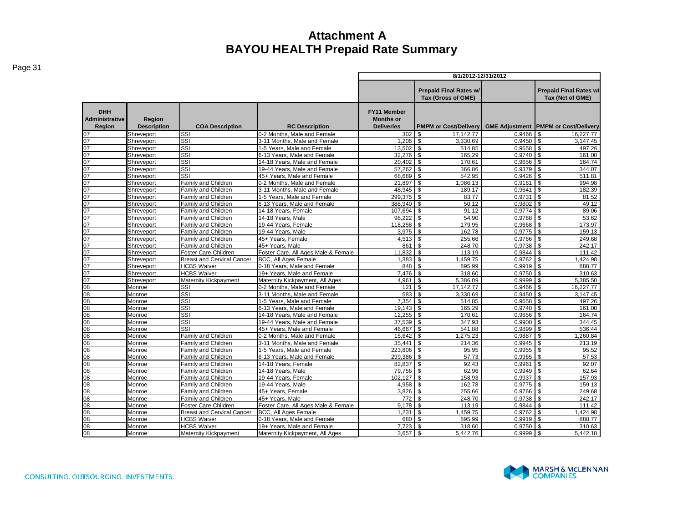|                                               |                              |                                            |                                                           | 8/1/2012-12/31/2012                                         |                                                     |                  |                                                   |  |  |  |
|-----------------------------------------------|------------------------------|--------------------------------------------|-----------------------------------------------------------|-------------------------------------------------------------|-----------------------------------------------------|------------------|---------------------------------------------------|--|--|--|
|                                               |                              |                                            |                                                           |                                                             | <b>Prepaid Final Rates w/</b><br>Tax (Gross of GME) |                  | <b>Prepaid Final Rates w/</b><br>Tax (Net of GME) |  |  |  |
| <b>DHH</b><br><b>Administrative</b><br>Region | Region<br><b>Description</b> | <b>COA Description</b>                     | <b>RC Description</b>                                     | <b>FY11 Member</b><br><b>Months or</b><br><b>Deliveries</b> | <b>PMPM or Cost/Delivery</b>                        |                  | <b>GME Adjustment PMPM or Cost/Delivery</b>       |  |  |  |
| 07                                            | Shreveport                   | $\overline{\text{SSI}}$                    | 0-2 Months. Male and Female                               | 302                                                         | \$<br>17.142.77                                     | 0.9466           | 16.227.77<br>\$.                                  |  |  |  |
| 07                                            | Shreveport                   | $\overline{\text{SSI}}$                    | 3-11 Months. Male and Female                              | 1.206                                                       | \$<br>3.330.69                                      | 0.9450           | $\mathfrak{s}$<br>3,147.45                        |  |  |  |
| 07                                            | Shreveport                   | SSI                                        | 1-5 Years, Male and Female                                | 13.502                                                      | \$<br>514.85                                        | 0.9658           | \$<br>497.26                                      |  |  |  |
| 07                                            | Shreveport                   | SSI                                        | 6-13 Years, Male and Female                               | 32,276                                                      | 165.29<br><b>\$</b>                                 | 0.9740           | $\sqrt{3}$<br>161.00                              |  |  |  |
| 07                                            | Shreveport                   | SSI                                        | 14-18 Years. Male and Female                              | 20,402                                                      | $\sqrt{3}$<br>170.61                                | 0.9656           | $\mathbf{s}$<br>164.74                            |  |  |  |
| 07                                            | Shreveport                   | SSI                                        | 19-44 Years. Male and Female                              | 57.262                                                      | $\mathfrak{L}$<br>366.86                            | 0.9379           | $\mathbf{s}$<br>344.07                            |  |  |  |
| 07                                            | Shreveport                   | SSI                                        | 45+ Years, Male and Female                                | 68,689                                                      | \$<br>542.95                                        | 0.9426           | \$.<br>511.81                                     |  |  |  |
| 07                                            | Shreveport                   | <b>Family and Children</b>                 | 0-2 Months. Male and Female                               | 21.897                                                      | \$<br>1.086.13                                      | 0.9161           | \$<br>994.98                                      |  |  |  |
| 07                                            | Shreveport                   | Family and Children                        | 3-11 Months, Male and Female                              | 48,945                                                      | \$<br>189.17                                        | 0.9641           | \$<br>182.39                                      |  |  |  |
| 07                                            | Shreveport                   | Family and Children                        | 1-5 Years, Male and Female                                | 299,375                                                     | \$<br>83.77                                         | 0.9731           | \$<br>81.52                                       |  |  |  |
| 07                                            | Shreveport                   | <b>Family and Children</b>                 | 6-13 Years. Male and Female                               | 388,940                                                     | \$<br>50.12                                         | 0.9802           | l \$<br>49.12                                     |  |  |  |
| 07                                            | Shreveport                   | <b>Family and Children</b>                 | 14-18 Years, Female                                       | 107.694                                                     | $\mathfrak{L}$<br>91.12                             | 0.9774           | $\mathcal{L}$<br>89.06                            |  |  |  |
| 07                                            | Shreveport                   | Family and Children                        | 14-18 Years, Male                                         | 98.222                                                      | \$<br>54.90                                         | 0.9768           | \$<br>53.62                                       |  |  |  |
| 07                                            | Shreveport                   | Family and Children                        | 19-44 Years, Female                                       | 118,258                                                     | 179.95<br>\$                                        | 0.9668           | l \$<br>173.97                                    |  |  |  |
| 07                                            | Shreveport                   | Family and Children                        | 19-44 Years, Male                                         | 3,975                                                       | 162.78<br>\$                                        | 0.9775           | \$<br>159.13                                      |  |  |  |
| 07                                            | Shreveport                   | Family and Children                        | 45+ Years, Female                                         | 4.513                                                       | 255.66<br>\$                                        | 0.9766           | $\mathbf{s}$<br>249.68                            |  |  |  |
| 07                                            | Shreveport                   | Family and Children                        | 45+ Years, Male                                           | 861                                                         | \$<br>248.70                                        | 0.9738           | $\mathbf{s}$<br>242.17                            |  |  |  |
| 07                                            | Shreveport                   | Foster Care Children                       | Foster Care, All Ages Male & Female                       | 11.832                                                      | \$<br>113.19                                        | 0.9844           | $\mathfrak{L}$<br>111.42                          |  |  |  |
| 07                                            | Shreveport                   | <b>Breast and Cervical Cancer</b>          | <b>BCC, All Ages Female</b>                               | 1,383                                                       | \$<br>1,459.75                                      | 0.9762           | \$.<br>1,424.98                                   |  |  |  |
| 07                                            | Shreveport                   | <b>HCBS Waiver</b>                         | 0-18 Years, Male and Female                               | 848                                                         | 895.99<br>\$                                        | 0.9919           | <b>S</b><br>888.77                                |  |  |  |
| 07                                            | Shreveport                   | <b>HCBS Waiver</b>                         | 19+ Years, Male and Female                                | 7,476                                                       | 318.60<br>\$                                        | 0.9750           | l \$<br>310.63                                    |  |  |  |
| 07                                            | Shreveport                   | Maternity Kickpayment                      | Maternity Kickpayment. All Ages                           | 4.961                                                       | 5.386.09<br>\$                                      | 0.9999           | $\mathfrak{s}$<br>5.385.50                        |  |  |  |
| 80                                            | Monroe                       | SSI                                        | 0-2 Months. Male and Female                               | 121                                                         | \$<br>17,142.77                                     | 0.9466           | $\mathsf{s}$<br>16,227.77                         |  |  |  |
| 80                                            | Monroe                       | SSI                                        | 3-11 Months. Male and Female                              | 583                                                         | 3,330.69<br>\$.                                     | 0.9450           | $\mathbf{s}$<br>3.147.45                          |  |  |  |
| 08                                            | Monroe                       | $\overline{\text{SSI}}$                    | 1-5 Years, Male and Female                                | 7,354                                                       | \$<br>514.85                                        | 0.9658           | \$.<br>497.26                                     |  |  |  |
| 80                                            | Monroe                       | $\overline{\text{SSI}}$                    | 6-13 Years. Male and Female                               | 19,143                                                      | \$<br>165.29                                        | 0.9740           | \$<br>161.00                                      |  |  |  |
| 80                                            | Monroe                       | SSI                                        | 14-18 Years. Male and Female                              | 12.255                                                      | \$<br>170.61                                        | 0.9656           | \$<br>164.74                                      |  |  |  |
| 80                                            | Monroe                       | $\overline{\text{SSI}}$                    | 19-44 Years, Male and Female                              | 37.539                                                      | 347.93<br>\$                                        | 0.9900           | \$<br>344.45                                      |  |  |  |
| 08                                            | Monroe                       | SSI                                        | 45+ Years, Male and Female                                | 46,667                                                      | $\mathbf{s}$<br>541.88                              | 0.9899           | $\mathbf{s}$<br>536.44                            |  |  |  |
| 80                                            | Monroe                       | Family and Children                        | 0-2 Months. Male and Female                               | 15.642                                                      | 1,275.23<br>\$                                      | 0.9887           | \$<br>1.260.84                                    |  |  |  |
| 80                                            | Monroe                       | Family and Children                        | 3-11 Months, Male and Female                              | 35,441                                                      | \$<br>214.36                                        | 0.9945<br>0.9955 | \$<br>213.19                                      |  |  |  |
| 80<br>80                                      | Monroe<br>Monroe             | Family and Children<br>Family and Children | 1-5 Years. Male and Female<br>6-13 Years. Male and Female | 223.806<br>299.386                                          | $\mathfrak{L}$<br>95.95<br>\$<br>57.73              | 0.9965           | \$<br>95.52<br>l \$<br>57.53                      |  |  |  |
| 08                                            | Monroe                       | <b>Family and Children</b>                 | 14-18 Years, Female                                       | 82.837                                                      | \$<br>92.43                                         | 0.9961           | \$<br>92.07                                       |  |  |  |
| 80                                            | Monroe                       | Family and Children                        | 14-18 Years, Male                                         | 79,756                                                      | \$<br>62.96                                         | 0.9949           | \$<br>62.64                                       |  |  |  |
| 80                                            | Monroe                       | Family and Children                        | 19-44 Years, Female                                       | 102.127                                                     | \$<br>158.93                                        | 0.9937           | \$<br>157.93                                      |  |  |  |
| 80                                            | Monroe                       | Family and Children                        | 19-44 Years, Male                                         | 4.958                                                       | <b>S</b><br>162.78                                  | 0.9775           | \$<br>159.13                                      |  |  |  |
| 80                                            | Monroe                       | <b>Family and Children</b>                 | 45+ Years. Female                                         | 3,826                                                       | $\mathfrak{L}$<br>255.66                            | 0.9766           | $\mathfrak{L}$<br>249.68                          |  |  |  |
| 80                                            | Monroe                       | Family and Children                        | 45+ Years, Male                                           | 772                                                         | \$<br>248.70                                        | 0.9738           | $\mathbf{s}$<br>242.17                            |  |  |  |
| 80                                            | Monroe                       | Foster Care Children                       | Foster Care, All Ages Male & Female                       | 9.178                                                       | \$<br>113.19                                        | 0.9844           | \$<br>111.42                                      |  |  |  |
| 80                                            | Monroe                       | <b>Breast and Cervical Cancer</b>          | BCC, All Ages Female                                      | 1,231                                                       | \$<br>1,459.75                                      | 0.9762           | \$<br>1,424.98                                    |  |  |  |
| 80                                            | Monroe                       | <b>HCBS Waiver</b>                         | 0-18 Years. Male and Female                               | 680                                                         | \$<br>895.99                                        | 0.9919           | l s<br>888.77                                     |  |  |  |
| 80                                            | Monroe                       | <b>HCBS Waiver</b>                         | 19+ Years. Male and Female                                | 7.723                                                       | \$<br>318.60                                        | 0.9750           | <b>S</b><br>310.63                                |  |  |  |
| 80                                            | Monroe                       | <b>Maternity Kickpayment</b>               | Maternity Kickpayment, All Ages                           | 3,657                                                       | \$<br>5.442.76                                      | 0.9999           | \$<br>5.442.18                                    |  |  |  |
|                                               |                              |                                            |                                                           |                                                             |                                                     |                  |                                                   |  |  |  |

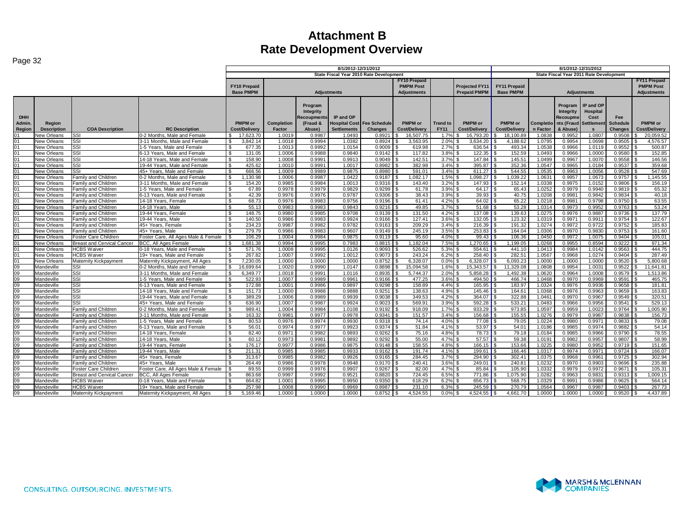| 8/1/2012-12/31/2012<br>State Fiscal Year 2010 Rate Development<br>State Fiscal Year 2011 Rate Development<br><b>FY11 Prepaid</b><br><b>FY10 Prepaid</b><br>FY10 Prepaid<br><b>PMPM Post</b><br>Projected FY11<br><b>FY11 Prepaid</b><br><b>PMPM Post</b><br><b>Base PMPM</b><br><b>Prepaid PMPM</b><br><b>Base PMPM</b><br><b>Adjustments</b><br><b>Adjustments</b><br><b>Adjustments</b><br>IP and OP<br>Program<br>Program<br>Integrity<br>Hospital<br><b>Integrity</b><br><b>DHH</b><br>IP and OP<br>Recoupments<br>Recoupme<br>Cost<br>Fee<br>Admin.<br>PMPM or<br><b>PMPM</b> or<br><b>PMPM</b> or<br><b>PMPM</b> or<br>Completio   nts (Fraud<br><b>PMPM</b> or<br><b>Completion</b><br>(Fraud &<br><b>Hospital Cost Fee Schedule</b><br><b>Settlemen</b><br><b>Schedule</b><br><b>Trend to</b><br>Region<br><b>Description</b><br><b>COA Description</b><br><b>RC</b> Description<br>Factor<br><b>Settlements</b><br>Changes<br><b>Cost/Delivery</b><br><b>FY11</b><br><b>Cost/Delivery</b><br><b>Cost/Delivery</b><br>n Factor<br>& Abuse)<br><b>Cost/Delivery</b><br>Region<br>Cost/Delivery<br>Abuse)<br><b>Changes</b><br>$\mathbf{s}$<br>SSI<br>0.8921<br>1.0838<br>0.9952<br>1.0807<br>0.9508<br>20,059.52<br>New Orleans<br>0-2 Months, Male and Female<br>17.623.70<br>1.0019<br>0.9987<br>1.0493<br>16.507.75<br>16,793.20<br>18,100.89<br>\$.<br>1.7%<br>SSI<br>3-11 Months, Male and Female<br>3.842.14<br>1.0018<br>0.9994<br>1.0382<br>0.8924<br>3.563.95<br>2.0%<br>3.634.20<br>4.188.62<br>1.0795<br>0.9954<br>1.0698<br>0.9505<br>01<br>New Orleans<br>01<br><b>New Orleans</b><br>SSI<br>1-5 Years, Male and Female<br>677.35<br>1.0013<br>0.9992<br>1.0154<br>0.9009<br>619.98<br>2.7%<br>636.54<br>493.34<br>1.0538<br>0.9966<br>1.011<br>0.9552<br>01<br>0.9840<br>122.35<br>0.9580<br>SSI<br>6-13 Years, Male and Female<br>131.05<br>1.0006<br>0.9988<br>0.9142<br>117.82<br>3.8%<br>152.59<br>1.0493<br>0.9966<br>1.0000<br>New Orleans<br>\$.<br>158.90<br>0.9913<br>142.51<br>0.9967<br>01<br>New Orleans<br>SSI<br>14-18 Years, Male and Female<br>1.0008<br>0.9991<br>0.9049<br>3.7%<br>147.84<br>145.51<br>1.0499<br>1.0070<br>0.9558<br>ፍ<br>01<br>SSI<br>425.62<br>0.9991<br>0.8982<br>382.98<br>3.4%<br>395.87<br>352.36<br>1.0547<br>0.9965<br>1.0184<br>0.9537<br>New Orleans<br>19-44 Years. Male and Female<br>1.0010<br>1.0017<br>01<br>SSI<br>666.56<br>0.9989<br>0.9875<br>0.8980<br>591.01<br>3.4%<br>611.27<br>544.55<br>1.0535<br>0.9963<br>1.0056<br>0.9528<br>New Orleans<br>45+ Years, Male and Female<br>1.0009<br>£.<br>01<br>0.9987<br>1.082.17<br>1.5%<br>1.098.27<br>1.039.22<br>1.0631<br>0.9957<br>1.067<br>0.9757<br>Family and Children<br>0-2 Months, Male and Female<br>1.130.98<br>1.0006<br>1.0422<br>0.9187<br>New Orleans<br>-S<br>01<br>New Orleans<br><b>Family and Children</b><br>3-11 Months, Male and Female<br>154.20<br>0.9985<br>0.9984<br>1.0013<br>0.9316<br>143.40<br>3.2%<br>147.93<br>152.14<br>1.0338<br>0.9975<br>1.015<br>0.9806<br>01<br>0.9978<br>0.9979<br>0.9829<br>0.9299<br>3.9%<br>64.17<br>65.43<br>1.0252<br>0.9979<br>0.9940<br>0.9819<br>65.32<br>New Orleans<br><b>Family and Children</b><br>1-5 Years. Male and Female<br>67.89<br>61.78<br>01<br>42.39<br>0.9976<br>0.9976<br>0.9787<br>0.9306<br>38.43<br>3.9%<br>39.93<br>40.75<br>1.0208<br>0.998'<br>0.9842<br>0.9834<br>40.18<br>New Orleans<br>Family and Children<br>6-13 Years, Male and Female<br>\$.<br>01<br>65.22<br>63.55<br>$\mathbf{s}$<br>68.73<br>0.9983<br>61.41<br>4.2%<br>64.02<br>1.0218<br>0.9981<br>0.9798<br>0.9750<br>New Orleans<br>Family and Children<br>14-18 Years, Female<br>0.9976<br>0.9756<br>0.9196<br>l SS<br>01<br>49.85<br>51.68<br>53.24<br>55.13<br>0.9983<br>0.9983<br>0.9843<br>0.9216<br>3.7%<br>53.28<br>1.0314<br>0.9973<br>0.9952<br>0.9763<br>New Orleans<br><b>Family and Children</b><br>14-18 Years, Male<br>-S<br>- 96<br>01<br>148.75<br>131.50<br>4.2%<br>137.08<br>137.79<br>New Orleans<br><b>Family and Children</b><br>19-44 Years, Female<br>0.9980<br>0.9985<br>0.9708<br>0.9139<br>139.63<br>1.0275<br>0.9976<br>0.988<br>0.9736<br>127.41<br>3.6%<br>132.05<br>123.32<br>122.67<br>01<br>19-44 Years, Male<br>140.50<br>0.9986<br>0.9983<br>0.9924<br>0.9166<br>1.0319<br>0.9971<br>0.991<br>0.9754<br>New Orleans<br>Family and Children<br>234.23<br>0.9782<br>209.29<br>3.4%<br>1.0274<br>0.9752<br>185.83<br>01<br>45+ Years, Female<br>0.9987<br>0.9982<br>0.9163<br>216.39<br>191.32<br>0.9972<br>0.9722<br>New Orleans<br>Family and Children<br>-96<br>01<br>279.79<br>0.9986<br>0.9983<br>0.9607<br>245.19<br>3.5%<br>253.83<br>164.04<br>1.0306<br>0.9970<br>0.983<br>0.9753<br>New Orleans<br><b>Family and Children</b><br>45+ Years, Male<br>0.9149<br>01<br>New Orleans<br>Foster Care Children<br>Foster Care, All Ages Male & Female<br>106.29<br>1.0004<br>0.9984<br>0.9875<br>0.9119<br>95.60<br>4.0%<br>99.43<br>106.36<br>1.0450<br>0.9972<br>1.0075<br>0.9404<br>105.01<br>.681.38<br>1.182.04<br>7.5%<br>0.9955<br>0.8594<br>0.9222<br>01<br><b>Breast and Cervical Cancer</b><br><b>BCC. All Ages Female</b><br>0.9994<br>0.9995<br>0.7983<br>0.8815<br>1.270.65<br>1.199.05<br>1.0268<br>New Orleans<br>01<br><b>HCBS Waiver</b><br>571.76<br>1.0008<br>0.9995<br>1.0126<br>0.9093<br>526.62<br>5.3%<br>554.61<br>1.0413<br>0.9984<br>1.0142<br>0.9563<br>0-18 Years, Male and Female<br>441.10<br>New Orleans<br>01<br><b>HCBS Waiver</b><br>19+ Years, Male and Female<br>267.82<br>1.0007<br>0.9992<br>1.0012<br>0.9073<br>243.24<br>6.2%<br>258.40<br>282.51<br>1.0567<br>0.9968<br>1.0274<br>0.9404<br>New Orleans<br>01<br>6,328.07<br>New Orleans<br>Maternity Kickpayment<br>Maternity Kickpayment, All Ages<br>7.230.05<br>1.0000<br>1.0000<br>1.0000<br>0.8752<br>0.0%<br>6,328.07<br>6.093.23<br>1.0000<br>1.0000<br>1.0000<br>0.9520<br>09<br>15.094.58<br>15.343.57<br>11.329.08<br>0.9954<br>0.9522<br>SSI<br>0-2 Months, Male and Female<br>16.699.64<br>1.0020<br>0.9990<br>1.0147<br>0.8898<br>1.6%<br>1.0808<br>1.0031<br>Mandeville<br>£.<br>09<br>2.0%<br>1.0620<br>0.9964<br>1.0008<br>Mandeville<br>SSI<br>3-11 Months, Male and Female<br>6.349.77<br>1.0018<br>0.9991<br>1.0116<br>0.8935<br>5,744.37<br>5,858.28<br>1.492.38<br>0.9579<br>09<br>SSI<br>522.93<br>0.9989<br>0.9961<br>477.25<br>3.6%<br>494.50<br>466.74<br>1.0468<br>0.9970<br>0.9969<br>0.9591<br>Mandeville<br>-5 Years, Male and Female<br>1.0007<br>0.9166<br>09<br>SSI<br>172.88<br>1.0001<br>0.9986<br>0.9897<br>0.9298<br>158.89<br>4.4%<br>165.95<br>183.97<br>1.0324<br>0.9976<br>0.9936<br>0.9658<br>Mandeville<br>6-13 Years, Male and Female<br>£.<br>09<br>151.73<br>0.9988<br>0.9888<br>138.63<br>4.9%<br>145.46<br>1.0368<br>0.9976<br>0.9963<br>0.9659<br>163.83<br>SSI<br>14-18 Years. Male and Female<br>1.0000<br>0.9251<br>164.61<br>Mandeville<br>-S<br>09<br>389.29<br>320.51<br>SSI<br>19-44 Years, Male and Female<br>1.0006<br>0.9989<br>0.9939<br>0.9038<br>349.53<br>4.2%<br>364.07<br>322.88<br>1.0461<br>0.9970<br>0.9967<br>0.9549<br>Mandeville<br>09<br>636.90<br>0.9987<br>0.9924<br>0.9023<br>569.91<br>3.9%<br>592.28<br>533.21<br>1.0483<br>0.9966<br>0.9956<br>0.9541<br>529.13<br>Mandeville<br>SSI<br>45+ Years, Male and Female<br>1.0007<br>09<br>989.41<br>0.9984<br>1.7%<br>933.29<br>0.9959<br>0.9764<br>1.005.90<br>Family and Children<br>0-2 Months, Male and Female<br>1.0004<br>1.0108<br>0.9192<br>918.09<br>973.85<br>1.0597<br>1.0023<br>Mandeville<br>\$<br>09<br>163.32<br>0.9978<br>151.57<br>3.4%<br>156.68<br>155.55<br>0.998<br>156.73<br>Family and Children<br>3-11 Months. Male and Female<br>0.998 <sup>4</sup><br>0.9977<br>0.9341<br>1.0276<br>0.9979<br>0.9838<br>Mandeville<br>\$.<br>09<br>0.9930<br>4.0%<br>77.08<br>0.9980<br>0.997<br>0.9833<br>79.08<br>Mandeville<br>1-5 Years, Male and Female<br>80.53<br>0.9976<br>0.9974<br>0.9318<br>74.14<br>79.05<br>1.0224<br><b>Family and Children</b><br>09<br>56.01<br>0.9974<br>0.9977<br>0.9923<br>0.9374<br>51.84<br>4.1%<br>53.97<br>54.01<br>1.0186<br>0.9985<br>0.997<br>0.9882<br>54.14<br>Mandeville<br>Family and Children<br>6-13 Years. Male and Female<br>09<br>75.16<br>82.40<br>0.9971<br>0.9982<br>0.9893<br>0.9262<br>4.8%<br>78.73<br>79.18<br>1.0184<br>0.9985<br>0.9966<br>0.9790<br>Mandeville<br>Family and Children<br>14-18 Years, Female<br>\$<br>09<br>0.9892<br>55.00<br>4.7%<br>57.57<br>59.38<br>1.0191<br>0.9982<br>0.9957<br>0.9807<br>Mandeville<br><b>Family and Children</b><br>14-18 Years, Male<br>60.12<br>0.9973<br>0.9981<br>0.9292<br>ፍ<br>09<br>176.17<br>0.9977<br>0.9986<br>0.9875<br>158.55<br>4.8%<br>166.15<br>153.66<br>1.0225<br>0.9980<br>0.9952<br>0.9719<br>Mandeville<br>Family and Children<br>19-44 Years, Female<br>0.9148<br>09<br>0.9985<br>0.9985<br>0.9933<br>191.74<br>199.61<br>166.46<br>0.9974<br>0.9724<br>Family and Children<br>19-44 Years, Male<br>211.31<br>0.9162<br>4.1%<br>1.0317<br>0.997<br>Mandeville<br>09<br>284.45<br>294.90<br>313.67<br>0.9982<br>0.9926<br>0.9165<br>3.7%<br>302.41<br>1.0375<br>0.9968<br>0.996<br>0.9725<br>Mandeville<br>Family and Children<br>45+ Years, Female<br>0.9985<br>09<br>264.49<br>0.9948<br>240.41<br>249.01<br>Mandeville<br>Family and Children<br>45+ Years, Male<br>0.9986<br>0.9978<br>0.9170<br>3.6%<br>240.81<br>1.0232<br>0.9970<br>0.9903<br>0.9696<br>09<br>Foster Care, All Ages Male & Female<br>89.55<br>0.9999<br>0.9976<br>0.9907<br>0.9267<br>82.00<br>4.7%<br>85.84<br>105.90<br>1.0332<br>0.9979<br>0.9972<br>0.9671<br>Mandeville<br>Foster Care Children<br>09<br><b>Breast and Cervical Cancer</b><br><b>BCC, All Ages Female</b><br>863.68<br>0.9997<br>0.9992<br>0.9521<br>0.8820<br>724.45<br>6.5%<br>771.86<br>1,075.90<br>1.0282<br>0.9963<br>0.983<br>0.9313<br>Mandeville<br>$\overline{09}$<br>656.73<br><b>HCBS Waiver</b><br>0-18 Years. Male and Female<br>664.82<br>0.9995<br>0.9950<br>0.9350<br>618.29<br>6.2%<br>568.75<br>1.0329<br>0.9991<br>0.9986<br>0.9625<br>Mandeville<br>1.0001<br>\$.<br>09<br><b>HCBS Waiver</b><br>19+ Years, Male and Female<br>257.98<br>1.0008<br>0.9990<br>0.9969<br>0.8987<br>231.10<br>6.3%<br>245.59<br>270.79<br>1.0564<br>0.9967<br>0.9987<br>0.9403<br>Mandeville<br>09<br>4,437.89<br>Maternity Kickpayment<br>Maternity Kickpayment, All Ages<br>5,169.46<br>1.0000<br>1.0000<br>1.0000<br>0.8752<br>4,524.55<br>0.0%<br>\$<br>4.524.55<br>4.661.70<br>1.0000<br>1.0000<br>1.0000<br>0.9520<br>Mandeville | Page 32 |  |  |  |  |  |  |  |  |  |  |                     |  |  |  |  |                    |
|----------------------------------------------------------------------------------------------------------------------------------------------------------------------------------------------------------------------------------------------------------------------------------------------------------------------------------------------------------------------------------------------------------------------------------------------------------------------------------------------------------------------------------------------------------------------------------------------------------------------------------------------------------------------------------------------------------------------------------------------------------------------------------------------------------------------------------------------------------------------------------------------------------------------------------------------------------------------------------------------------------------------------------------------------------------------------------------------------------------------------------------------------------------------------------------------------------------------------------------------------------------------------------------------------------------------------------------------------------------------------------------------------------------------------------------------------------------------------------------------------------------------------------------------------------------------------------------------------------------------------------------------------------------------------------------------------------------------------------------------------------------------------------------------------------------------------------------------------------------------------------------------------------------------------------------------------------------------------------------------------------------------------------------------------------------------------------------------------------------------------------------------------------------------------------------------------------------------------------------------------------------------------------------------------------------------------------------------------------------------------------------------------------------------------------------------------------------------------------------------------------------------------------------------------------------------------------------------------------------------------------------------------------------------------------------------------------------------------------------------------------------------------------------------------------------------------------------------------------------------------------------------------------------------------------------------------------------------------------------------------------------------------------------------------------------------------------------------------------------------------------------------------------------------------------------------------------------------------------------------------------------------------------------------------------------------------------------------------------------------------------------------------------------------------------------------------------------------------------------------------------------------------------------------------------------------------------------------------------------------------------------------------------------------------------------------------------------------------------------------------------------------------------------------------------------------------------------------------------------------------------------------------------------------------------------------------------------------------------------------------------------------------------------------------------------------------------------------------------------------------------------------------------------------------------------------------------------------------------------------------------------------------------------------------------------------------------------------------------------------------------------------------------------------------------------------------------------------------------------------------------------------------------------------------------------------------------------------------------------------------------------------------------------------------------------------------------------------------------------------------------------------------------------------------------------------------------------------------------------------------------------------------------------------------------------------------------------------------------------------------------------------------------------------------------------------------------------------------------------------------------------------------------------------------------------------------------------------------------------------------------------------------------------------------------------------------------------------------------------------------------------------------------------------------------------------------------------------------------------------------------------------------------------------------------------------------------------------------------------------------------------------------------------------------------------------------------------------------------------------------------------------------------------------------------------------------------------------------------------------------------------------------------------------------------------------------------------------------------------------------------------------------------------------------------------------------------------------------------------------------------------------------------------------------------------------------------------------------------------------------------------------------------------------------------------------------------------------------------------------------------------------------------------------------------------------------------------------------------------------------------------------------------------------------------------------------------------------------------------------------------------------------------------------------------------------------------------------------------------------------------------------------------------------------------------------------------------------------------------------------------------------------------------------------------------------------------------------------------------------------------------------------------------------------------------------------------------------------------------------------------------------------------------------------------------------------------------------------------------------------------------------------------------------------------------------------------------------------------------------------------------------------------------------------------------------------------------------------------------------------------------------------------------------------------------------------------------------------------------------------------------------------------------------------------------------------------------------------------------------------------------------------------------------------------------------------------------------------------------------------------------------------------------------------------------------------------------------------------------------------------------------------------------------------------------------------------------------------------------------------------------------------------------------------------------------------------------------------------------------------------------------------------------------------------------------------------------------------------------------------------------------------------------------------------------------------------------------------------------------------------------------------------------------------------------------------------------------------------------------------------------------------------------------------------------------------------------------------------------------------------------------------------------------------------------------------------------------------------------------------------------------------------------------------------------------------------------------------------------------------------------------------------------------------------------------------------------------------------------------------------------------------------------------------------------------------------------------------------------------------------------------------------------------------------------------------------------------------------------------------------------------------------------------------------------------------------------------------------------------------------------------------------------------------------------------------------------------------------------------------------------------------------------------------------------------------------------------------------------------------------------------------------------------------------------------------------------------------------------------------------------------------------------------------------------------------------------------------------------------------------------------------------------------------------------------------------------------------------------------------------------------------------------------------------------------------------------------------------------------------------------------------------------------------------------------------------------------------------------------------------------------------------------------------------------------------------------------------------------------------------------------------------------------------------|---------|--|--|--|--|--|--|--|--|--|--|---------------------|--|--|--|--|--------------------|
|                                                                                                                                                                                                                                                                                                                                                                                                                                                                                                                                                                                                                                                                                                                                                                                                                                                                                                                                                                                                                                                                                                                                                                                                                                                                                                                                                                                                                                                                                                                                                                                                                                                                                                                                                                                                                                                                                                                                                                                                                                                                                                                                                                                                                                                                                                                                                                                                                                                                                                                                                                                                                                                                                                                                                                                                                                                                                                                                                                                                                                                                                                                                                                                                                                                                                                                                                                                                                                                                                                                                                                                                                                                                                                                                                                                                                                                                                                                                                                                                                                                                                                                                                                                                                                                                                                                                                                                                                                                                                                                                                                                                                                                                                                                                                                                                                                                                                                                                                                                                                                                                                                                                                                                                                                                                                                                                                                                                                                                                                                                                                                                                                                                                                                                                                                                                                                                                                                                                                                                                                                                                                                                                                                                                                                                                                                                                                                                                                                                                                                                                                                                                                                                                                                                                                                                                                                                                                                                                                                                                                                                                                                                                                                                                                                                                                                                                                                                                                                                                                                                                                                                                                                                                                                                                                                                                                                                                                                                                                                                                                                                                                                                                                                                                                                                                                                                                                                                                                                                                                                                                                                                                                                                                                                                                                                                                                                                                                                                                                                                                                                                                                                                                                                                                                                                                                                                                                                                                                                                                                                                                                                                                                                                                                                                                                                                                                                                                                                                                                                                                                                                                                                                                                                                                                                                                                                                                                                                                                                                                                                                                                          |         |  |  |  |  |  |  |  |  |  |  | 8/1/2012-12/31/2012 |  |  |  |  |                    |
|                                                                                                                                                                                                                                                                                                                                                                                                                                                                                                                                                                                                                                                                                                                                                                                                                                                                                                                                                                                                                                                                                                                                                                                                                                                                                                                                                                                                                                                                                                                                                                                                                                                                                                                                                                                                                                                                                                                                                                                                                                                                                                                                                                                                                                                                                                                                                                                                                                                                                                                                                                                                                                                                                                                                                                                                                                                                                                                                                                                                                                                                                                                                                                                                                                                                                                                                                                                                                                                                                                                                                                                                                                                                                                                                                                                                                                                                                                                                                                                                                                                                                                                                                                                                                                                                                                                                                                                                                                                                                                                                                                                                                                                                                                                                                                                                                                                                                                                                                                                                                                                                                                                                                                                                                                                                                                                                                                                                                                                                                                                                                                                                                                                                                                                                                                                                                                                                                                                                                                                                                                                                                                                                                                                                                                                                                                                                                                                                                                                                                                                                                                                                                                                                                                                                                                                                                                                                                                                                                                                                                                                                                                                                                                                                                                                                                                                                                                                                                                                                                                                                                                                                                                                                                                                                                                                                                                                                                                                                                                                                                                                                                                                                                                                                                                                                                                                                                                                                                                                                                                                                                                                                                                                                                                                                                                                                                                                                                                                                                                                                                                                                                                                                                                                                                                                                                                                                                                                                                                                                                                                                                                                                                                                                                                                                                                                                                                                                                                                                                                                                                                                                                                                                                                                                                                                                                                                                                                                                                                                                                                                                                          |         |  |  |  |  |  |  |  |  |  |  |                     |  |  |  |  |                    |
|                                                                                                                                                                                                                                                                                                                                                                                                                                                                                                                                                                                                                                                                                                                                                                                                                                                                                                                                                                                                                                                                                                                                                                                                                                                                                                                                                                                                                                                                                                                                                                                                                                                                                                                                                                                                                                                                                                                                                                                                                                                                                                                                                                                                                                                                                                                                                                                                                                                                                                                                                                                                                                                                                                                                                                                                                                                                                                                                                                                                                                                                                                                                                                                                                                                                                                                                                                                                                                                                                                                                                                                                                                                                                                                                                                                                                                                                                                                                                                                                                                                                                                                                                                                                                                                                                                                                                                                                                                                                                                                                                                                                                                                                                                                                                                                                                                                                                                                                                                                                                                                                                                                                                                                                                                                                                                                                                                                                                                                                                                                                                                                                                                                                                                                                                                                                                                                                                                                                                                                                                                                                                                                                                                                                                                                                                                                                                                                                                                                                                                                                                                                                                                                                                                                                                                                                                                                                                                                                                                                                                                                                                                                                                                                                                                                                                                                                                                                                                                                                                                                                                                                                                                                                                                                                                                                                                                                                                                                                                                                                                                                                                                                                                                                                                                                                                                                                                                                                                                                                                                                                                                                                                                                                                                                                                                                                                                                                                                                                                                                                                                                                                                                                                                                                                                                                                                                                                                                                                                                                                                                                                                                                                                                                                                                                                                                                                                                                                                                                                                                                                                                                                                                                                                                                                                                                                                                                                                                                                                                                                                                                                          |         |  |  |  |  |  |  |  |  |  |  |                     |  |  |  |  |                    |
|                                                                                                                                                                                                                                                                                                                                                                                                                                                                                                                                                                                                                                                                                                                                                                                                                                                                                                                                                                                                                                                                                                                                                                                                                                                                                                                                                                                                                                                                                                                                                                                                                                                                                                                                                                                                                                                                                                                                                                                                                                                                                                                                                                                                                                                                                                                                                                                                                                                                                                                                                                                                                                                                                                                                                                                                                                                                                                                                                                                                                                                                                                                                                                                                                                                                                                                                                                                                                                                                                                                                                                                                                                                                                                                                                                                                                                                                                                                                                                                                                                                                                                                                                                                                                                                                                                                                                                                                                                                                                                                                                                                                                                                                                                                                                                                                                                                                                                                                                                                                                                                                                                                                                                                                                                                                                                                                                                                                                                                                                                                                                                                                                                                                                                                                                                                                                                                                                                                                                                                                                                                                                                                                                                                                                                                                                                                                                                                                                                                                                                                                                                                                                                                                                                                                                                                                                                                                                                                                                                                                                                                                                                                                                                                                                                                                                                                                                                                                                                                                                                                                                                                                                                                                                                                                                                                                                                                                                                                                                                                                                                                                                                                                                                                                                                                                                                                                                                                                                                                                                                                                                                                                                                                                                                                                                                                                                                                                                                                                                                                                                                                                                                                                                                                                                                                                                                                                                                                                                                                                                                                                                                                                                                                                                                                                                                                                                                                                                                                                                                                                                                                                                                                                                                                                                                                                                                                                                                                                                                                                                                                                                          |         |  |  |  |  |  |  |  |  |  |  |                     |  |  |  |  | <b>Adjustments</b> |
|                                                                                                                                                                                                                                                                                                                                                                                                                                                                                                                                                                                                                                                                                                                                                                                                                                                                                                                                                                                                                                                                                                                                                                                                                                                                                                                                                                                                                                                                                                                                                                                                                                                                                                                                                                                                                                                                                                                                                                                                                                                                                                                                                                                                                                                                                                                                                                                                                                                                                                                                                                                                                                                                                                                                                                                                                                                                                                                                                                                                                                                                                                                                                                                                                                                                                                                                                                                                                                                                                                                                                                                                                                                                                                                                                                                                                                                                                                                                                                                                                                                                                                                                                                                                                                                                                                                                                                                                                                                                                                                                                                                                                                                                                                                                                                                                                                                                                                                                                                                                                                                                                                                                                                                                                                                                                                                                                                                                                                                                                                                                                                                                                                                                                                                                                                                                                                                                                                                                                                                                                                                                                                                                                                                                                                                                                                                                                                                                                                                                                                                                                                                                                                                                                                                                                                                                                                                                                                                                                                                                                                                                                                                                                                                                                                                                                                                                                                                                                                                                                                                                                                                                                                                                                                                                                                                                                                                                                                                                                                                                                                                                                                                                                                                                                                                                                                                                                                                                                                                                                                                                                                                                                                                                                                                                                                                                                                                                                                                                                                                                                                                                                                                                                                                                                                                                                                                                                                                                                                                                                                                                                                                                                                                                                                                                                                                                                                                                                                                                                                                                                                                                                                                                                                                                                                                                                                                                                                                                                                                                                                                                                          |         |  |  |  |  |  |  |  |  |  |  |                     |  |  |  |  |                    |
|                                                                                                                                                                                                                                                                                                                                                                                                                                                                                                                                                                                                                                                                                                                                                                                                                                                                                                                                                                                                                                                                                                                                                                                                                                                                                                                                                                                                                                                                                                                                                                                                                                                                                                                                                                                                                                                                                                                                                                                                                                                                                                                                                                                                                                                                                                                                                                                                                                                                                                                                                                                                                                                                                                                                                                                                                                                                                                                                                                                                                                                                                                                                                                                                                                                                                                                                                                                                                                                                                                                                                                                                                                                                                                                                                                                                                                                                                                                                                                                                                                                                                                                                                                                                                                                                                                                                                                                                                                                                                                                                                                                                                                                                                                                                                                                                                                                                                                                                                                                                                                                                                                                                                                                                                                                                                                                                                                                                                                                                                                                                                                                                                                                                                                                                                                                                                                                                                                                                                                                                                                                                                                                                                                                                                                                                                                                                                                                                                                                                                                                                                                                                                                                                                                                                                                                                                                                                                                                                                                                                                                                                                                                                                                                                                                                                                                                                                                                                                                                                                                                                                                                                                                                                                                                                                                                                                                                                                                                                                                                                                                                                                                                                                                                                                                                                                                                                                                                                                                                                                                                                                                                                                                                                                                                                                                                                                                                                                                                                                                                                                                                                                                                                                                                                                                                                                                                                                                                                                                                                                                                                                                                                                                                                                                                                                                                                                                                                                                                                                                                                                                                                                                                                                                                                                                                                                                                                                                                                                                                                                                                                                          |         |  |  |  |  |  |  |  |  |  |  |                     |  |  |  |  |                    |
|                                                                                                                                                                                                                                                                                                                                                                                                                                                                                                                                                                                                                                                                                                                                                                                                                                                                                                                                                                                                                                                                                                                                                                                                                                                                                                                                                                                                                                                                                                                                                                                                                                                                                                                                                                                                                                                                                                                                                                                                                                                                                                                                                                                                                                                                                                                                                                                                                                                                                                                                                                                                                                                                                                                                                                                                                                                                                                                                                                                                                                                                                                                                                                                                                                                                                                                                                                                                                                                                                                                                                                                                                                                                                                                                                                                                                                                                                                                                                                                                                                                                                                                                                                                                                                                                                                                                                                                                                                                                                                                                                                                                                                                                                                                                                                                                                                                                                                                                                                                                                                                                                                                                                                                                                                                                                                                                                                                                                                                                                                                                                                                                                                                                                                                                                                                                                                                                                                                                                                                                                                                                                                                                                                                                                                                                                                                                                                                                                                                                                                                                                                                                                                                                                                                                                                                                                                                                                                                                                                                                                                                                                                                                                                                                                                                                                                                                                                                                                                                                                                                                                                                                                                                                                                                                                                                                                                                                                                                                                                                                                                                                                                                                                                                                                                                                                                                                                                                                                                                                                                                                                                                                                                                                                                                                                                                                                                                                                                                                                                                                                                                                                                                                                                                                                                                                                                                                                                                                                                                                                                                                                                                                                                                                                                                                                                                                                                                                                                                                                                                                                                                                                                                                                                                                                                                                                                                                                                                                                                                                                                                                                          |         |  |  |  |  |  |  |  |  |  |  |                     |  |  |  |  |                    |
|                                                                                                                                                                                                                                                                                                                                                                                                                                                                                                                                                                                                                                                                                                                                                                                                                                                                                                                                                                                                                                                                                                                                                                                                                                                                                                                                                                                                                                                                                                                                                                                                                                                                                                                                                                                                                                                                                                                                                                                                                                                                                                                                                                                                                                                                                                                                                                                                                                                                                                                                                                                                                                                                                                                                                                                                                                                                                                                                                                                                                                                                                                                                                                                                                                                                                                                                                                                                                                                                                                                                                                                                                                                                                                                                                                                                                                                                                                                                                                                                                                                                                                                                                                                                                                                                                                                                                                                                                                                                                                                                                                                                                                                                                                                                                                                                                                                                                                                                                                                                                                                                                                                                                                                                                                                                                                                                                                                                                                                                                                                                                                                                                                                                                                                                                                                                                                                                                                                                                                                                                                                                                                                                                                                                                                                                                                                                                                                                                                                                                                                                                                                                                                                                                                                                                                                                                                                                                                                                                                                                                                                                                                                                                                                                                                                                                                                                                                                                                                                                                                                                                                                                                                                                                                                                                                                                                                                                                                                                                                                                                                                                                                                                                                                                                                                                                                                                                                                                                                                                                                                                                                                                                                                                                                                                                                                                                                                                                                                                                                                                                                                                                                                                                                                                                                                                                                                                                                                                                                                                                                                                                                                                                                                                                                                                                                                                                                                                                                                                                                                                                                                                                                                                                                                                                                                                                                                                                                                                                                                                                                                                                          |         |  |  |  |  |  |  |  |  |  |  |                     |  |  |  |  |                    |
|                                                                                                                                                                                                                                                                                                                                                                                                                                                                                                                                                                                                                                                                                                                                                                                                                                                                                                                                                                                                                                                                                                                                                                                                                                                                                                                                                                                                                                                                                                                                                                                                                                                                                                                                                                                                                                                                                                                                                                                                                                                                                                                                                                                                                                                                                                                                                                                                                                                                                                                                                                                                                                                                                                                                                                                                                                                                                                                                                                                                                                                                                                                                                                                                                                                                                                                                                                                                                                                                                                                                                                                                                                                                                                                                                                                                                                                                                                                                                                                                                                                                                                                                                                                                                                                                                                                                                                                                                                                                                                                                                                                                                                                                                                                                                                                                                                                                                                                                                                                                                                                                                                                                                                                                                                                                                                                                                                                                                                                                                                                                                                                                                                                                                                                                                                                                                                                                                                                                                                                                                                                                                                                                                                                                                                                                                                                                                                                                                                                                                                                                                                                                                                                                                                                                                                                                                                                                                                                                                                                                                                                                                                                                                                                                                                                                                                                                                                                                                                                                                                                                                                                                                                                                                                                                                                                                                                                                                                                                                                                                                                                                                                                                                                                                                                                                                                                                                                                                                                                                                                                                                                                                                                                                                                                                                                                                                                                                                                                                                                                                                                                                                                                                                                                                                                                                                                                                                                                                                                                                                                                                                                                                                                                                                                                                                                                                                                                                                                                                                                                                                                                                                                                                                                                                                                                                                                                                                                                                                                                                                                                                                          |         |  |  |  |  |  |  |  |  |  |  |                     |  |  |  |  |                    |
|                                                                                                                                                                                                                                                                                                                                                                                                                                                                                                                                                                                                                                                                                                                                                                                                                                                                                                                                                                                                                                                                                                                                                                                                                                                                                                                                                                                                                                                                                                                                                                                                                                                                                                                                                                                                                                                                                                                                                                                                                                                                                                                                                                                                                                                                                                                                                                                                                                                                                                                                                                                                                                                                                                                                                                                                                                                                                                                                                                                                                                                                                                                                                                                                                                                                                                                                                                                                                                                                                                                                                                                                                                                                                                                                                                                                                                                                                                                                                                                                                                                                                                                                                                                                                                                                                                                                                                                                                                                                                                                                                                                                                                                                                                                                                                                                                                                                                                                                                                                                                                                                                                                                                                                                                                                                                                                                                                                                                                                                                                                                                                                                                                                                                                                                                                                                                                                                                                                                                                                                                                                                                                                                                                                                                                                                                                                                                                                                                                                                                                                                                                                                                                                                                                                                                                                                                                                                                                                                                                                                                                                                                                                                                                                                                                                                                                                                                                                                                                                                                                                                                                                                                                                                                                                                                                                                                                                                                                                                                                                                                                                                                                                                                                                                                                                                                                                                                                                                                                                                                                                                                                                                                                                                                                                                                                                                                                                                                                                                                                                                                                                                                                                                                                                                                                                                                                                                                                                                                                                                                                                                                                                                                                                                                                                                                                                                                                                                                                                                                                                                                                                                                                                                                                                                                                                                                                                                                                                                                                                                                                                                                          |         |  |  |  |  |  |  |  |  |  |  |                     |  |  |  |  |                    |
|                                                                                                                                                                                                                                                                                                                                                                                                                                                                                                                                                                                                                                                                                                                                                                                                                                                                                                                                                                                                                                                                                                                                                                                                                                                                                                                                                                                                                                                                                                                                                                                                                                                                                                                                                                                                                                                                                                                                                                                                                                                                                                                                                                                                                                                                                                                                                                                                                                                                                                                                                                                                                                                                                                                                                                                                                                                                                                                                                                                                                                                                                                                                                                                                                                                                                                                                                                                                                                                                                                                                                                                                                                                                                                                                                                                                                                                                                                                                                                                                                                                                                                                                                                                                                                                                                                                                                                                                                                                                                                                                                                                                                                                                                                                                                                                                                                                                                                                                                                                                                                                                                                                                                                                                                                                                                                                                                                                                                                                                                                                                                                                                                                                                                                                                                                                                                                                                                                                                                                                                                                                                                                                                                                                                                                                                                                                                                                                                                                                                                                                                                                                                                                                                                                                                                                                                                                                                                                                                                                                                                                                                                                                                                                                                                                                                                                                                                                                                                                                                                                                                                                                                                                                                                                                                                                                                                                                                                                                                                                                                                                                                                                                                                                                                                                                                                                                                                                                                                                                                                                                                                                                                                                                                                                                                                                                                                                                                                                                                                                                                                                                                                                                                                                                                                                                                                                                                                                                                                                                                                                                                                                                                                                                                                                                                                                                                                                                                                                                                                                                                                                                                                                                                                                                                                                                                                                                                                                                                                                                                                                                                                          |         |  |  |  |  |  |  |  |  |  |  |                     |  |  |  |  | 4.576.57           |
|                                                                                                                                                                                                                                                                                                                                                                                                                                                                                                                                                                                                                                                                                                                                                                                                                                                                                                                                                                                                                                                                                                                                                                                                                                                                                                                                                                                                                                                                                                                                                                                                                                                                                                                                                                                                                                                                                                                                                                                                                                                                                                                                                                                                                                                                                                                                                                                                                                                                                                                                                                                                                                                                                                                                                                                                                                                                                                                                                                                                                                                                                                                                                                                                                                                                                                                                                                                                                                                                                                                                                                                                                                                                                                                                                                                                                                                                                                                                                                                                                                                                                                                                                                                                                                                                                                                                                                                                                                                                                                                                                                                                                                                                                                                                                                                                                                                                                                                                                                                                                                                                                                                                                                                                                                                                                                                                                                                                                                                                                                                                                                                                                                                                                                                                                                                                                                                                                                                                                                                                                                                                                                                                                                                                                                                                                                                                                                                                                                                                                                                                                                                                                                                                                                                                                                                                                                                                                                                                                                                                                                                                                                                                                                                                                                                                                                                                                                                                                                                                                                                                                                                                                                                                                                                                                                                                                                                                                                                                                                                                                                                                                                                                                                                                                                                                                                                                                                                                                                                                                                                                                                                                                                                                                                                                                                                                                                                                                                                                                                                                                                                                                                                                                                                                                                                                                                                                                                                                                                                                                                                                                                                                                                                                                                                                                                                                                                                                                                                                                                                                                                                                                                                                                                                                                                                                                                                                                                                                                                                                                                                                                          |         |  |  |  |  |  |  |  |  |  |  |                     |  |  |  |  | 500.87             |
|                                                                                                                                                                                                                                                                                                                                                                                                                                                                                                                                                                                                                                                                                                                                                                                                                                                                                                                                                                                                                                                                                                                                                                                                                                                                                                                                                                                                                                                                                                                                                                                                                                                                                                                                                                                                                                                                                                                                                                                                                                                                                                                                                                                                                                                                                                                                                                                                                                                                                                                                                                                                                                                                                                                                                                                                                                                                                                                                                                                                                                                                                                                                                                                                                                                                                                                                                                                                                                                                                                                                                                                                                                                                                                                                                                                                                                                                                                                                                                                                                                                                                                                                                                                                                                                                                                                                                                                                                                                                                                                                                                                                                                                                                                                                                                                                                                                                                                                                                                                                                                                                                                                                                                                                                                                                                                                                                                                                                                                                                                                                                                                                                                                                                                                                                                                                                                                                                                                                                                                                                                                                                                                                                                                                                                                                                                                                                                                                                                                                                                                                                                                                                                                                                                                                                                                                                                                                                                                                                                                                                                                                                                                                                                                                                                                                                                                                                                                                                                                                                                                                                                                                                                                                                                                                                                                                                                                                                                                                                                                                                                                                                                                                                                                                                                                                                                                                                                                                                                                                                                                                                                                                                                                                                                                                                                                                                                                                                                                                                                                                                                                                                                                                                                                                                                                                                                                                                                                                                                                                                                                                                                                                                                                                                                                                                                                                                                                                                                                                                                                                                                                                                                                                                                                                                                                                                                                                                                                                                                                                                                                                                          |         |  |  |  |  |  |  |  |  |  |  |                     |  |  |  |  | 152.85             |
|                                                                                                                                                                                                                                                                                                                                                                                                                                                                                                                                                                                                                                                                                                                                                                                                                                                                                                                                                                                                                                                                                                                                                                                                                                                                                                                                                                                                                                                                                                                                                                                                                                                                                                                                                                                                                                                                                                                                                                                                                                                                                                                                                                                                                                                                                                                                                                                                                                                                                                                                                                                                                                                                                                                                                                                                                                                                                                                                                                                                                                                                                                                                                                                                                                                                                                                                                                                                                                                                                                                                                                                                                                                                                                                                                                                                                                                                                                                                                                                                                                                                                                                                                                                                                                                                                                                                                                                                                                                                                                                                                                                                                                                                                                                                                                                                                                                                                                                                                                                                                                                                                                                                                                                                                                                                                                                                                                                                                                                                                                                                                                                                                                                                                                                                                                                                                                                                                                                                                                                                                                                                                                                                                                                                                                                                                                                                                                                                                                                                                                                                                                                                                                                                                                                                                                                                                                                                                                                                                                                                                                                                                                                                                                                                                                                                                                                                                                                                                                                                                                                                                                                                                                                                                                                                                                                                                                                                                                                                                                                                                                                                                                                                                                                                                                                                                                                                                                                                                                                                                                                                                                                                                                                                                                                                                                                                                                                                                                                                                                                                                                                                                                                                                                                                                                                                                                                                                                                                                                                                                                                                                                                                                                                                                                                                                                                                                                                                                                                                                                                                                                                                                                                                                                                                                                                                                                                                                                                                                                                                                                                                                          |         |  |  |  |  |  |  |  |  |  |  |                     |  |  |  |  | 146.56             |
|                                                                                                                                                                                                                                                                                                                                                                                                                                                                                                                                                                                                                                                                                                                                                                                                                                                                                                                                                                                                                                                                                                                                                                                                                                                                                                                                                                                                                                                                                                                                                                                                                                                                                                                                                                                                                                                                                                                                                                                                                                                                                                                                                                                                                                                                                                                                                                                                                                                                                                                                                                                                                                                                                                                                                                                                                                                                                                                                                                                                                                                                                                                                                                                                                                                                                                                                                                                                                                                                                                                                                                                                                                                                                                                                                                                                                                                                                                                                                                                                                                                                                                                                                                                                                                                                                                                                                                                                                                                                                                                                                                                                                                                                                                                                                                                                                                                                                                                                                                                                                                                                                                                                                                                                                                                                                                                                                                                                                                                                                                                                                                                                                                                                                                                                                                                                                                                                                                                                                                                                                                                                                                                                                                                                                                                                                                                                                                                                                                                                                                                                                                                                                                                                                                                                                                                                                                                                                                                                                                                                                                                                                                                                                                                                                                                                                                                                                                                                                                                                                                                                                                                                                                                                                                                                                                                                                                                                                                                                                                                                                                                                                                                                                                                                                                                                                                                                                                                                                                                                                                                                                                                                                                                                                                                                                                                                                                                                                                                                                                                                                                                                                                                                                                                                                                                                                                                                                                                                                                                                                                                                                                                                                                                                                                                                                                                                                                                                                                                                                                                                                                                                                                                                                                                                                                                                                                                                                                                                                                                                                                                                                          |         |  |  |  |  |  |  |  |  |  |  |                     |  |  |  |  | 359.68             |
|                                                                                                                                                                                                                                                                                                                                                                                                                                                                                                                                                                                                                                                                                                                                                                                                                                                                                                                                                                                                                                                                                                                                                                                                                                                                                                                                                                                                                                                                                                                                                                                                                                                                                                                                                                                                                                                                                                                                                                                                                                                                                                                                                                                                                                                                                                                                                                                                                                                                                                                                                                                                                                                                                                                                                                                                                                                                                                                                                                                                                                                                                                                                                                                                                                                                                                                                                                                                                                                                                                                                                                                                                                                                                                                                                                                                                                                                                                                                                                                                                                                                                                                                                                                                                                                                                                                                                                                                                                                                                                                                                                                                                                                                                                                                                                                                                                                                                                                                                                                                                                                                                                                                                                                                                                                                                                                                                                                                                                                                                                                                                                                                                                                                                                                                                                                                                                                                                                                                                                                                                                                                                                                                                                                                                                                                                                                                                                                                                                                                                                                                                                                                                                                                                                                                                                                                                                                                                                                                                                                                                                                                                                                                                                                                                                                                                                                                                                                                                                                                                                                                                                                                                                                                                                                                                                                                                                                                                                                                                                                                                                                                                                                                                                                                                                                                                                                                                                                                                                                                                                                                                                                                                                                                                                                                                                                                                                                                                                                                                                                                                                                                                                                                                                                                                                                                                                                                                                                                                                                                                                                                                                                                                                                                                                                                                                                                                                                                                                                                                                                                                                                                                                                                                                                                                                                                                                                                                                                                                                                                                                                                                          |         |  |  |  |  |  |  |  |  |  |  |                     |  |  |  |  | 547.69             |
|                                                                                                                                                                                                                                                                                                                                                                                                                                                                                                                                                                                                                                                                                                                                                                                                                                                                                                                                                                                                                                                                                                                                                                                                                                                                                                                                                                                                                                                                                                                                                                                                                                                                                                                                                                                                                                                                                                                                                                                                                                                                                                                                                                                                                                                                                                                                                                                                                                                                                                                                                                                                                                                                                                                                                                                                                                                                                                                                                                                                                                                                                                                                                                                                                                                                                                                                                                                                                                                                                                                                                                                                                                                                                                                                                                                                                                                                                                                                                                                                                                                                                                                                                                                                                                                                                                                                                                                                                                                                                                                                                                                                                                                                                                                                                                                                                                                                                                                                                                                                                                                                                                                                                                                                                                                                                                                                                                                                                                                                                                                                                                                                                                                                                                                                                                                                                                                                                                                                                                                                                                                                                                                                                                                                                                                                                                                                                                                                                                                                                                                                                                                                                                                                                                                                                                                                                                                                                                                                                                                                                                                                                                                                                                                                                                                                                                                                                                                                                                                                                                                                                                                                                                                                                                                                                                                                                                                                                                                                                                                                                                                                                                                                                                                                                                                                                                                                                                                                                                                                                                                                                                                                                                                                                                                                                                                                                                                                                                                                                                                                                                                                                                                                                                                                                                                                                                                                                                                                                                                                                                                                                                                                                                                                                                                                                                                                                                                                                                                                                                                                                                                                                                                                                                                                                                                                                                                                                                                                                                                                                                                                                          |         |  |  |  |  |  |  |  |  |  |  |                     |  |  |  |  | 1.145.55           |
|                                                                                                                                                                                                                                                                                                                                                                                                                                                                                                                                                                                                                                                                                                                                                                                                                                                                                                                                                                                                                                                                                                                                                                                                                                                                                                                                                                                                                                                                                                                                                                                                                                                                                                                                                                                                                                                                                                                                                                                                                                                                                                                                                                                                                                                                                                                                                                                                                                                                                                                                                                                                                                                                                                                                                                                                                                                                                                                                                                                                                                                                                                                                                                                                                                                                                                                                                                                                                                                                                                                                                                                                                                                                                                                                                                                                                                                                                                                                                                                                                                                                                                                                                                                                                                                                                                                                                                                                                                                                                                                                                                                                                                                                                                                                                                                                                                                                                                                                                                                                                                                                                                                                                                                                                                                                                                                                                                                                                                                                                                                                                                                                                                                                                                                                                                                                                                                                                                                                                                                                                                                                                                                                                                                                                                                                                                                                                                                                                                                                                                                                                                                                                                                                                                                                                                                                                                                                                                                                                                                                                                                                                                                                                                                                                                                                                                                                                                                                                                                                                                                                                                                                                                                                                                                                                                                                                                                                                                                                                                                                                                                                                                                                                                                                                                                                                                                                                                                                                                                                                                                                                                                                                                                                                                                                                                                                                                                                                                                                                                                                                                                                                                                                                                                                                                                                                                                                                                                                                                                                                                                                                                                                                                                                                                                                                                                                                                                                                                                                                                                                                                                                                                                                                                                                                                                                                                                                                                                                                                                                                                                                                          |         |  |  |  |  |  |  |  |  |  |  |                     |  |  |  |  | 156.19             |
|                                                                                                                                                                                                                                                                                                                                                                                                                                                                                                                                                                                                                                                                                                                                                                                                                                                                                                                                                                                                                                                                                                                                                                                                                                                                                                                                                                                                                                                                                                                                                                                                                                                                                                                                                                                                                                                                                                                                                                                                                                                                                                                                                                                                                                                                                                                                                                                                                                                                                                                                                                                                                                                                                                                                                                                                                                                                                                                                                                                                                                                                                                                                                                                                                                                                                                                                                                                                                                                                                                                                                                                                                                                                                                                                                                                                                                                                                                                                                                                                                                                                                                                                                                                                                                                                                                                                                                                                                                                                                                                                                                                                                                                                                                                                                                                                                                                                                                                                                                                                                                                                                                                                                                                                                                                                                                                                                                                                                                                                                                                                                                                                                                                                                                                                                                                                                                                                                                                                                                                                                                                                                                                                                                                                                                                                                                                                                                                                                                                                                                                                                                                                                                                                                                                                                                                                                                                                                                                                                                                                                                                                                                                                                                                                                                                                                                                                                                                                                                                                                                                                                                                                                                                                                                                                                                                                                                                                                                                                                                                                                                                                                                                                                                                                                                                                                                                                                                                                                                                                                                                                                                                                                                                                                                                                                                                                                                                                                                                                                                                                                                                                                                                                                                                                                                                                                                                                                                                                                                                                                                                                                                                                                                                                                                                                                                                                                                                                                                                                                                                                                                                                                                                                                                                                                                                                                                                                                                                                                                                                                                                                                          |         |  |  |  |  |  |  |  |  |  |  |                     |  |  |  |  |                    |
|                                                                                                                                                                                                                                                                                                                                                                                                                                                                                                                                                                                                                                                                                                                                                                                                                                                                                                                                                                                                                                                                                                                                                                                                                                                                                                                                                                                                                                                                                                                                                                                                                                                                                                                                                                                                                                                                                                                                                                                                                                                                                                                                                                                                                                                                                                                                                                                                                                                                                                                                                                                                                                                                                                                                                                                                                                                                                                                                                                                                                                                                                                                                                                                                                                                                                                                                                                                                                                                                                                                                                                                                                                                                                                                                                                                                                                                                                                                                                                                                                                                                                                                                                                                                                                                                                                                                                                                                                                                                                                                                                                                                                                                                                                                                                                                                                                                                                                                                                                                                                                                                                                                                                                                                                                                                                                                                                                                                                                                                                                                                                                                                                                                                                                                                                                                                                                                                                                                                                                                                                                                                                                                                                                                                                                                                                                                                                                                                                                                                                                                                                                                                                                                                                                                                                                                                                                                                                                                                                                                                                                                                                                                                                                                                                                                                                                                                                                                                                                                                                                                                                                                                                                                                                                                                                                                                                                                                                                                                                                                                                                                                                                                                                                                                                                                                                                                                                                                                                                                                                                                                                                                                                                                                                                                                                                                                                                                                                                                                                                                                                                                                                                                                                                                                                                                                                                                                                                                                                                                                                                                                                                                                                                                                                                                                                                                                                                                                                                                                                                                                                                                                                                                                                                                                                                                                                                                                                                                                                                                                                                                                                          |         |  |  |  |  |  |  |  |  |  |  |                     |  |  |  |  |                    |
|                                                                                                                                                                                                                                                                                                                                                                                                                                                                                                                                                                                                                                                                                                                                                                                                                                                                                                                                                                                                                                                                                                                                                                                                                                                                                                                                                                                                                                                                                                                                                                                                                                                                                                                                                                                                                                                                                                                                                                                                                                                                                                                                                                                                                                                                                                                                                                                                                                                                                                                                                                                                                                                                                                                                                                                                                                                                                                                                                                                                                                                                                                                                                                                                                                                                                                                                                                                                                                                                                                                                                                                                                                                                                                                                                                                                                                                                                                                                                                                                                                                                                                                                                                                                                                                                                                                                                                                                                                                                                                                                                                                                                                                                                                                                                                                                                                                                                                                                                                                                                                                                                                                                                                                                                                                                                                                                                                                                                                                                                                                                                                                                                                                                                                                                                                                                                                                                                                                                                                                                                                                                                                                                                                                                                                                                                                                                                                                                                                                                                                                                                                                                                                                                                                                                                                                                                                                                                                                                                                                                                                                                                                                                                                                                                                                                                                                                                                                                                                                                                                                                                                                                                                                                                                                                                                                                                                                                                                                                                                                                                                                                                                                                                                                                                                                                                                                                                                                                                                                                                                                                                                                                                                                                                                                                                                                                                                                                                                                                                                                                                                                                                                                                                                                                                                                                                                                                                                                                                                                                                                                                                                                                                                                                                                                                                                                                                                                                                                                                                                                                                                                                                                                                                                                                                                                                                                                                                                                                                                                                                                                                                          |         |  |  |  |  |  |  |  |  |  |  |                     |  |  |  |  |                    |
|                                                                                                                                                                                                                                                                                                                                                                                                                                                                                                                                                                                                                                                                                                                                                                                                                                                                                                                                                                                                                                                                                                                                                                                                                                                                                                                                                                                                                                                                                                                                                                                                                                                                                                                                                                                                                                                                                                                                                                                                                                                                                                                                                                                                                                                                                                                                                                                                                                                                                                                                                                                                                                                                                                                                                                                                                                                                                                                                                                                                                                                                                                                                                                                                                                                                                                                                                                                                                                                                                                                                                                                                                                                                                                                                                                                                                                                                                                                                                                                                                                                                                                                                                                                                                                                                                                                                                                                                                                                                                                                                                                                                                                                                                                                                                                                                                                                                                                                                                                                                                                                                                                                                                                                                                                                                                                                                                                                                                                                                                                                                                                                                                                                                                                                                                                                                                                                                                                                                                                                                                                                                                                                                                                                                                                                                                                                                                                                                                                                                                                                                                                                                                                                                                                                                                                                                                                                                                                                                                                                                                                                                                                                                                                                                                                                                                                                                                                                                                                                                                                                                                                                                                                                                                                                                                                                                                                                                                                                                                                                                                                                                                                                                                                                                                                                                                                                                                                                                                                                                                                                                                                                                                                                                                                                                                                                                                                                                                                                                                                                                                                                                                                                                                                                                                                                                                                                                                                                                                                                                                                                                                                                                                                                                                                                                                                                                                                                                                                                                                                                                                                                                                                                                                                                                                                                                                                                                                                                                                                                                                                                                                          |         |  |  |  |  |  |  |  |  |  |  |                     |  |  |  |  |                    |
|                                                                                                                                                                                                                                                                                                                                                                                                                                                                                                                                                                                                                                                                                                                                                                                                                                                                                                                                                                                                                                                                                                                                                                                                                                                                                                                                                                                                                                                                                                                                                                                                                                                                                                                                                                                                                                                                                                                                                                                                                                                                                                                                                                                                                                                                                                                                                                                                                                                                                                                                                                                                                                                                                                                                                                                                                                                                                                                                                                                                                                                                                                                                                                                                                                                                                                                                                                                                                                                                                                                                                                                                                                                                                                                                                                                                                                                                                                                                                                                                                                                                                                                                                                                                                                                                                                                                                                                                                                                                                                                                                                                                                                                                                                                                                                                                                                                                                                                                                                                                                                                                                                                                                                                                                                                                                                                                                                                                                                                                                                                                                                                                                                                                                                                                                                                                                                                                                                                                                                                                                                                                                                                                                                                                                                                                                                                                                                                                                                                                                                                                                                                                                                                                                                                                                                                                                                                                                                                                                                                                                                                                                                                                                                                                                                                                                                                                                                                                                                                                                                                                                                                                                                                                                                                                                                                                                                                                                                                                                                                                                                                                                                                                                                                                                                                                                                                                                                                                                                                                                                                                                                                                                                                                                                                                                                                                                                                                                                                                                                                                                                                                                                                                                                                                                                                                                                                                                                                                                                                                                                                                                                                                                                                                                                                                                                                                                                                                                                                                                                                                                                                                                                                                                                                                                                                                                                                                                                                                                                                                                                                                                          |         |  |  |  |  |  |  |  |  |  |  |                     |  |  |  |  |                    |
|                                                                                                                                                                                                                                                                                                                                                                                                                                                                                                                                                                                                                                                                                                                                                                                                                                                                                                                                                                                                                                                                                                                                                                                                                                                                                                                                                                                                                                                                                                                                                                                                                                                                                                                                                                                                                                                                                                                                                                                                                                                                                                                                                                                                                                                                                                                                                                                                                                                                                                                                                                                                                                                                                                                                                                                                                                                                                                                                                                                                                                                                                                                                                                                                                                                                                                                                                                                                                                                                                                                                                                                                                                                                                                                                                                                                                                                                                                                                                                                                                                                                                                                                                                                                                                                                                                                                                                                                                                                                                                                                                                                                                                                                                                                                                                                                                                                                                                                                                                                                                                                                                                                                                                                                                                                                                                                                                                                                                                                                                                                                                                                                                                                                                                                                                                                                                                                                                                                                                                                                                                                                                                                                                                                                                                                                                                                                                                                                                                                                                                                                                                                                                                                                                                                                                                                                                                                                                                                                                                                                                                                                                                                                                                                                                                                                                                                                                                                                                                                                                                                                                                                                                                                                                                                                                                                                                                                                                                                                                                                                                                                                                                                                                                                                                                                                                                                                                                                                                                                                                                                                                                                                                                                                                                                                                                                                                                                                                                                                                                                                                                                                                                                                                                                                                                                                                                                                                                                                                                                                                                                                                                                                                                                                                                                                                                                                                                                                                                                                                                                                                                                                                                                                                                                                                                                                                                                                                                                                                                                                                                                                                          |         |  |  |  |  |  |  |  |  |  |  |                     |  |  |  |  |                    |
|                                                                                                                                                                                                                                                                                                                                                                                                                                                                                                                                                                                                                                                                                                                                                                                                                                                                                                                                                                                                                                                                                                                                                                                                                                                                                                                                                                                                                                                                                                                                                                                                                                                                                                                                                                                                                                                                                                                                                                                                                                                                                                                                                                                                                                                                                                                                                                                                                                                                                                                                                                                                                                                                                                                                                                                                                                                                                                                                                                                                                                                                                                                                                                                                                                                                                                                                                                                                                                                                                                                                                                                                                                                                                                                                                                                                                                                                                                                                                                                                                                                                                                                                                                                                                                                                                                                                                                                                                                                                                                                                                                                                                                                                                                                                                                                                                                                                                                                                                                                                                                                                                                                                                                                                                                                                                                                                                                                                                                                                                                                                                                                                                                                                                                                                                                                                                                                                                                                                                                                                                                                                                                                                                                                                                                                                                                                                                                                                                                                                                                                                                                                                                                                                                                                                                                                                                                                                                                                                                                                                                                                                                                                                                                                                                                                                                                                                                                                                                                                                                                                                                                                                                                                                                                                                                                                                                                                                                                                                                                                                                                                                                                                                                                                                                                                                                                                                                                                                                                                                                                                                                                                                                                                                                                                                                                                                                                                                                                                                                                                                                                                                                                                                                                                                                                                                                                                                                                                                                                                                                                                                                                                                                                                                                                                                                                                                                                                                                                                                                                                                                                                                                                                                                                                                                                                                                                                                                                                                                                                                                                                                                          |         |  |  |  |  |  |  |  |  |  |  |                     |  |  |  |  | 161.60             |
|                                                                                                                                                                                                                                                                                                                                                                                                                                                                                                                                                                                                                                                                                                                                                                                                                                                                                                                                                                                                                                                                                                                                                                                                                                                                                                                                                                                                                                                                                                                                                                                                                                                                                                                                                                                                                                                                                                                                                                                                                                                                                                                                                                                                                                                                                                                                                                                                                                                                                                                                                                                                                                                                                                                                                                                                                                                                                                                                                                                                                                                                                                                                                                                                                                                                                                                                                                                                                                                                                                                                                                                                                                                                                                                                                                                                                                                                                                                                                                                                                                                                                                                                                                                                                                                                                                                                                                                                                                                                                                                                                                                                                                                                                                                                                                                                                                                                                                                                                                                                                                                                                                                                                                                                                                                                                                                                                                                                                                                                                                                                                                                                                                                                                                                                                                                                                                                                                                                                                                                                                                                                                                                                                                                                                                                                                                                                                                                                                                                                                                                                                                                                                                                                                                                                                                                                                                                                                                                                                                                                                                                                                                                                                                                                                                                                                                                                                                                                                                                                                                                                                                                                                                                                                                                                                                                                                                                                                                                                                                                                                                                                                                                                                                                                                                                                                                                                                                                                                                                                                                                                                                                                                                                                                                                                                                                                                                                                                                                                                                                                                                                                                                                                                                                                                                                                                                                                                                                                                                                                                                                                                                                                                                                                                                                                                                                                                                                                                                                                                                                                                                                                                                                                                                                                                                                                                                                                                                                                                                                                                                                                                          |         |  |  |  |  |  |  |  |  |  |  |                     |  |  |  |  |                    |
|                                                                                                                                                                                                                                                                                                                                                                                                                                                                                                                                                                                                                                                                                                                                                                                                                                                                                                                                                                                                                                                                                                                                                                                                                                                                                                                                                                                                                                                                                                                                                                                                                                                                                                                                                                                                                                                                                                                                                                                                                                                                                                                                                                                                                                                                                                                                                                                                                                                                                                                                                                                                                                                                                                                                                                                                                                                                                                                                                                                                                                                                                                                                                                                                                                                                                                                                                                                                                                                                                                                                                                                                                                                                                                                                                                                                                                                                                                                                                                                                                                                                                                                                                                                                                                                                                                                                                                                                                                                                                                                                                                                                                                                                                                                                                                                                                                                                                                                                                                                                                                                                                                                                                                                                                                                                                                                                                                                                                                                                                                                                                                                                                                                                                                                                                                                                                                                                                                                                                                                                                                                                                                                                                                                                                                                                                                                                                                                                                                                                                                                                                                                                                                                                                                                                                                                                                                                                                                                                                                                                                                                                                                                                                                                                                                                                                                                                                                                                                                                                                                                                                                                                                                                                                                                                                                                                                                                                                                                                                                                                                                                                                                                                                                                                                                                                                                                                                                                                                                                                                                                                                                                                                                                                                                                                                                                                                                                                                                                                                                                                                                                                                                                                                                                                                                                                                                                                                                                                                                                                                                                                                                                                                                                                                                                                                                                                                                                                                                                                                                                                                                                                                                                                                                                                                                                                                                                                                                                                                                                                                                                                                          |         |  |  |  |  |  |  |  |  |  |  |                     |  |  |  |  | 971.34             |
|                                                                                                                                                                                                                                                                                                                                                                                                                                                                                                                                                                                                                                                                                                                                                                                                                                                                                                                                                                                                                                                                                                                                                                                                                                                                                                                                                                                                                                                                                                                                                                                                                                                                                                                                                                                                                                                                                                                                                                                                                                                                                                                                                                                                                                                                                                                                                                                                                                                                                                                                                                                                                                                                                                                                                                                                                                                                                                                                                                                                                                                                                                                                                                                                                                                                                                                                                                                                                                                                                                                                                                                                                                                                                                                                                                                                                                                                                                                                                                                                                                                                                                                                                                                                                                                                                                                                                                                                                                                                                                                                                                                                                                                                                                                                                                                                                                                                                                                                                                                                                                                                                                                                                                                                                                                                                                                                                                                                                                                                                                                                                                                                                                                                                                                                                                                                                                                                                                                                                                                                                                                                                                                                                                                                                                                                                                                                                                                                                                                                                                                                                                                                                                                                                                                                                                                                                                                                                                                                                                                                                                                                                                                                                                                                                                                                                                                                                                                                                                                                                                                                                                                                                                                                                                                                                                                                                                                                                                                                                                                                                                                                                                                                                                                                                                                                                                                                                                                                                                                                                                                                                                                                                                                                                                                                                                                                                                                                                                                                                                                                                                                                                                                                                                                                                                                                                                                                                                                                                                                                                                                                                                                                                                                                                                                                                                                                                                                                                                                                                                                                                                                                                                                                                                                                                                                                                                                                                                                                                                                                                                                                                          |         |  |  |  |  |  |  |  |  |  |  |                     |  |  |  |  | 444.75             |
|                                                                                                                                                                                                                                                                                                                                                                                                                                                                                                                                                                                                                                                                                                                                                                                                                                                                                                                                                                                                                                                                                                                                                                                                                                                                                                                                                                                                                                                                                                                                                                                                                                                                                                                                                                                                                                                                                                                                                                                                                                                                                                                                                                                                                                                                                                                                                                                                                                                                                                                                                                                                                                                                                                                                                                                                                                                                                                                                                                                                                                                                                                                                                                                                                                                                                                                                                                                                                                                                                                                                                                                                                                                                                                                                                                                                                                                                                                                                                                                                                                                                                                                                                                                                                                                                                                                                                                                                                                                                                                                                                                                                                                                                                                                                                                                                                                                                                                                                                                                                                                                                                                                                                                                                                                                                                                                                                                                                                                                                                                                                                                                                                                                                                                                                                                                                                                                                                                                                                                                                                                                                                                                                                                                                                                                                                                                                                                                                                                                                                                                                                                                                                                                                                                                                                                                                                                                                                                                                                                                                                                                                                                                                                                                                                                                                                                                                                                                                                                                                                                                                                                                                                                                                                                                                                                                                                                                                                                                                                                                                                                                                                                                                                                                                                                                                                                                                                                                                                                                                                                                                                                                                                                                                                                                                                                                                                                                                                                                                                                                                                                                                                                                                                                                                                                                                                                                                                                                                                                                                                                                                                                                                                                                                                                                                                                                                                                                                                                                                                                                                                                                                                                                                                                                                                                                                                                                                                                                                                                                                                                                                                          |         |  |  |  |  |  |  |  |  |  |  |                     |  |  |  |  | 287.49             |
|                                                                                                                                                                                                                                                                                                                                                                                                                                                                                                                                                                                                                                                                                                                                                                                                                                                                                                                                                                                                                                                                                                                                                                                                                                                                                                                                                                                                                                                                                                                                                                                                                                                                                                                                                                                                                                                                                                                                                                                                                                                                                                                                                                                                                                                                                                                                                                                                                                                                                                                                                                                                                                                                                                                                                                                                                                                                                                                                                                                                                                                                                                                                                                                                                                                                                                                                                                                                                                                                                                                                                                                                                                                                                                                                                                                                                                                                                                                                                                                                                                                                                                                                                                                                                                                                                                                                                                                                                                                                                                                                                                                                                                                                                                                                                                                                                                                                                                                                                                                                                                                                                                                                                                                                                                                                                                                                                                                                                                                                                                                                                                                                                                                                                                                                                                                                                                                                                                                                                                                                                                                                                                                                                                                                                                                                                                                                                                                                                                                                                                                                                                                                                                                                                                                                                                                                                                                                                                                                                                                                                                                                                                                                                                                                                                                                                                                                                                                                                                                                                                                                                                                                                                                                                                                                                                                                                                                                                                                                                                                                                                                                                                                                                                                                                                                                                                                                                                                                                                                                                                                                                                                                                                                                                                                                                                                                                                                                                                                                                                                                                                                                                                                                                                                                                                                                                                                                                                                                                                                                                                                                                                                                                                                                                                                                                                                                                                                                                                                                                                                                                                                                                                                                                                                                                                                                                                                                                                                                                                                                                                                                                          |         |  |  |  |  |  |  |  |  |  |  |                     |  |  |  |  | 5,800.68           |
|                                                                                                                                                                                                                                                                                                                                                                                                                                                                                                                                                                                                                                                                                                                                                                                                                                                                                                                                                                                                                                                                                                                                                                                                                                                                                                                                                                                                                                                                                                                                                                                                                                                                                                                                                                                                                                                                                                                                                                                                                                                                                                                                                                                                                                                                                                                                                                                                                                                                                                                                                                                                                                                                                                                                                                                                                                                                                                                                                                                                                                                                                                                                                                                                                                                                                                                                                                                                                                                                                                                                                                                                                                                                                                                                                                                                                                                                                                                                                                                                                                                                                                                                                                                                                                                                                                                                                                                                                                                                                                                                                                                                                                                                                                                                                                                                                                                                                                                                                                                                                                                                                                                                                                                                                                                                                                                                                                                                                                                                                                                                                                                                                                                                                                                                                                                                                                                                                                                                                                                                                                                                                                                                                                                                                                                                                                                                                                                                                                                                                                                                                                                                                                                                                                                                                                                                                                                                                                                                                                                                                                                                                                                                                                                                                                                                                                                                                                                                                                                                                                                                                                                                                                                                                                                                                                                                                                                                                                                                                                                                                                                                                                                                                                                                                                                                                                                                                                                                                                                                                                                                                                                                                                                                                                                                                                                                                                                                                                                                                                                                                                                                                                                                                                                                                                                                                                                                                                                                                                                                                                                                                                                                                                                                                                                                                                                                                                                                                                                                                                                                                                                                                                                                                                                                                                                                                                                                                                                                                                                                                                                                                          |         |  |  |  |  |  |  |  |  |  |  |                     |  |  |  |  | 11.641.81          |
|                                                                                                                                                                                                                                                                                                                                                                                                                                                                                                                                                                                                                                                                                                                                                                                                                                                                                                                                                                                                                                                                                                                                                                                                                                                                                                                                                                                                                                                                                                                                                                                                                                                                                                                                                                                                                                                                                                                                                                                                                                                                                                                                                                                                                                                                                                                                                                                                                                                                                                                                                                                                                                                                                                                                                                                                                                                                                                                                                                                                                                                                                                                                                                                                                                                                                                                                                                                                                                                                                                                                                                                                                                                                                                                                                                                                                                                                                                                                                                                                                                                                                                                                                                                                                                                                                                                                                                                                                                                                                                                                                                                                                                                                                                                                                                                                                                                                                                                                                                                                                                                                                                                                                                                                                                                                                                                                                                                                                                                                                                                                                                                                                                                                                                                                                                                                                                                                                                                                                                                                                                                                                                                                                                                                                                                                                                                                                                                                                                                                                                                                                                                                                                                                                                                                                                                                                                                                                                                                                                                                                                                                                                                                                                                                                                                                                                                                                                                                                                                                                                                                                                                                                                                                                                                                                                                                                                                                                                                                                                                                                                                                                                                                                                                                                                                                                                                                                                                                                                                                                                                                                                                                                                                                                                                                                                                                                                                                                                                                                                                                                                                                                                                                                                                                                                                                                                                                                                                                                                                                                                                                                                                                                                                                                                                                                                                                                                                                                                                                                                                                                                                                                                                                                                                                                                                                                                                                                                                                                                                                                                                                                          |         |  |  |  |  |  |  |  |  |  |  |                     |  |  |  |  | 1,513.86           |
|                                                                                                                                                                                                                                                                                                                                                                                                                                                                                                                                                                                                                                                                                                                                                                                                                                                                                                                                                                                                                                                                                                                                                                                                                                                                                                                                                                                                                                                                                                                                                                                                                                                                                                                                                                                                                                                                                                                                                                                                                                                                                                                                                                                                                                                                                                                                                                                                                                                                                                                                                                                                                                                                                                                                                                                                                                                                                                                                                                                                                                                                                                                                                                                                                                                                                                                                                                                                                                                                                                                                                                                                                                                                                                                                                                                                                                                                                                                                                                                                                                                                                                                                                                                                                                                                                                                                                                                                                                                                                                                                                                                                                                                                                                                                                                                                                                                                                                                                                                                                                                                                                                                                                                                                                                                                                                                                                                                                                                                                                                                                                                                                                                                                                                                                                                                                                                                                                                                                                                                                                                                                                                                                                                                                                                                                                                                                                                                                                                                                                                                                                                                                                                                                                                                                                                                                                                                                                                                                                                                                                                                                                                                                                                                                                                                                                                                                                                                                                                                                                                                                                                                                                                                                                                                                                                                                                                                                                                                                                                                                                                                                                                                                                                                                                                                                                                                                                                                                                                                                                                                                                                                                                                                                                                                                                                                                                                                                                                                                                                                                                                                                                                                                                                                                                                                                                                                                                                                                                                                                                                                                                                                                                                                                                                                                                                                                                                                                                                                                                                                                                                                                                                                                                                                                                                                                                                                                                                                                                                                                                                                                                          |         |  |  |  |  |  |  |  |  |  |  |                     |  |  |  |  | 465.75             |
|                                                                                                                                                                                                                                                                                                                                                                                                                                                                                                                                                                                                                                                                                                                                                                                                                                                                                                                                                                                                                                                                                                                                                                                                                                                                                                                                                                                                                                                                                                                                                                                                                                                                                                                                                                                                                                                                                                                                                                                                                                                                                                                                                                                                                                                                                                                                                                                                                                                                                                                                                                                                                                                                                                                                                                                                                                                                                                                                                                                                                                                                                                                                                                                                                                                                                                                                                                                                                                                                                                                                                                                                                                                                                                                                                                                                                                                                                                                                                                                                                                                                                                                                                                                                                                                                                                                                                                                                                                                                                                                                                                                                                                                                                                                                                                                                                                                                                                                                                                                                                                                                                                                                                                                                                                                                                                                                                                                                                                                                                                                                                                                                                                                                                                                                                                                                                                                                                                                                                                                                                                                                                                                                                                                                                                                                                                                                                                                                                                                                                                                                                                                                                                                                                                                                                                                                                                                                                                                                                                                                                                                                                                                                                                                                                                                                                                                                                                                                                                                                                                                                                                                                                                                                                                                                                                                                                                                                                                                                                                                                                                                                                                                                                                                                                                                                                                                                                                                                                                                                                                                                                                                                                                                                                                                                                                                                                                                                                                                                                                                                                                                                                                                                                                                                                                                                                                                                                                                                                                                                                                                                                                                                                                                                                                                                                                                                                                                                                                                                                                                                                                                                                                                                                                                                                                                                                                                                                                                                                                                                                                                                                          |         |  |  |  |  |  |  |  |  |  |  |                     |  |  |  |  | 181.81             |
|                                                                                                                                                                                                                                                                                                                                                                                                                                                                                                                                                                                                                                                                                                                                                                                                                                                                                                                                                                                                                                                                                                                                                                                                                                                                                                                                                                                                                                                                                                                                                                                                                                                                                                                                                                                                                                                                                                                                                                                                                                                                                                                                                                                                                                                                                                                                                                                                                                                                                                                                                                                                                                                                                                                                                                                                                                                                                                                                                                                                                                                                                                                                                                                                                                                                                                                                                                                                                                                                                                                                                                                                                                                                                                                                                                                                                                                                                                                                                                                                                                                                                                                                                                                                                                                                                                                                                                                                                                                                                                                                                                                                                                                                                                                                                                                                                                                                                                                                                                                                                                                                                                                                                                                                                                                                                                                                                                                                                                                                                                                                                                                                                                                                                                                                                                                                                                                                                                                                                                                                                                                                                                                                                                                                                                                                                                                                                                                                                                                                                                                                                                                                                                                                                                                                                                                                                                                                                                                                                                                                                                                                                                                                                                                                                                                                                                                                                                                                                                                                                                                                                                                                                                                                                                                                                                                                                                                                                                                                                                                                                                                                                                                                                                                                                                                                                                                                                                                                                                                                                                                                                                                                                                                                                                                                                                                                                                                                                                                                                                                                                                                                                                                                                                                                                                                                                                                                                                                                                                                                                                                                                                                                                                                                                                                                                                                                                                                                                                                                                                                                                                                                                                                                                                                                                                                                                                                                                                                                                                                                                                                                                          |         |  |  |  |  |  |  |  |  |  |  |                     |  |  |  |  |                    |
|                                                                                                                                                                                                                                                                                                                                                                                                                                                                                                                                                                                                                                                                                                                                                                                                                                                                                                                                                                                                                                                                                                                                                                                                                                                                                                                                                                                                                                                                                                                                                                                                                                                                                                                                                                                                                                                                                                                                                                                                                                                                                                                                                                                                                                                                                                                                                                                                                                                                                                                                                                                                                                                                                                                                                                                                                                                                                                                                                                                                                                                                                                                                                                                                                                                                                                                                                                                                                                                                                                                                                                                                                                                                                                                                                                                                                                                                                                                                                                                                                                                                                                                                                                                                                                                                                                                                                                                                                                                                                                                                                                                                                                                                                                                                                                                                                                                                                                                                                                                                                                                                                                                                                                                                                                                                                                                                                                                                                                                                                                                                                                                                                                                                                                                                                                                                                                                                                                                                                                                                                                                                                                                                                                                                                                                                                                                                                                                                                                                                                                                                                                                                                                                                                                                                                                                                                                                                                                                                                                                                                                                                                                                                                                                                                                                                                                                                                                                                                                                                                                                                                                                                                                                                                                                                                                                                                                                                                                                                                                                                                                                                                                                                                                                                                                                                                                                                                                                                                                                                                                                                                                                                                                                                                                                                                                                                                                                                                                                                                                                                                                                                                                                                                                                                                                                                                                                                                                                                                                                                                                                                                                                                                                                                                                                                                                                                                                                                                                                                                                                                                                                                                                                                                                                                                                                                                                                                                                                                                                                                                                                                                          |         |  |  |  |  |  |  |  |  |  |  |                     |  |  |  |  |                    |
|                                                                                                                                                                                                                                                                                                                                                                                                                                                                                                                                                                                                                                                                                                                                                                                                                                                                                                                                                                                                                                                                                                                                                                                                                                                                                                                                                                                                                                                                                                                                                                                                                                                                                                                                                                                                                                                                                                                                                                                                                                                                                                                                                                                                                                                                                                                                                                                                                                                                                                                                                                                                                                                                                                                                                                                                                                                                                                                                                                                                                                                                                                                                                                                                                                                                                                                                                                                                                                                                                                                                                                                                                                                                                                                                                                                                                                                                                                                                                                                                                                                                                                                                                                                                                                                                                                                                                                                                                                                                                                                                                                                                                                                                                                                                                                                                                                                                                                                                                                                                                                                                                                                                                                                                                                                                                                                                                                                                                                                                                                                                                                                                                                                                                                                                                                                                                                                                                                                                                                                                                                                                                                                                                                                                                                                                                                                                                                                                                                                                                                                                                                                                                                                                                                                                                                                                                                                                                                                                                                                                                                                                                                                                                                                                                                                                                                                                                                                                                                                                                                                                                                                                                                                                                                                                                                                                                                                                                                                                                                                                                                                                                                                                                                                                                                                                                                                                                                                                                                                                                                                                                                                                                                                                                                                                                                                                                                                                                                                                                                                                                                                                                                                                                                                                                                                                                                                                                                                                                                                                                                                                                                                                                                                                                                                                                                                                                                                                                                                                                                                                                                                                                                                                                                                                                                                                                                                                                                                                                                                                                                                                                          |         |  |  |  |  |  |  |  |  |  |  |                     |  |  |  |  |                    |
|                                                                                                                                                                                                                                                                                                                                                                                                                                                                                                                                                                                                                                                                                                                                                                                                                                                                                                                                                                                                                                                                                                                                                                                                                                                                                                                                                                                                                                                                                                                                                                                                                                                                                                                                                                                                                                                                                                                                                                                                                                                                                                                                                                                                                                                                                                                                                                                                                                                                                                                                                                                                                                                                                                                                                                                                                                                                                                                                                                                                                                                                                                                                                                                                                                                                                                                                                                                                                                                                                                                                                                                                                                                                                                                                                                                                                                                                                                                                                                                                                                                                                                                                                                                                                                                                                                                                                                                                                                                                                                                                                                                                                                                                                                                                                                                                                                                                                                                                                                                                                                                                                                                                                                                                                                                                                                                                                                                                                                                                                                                                                                                                                                                                                                                                                                                                                                                                                                                                                                                                                                                                                                                                                                                                                                                                                                                                                                                                                                                                                                                                                                                                                                                                                                                                                                                                                                                                                                                                                                                                                                                                                                                                                                                                                                                                                                                                                                                                                                                                                                                                                                                                                                                                                                                                                                                                                                                                                                                                                                                                                                                                                                                                                                                                                                                                                                                                                                                                                                                                                                                                                                                                                                                                                                                                                                                                                                                                                                                                                                                                                                                                                                                                                                                                                                                                                                                                                                                                                                                                                                                                                                                                                                                                                                                                                                                                                                                                                                                                                                                                                                                                                                                                                                                                                                                                                                                                                                                                                                                                                                                                                          |         |  |  |  |  |  |  |  |  |  |  |                     |  |  |  |  |                    |
|                                                                                                                                                                                                                                                                                                                                                                                                                                                                                                                                                                                                                                                                                                                                                                                                                                                                                                                                                                                                                                                                                                                                                                                                                                                                                                                                                                                                                                                                                                                                                                                                                                                                                                                                                                                                                                                                                                                                                                                                                                                                                                                                                                                                                                                                                                                                                                                                                                                                                                                                                                                                                                                                                                                                                                                                                                                                                                                                                                                                                                                                                                                                                                                                                                                                                                                                                                                                                                                                                                                                                                                                                                                                                                                                                                                                                                                                                                                                                                                                                                                                                                                                                                                                                                                                                                                                                                                                                                                                                                                                                                                                                                                                                                                                                                                                                                                                                                                                                                                                                                                                                                                                                                                                                                                                                                                                                                                                                                                                                                                                                                                                                                                                                                                                                                                                                                                                                                                                                                                                                                                                                                                                                                                                                                                                                                                                                                                                                                                                                                                                                                                                                                                                                                                                                                                                                                                                                                                                                                                                                                                                                                                                                                                                                                                                                                                                                                                                                                                                                                                                                                                                                                                                                                                                                                                                                                                                                                                                                                                                                                                                                                                                                                                                                                                                                                                                                                                                                                                                                                                                                                                                                                                                                                                                                                                                                                                                                                                                                                                                                                                                                                                                                                                                                                                                                                                                                                                                                                                                                                                                                                                                                                                                                                                                                                                                                                                                                                                                                                                                                                                                                                                                                                                                                                                                                                                                                                                                                                                                                                                                                          |         |  |  |  |  |  |  |  |  |  |  |                     |  |  |  |  |                    |
|                                                                                                                                                                                                                                                                                                                                                                                                                                                                                                                                                                                                                                                                                                                                                                                                                                                                                                                                                                                                                                                                                                                                                                                                                                                                                                                                                                                                                                                                                                                                                                                                                                                                                                                                                                                                                                                                                                                                                                                                                                                                                                                                                                                                                                                                                                                                                                                                                                                                                                                                                                                                                                                                                                                                                                                                                                                                                                                                                                                                                                                                                                                                                                                                                                                                                                                                                                                                                                                                                                                                                                                                                                                                                                                                                                                                                                                                                                                                                                                                                                                                                                                                                                                                                                                                                                                                                                                                                                                                                                                                                                                                                                                                                                                                                                                                                                                                                                                                                                                                                                                                                                                                                                                                                                                                                                                                                                                                                                                                                                                                                                                                                                                                                                                                                                                                                                                                                                                                                                                                                                                                                                                                                                                                                                                                                                                                                                                                                                                                                                                                                                                                                                                                                                                                                                                                                                                                                                                                                                                                                                                                                                                                                                                                                                                                                                                                                                                                                                                                                                                                                                                                                                                                                                                                                                                                                                                                                                                                                                                                                                                                                                                                                                                                                                                                                                                                                                                                                                                                                                                                                                                                                                                                                                                                                                                                                                                                                                                                                                                                                                                                                                                                                                                                                                                                                                                                                                                                                                                                                                                                                                                                                                                                                                                                                                                                                                                                                                                                                                                                                                                                                                                                                                                                                                                                                                                                                                                                                                                                                                                                                          |         |  |  |  |  |  |  |  |  |  |  |                     |  |  |  |  |                    |
|                                                                                                                                                                                                                                                                                                                                                                                                                                                                                                                                                                                                                                                                                                                                                                                                                                                                                                                                                                                                                                                                                                                                                                                                                                                                                                                                                                                                                                                                                                                                                                                                                                                                                                                                                                                                                                                                                                                                                                                                                                                                                                                                                                                                                                                                                                                                                                                                                                                                                                                                                                                                                                                                                                                                                                                                                                                                                                                                                                                                                                                                                                                                                                                                                                                                                                                                                                                                                                                                                                                                                                                                                                                                                                                                                                                                                                                                                                                                                                                                                                                                                                                                                                                                                                                                                                                                                                                                                                                                                                                                                                                                                                                                                                                                                                                                                                                                                                                                                                                                                                                                                                                                                                                                                                                                                                                                                                                                                                                                                                                                                                                                                                                                                                                                                                                                                                                                                                                                                                                                                                                                                                                                                                                                                                                                                                                                                                                                                                                                                                                                                                                                                                                                                                                                                                                                                                                                                                                                                                                                                                                                                                                                                                                                                                                                                                                                                                                                                                                                                                                                                                                                                                                                                                                                                                                                                                                                                                                                                                                                                                                                                                                                                                                                                                                                                                                                                                                                                                                                                                                                                                                                                                                                                                                                                                                                                                                                                                                                                                                                                                                                                                                                                                                                                                                                                                                                                                                                                                                                                                                                                                                                                                                                                                                                                                                                                                                                                                                                                                                                                                                                                                                                                                                                                                                                                                                                                                                                                                                                                                                                                          |         |  |  |  |  |  |  |  |  |  |  |                     |  |  |  |  | 78.55              |
|                                                                                                                                                                                                                                                                                                                                                                                                                                                                                                                                                                                                                                                                                                                                                                                                                                                                                                                                                                                                                                                                                                                                                                                                                                                                                                                                                                                                                                                                                                                                                                                                                                                                                                                                                                                                                                                                                                                                                                                                                                                                                                                                                                                                                                                                                                                                                                                                                                                                                                                                                                                                                                                                                                                                                                                                                                                                                                                                                                                                                                                                                                                                                                                                                                                                                                                                                                                                                                                                                                                                                                                                                                                                                                                                                                                                                                                                                                                                                                                                                                                                                                                                                                                                                                                                                                                                                                                                                                                                                                                                                                                                                                                                                                                                                                                                                                                                                                                                                                                                                                                                                                                                                                                                                                                                                                                                                                                                                                                                                                                                                                                                                                                                                                                                                                                                                                                                                                                                                                                                                                                                                                                                                                                                                                                                                                                                                                                                                                                                                                                                                                                                                                                                                                                                                                                                                                                                                                                                                                                                                                                                                                                                                                                                                                                                                                                                                                                                                                                                                                                                                                                                                                                                                                                                                                                                                                                                                                                                                                                                                                                                                                                                                                                                                                                                                                                                                                                                                                                                                                                                                                                                                                                                                                                                                                                                                                                                                                                                                                                                                                                                                                                                                                                                                                                                                                                                                                                                                                                                                                                                                                                                                                                                                                                                                                                                                                                                                                                                                                                                                                                                                                                                                                                                                                                                                                                                                                                                                                                                                                                                                          |         |  |  |  |  |  |  |  |  |  |  |                     |  |  |  |  | 58.99              |
|                                                                                                                                                                                                                                                                                                                                                                                                                                                                                                                                                                                                                                                                                                                                                                                                                                                                                                                                                                                                                                                                                                                                                                                                                                                                                                                                                                                                                                                                                                                                                                                                                                                                                                                                                                                                                                                                                                                                                                                                                                                                                                                                                                                                                                                                                                                                                                                                                                                                                                                                                                                                                                                                                                                                                                                                                                                                                                                                                                                                                                                                                                                                                                                                                                                                                                                                                                                                                                                                                                                                                                                                                                                                                                                                                                                                                                                                                                                                                                                                                                                                                                                                                                                                                                                                                                                                                                                                                                                                                                                                                                                                                                                                                                                                                                                                                                                                                                                                                                                                                                                                                                                                                                                                                                                                                                                                                                                                                                                                                                                                                                                                                                                                                                                                                                                                                                                                                                                                                                                                                                                                                                                                                                                                                                                                                                                                                                                                                                                                                                                                                                                                                                                                                                                                                                                                                                                                                                                                                                                                                                                                                                                                                                                                                                                                                                                                                                                                                                                                                                                                                                                                                                                                                                                                                                                                                                                                                                                                                                                                                                                                                                                                                                                                                                                                                                                                                                                                                                                                                                                                                                                                                                                                                                                                                                                                                                                                                                                                                                                                                                                                                                                                                                                                                                                                                                                                                                                                                                                                                                                                                                                                                                                                                                                                                                                                                                                                                                                                                                                                                                                                                                                                                                                                                                                                                                                                                                                                                                                                                                                                                          |         |  |  |  |  |  |  |  |  |  |  |                     |  |  |  |  | 151.65             |
|                                                                                                                                                                                                                                                                                                                                                                                                                                                                                                                                                                                                                                                                                                                                                                                                                                                                                                                                                                                                                                                                                                                                                                                                                                                                                                                                                                                                                                                                                                                                                                                                                                                                                                                                                                                                                                                                                                                                                                                                                                                                                                                                                                                                                                                                                                                                                                                                                                                                                                                                                                                                                                                                                                                                                                                                                                                                                                                                                                                                                                                                                                                                                                                                                                                                                                                                                                                                                                                                                                                                                                                                                                                                                                                                                                                                                                                                                                                                                                                                                                                                                                                                                                                                                                                                                                                                                                                                                                                                                                                                                                                                                                                                                                                                                                                                                                                                                                                                                                                                                                                                                                                                                                                                                                                                                                                                                                                                                                                                                                                                                                                                                                                                                                                                                                                                                                                                                                                                                                                                                                                                                                                                                                                                                                                                                                                                                                                                                                                                                                                                                                                                                                                                                                                                                                                                                                                                                                                                                                                                                                                                                                                                                                                                                                                                                                                                                                                                                                                                                                                                                                                                                                                                                                                                                                                                                                                                                                                                                                                                                                                                                                                                                                                                                                                                                                                                                                                                                                                                                                                                                                                                                                                                                                                                                                                                                                                                                                                                                                                                                                                                                                                                                                                                                                                                                                                                                                                                                                                                                                                                                                                                                                                                                                                                                                                                                                                                                                                                                                                                                                                                                                                                                                                                                                                                                                                                                                                                                                                                                                                                                          |         |  |  |  |  |  |  |  |  |  |  |                     |  |  |  |  | 166.07             |
|                                                                                                                                                                                                                                                                                                                                                                                                                                                                                                                                                                                                                                                                                                                                                                                                                                                                                                                                                                                                                                                                                                                                                                                                                                                                                                                                                                                                                                                                                                                                                                                                                                                                                                                                                                                                                                                                                                                                                                                                                                                                                                                                                                                                                                                                                                                                                                                                                                                                                                                                                                                                                                                                                                                                                                                                                                                                                                                                                                                                                                                                                                                                                                                                                                                                                                                                                                                                                                                                                                                                                                                                                                                                                                                                                                                                                                                                                                                                                                                                                                                                                                                                                                                                                                                                                                                                                                                                                                                                                                                                                                                                                                                                                                                                                                                                                                                                                                                                                                                                                                                                                                                                                                                                                                                                                                                                                                                                                                                                                                                                                                                                                                                                                                                                                                                                                                                                                                                                                                                                                                                                                                                                                                                                                                                                                                                                                                                                                                                                                                                                                                                                                                                                                                                                                                                                                                                                                                                                                                                                                                                                                                                                                                                                                                                                                                                                                                                                                                                                                                                                                                                                                                                                                                                                                                                                                                                                                                                                                                                                                                                                                                                                                                                                                                                                                                                                                                                                                                                                                                                                                                                                                                                                                                                                                                                                                                                                                                                                                                                                                                                                                                                                                                                                                                                                                                                                                                                                                                                                                                                                                                                                                                                                                                                                                                                                                                                                                                                                                                                                                                                                                                                                                                                                                                                                                                                                                                                                                                                                                                                                                          |         |  |  |  |  |  |  |  |  |  |  |                     |  |  |  |  | 302.94             |
|                                                                                                                                                                                                                                                                                                                                                                                                                                                                                                                                                                                                                                                                                                                                                                                                                                                                                                                                                                                                                                                                                                                                                                                                                                                                                                                                                                                                                                                                                                                                                                                                                                                                                                                                                                                                                                                                                                                                                                                                                                                                                                                                                                                                                                                                                                                                                                                                                                                                                                                                                                                                                                                                                                                                                                                                                                                                                                                                                                                                                                                                                                                                                                                                                                                                                                                                                                                                                                                                                                                                                                                                                                                                                                                                                                                                                                                                                                                                                                                                                                                                                                                                                                                                                                                                                                                                                                                                                                                                                                                                                                                                                                                                                                                                                                                                                                                                                                                                                                                                                                                                                                                                                                                                                                                                                                                                                                                                                                                                                                                                                                                                                                                                                                                                                                                                                                                                                                                                                                                                                                                                                                                                                                                                                                                                                                                                                                                                                                                                                                                                                                                                                                                                                                                                                                                                                                                                                                                                                                                                                                                                                                                                                                                                                                                                                                                                                                                                                                                                                                                                                                                                                                                                                                                                                                                                                                                                                                                                                                                                                                                                                                                                                                                                                                                                                                                                                                                                                                                                                                                                                                                                                                                                                                                                                                                                                                                                                                                                                                                                                                                                                                                                                                                                                                                                                                                                                                                                                                                                                                                                                                                                                                                                                                                                                                                                                                                                                                                                                                                                                                                                                                                                                                                                                                                                                                                                                                                                                                                                                                                                                          |         |  |  |  |  |  |  |  |  |  |  |                     |  |  |  |  | 235.88             |
|                                                                                                                                                                                                                                                                                                                                                                                                                                                                                                                                                                                                                                                                                                                                                                                                                                                                                                                                                                                                                                                                                                                                                                                                                                                                                                                                                                                                                                                                                                                                                                                                                                                                                                                                                                                                                                                                                                                                                                                                                                                                                                                                                                                                                                                                                                                                                                                                                                                                                                                                                                                                                                                                                                                                                                                                                                                                                                                                                                                                                                                                                                                                                                                                                                                                                                                                                                                                                                                                                                                                                                                                                                                                                                                                                                                                                                                                                                                                                                                                                                                                                                                                                                                                                                                                                                                                                                                                                                                                                                                                                                                                                                                                                                                                                                                                                                                                                                                                                                                                                                                                                                                                                                                                                                                                                                                                                                                                                                                                                                                                                                                                                                                                                                                                                                                                                                                                                                                                                                                                                                                                                                                                                                                                                                                                                                                                                                                                                                                                                                                                                                                                                                                                                                                                                                                                                                                                                                                                                                                                                                                                                                                                                                                                                                                                                                                                                                                                                                                                                                                                                                                                                                                                                                                                                                                                                                                                                                                                                                                                                                                                                                                                                                                                                                                                                                                                                                                                                                                                                                                                                                                                                                                                                                                                                                                                                                                                                                                                                                                                                                                                                                                                                                                                                                                                                                                                                                                                                                                                                                                                                                                                                                                                                                                                                                                                                                                                                                                                                                                                                                                                                                                                                                                                                                                                                                                                                                                                                                                                                                                                                          |         |  |  |  |  |  |  |  |  |  |  |                     |  |  |  |  | 105.31             |
|                                                                                                                                                                                                                                                                                                                                                                                                                                                                                                                                                                                                                                                                                                                                                                                                                                                                                                                                                                                                                                                                                                                                                                                                                                                                                                                                                                                                                                                                                                                                                                                                                                                                                                                                                                                                                                                                                                                                                                                                                                                                                                                                                                                                                                                                                                                                                                                                                                                                                                                                                                                                                                                                                                                                                                                                                                                                                                                                                                                                                                                                                                                                                                                                                                                                                                                                                                                                                                                                                                                                                                                                                                                                                                                                                                                                                                                                                                                                                                                                                                                                                                                                                                                                                                                                                                                                                                                                                                                                                                                                                                                                                                                                                                                                                                                                                                                                                                                                                                                                                                                                                                                                                                                                                                                                                                                                                                                                                                                                                                                                                                                                                                                                                                                                                                                                                                                                                                                                                                                                                                                                                                                                                                                                                                                                                                                                                                                                                                                                                                                                                                                                                                                                                                                                                                                                                                                                                                                                                                                                                                                                                                                                                                                                                                                                                                                                                                                                                                                                                                                                                                                                                                                                                                                                                                                                                                                                                                                                                                                                                                                                                                                                                                                                                                                                                                                                                                                                                                                                                                                                                                                                                                                                                                                                                                                                                                                                                                                                                                                                                                                                                                                                                                                                                                                                                                                                                                                                                                                                                                                                                                                                                                                                                                                                                                                                                                                                                                                                                                                                                                                                                                                                                                                                                                                                                                                                                                                                                                                                                                                                                          |         |  |  |  |  |  |  |  |  |  |  |                     |  |  |  |  | 1,009.15           |
|                                                                                                                                                                                                                                                                                                                                                                                                                                                                                                                                                                                                                                                                                                                                                                                                                                                                                                                                                                                                                                                                                                                                                                                                                                                                                                                                                                                                                                                                                                                                                                                                                                                                                                                                                                                                                                                                                                                                                                                                                                                                                                                                                                                                                                                                                                                                                                                                                                                                                                                                                                                                                                                                                                                                                                                                                                                                                                                                                                                                                                                                                                                                                                                                                                                                                                                                                                                                                                                                                                                                                                                                                                                                                                                                                                                                                                                                                                                                                                                                                                                                                                                                                                                                                                                                                                                                                                                                                                                                                                                                                                                                                                                                                                                                                                                                                                                                                                                                                                                                                                                                                                                                                                                                                                                                                                                                                                                                                                                                                                                                                                                                                                                                                                                                                                                                                                                                                                                                                                                                                                                                                                                                                                                                                                                                                                                                                                                                                                                                                                                                                                                                                                                                                                                                                                                                                                                                                                                                                                                                                                                                                                                                                                                                                                                                                                                                                                                                                                                                                                                                                                                                                                                                                                                                                                                                                                                                                                                                                                                                                                                                                                                                                                                                                                                                                                                                                                                                                                                                                                                                                                                                                                                                                                                                                                                                                                                                                                                                                                                                                                                                                                                                                                                                                                                                                                                                                                                                                                                                                                                                                                                                                                                                                                                                                                                                                                                                                                                                                                                                                                                                                                                                                                                                                                                                                                                                                                                                                                                                                                                                                          |         |  |  |  |  |  |  |  |  |  |  |                     |  |  |  |  | 564.14             |
|                                                                                                                                                                                                                                                                                                                                                                                                                                                                                                                                                                                                                                                                                                                                                                                                                                                                                                                                                                                                                                                                                                                                                                                                                                                                                                                                                                                                                                                                                                                                                                                                                                                                                                                                                                                                                                                                                                                                                                                                                                                                                                                                                                                                                                                                                                                                                                                                                                                                                                                                                                                                                                                                                                                                                                                                                                                                                                                                                                                                                                                                                                                                                                                                                                                                                                                                                                                                                                                                                                                                                                                                                                                                                                                                                                                                                                                                                                                                                                                                                                                                                                                                                                                                                                                                                                                                                                                                                                                                                                                                                                                                                                                                                                                                                                                                                                                                                                                                                                                                                                                                                                                                                                                                                                                                                                                                                                                                                                                                                                                                                                                                                                                                                                                                                                                                                                                                                                                                                                                                                                                                                                                                                                                                                                                                                                                                                                                                                                                                                                                                                                                                                                                                                                                                                                                                                                                                                                                                                                                                                                                                                                                                                                                                                                                                                                                                                                                                                                                                                                                                                                                                                                                                                                                                                                                                                                                                                                                                                                                                                                                                                                                                                                                                                                                                                                                                                                                                                                                                                                                                                                                                                                                                                                                                                                                                                                                                                                                                                                                                                                                                                                                                                                                                                                                                                                                                                                                                                                                                                                                                                                                                                                                                                                                                                                                                                                                                                                                                                                                                                                                                                                                                                                                                                                                                                                                                                                                                                                                                                                                                                          |         |  |  |  |  |  |  |  |  |  |  |                     |  |  |  |  | 267.73             |
|                                                                                                                                                                                                                                                                                                                                                                                                                                                                                                                                                                                                                                                                                                                                                                                                                                                                                                                                                                                                                                                                                                                                                                                                                                                                                                                                                                                                                                                                                                                                                                                                                                                                                                                                                                                                                                                                                                                                                                                                                                                                                                                                                                                                                                                                                                                                                                                                                                                                                                                                                                                                                                                                                                                                                                                                                                                                                                                                                                                                                                                                                                                                                                                                                                                                                                                                                                                                                                                                                                                                                                                                                                                                                                                                                                                                                                                                                                                                                                                                                                                                                                                                                                                                                                                                                                                                                                                                                                                                                                                                                                                                                                                                                                                                                                                                                                                                                                                                                                                                                                                                                                                                                                                                                                                                                                                                                                                                                                                                                                                                                                                                                                                                                                                                                                                                                                                                                                                                                                                                                                                                                                                                                                                                                                                                                                                                                                                                                                                                                                                                                                                                                                                                                                                                                                                                                                                                                                                                                                                                                                                                                                                                                                                                                                                                                                                                                                                                                                                                                                                                                                                                                                                                                                                                                                                                                                                                                                                                                                                                                                                                                                                                                                                                                                                                                                                                                                                                                                                                                                                                                                                                                                                                                                                                                                                                                                                                                                                                                                                                                                                                                                                                                                                                                                                                                                                                                                                                                                                                                                                                                                                                                                                                                                                                                                                                                                                                                                                                                                                                                                                                                                                                                                                                                                                                                                                                                                                                                                                                                                                                                          |         |  |  |  |  |  |  |  |  |  |  |                     |  |  |  |  |                    |

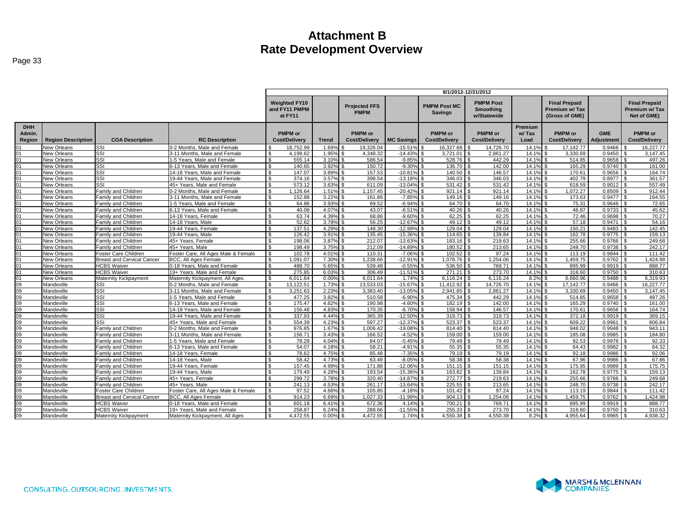|                       |                           |                                   |                                                           | 8/1/2012-12/31/2012                              |                |                                     |                        |                                       |                                                     |                |                                                         |                       |                                                       |
|-----------------------|---------------------------|-----------------------------------|-----------------------------------------------------------|--------------------------------------------------|----------------|-------------------------------------|------------------------|---------------------------------------|-----------------------------------------------------|----------------|---------------------------------------------------------|-----------------------|-------------------------------------------------------|
|                       |                           |                                   |                                                           | <b>Weighted FY10</b><br>and FY11 PMPM<br>at FY11 |                | <b>Projected FFS</b><br><b>PMPM</b> |                        | <b>PMPM Post MC</b><br><b>Savings</b> | <b>PMPM Post</b><br><b>Smoothing</b><br>w/Statewide |                | <b>Final Prepaid</b><br>Premium w/Tax<br>(Gross of GME) |                       | <b>Final Prepaid</b><br>Premium w/ Tax<br>Net of GME) |
| <b>DHH</b>            |                           |                                   |                                                           |                                                  |                |                                     |                        |                                       |                                                     | Premium        |                                                         |                       |                                                       |
| Admin.                |                           |                                   |                                                           | <b>PMPM</b> or                                   |                | <b>PMPM</b> or                      |                        | <b>PMPM</b> or                        | <b>PMPM</b> or                                      | w/Tax          | <b>PMPM</b> or                                          | <b>GME</b>            | <b>PMPM or</b>                                        |
| Region                | <b>Region Description</b> | <b>COA Description</b>            | <b>RC Description</b>                                     | <b>Cost/Delivery</b>                             | Trend          | <b>Cost/Delivery</b>                | <b>MC Savings</b>      | <b>Cost/Delivery</b>                  | <b>Cost/Delivery</b>                                | Load           | <b>Cost/Delivery</b>                                    | Adjustment            | <b>Cost/Delivery</b>                                  |
|                       | New Orleans               | SSI                               | 0-2 Months, Male and Female                               | 18.752.99                                        | 1.69%          | 19,326.04                           | $-15.519$              | 16,327.68                             | 14.726.70                                           | 14.19          | 17.142.77                                               | 0.9466                | 16,227.77                                             |
| 01                    | New Orleans               | SSI                               | 3-11 Months, Male and Female                              | 4,199.62<br>- \$                                 | 1.95%          | 4,348.32                            | $-14.439$              | 3,721.01                              | 2,861.27                                            | 14.1%          | 3,330.69                                                | 0.9450                | 3,147.45                                              |
| 01                    | New Orleans               | SSI                               | 1-5 Years, Male and Female                                | 555.14<br>-S                                     | 3.10%          | 586.54                              | $-9.85%$               | 528.76                                | 442.29                                              | 14.1%          | 514.85                                                  | 0.9658                | 497.26                                                |
| 01                    | New Orleans               | SSI                               | 6-13 Years, Male and Female                               | $\mathfrak{L}$<br>140.65                         | 3.92%          | \$.<br>150.72                       | $-9.30%$               | 136.70                                | 142.00                                              | 14.1%          | 165.29                                                  | $0.9740$ \$           | 161.00                                                |
| 01                    | <b>New Orleans</b>        | SSI                               | 14-18 Years, Male and Female                              | 147.07<br>\$                                     | 3.89%          | 157.53                              | $-10.819$              | 140.50                                | 146.57                                              | 14.1%          | 170.61                                                  | $0.9656$ \$           | 164.74                                                |
| 01                    | <b>New Orleans</b>        | SSI                               | 19-44 Years, Male and Female                              | 374.16                                           | 3.57%          | 398.54                              | $-13.18%$              | 346.03                                | 346.03                                              | 14.1%          | 402.79                                                  | $0.8977$ \$           | 361.57                                                |
| 01                    | <b>New Orleans</b>        | SSI                               | 45+ Years. Male and Female                                | 573.12                                           | 3.63%          | 611.09                              | $-13.04%$              | 531.42                                | 531.42                                              | 14.1%          | 618.59                                                  | 0.9012                | 557.49                                                |
| 01                    | New Orleans               | Family and Children               | 0-2 Months, Male and Female                               | \$<br>1.126.64                                   | 1.51%          | 1,157.45<br>£.                      | $-20.42%$              | 921.14                                | 921.14                                              | 14.1%          | 1,072.27<br>£.                                          | 0.8509                | 912.44                                                |
| 01                    | New Orleans               | Family and Children               | 3-11 Months, Male and Female                              | \$<br>152.88                                     | 3.22%          | 161.86<br>£.                        | $-7.85%$               | 149.16                                | 149.16                                              | 14.1%          | 173.63                                                  | $0.9477$ \$           | 164.55                                                |
| 01                    | New Orleans               | Family and Children               | 1-5 Years, Male and Female                                | 64.86                                            | 3.93%          | 69.52                               | $-6.94%$               | 64.70                                 | 64.70                                               | 14.1%          | 75.31                                                   | $0.9646$ \$           | 72.65                                                 |
|                       | <b>New Orleans</b>        | Family and Children               | 6-13 Years. Male and Female                               | 40.08                                            | 4.07%          | 43.07                               | $-6.51%$               | 40.26                                 | 40.26                                               | 14.1%          | 46.87                                                   | $0.9733$ \$           | 45.62                                                 |
| 01                    | <b>New Orleans</b>        | Family and Children               | 14-18 Years, Female                                       | 63.74                                            | 4.39%          | 68.86                               | $-9.60%$               | 62.25                                 | 62.25                                               | 14.1%          | 72.46                                                   | 0.9698                | 70.27                                                 |
| 01                    | <b>New Orleans</b>        | Family and Children               | 14-18 Years, Male                                         | 52.62<br>$\mathcal{L}$                           | 3.78%          | 56.25                               | $-12.67%$              | 49.12                                 | 49.12                                               | 14.1%          | 57.18                                                   | 0.9471                | 54.16                                                 |
| 01                    | New Orleans               | Family and Children               | 19-44 Years, Female                                       | 137.51<br>¢                                      | 4.29%          | 148.30                              | $-12.99%$              | 129.04                                | 129.04                                              | 14.1%          | 150.21                                                  | 0.9483                | 142.45                                                |
| 01                    | New Orleans               | Family and Children               | 19-44 Years, Male                                         | 126.42                                           | 3.91%          | 135.45                              | $-15.36%$              | 114.65                                | 139.84                                              | 14.1%          | 162.78                                                  | $0.9775$ \$           | 159.13                                                |
| 01                    | New Orleans               | Family and Children               | 45+ Years, Female                                         | 198.06<br>\$                                     | 3.87%          | 212.07                              | $-13.63%$              | 183.16                                | 219.63                                              | 14.1%          | 255.66                                                  | $0.9766$ \$           | 249.68                                                |
| 01                    | <b>New Orleans</b>        | Family and Children               | 45+ Years, Male                                           | 198.49                                           | 3.75%          | 212.09                              | $-14.89%$              | 180.52                                | 213.65                                              | 14.1%          | 248.70                                                  | 0.9738                | 242.17                                                |
| 01                    | New Orleans               | Foster Care Children              | Foster Care, All Ages Male & Female                       | 102.78<br>$\mathfrak{L}$                         | 4.01%          | 110.31<br>\$                        | $-7.069$               | 102.52                                | 97.24                                               | 14.1%          | 113.19                                                  | 0.9844                | 111.42                                                |
| 01                    | New Orleans               | <b>Breast and Cervical Cancer</b> | <b>BCC. All Ages Female</b>                               | 1.091.07<br>. ድ                                  | 7.30%          | 1,238.66                            | $-12.91%$              | 1.078.76                              | 1,254.06                                            | 14.1%          | 1,459.75                                                | 0.9762                | 1,424.98                                              |
| 01                    | <b>New Orleans</b>        | <b>HCBS Waiver</b>                | 0-18 Years, Male and Female                               | $\mathfrak{L}$<br>488.70                         | 5.65%          | 539.48<br>$\mathbf{s}$              | $-0.55%$               | 536.50                                | 769.71                                              | 14.1%          | 895.99<br>l S                                           | $0.9919$ \$           | 888.77                                                |
| 01                    | New Orleans               | <b>HCBS Waiver</b>                | 19+ Years. Male and Female                                | 275.85<br>-S                                     | 6.03%          | 306.49                              | $-11.51%$              | $271.21$ S                            | 273.70                                              | 14.1%          | 318.60                                                  | $0.9750$ \$           | 310.63                                                |
| 01                    | New Orleans               | Maternity Kickpayment             | Maternity Kickpayment, All Ages                           | 6,011.64<br>- \$                                 | 0.00%          | 6,011.64                            | 1.74%                  | 6,116.24                              | 6,116.24                                            | 8.2%           | 6,660.96                                                | 0.9488                | 6,319.93                                              |
| 09                    | Mandeville                | SSI                               | 0-2 Months, Male and Female                               | 13.122.51<br>$\mathcal{F}$                       | 1.73%          | 13.533.03                           | $-15.67%$              | 11.412.92                             | 14.726.70                                           | 14.1%          | 17.142.77                                               | 0.9466                | 16.227.77                                             |
| 09                    | Mandeville                | SSI                               | 3-11 Months, Male and Female                              | 3.251.63<br>\$                                   | 2.23%          | 3.383.40                            | $-13.05%$              | 2.941.85                              | 2,861.27                                            | 14.1%          | 3.330.69                                                | 0.9450                | 3.147.45                                              |
| 09                    | Mandeville                | SSI                               | 1-5 Years, Male and Female                                | $\mathfrak{L}$<br>477.25                         | 3.82%          | 510.58<br>\$                        | $-6.90%$               | 475.34                                | 442.29                                              | 14.1%          | 514.85<br>l s                                           | $0.9658$ \ \$         | 497.26                                                |
| 09                    | Mandeville                | SSI                               | 6-13 Years, Male and Female                               | 175.47                                           | 4.82%          | 190.98                              | $-4.60%$               | 182.19                                | 142.00                                              | 14.1%          | 165.29                                                  | $0.9740$ \$           | 161.00                                                |
| 09<br>$\overline{09}$ | Mandeville                | SSI                               | 14-18 Years, Male and Female                              | 156.48                                           | 4.83%          | 170.35                              | $-6.70%$               | 158.94                                | 146.57                                              | 14.1%          | 170.61                                                  | 0.9656                | 164.74<br>369.15                                      |
|                       | Mandeville                | SSI                               | 19-44 Years, Male and Female                              | 337.93<br>- \$<br>$\mathfrak{L}$                 | 4.44%          | 365.39                              | $-12.50%$              | 319.73                                | 319.73                                              | 14.1%          | 372.18                                                  | $0.9919$ \$           |                                                       |
| 09<br>09              | Mandeville<br>Mandeville  | SSI<br>Family and Children        | 45+ Years. Male and Female<br>0-2 Months, Male and Female | 554.39<br>976.85<br>\$                           | 4.23%<br>1.67% | 597.27<br>1.006.42<br>\$.           | $-12.37%$<br>$-19.08%$ | 523.37<br>814.40                      | 523.37<br>814.40                                    | 14.1%<br>14.1% | 609.22<br>948.02                                        | 0.9961<br>$0.9948$ \$ | 606.84<br>943.11                                      |
| 09                    | Mandeville                | Family and Children               | 3-11 Months, Male and Female                              | 156.71<br>\$                                     | 3.43%          | 166.52                              | $-4.52%$               | 159.00                                | 159.00                                              | 14.1%          | 185.08                                                  | 0.9985                | 184.80                                                |
| 09                    | Mandeville                | Family and Children               | 1-5 Years, Male and Female                                | 78.28<br>\$                                      | 4.04%          | 84.07                               | $-5.45%$               | 79.49                                 | 79.49                                               | 14.1%          | 92.53                                                   | 0.9978                | 92.33                                                 |
| 09                    | Mandeville                | Family and Children               | 6-13 Years. Male and Female                               | 54.07<br>$\mathfrak{L}$                          | 4.18%          | 58.21                               | $-4.919$               | 55.35                                 | 55.35                                               | 14.1%          | 64.43                                                   | 0.9982                | 64.32                                                 |
| 09                    | Mandeville                | Family and Children               | 14-18 Years, Female                                       | 78.62<br>- \$                                    | 4.75%          | 85.48                               | $-7.35%$               | 79.19                                 | 79.19                                               | 14.1%          | 92.18                                                   | 0.9986                | 92.06                                                 |
| 09                    | Mandeville                | Family and Children               | 14-18 Years, Male                                         | 58.42<br>¢                                       | 4.73%          | 63.49                               | $-8.05%$               | 58.38                                 | 58.38                                               | 14.1%          | 67.96                                                   | $0.9986$ \$           | 67.86                                                 |
| 09                    | Mandeville                | Family and Children               | 19-44 Years, Female                                       | 157.45                                           | 4.99%          | 171.88                              | $-12.069$              | 151.15                                | 151.15                                              | 14.1%          | 175.95                                                  | 0.9989                | 175.75                                                |
| 09                    | Mandeville                | Family and Children               | 19-44 Years, Male                                         | 179.49                                           | 4.28%          | 193.54                              | $-15.36%$              | 163.82                                | 139.84                                              | 14.1%          | 162.78                                                  | $0.9775$ \$           | 159.13                                                |
| 09                    | Mandeville                | Family and Children               | 45+ Years, Female                                         | 299.72<br>\$                                     | 3.78%          | 320.40                              | $-14.87%$              | 272.77                                | 219.63                                              | 14.1%          | 255.66<br>£.                                            | $0.9766$ \$           | 249.68                                                |
| 09                    | Mandeville                | Family and Children               | 45+ Years, Male                                           | 241.13<br>ፍ                                      | 4.53%          | 261.17                              | $-13.64%$              | 225.55                                | 213.65                                              | 14.1%          | 248.70                                                  | 0.9738                | 242.17                                                |
| 09                    | Mandeville                | Foster Care Children              | Foster Care, All Ages Male & Female                       | 97.52<br>. ፍ                                     | 4.66%          | 105.85                              | $-4.18%$               | 101.42                                | 97.24                                               | 14.1%          | 113.19                                                  | $0.9844$ \$           | 111.42                                                |
| 09                    | Mandeville                | <b>Breast and Cervical Cancer</b> | <b>BCC. All Ages Female</b>                               | 914.23<br>$\mathcal{F}$                          | 6.69%          | 1.027.33                            | $-11.99%$              | 904.13                                | 1.254.06                                            | 14.1%          | 1.459.75                                                | 0.9762                | 1.424.98                                              |
| 09                    | Mandeville                | <b>HCBS Waiver</b>                | 0-18 Years, Male and Female                               | 601.18                                           | 6.41%          | 672.36                              | 4.14%                  | 700.21                                | 769.71                                              | 14.1%          | 895.99                                                  | 0.9919                | 888.77                                                |
| 09                    | Mandeville                | <b>HCBS Waiver</b>                | 19+ Years, Male and Female                                | 258.87                                           | 6.24%          | 288.66                              | $-11.55%$              | 255.33                                | 273.70                                              | 14.1%          | 318.60                                                  | 0.9750                | 310.63                                                |
| 09                    | Mandeville                | Maternity Kickpayment             | Maternity Kickpayment, All Ages                           | 4,472.55<br>$\mathfrak{L}$                       | 0.00%          | 4,472.55                            | 1.74%                  | 4,550.38                              | 4,550.38                                            | 8.2%           | 4.955.64                                                | 0.9965                | 4,938.32                                              |

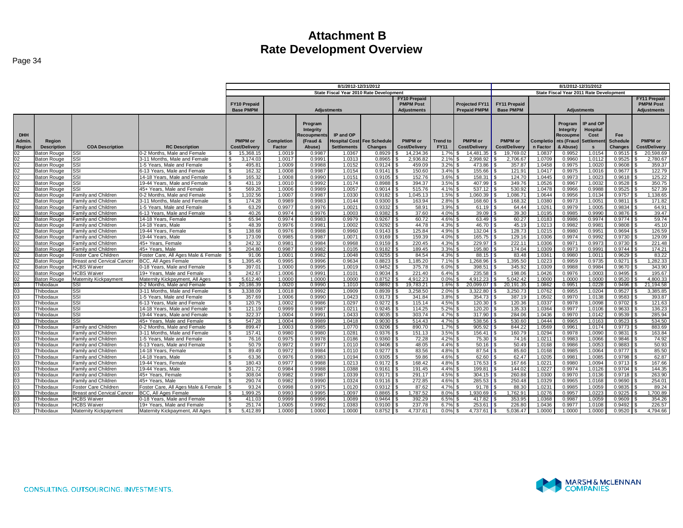|                 |                                          |                                             |                                                               |                                    |                  |                    |                      | 8/1/2012-12/31/2012                     |                      |                 |                           |                     |                  |                  |                                         |                  |                      |
|-----------------|------------------------------------------|---------------------------------------------|---------------------------------------------------------------|------------------------------------|------------------|--------------------|----------------------|-----------------------------------------|----------------------|-----------------|---------------------------|---------------------|------------------|------------------|-----------------------------------------|------------------|----------------------|
|                 |                                          |                                             |                                                               |                                    |                  |                    | 8/1/2012-12/31/2012  | State Fiscal Year 2010 Rate Development |                      |                 |                           |                     |                  |                  | State Fiscal Year 2011 Rate Development |                  |                      |
|                 |                                          |                                             |                                                               |                                    |                  |                    |                      |                                         | <b>FY10 Prepaid</b>  |                 |                           |                     |                  |                  |                                         |                  | FY11 Prepaid         |
|                 |                                          |                                             |                                                               | <b>FY10 Prepaid</b>                |                  |                    |                      |                                         | <b>PMPM Post</b>     |                 | <b>Projected FY11</b>     | <b>FY11 Prepaid</b> |                  |                  |                                         |                  | <b>PMPM Post</b>     |
|                 |                                          |                                             |                                                               | <b>Base PMPM</b>                   |                  | <b>Adjustments</b> |                      |                                         | <b>Adjustments</b>   |                 | <b>Prepaid PMPM</b>       | <b>Base PMPM</b>    |                  |                  | <b>Adjustments</b>                      |                  | <b>Adjustments</b>   |
|                 |                                          |                                             |                                                               |                                    |                  |                    |                      |                                         |                      |                 |                           |                     |                  |                  |                                         |                  |                      |
|                 |                                          |                                             |                                                               |                                    |                  | Program            |                      |                                         |                      |                 |                           |                     |                  | Program          | IP and OP                               |                  |                      |
|                 |                                          |                                             |                                                               |                                    |                  | Integrity          |                      |                                         |                      |                 |                           |                     |                  | Integrity        | Hospital                                |                  |                      |
| <b>DHH</b>      |                                          |                                             |                                                               |                                    |                  | <b>lecoupments</b> | IP and OP            |                                         |                      |                 |                           |                     |                  | Recoupme         | Cost                                    | <b>Fee</b>       |                      |
| Admin.          | Region                                   |                                             |                                                               | <b>PMPM</b> or                     | Completion       | (Fraud &           | <b>Hospital Cost</b> | <b>Fee Schedule</b>                     | PMPM or              | <b>Trend to</b> | <b>PMPM</b> or            | <b>PMPM</b> or      | Completio        | nts (Fraud       | <b>Settlemen</b>                        | <b>Schedule</b>  | PMPM or              |
| Region          | <b>Description</b>                       | <b>COA Description</b>                      | <b>RC Description</b>                                         | <b>Cost/Delivery</b>               | Factor           | Abuse)             | <b>Settlements</b>   | <b>Changes</b>                          | <b>Cost/Delivery</b> | <b>FY11</b>     | <b>Cost/Delivery</b>      | Cost/Delivery       | n Factor         | & Abuse)         | $\mathbf{s}$                            | <b>Changes</b>   | <b>Cost/Delivery</b> |
| 02              | <b>Baton Rouge</b>                       | SSI                                         | -2 Months. Male and Female                                    | 15.368.15<br>\$.                   | 1.0019           | 0.9987             | 1.0367               | 0.8929                                  | 14.234.36<br>S.      | 1.7%            | $\mathbf{s}$<br>14.481.35 | 19.769.02<br>ፍ      | 1.0837           | 0.9952           | 1.0154                                  | 0.9515           | 20,598.69            |
| $\overline{02}$ | <b>Baton Rouge</b>                       | SSI                                         | 3-11 Months, Male and Female                                  | $\mathbf{s}$<br>3.174.03           | 1.0017           | 0.9991             | 1.0313               | 0.8965                                  | 2.936.82             | 2.1%            | 2.998.92<br>£.            | 2.706.67            | 1.0709           | 0.9960           | 1.0112                                  | 0.9525           | 2,780.67             |
| 02              | <b>Baton Rouge</b>                       | SSI                                         | 1-5 Years. Male and Female                                    | 495.81<br>-S                       | 1.0009           | 0.9988             | 1.0152               | 0.9124                                  | 459.09               | 3.2%            | 473.86                    | 357.87              | 1.0458           | 0.9975           | 1.0020                                  | 0.9608           | 359.37               |
| 02              | <b>Baton Rouge</b>                       | SSI                                         | 3-13 Years. Male and Female                                   | $\mathfrak{S}$<br>162.32           | 1.0008           | 0.9987             | 1.0154               | 0.9141                                  | 150.60               | 3.4%            | 155.66                    | 121.91              | 1.0417           | 0.9975           | 1.0016                                  | 0.9677           | 122.79               |
| 02              | <b>Baton Rouge</b>                       | SSI                                         | 14-18 Years, Male and Female                                  | $\mathbf{\hat{s}}$<br>165.32       | 1.0008           | 0.9990             | 1.0151               | 0.9105                                  | 152.76               | 3.6%            | 158.31                    | 124.70              | 1.0445           | 0.9973           | 1.0023                                  | 0.9618           | 125.22               |
| 02              | <b>Baton Rouge</b>                       | SSI                                         | 19-44 Years, Male and Female                                  | <b>S</b><br>431.19                 | 1.0010           | 0.9992             | 1.0174               | 0.8988                                  | 394.37               | 3.5%            | 407.99                    | 349.76              | 1.0526           | 0.9967           | 1.0032                                  | 0.9528           | 350.75               |
| 02              | <b>Baton Rouge</b>                       | SSI                                         | 45+ Years, Male and Female                                    | 569.26<br><b>S</b>                 | 1.0006           | 0.9989             | 1.0057               | 0.9014                                  | 515.76               | 4.1%            | 537.12                    | 530.92              | 1.0478           | 0.9966           | 0.9988                                  | 0.9525           | 527.39               |
| 02              | Baton Rouge                              | Family and Children                         | 0-2 Months, Male and Female                                   | ,102.56<br>- \$                    | 1.0007           | 0.9987             | 1.0330               | 0.9182                                  | 1,045.13             | 1.5%            | ,060.39                   | 086.7'              | 1.0644           | 0.9956           | 1.0134                                  | 0.9757           | ,138.65              |
| 02              | Baton Rouge                              | Family and Children                         | 3-11 Months, Male and Female                                  | 174.28<br>$\mathcal{R}$            | 0.9989           | 0.9983             | 1.0144               | 0.9300                                  | 163.94               | 2.8%            | 168.60                    | 168.3               | 1.0380           | 0.9973           | 1.0051                                  | 0.9811           | 171.82               |
| 02              | <b>Baton Rouge</b>                       | Family and Children                         | -5 Years, Male and Female                                     | - \$<br>63.29                      | 0.9977           | 0.9976             | 1.0021               | 0.9332                                  | 58.9'                | 3.9%            | 61.19                     | 64.44               | 1.026'           | 0.9979           | 1.0005                                  | 0.9834           | 64.91                |
| 02              | Baton Rouge                              | Family and Children                         | 6-13 Years, Male and Female                                   | <b>S</b><br>40.26                  | 0.9974           | 0.9976             | 1.0003               | 0.9382                                  | 37.60                | 4.0%            | 39.09                     | 39.30               | 1.0195           | 0.9985           | 0.9990                                  | 0.9876           | 39.47                |
| 02              | Baton Rouge                              | Family and Children                         | 14-18 Years. Female                                           | ્ર<br>65.94                        | 0.9974           | 0.9983             | 0.9979               | 0.9267                                  | 60.72                | 4.6%            | 63.49                     | 60.27               | 1.0183           | 0.9986           | 0.9974                                  | 0.9774           | 59.74                |
| 02              | <b>Baton Rouge</b>                       | Family and Children                         | 14-18 Years, Male                                             | <b>S</b><br>48.39                  | 0.9976           | 0.9981             | 1.0002               | 0.9292                                  | 44.78                | 4.3%            | 46.70                     | 45.19               | 1.021            | 0.9982           | 0.9981                                  | 0.9808           | 45.10                |
| 02              | Baton Rouge                              | Family and Children                         | 9-44 Years, Female                                            | 138.68<br>$\mathcal{R}$            | 0.9976           | 0.9988             | 0.9960               | 0.9143                                  | 125.84               | 4.9%            | 132.04                    | 128.73              | 1.0215           | 0.9980           | 0.9951                                  | 0.9694           | 126.59               |
| 02              | Baton Rouge                              | Family and Children                         | 9-44 Years, Male                                              | $\mathcal{R}$<br>173.09            | 0.9985           | 0.9987             | 1.0071               | 0.9169                                  | 159.39               | 4.0%            | 165.75                    | 129.16              | 1.0306           | 0.9974           | 0.9992                                  | 0.9730           | 129.09               |
| 02              | <b>Baton Rouge</b>                       | <b>Family and Children</b>                  | 45+ Years. Female                                             | 242.32<br>$\mathcal{R}$            | 0.9981           | 0.9984             | 0.9968               | 0.9159                                  | 220.45               | 4.3%            | 229.97                    | 222.11              | 1.0306           | 0.9971           | 0.9973                                  | 0.9730           | 221.48               |
| 02              | <b>Baton Rouge</b>                       | Family and Children                         | 45+ Years, Male                                               | 204.80<br>$\mathcal{R}$            | 0.9987           | 0.9982             | 1.0105               | 0.9182                                  | 189.45               | 3.3%            | 195.80                    | 174.04              | 1.0309           | 0.9973           | 0.9991                                  | 0.9744           | 174.21               |
| 02<br>02        | Baton Rouge                              | Foster Care Children                        | Foster Care, All Ages Male & Female                           | 91.06<br>$\mathcal{R}$             | 1.0001           | 0.9982             | 1.0048               | 0.9255                                  | 84.54                | 4.3%            | 88.15                     | 83.48               | 1.036'           | 0.9980           | 1.001                                   | 0.9629           | 83.22<br>1.282.33    |
| 02              | <b>Baton Rouge</b>                       | <b>Breast and Cervical Cancer</b>           | BCC, All Ages Female                                          | .395.45<br>\$.<br>$\mathcal{R}$    | 0.9995           | 0.9996<br>0.9995   | 0.9634               | 0.8823<br>0.9452                        | 1,185.20             | 7.1%<br>6.0%    | 1,268.96                  | .395.50             | 1.0223           | 0.9959           | 0.9735                                  | 0.9271           |                      |
| 02              | Baton Rouge                              | <b>HCBS Waiver</b>                          | 0-18 Years, Male and Female                                   | 397.01<br>242.67<br>$\mathfrak{s}$ | 1.0000<br>1.0006 | 0.9991             | 1.0019               | 0.9034                                  | 375.78               |                 | 398.51                    | 345.92<br>198.06    | 1.0309           | 0.9988           | 0.9984                                  | 0.9670<br>0.9495 | 343.90<br>195.67     |
| 02              | <b>Baton Rouge</b><br><b>Baton Rouge</b> | <b>HCBS</b> Waiver<br>Maternity Kickpayment | 19+ Years, Male and Female<br>Maternity Kickpayment, All Ages | 5.612.40<br>$\mathbf{s}$           | 1.0000           | 1.0000             | 1.0101<br>1.0000     | 0.8752                                  | 221.40<br>4.912.23   | 6.4%<br>0.0%    | 235.58<br>4.912.23        | 5.042.42            | 1.0426<br>1.0000 | 0.9976<br>1.0000 | 1.0003<br>1.0000                        | 0.9520           | 4.800.33             |
| 03              | Thibodaux                                | SSI                                         | 0-2 Months, Male and Female                                   | <b>S</b><br>20,186.39              | 1.0020           | 0.9990             | 1.1010               | 0.8892                                  | 19,783.21            | 1.6%            | 20,099.07                 | 20,191.35           | 1.0862           | 0.9951           | 1.0228                                  | 0.9496           | 21.194.58            |
| 03              | Thibodaux                                | SSI                                         | 3-11 Months, Male and Female                                  | 3.338.09<br>- \$                   | 1.0018           | 0.9992             | 1.0909               | 0.8939                                  | 3.258.50             | 2.0%            | 3.322.80                  | 3.250.73            | 1.0762           | 0.9955           | 1.0204                                  | 0.9527           | 3.385.85             |
| 03              | Thibodaux                                | SSI                                         | 1-5 Years, Male and Female                                    | - \$<br>357.69                     | 1.0006           | 0.9990             | 1.0423               | 0.9173                                  | 341.84               | 3.8%            | 354.73                    | 387.19              | 1.0502           | 0.9970           | 1.0138                                  | 0.9583           | 393.87               |
| 03              | Thibodaux                                | SSI                                         | 6-13 Years, Male and Female                                   | <b>S</b><br>120.75                 | 1.0002           | 0.9986             | 1.0297               | 0.9272                                  | 115.14               | 4.5%            | 120.30                    | 120.36              | 1.0337           | 0.9978           | 1.0098                                  | 0.9702           | 121.63               |
| 03              | Thibodaux                                | SSI                                         | 14-18 Years, Male and Female                                  | 121.19<br>- \$                     | 0.9999           | 0.9987             | 1.0211               | 0.9245                                  | 114.25               | 5.2%            | 120.20                    | 135.33              | 1.0364           | 0.9977           | 1.0106                                  | 0.9633           | 136.23               |
| 03              | Thibodaux                                | SSI                                         | 19-44 Years. Male and Female                                  | -S<br>322.37                       | 1.0004           | 0.9991             | 1.0433               | 0.9035                                  | 303.74               | 4.7%            | 317.90                    | 284.06              | 1.0436           | 0.9970           | 1.0142                                  | 0.9539           | 285.94               |
| 03              | Thibodaux                                | SSI                                         | 45+ Years, Male and Female                                    | 547.28<br>- \$                     | 1.0004           | 0.9989             | 1.0418               | 0.9030                                  | 514.43               | 4.7%            | 538.56                    | 530.60              | 1.0444           | 0.9965           | 1.0163                                  | 0.9523           | 534.50               |
| 03              | Thibodaux                                | Family and Children                         | -2 Months, Male and Female                                    | 899.47<br>- \$                     | 1.0003           | 0.9985             | 1.0770               | 0.9206                                  | 890.70               | $1.7\%$ \$      | 905.92                    | 844.22              | 1.0569           | 0.9961           | 1.0174                                  | 0.9773           | 883.69               |
| 03              | Thibodaux                                | Family and Children                         | 3-11 Months, Male and Female                                  | $\mathbf{R}$<br>157.41             | 0.9980           | 0.9980             | 1.0281               | 0.9376                                  | 151.13               | 3.5%            | 156.41                    | 160.79              | 1.0294           | 0.9978           | 1.0090                                  | 0.9831           | 163.84               |
| 03              | Thibodaux                                | Family and Children                         | 1-5 Years, Male and Female                                    | $\mathbf{\hat{s}}$<br>76.16        | 0.9975           | 0.9978             | 1.0186               | 0.9360                                  | 72.28                | 4.2%            | 75.30                     | 74.16               | 1.0211           | 0.9983           | 1.0066                                  | 0.9846           | 74.92                |
| 03              | Thibodaux                                | Family and Children                         | 3-13 Years, Male and Female                                   | $\mathfrak{S}$<br>50.79            | 0.9972           | 0.9977             | 1.0110               | 0.9406                                  | 48.05                | 4.4%            | 50.16                     | 50.49               | 1.0168           | 0.9986           | 1.0053                                  | 0.9883           | 50.93                |
| 03              | Thibodaux                                | Family and Children                         | 14-18 Years, Female                                           | S.<br>89.49                        | 0.9972           | 0.9984             | 1.0110               | 0.9277                                  | 83.56                | 4.8%            | 87.54                     | 85.60               | 1.0168           | 0.9985           | 1.0064                                  | 0.9777           | 85.50                |
| 03              | Thibodaux                                | Family and Children                         | 14-18 Years, Male                                             | $\mathbf{s}$<br>63.36              | 0.9976           | 0.9983             | 1.0194               | 0.9305                                  | 59.86                | 4.6%            | 62.60                     | 62.47               | 1.0205           | 0.9981           | 1.0085                                  | 0.9798           | 62.87                |
| 03              | Thibodaux                                | Family and Children                         | 9-44 Years, Female                                            | 180.43<br>-S                       | 0.9977           | 0.9988             | 1.0213               | 0.9172                                  | 168.42               | 4.8%            | 176.53                    | 167.66              | 1.022'           | 0.9980           | 1.0094                                  | 0.9713           | 167.66               |
| 03              | Thibodaux                                | Family and Children                         | 19-44 Years, Male                                             | $\mathcal{S}$<br>201.72            | 0.9984           | 0.9988             | 1.0388               | 0.9161                                  | 191.45               | 4.4%            | 199.81                    | 144.02              | 1.0227           | 0.9974           | 1.0126                                  | 0.9704           | 144.35               |
| 03              | Thibodaux                                | Family and Children                         | 45+ Years, Female                                             | 308.04<br>- \$                     | 0.9982           | 0.9987             | 1.0339               | 0.9171                                  | 291.17               | 4.5%            | 304.15                    | 260.88              | 1.0300           | 0.9970           | 1.0136                                  | 0.9718           | 263.90               |
| 03              | Thibodaux                                | Family and Children                         | 45+ Years, Male                                               | 290.74                             | 0.9982           | 0.9990             | 1.0324               | 0.9116                                  | 272.85               | 4.6%            | 285.53                    | 250.48              | 1.0329           | 0.9965           | 1.0168                                  | 0.9690           | 254.01               |
| 03              | Thibodaux                                | Foster Care Children                        | Foster Care. All Ages Male & Female                           | 93.24                              | 0.9998           | 0.9975             | 1.0120               | 0.9312                                  | 87.62                | 4.7%            | 91.78                     | 88.30               | 1.023'           | 0.9985           | 1.0059                                  | 0.9835           | 89.24                |
| 03              | Thibodaux                                | <b>Breast and Cervical Cancer</b>           | <b>BCC, All Ages Female</b>                                   | 1,999.25<br>-S                     | 0.9993           | 0.9995             | 1.0097               | 0.8865                                  | 1,787.52             | 8.0%            | 1,930.69                  | 1,762.91            | 1.0276           | 0.9957           | 1.0223                                  | 0.9225           | 1,700.89             |
| 03              | Thibodaux                                | <b>HCBS Waiver</b>                          | -18 Years. Male and Female                                    | 411.03<br>- 9                      | 0.9999           | 0.9996             | 1.0089               | 0.9464                                  | 392.29               | 6.5%            | 417.82                    | 353.95              | 1.0368           | 0.9987           | 1.0059                                  | 0.9609           | 354.26               |
| 03              | Thibodaux                                | <b>HCBS Waiver</b>                          | 9+ Years, Male and Female                                     | 251.74<br>£.                       | 1.0005           | 0.9992             | 1.0383               | 0.9100                                  | 237.78               | 6.7%            | 253.61                    | 226.80              | 1.0436           | 0.9977           | 1.0108                                  | 0.9492           | 226.57               |
| 03              | Thibodaux                                | Maternity Kickpayment                       | Maternity Kickpayment, All Ages                               | 5,412.89<br>- \$                   | 1.0000           | 1.0000             | 1.0000               | 0.8752                                  | 4.737.61             | 0.0%            | 4,737.61                  | 5.036.47            | 1.0000           | 1.0000           | 1.0000                                  | 0.9520           | 4.794.66             |

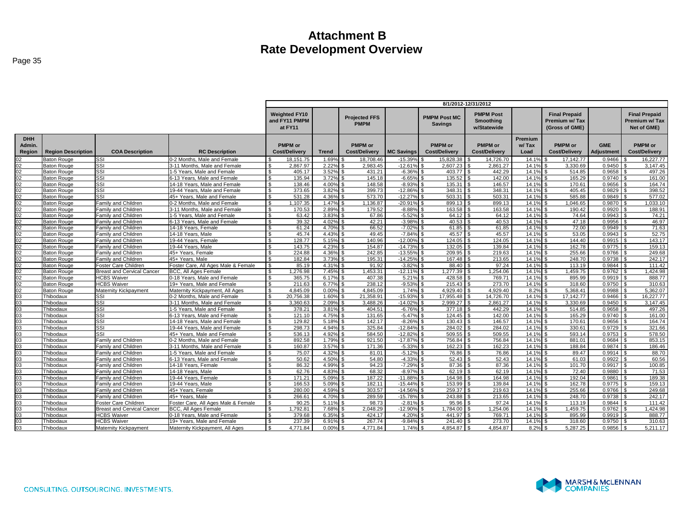|                                |                           |                                   |                                     | 8/1/2012-12/31/2012                              |              |                                     |                   |                                        |                                              |                          |                                                          |                          |                                                      |
|--------------------------------|---------------------------|-----------------------------------|-------------------------------------|--------------------------------------------------|--------------|-------------------------------------|-------------------|----------------------------------------|----------------------------------------------|--------------------------|----------------------------------------------------------|--------------------------|------------------------------------------------------|
|                                |                           |                                   |                                     | <b>Weighted FY10</b><br>and FY11 PMPM<br>at FY11 |              | <b>Projected FFS</b><br><b>PMPM</b> |                   | <b>PMPM Post MC</b><br><b>Savings</b>  | <b>PMPM Post</b><br>Smoothing<br>w/Statewide |                          | <b>Final Prepaid</b><br>Premium w/ Tax<br>(Gross of GME) |                          | <b>Final Prepaid</b><br>Premium w/Tax<br>Net of GME) |
| <b>DHH</b><br>Admin.<br>Region | <b>Region Description</b> | <b>COA Description</b>            | <b>RC Description</b>               | <b>PMPM</b> or<br><b>Cost/Delivery</b>           | <b>Trend</b> | <b>PMPM</b> or<br>Cost/Delivery     | <b>MC Savings</b> | <b>PMPM</b> or<br><b>Cost/Delivery</b> | <b>PMPM</b> or<br><b>Cost/Delivery</b>       | Premium<br>w/Tax<br>Load | <b>PMPM</b> or<br><b>Cost/Delivery</b>                   | <b>GME</b><br>Adjustment | <b>PMPM</b> or<br><b>Cost/Delivery</b>               |
| 02                             | Baton Rouge               | SSI                               | 0-2 Months, Male and Female         | 18, 151.75                                       | 1.69%        | 18.708.46                           | $-15.39%$         | 15.828.38                              | 14.726.70                                    | 14.19                    | 17.142.77                                                | 0.9466                   | 16,227.77                                            |
|                                | <b>Baton Rouge</b>        | SSI                               | 3-11 Months. Male and Female        | 2,867.97<br>\$                                   | 2.22%        | 2,983.45                            | $-12.61%$         | 2,607.23                               | 2,861.27                                     | 14.1%                    | 3,330.69                                                 | 0.9450                   | 3,147.45                                             |
| <u>영업영업영업영업영업</u>              | Baton Rouge               | SSI                               | 1-5 Years, Male and Female          | $\mathfrak{L}$<br>405.17                         | 3.52%        | 431.21                              | $-6.36%$          | 403.77 \$                              | 442.29                                       | 14.1%                    | 514.85                                                   | 0.9658                   | 497.26                                               |
|                                | Baton Rouge               | SSI                               | 6-13 Years, Male and Female         | $\mathfrak{L}$<br>135.94                         | 3.72%        | 145.18                              | $-6.65%$          | 135.52 \$                              | 142.00                                       | 14.1%                    | 165.29                                                   | 0.9740                   | 161.00                                               |
|                                | Baton Rouge               | SSI                               | 14-18 Years. Male and Female        | 138.46<br>\$                                     | 4.00%        | 148.58                              | $-8.93%$          |                                        | 146.57                                       | 14.1%                    | 170.61                                                   | 0.9656                   | 164.74                                               |
|                                | <b>Baton Rouge</b>        | SSI                               | 19-44 Years, Male and Female        | 373.65<br>$\mathfrak{s}$                         | 3.82%        | 399.73                              | $-12.86%$         | 348.31 \$                              | 348.31                                       | 14.1%                    | 405.45                                                   | 0.9829                   | 398.52                                               |
|                                | <b>Baton Rouge</b>        | SSI                               | 45+ Years, Male and Female          | 531.28<br>$\mathfrak{L}$                         | 4.36%        | 573.70                              | $-12.27%$         | 503.31                                 | 503.31                                       | 14.1%                    | 585.88                                                   | 0.9849                   | 577.02                                               |
|                                | <b>Baton Rouge</b>        | Family and Children               | 0-2 Months, Male and Female         | \$<br>1,107.35                                   | 1.47%        | 1,136.87                            | $-20.91%$         | 899.13 \$                              | 899.13                                       | 14.1%                    | 1,046.65                                                 | 0.9870                   | 1,033.10                                             |
|                                | <b>Baton Rouge</b>        | Family and Children               | 3-11 Months, Male and Female        | $\mathfrak{L}$<br>170.53                         | 2.89%        | 179.52                              | $-8.88%$          | 163.58 \$                              | 163.58                                       | 14.1%                    | 190.42                                                   | 0.9920                   | 188.91                                               |
|                                | Baton Rouge               | Family and Children               | 1-5 Years, Male and Female          | 63.42<br>\$                                      | 3.83%        | 67.86                               | $-5.52%$          |                                        | 64.12                                        | 14.1%                    | 74.64                                                    | 0.9943                   | 74.21                                                |
|                                | <b>Baton Rouge</b>        | Family and Children               | 6-13 Years. Male and Female         | $\mathfrak{L}$<br>39.32                          | 4.02%        | 42.21                               | $-3.98%$          | 40.53                                  | 40.53                                        | 14.1%                    | 47.18                                                    | 0.9956                   | 46.97                                                |
|                                | <b>Baton Rouge</b>        | Family and Children               | 14-18 Years, Female                 | 61.24<br>$\mathfrak{L}$                          | 4.70%        | 66.52                               | $-7.02%$          |                                        | 61.85                                        | 14.1%                    | 72.00                                                    | 0.9949                   | 71.63                                                |
|                                | <b>Baton Rouge</b>        | Family and Children               | 14-18 Years, Male                   | 45.74<br><b>S</b>                                | 4.43%        | 49.45                               | $-7.84%$          | $45.57$ \$                             | 45.57                                        | 14.1%                    | 53.05                                                    | 0.9943                   | 52.75                                                |
|                                | Baton Rouge               | Family and Children               | 19-44 Years, Female                 | 128.77<br>$\mathfrak{L}$                         | 5.15%        | 140.96                              | $-12.00%$         | 124.05                                 | 124.05                                       | 14.1%                    | 144.40                                                   | 0.9915                   | 143.17                                               |
|                                | Baton Rouge               | Family and Children               | 19-44 Years, Male                   | 143.75<br>\$                                     | 4.23%        | 154.87                              | $-14.73%$         | $132.05$ \\$                           | 139.84                                       | 14.1%                    | 162.78                                                   | 0.9775                   | 159.13                                               |
|                                | Baton Rouge               | Family and Children               | 45+ Years, Female                   | \$<br>224.88                                     | 4.36%        | 242.85                              | $-13.55%$         | 209.95 \$                              | 219.63                                       | 14.1%                    | 255.66                                                   | 0.9766                   | 249.68                                               |
|                                | <b>Baton Rouge</b>        | Family and Children               | 45+ Years, Male                     | 182.84<br>\$                                     | 3.73%        | 195.31                              | $-14.25%$         | 167.48 \$                              | 213.65                                       | 14.1%                    | 248.70                                                   | 0.9738                   | 242.17                                               |
|                                | <b>Baton Rouge</b>        | Foster Care Children              | Foster Care, All Ages Male & Female | 85.19<br>-\$                                     | 4.31%        | 91.92                               | $-3.82%$          |                                        | 97.24                                        | 14.1%                    | 113.19                                                   | 0.9844                   | 111.42                                               |
|                                | <b>Baton Rouge</b>        | <b>Breast and Cervical Cancer</b> | <b>BCC. All Ages Female</b>         | 1.276.98<br>-\$                                  | 7.45%        | 1,453.31                            | $-12.11%$         | 1.277.39                               | 1,254.06                                     | 14.1%                    | 1,459.75                                                 | 0.9762                   | 1.424.98                                             |
|                                | <b>Baton Rouge</b>        | <b>HCBS Waiver</b>                | 0-18 Years, Male and Female         | 365.75<br>$\mathfrak{L}$                         | 6.17%        | 407.38                              | 5.21%             | 428.58                                 | 769.71                                       | 14.1%                    | 895.99                                                   | 0.9919                   | 888.77                                               |
|                                | Baton Rouge               | <b>HCBS Waiver</b>                | 19+ Years, Male and Female          | £,<br>211.63                                     | 6.77%        | 238.12                              | $-9.53%$          | $215.43$ \$                            | 273.70                                       | 14.1%                    | 318.60                                                   | 0.9750                   | 310.63                                               |
|                                | <b>Baton Rouge</b>        | Maternity Kickpayment             | Maternity Kickpayment, All Ages     | 4.845.09<br>$\mathfrak{L}$                       | 0.00%        | 4,845.09                            | 1.74%             | 4,929.40 \$                            | 4,929.40                                     | 8.2%                     | 5,368.41                                                 | 0.9988                   | 5,362.07                                             |
| <u> ଅଆଆଆଆଆଆଆ</u>               | Thibodaux                 | SSI                               | 0-2 Months, Male and Female         | 20.756.38<br>$\mathfrak{L}$                      | 1.60%        | 21.358.91                           | $-15.93%$         | 17.955.48                              | 14.726.70                                    | 14.1%                    | 17.142.77                                                | 0.9466                   | 16.227.77                                            |
|                                | Thibodaux                 | SSI                               | 3-11 Months. Male and Female        | 3.360.63<br>$\mathbf{s}$                         | 2.09%        | 3.488.26                            | $-14.02%$         | $2.999.27$ \$                          | 2.861.27                                     | 14.1%                    | 3.330.69                                                 | 0.9450                   | 3.147.45                                             |
| $\frac{03}{03}$                | Thibodaux                 | SSI                               | 1-5 Years, Male and Female          | <b>S</b><br>378.21                               | 3.81%        | 404.51                              | $-6.76%$          |                                        | 442.29                                       | 14.1%                    | 514.85                                                   | 0.9658                   | 497.26                                               |
|                                | Thibodaux                 | SSI                               | 6-13 Years, Male and Female         | $\mathfrak{L}$<br>121.10                         | 4.75%        | 131.65                              | $-5.47%$          |                                        | 142.00                                       | 14.1%                    | 165.29                                                   | 0.9740                   | 161.00                                               |
|                                | Thibodaux                 | SSI                               | 14-18 Years, Male and Female        | 129.82                                           | 5.18%        | 142.17                              | $-8.26%$          | 130.43                                 | 146.57                                       | 14.19                    | 170.61                                                   | 0.9656                   | 164.74                                               |
| $\frac{03}{03}$                | Thibodaux                 | SSI                               | 19-44 Years, Male and Female        | 298.73<br>্ণ                                     | 4.94%        | 325.84                              | $-12.84%$         | 284.02                                 | 284.02                                       | 14.1%                    | 330.61                                                   | 0.9729                   | 321.66                                               |
|                                | Thibodaux                 | SSI                               | 45+ Years, Male and Female          | 536.13<br>-\$                                    | 4.92%        | 584.50                              | $-12.82%$         | 509.55 \$                              | 509.55                                       | 14.1%                    | 593.14                                                   | 0.9753                   | 578.50                                               |
|                                | Thibodaux                 | Family and Children               | 0-2 Months, Male and Female         | $\mathfrak{L}$<br>892.58                         | 1.79%        | 921.50                              | $-17.87%$         | 756.84 \$                              | 756.84                                       | 14.1%                    | 881.01                                                   | 0.9684                   | 853.15                                               |
|                                | Thibodaux                 | Family and Children               | 3-11 Months. Male and Female        | $\mathfrak{L}$<br>160.87                         | 3.57%        | 171.36                              | $-5.33%$          | 162.23                                 | 162.23                                       | 14.1%                    | 188.84                                                   | 0.9874                   | 186.46                                               |
|                                | Thibodaux                 | Family and Children               | 1-5 Years, Male and Female          | 75.07<br>$\mathfrak{L}$                          | 4.32%        | 81.01                               | $-5.12%$          | 76.86 \$                               | 76.86                                        | 14.1%                    | 89.47                                                    | 0.9914                   | 88.70                                                |
|                                | Thibodaux                 | Family and Children               | 6-13 Years, Male and Female         | 50.62<br>$\mathfrak{L}$                          | 4.50%        | 54.80                               | $-4.33%$          | 52.43                                  | 52.43                                        | 14.1%                    | 61.03                                                    | 0.9922                   | 60.56                                                |
|                                | Thibodaux                 | Family and Children               | 14-18 Years, Female                 | 86.32<br>-\$                                     | 4.99%        | 94.23                               | $-7.29%$          | 87.36 \$                               | 87.36                                        | 14.1%                    | 101.70                                                   | 0.9917                   | 100.85                                               |
|                                | Thibodaux                 | Family and Children               | 14-18 Years, Male                   | $\mathfrak{L}$<br>62.76                          | 4.83%        | 68.32                               | $-8.97%$          |                                        | 62.19                                        | 14.1%                    | 72.40                                                    | 0.9880                   | 71.53                                                |
|                                | Thibodaux                 | Family and Children               | 19-44 Years, Female                 | -\$<br>171.21                                    | 5.09%        | 187.22                              | $-11.88%$         | 164.98                                 | 164.98                                       | 14.1%                    | 192.04                                                   | 0.9861                   | 189.38                                               |
|                                | Thibodaux                 | Family and Children               | 19-44 Years, Male                   | 166.53<br>\$                                     | 5.09%        | 182.11                              | $-15.44%$         | 153.99 \$                              | 139.84                                       | 14.1%                    | 162.78                                                   | 0.9775                   | 159.13                                               |
|                                | Thibodaux                 | Family and Children               | 45+ Years, Female                   | $\mathfrak{L}$<br>280.00                         | 4.59%        | 303.57                              | $-14.56%$         | 259.37 \$                              | 219.63                                       | 14.1%                    | 255.66                                                   | 0.9766                   | 249.68                                               |
| ଅଅଅଅଅଅଅଅଅଅଅଅଅ                  | Thibodaux                 | Family and Children               | 45+ Years, Male                     | 266.61                                           | 4.70%        | 289.59                              | $-15.78%$         | 243.88                                 | 213.65                                       | 14.1%                    | 248.70                                                   | 0.9738                   | 242.17                                               |
|                                | Thibodaux                 | Foster Care Children              | Foster Care, All Ages Male & Female | 90.25<br>. ፍ                                     | 5.11%        | 98.73                               | $-2.81%$          | 95.96 \$                               | 97.24                                        | 14.1%                    | 113.19                                                   | 0.9844                   | 111.42                                               |
|                                | Thibodaux                 | <b>Breast and Cervical Cancer</b> | <b>BCC. All Ages Female</b>         | 1.792.81<br>-S                                   | 7.68%        | 2.048.29                            | $-12.90%$         | 1.784.00 \$                            | 1.254.06                                     | 14.1%                    | 1.459.75                                                 | 0.9762                   | 1.424.98                                             |
|                                | Thibodaux                 | <b>HCBS Waiver</b>                | 0-18 Years. Male and Female         | 379.68<br>-S                                     | 6.35%        | 424.17                              | 4.20%             | 441.97 \$                              | 769.71                                       | 14.1%                    | 895.99                                                   | 0.9919                   | 888.77                                               |
|                                | Thibodaux                 | <b>HCBS Waiver</b>                | 19+ Years. Male and Female          | 237.39<br>$\mathfrak{s}$                         | 6.91%        | 267.74                              | $-9.84%$          | 241.40 \$                              | 273.70                                       | 14.1%                    | 318.60                                                   | 0.9750                   | 310.63                                               |
| 03                             | Thibodaux                 | Maternity Kickpayment             | Maternity Kickpayment, All Ages     | 4.771.84<br>$\mathbf{s}$                         | 0.00%        | 4.771.84                            | 1.74%             | 4.854.87                               | 4.854.87                                     | 8.2%                     | 5.287.25                                                 | 0.9856                   | 5.211.17                                             |
|                                |                           |                                   |                                     |                                                  |              |                                     |                   |                                        |                                              |                          |                                                          |                          |                                                      |

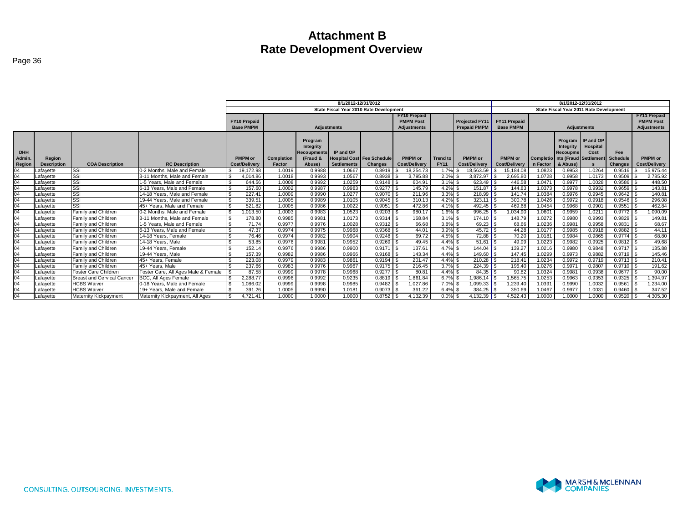|                      |                    |                              |                                     |                                         |                   |                                                        | 8/1/2012-12/31/2012                            |                                         |                                                               |                 |                                              |                                         |          |                       | 8/1/2012-12/31/2012                                                        |                        |                                                               |
|----------------------|--------------------|------------------------------|-------------------------------------|-----------------------------------------|-------------------|--------------------------------------------------------|------------------------------------------------|-----------------------------------------|---------------------------------------------------------------|-----------------|----------------------------------------------|-----------------------------------------|----------|-----------------------|----------------------------------------------------------------------------|------------------------|---------------------------------------------------------------|
|                      |                    |                              |                                     |                                         |                   |                                                        |                                                | State Fiscal Year 2010 Rate Development |                                                               |                 |                                              |                                         |          |                       | State Fiscal Year 2011 Rate Development                                    |                        |                                                               |
|                      |                    |                              |                                     | <b>FY10 Prepaid</b><br><b>Base PMPM</b> |                   |                                                        | <b>Adjustments</b>                             |                                         | <b>FY10 Prepaid</b><br><b>PMPM Post</b><br><b>Adjustments</b> |                 | <b>Projected FY11</b><br><b>Prepaid PMPM</b> | <b>FY11 Prepaid</b><br><b>Base PMPM</b> |          |                       | <b>Adjustments</b>                                                         |                        | <b>FY11 Prepaid</b><br><b>PMPM Post</b><br><b>Adiustments</b> |
| <b>DHH</b><br>Admin. | <b>Region</b>      |                              |                                     | <b>PMPM</b> or                          | <b>Completion</b> | Program<br>Integrity<br><b>Recoupments</b><br>(Fraud & | IP and OP<br><b>Hospital Cost Fee Schedule</b> |                                         | <b>PMPM</b> or                                                | <b>Trend to</b> | PMPM or                                      | PMPM or                                 |          | Integrity<br>Recoupme | Program IIP and OP<br>Hospital<br>Cost<br>Completio Ints (Fraud Settlement | Fee<br><b>Schedule</b> | PMPM or                                                       |
| Region               | <b>Description</b> | <b>COA Description</b>       | <b>RC Description</b>               | <b>Cost/Delivery</b>                    | Factor            | Abuse)                                                 | <b>Settlements</b>                             | <b>Changes</b>                          | <b>Cost/Delivery</b>                                          | <b>FY11</b>     | <b>Cost/Deliverv</b>                         | <b>Cost/Delivery</b>                    | n Factor | & Abuse)              |                                                                            | <b>Changes</b>         | Cost/Delivery                                                 |
| 04                   | _afavette          | SSI                          | 0-2 Months, Male and Female         | 19.172.98                               | 1.0019            | 0.9988                                                 | 1.0667                                         | 0.8919                                  | 18.254.73                                                     | 1.7%            | 18.563.59                                    | 15.184.08                               | 1.0823   | 0.9953                | 1.0264                                                                     | 0.9516                 | 15,975.44                                                     |
| 04                   | Lafavette          | SSI                          | 3-11 Months, Male and Female        | l S<br>4.014.86                         | 1.0018            | 0.9993                                                 | 1.0567                                         | 0.8938                                  | 3,795.88                                                      | 2.0%            | 3,872.97                                     | 2,695.80                                | 1.0728   | 0.9958                | 1.0173                                                                     | 0.9509                 | 2,785.92                                                      |
| 04                   | Lafavette          | <b>ISSI</b>                  | 1-5 Years. Male and Female          | 644.56                                  | 1.0008            | 0.9992                                                 | 1.0259                                         | $0.9148$ \$                             | 604.91                                                        | $3.1\%$ \$      |                                              | 446.58                                  | 1.047'   | 0.9977                | 1.0028                                                                     | 0.9586                 | 448.50                                                        |
| 04                   | Lafavette          | <b>ISSI</b>                  | 6-13 Years. Male and Female         | l s<br>157.60                           | 1.0002            | 0.9987                                                 | 0.9983                                         | 0.9277                                  | 145.79                                                        | 4.2%            | $151.87$ S                                   | 144.83                                  | 1.0373   | 0.9978                | 0.9932                                                                     | 0.9659                 | 143.81                                                        |
| 04                   | Lafavette          | <b>ISSI</b>                  | 14-18 Years, Male and Female        | - \$<br>227.41                          | 1.0009            | 0.9990                                                 | 1.0277                                         | 0.9070                                  | 211.96                                                        | $3.3\%$ \$      | $218.99$ S                                   | 141.74                                  | 1.0384   | 0.9976                | 0.9945                                                                     | 0.9642                 | 140.81                                                        |
| 04                   | Lafavette          | <b>ISSI</b>                  | 19-44 Years. Male and Female        | - \$<br>339.51                          | 1.0005            | 0.9989                                                 | 1.0105                                         | 0.9045                                  | 310.13                                                        | $4.2\%$         | 323.11                                       | 300.78                                  | 1.0426   | 0.9972                | 0.9918                                                                     | 0.9546                 | 296.08                                                        |
| 04                   | Lafavette          | <b>ISSI</b>                  | 45+ Years. Male and Female          | 521.82                                  | 1.0005            | 0.9986                                                 | 1.0022                                         | 0.9051                                  | 472.86                                                        | $4.1\%$ \$      |                                              | 469.68                                  | 1.0454   | 0.9968                | 0.9901                                                                     | 0.9551                 | 462.84                                                        |
| 04                   | Lafavette          | <b>Family and Children</b>   | 0-2 Months, Male and Female         | .013.50                                 | 1.0003            | 0.9983                                                 | 1.0523                                         | 0.9203                                  | 980.17                                                        | $1.6\%$ \$      |                                              | 034.90                                  | 1.060'   | 0.9959                | 1.0211                                                                     | 0.9772                 | 1,090.09                                                      |
| 04                   | Lafavette          | Family and Children          | 3-11 Months, Male and Female        | 178.80                                  | 0.9985            | 0.9981                                                 | 1.0173                                         | $0.9314$ \$                             | 168.84                                                        | $3.1\%$ \$      | $174.10$ S                                   | 148.79                                  | 1.0272   | 0.9980                | 0.9993                                                                     | 0.9829                 | 149.81                                                        |
| 04                   | Lafavette          | Family and Children          | 1-5 Years. Male and Female          | <b>S</b><br>71.74                       | 0.9977            | 0.9976                                                 | 1.0028                                         | $0.9312$ \$                             | 66.68                                                         | $3.8\%$ \$      |                                              | 68.66                                   | 1.0236   | 0.9981                | 0.9958                                                                     | 0.9831                 | 68.67                                                         |
| 04                   | Lafavette          | Family and Children          | 6-13 Years. Male and Female         | ٦S<br>47.37                             | 0.9974            | 0.9975                                                 | 0.9968                                         | 0.9368                                  | 44.01                                                         | $3.9\%$ \$      | $45.72$ S                                    | 44.28                                   | 1.0177   | 0.9985                | 0.9918                                                                     | 0.9882                 | 44.11                                                         |
| 04                   | Lafavette          | Family and Children          | 14-18 Years, Female                 | l \$<br>76.46                           | 0.9974            | 0.9982                                                 | 0.9904                                         | 0.9248                                  | 69.72                                                         | $4.5\%$ \$      | $72.88$ $\overline{\phantom{1}5}$            | 70.20                                   | 1.018'   | 0.9984                | 0.9865                                                                     | 0.9774                 | 68.80                                                         |
| 04                   | _afavette          | Family and Children          | 14-18 Years, Male                   | 53.85                                   | 0.9976            | 0.9981                                                 | 0.9952                                         | 0.9269                                  | 49.45                                                         | $4.4\%$ \$      | 51.61                                        | 49.99                                   | 1.0223   | 0.9982                | 0.9925                                                                     | 0.9812                 | 49.68                                                         |
| 04                   | Lafavette          | Family and Children          | 19-44 Years, Female                 | 152.14                                  | 0.9976            | 0.9986                                                 | 0.9900                                         | 0.9171                                  | 137.61                                                        | $4.7\%$ \$      | $144.04$ S                                   | 139.27                                  | 1.0216   | 0.9980                | 0.9848                                                                     | 0.9717                 | 135.88                                                        |
| 04                   | Lafavette          | Family and Children          | 19-44 Years, Male                   | 157.39                                  | 0.9982            | 0.9986                                                 | 0.9966                                         | 0.9168                                  | 143.34                                                        | $4.4\%$ \$      | 149.60 $\vert$ \$                            | 147.45                                  | 1.0299   | 0.9973                | 0.9882                                                                     | 0.9719                 | 145.46                                                        |
| 04                   | Lafavette          | Family and Children          | 45+ Years, Female                   | 223.08                                  | 0.9979            | 0.9983                                                 | 0.9861                                         | 0.9194                                  | 201.47                                                        | $4.4\%$ \$      | 210.28                                       | 218.4'                                  | 1.0234   | 0.9972                | 0.9719                                                                     | 0.9713                 | 210.41                                                        |
| 04                   | Lafavette          | Family and Children          | 45+ Years, Male                     | 237.66                                  | 0.9983            | 0.9976                                                 | 0.9967                                         | 0.9175                                  | 216.45                                                        | 3.7%            |                                              | 196.40                                  | 1.0276   | 0.9971                | 0.9807                                                                     | 0.9710                 | 191.62                                                        |
| 04                   | Lafavette          | Foster Care Children         | Foster Care, All Ages Male & Female | 87.58                                   | 0.9999            | 0.9978                                                 | 0.9968                                         | 0.9277                                  | 80.81                                                         | $4.4\%$ \$      | 84.35                                        | 90.82                                   | 1.0324   | 0.9981                | 0.9938                                                                     | 0.9677                 | 90.00                                                         |
| 04                   | Lafavette          | Breast and Cervical Cancer   | BCC, All Ages Female                | 2.288.77                                | 0.9996            | 0.9992                                                 | 0.9235                                         | 0.8819                                  | 1.861.84                                                      | $6.7\%$ \$      | .986.14                                      | .565.75                                 | 1.0253   | 0.9963                | 0.9353                                                                     | 0.9325                 | ,394.97                                                       |
| 04                   | Lafavette          | <b>HCBS</b> Waiver           | 0-18 Years. Male and Female         | .086.02                                 | 0.9999            | 0.9998                                                 | 0.9985                                         | 0.9482                                  | 1.027.86                                                      | $7.0\%$ \$      | $.099.33$ \$                                 | .239.40                                 | 1.039    | 0.9990                | 1.0032                                                                     | 0.9561                 | 1.234.00                                                      |
| 04                   | Lafayette          | <b>HCBS Waiver</b>           | 19+ Years. Male and Female          | 391.26                                  | 1.0005            | 0.9990                                                 | 1.0181                                         | 0.9073                                  | 361.22                                                        | 6.4%            | 384.25                                       | 350.69                                  | 1.0467   | 0.9977                | 1.0031                                                                     | 0.9460                 | 347.52                                                        |
| 04                   | Lafavette          | <b>Maternity Kickpayment</b> | Maternity Kickpayment, All Ages     | .721.41                                 | 1.0000            | 1.0000                                                 | 1.0000                                         | 0.8752                                  | 4,132.39                                                      | $0.0\%$ \$      | 4.132.39 ∎                                   | 1.522.43                                | 1.0000   | 1.0000                | 1.0000                                                                     | 0.9520                 | 4,305.30                                                      |



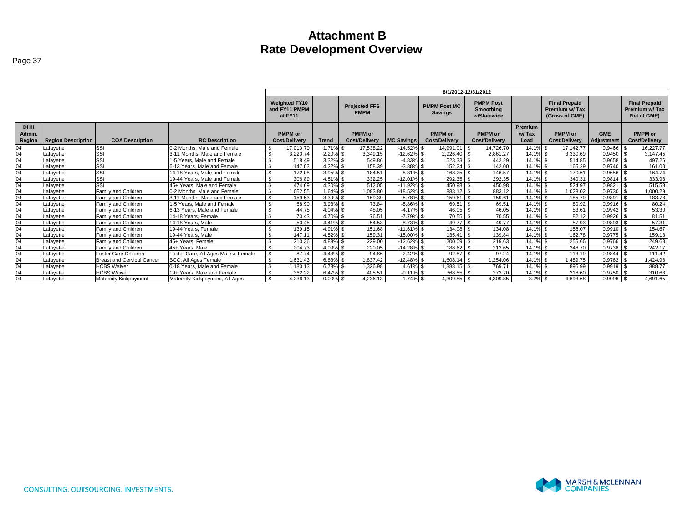|                                |                           |                            |                                     | 8/1/2012-12/31/2012                              |              |                                        |                   |                                        |                                                     |                          |                                                         |                          |                                                       |
|--------------------------------|---------------------------|----------------------------|-------------------------------------|--------------------------------------------------|--------------|----------------------------------------|-------------------|----------------------------------------|-----------------------------------------------------|--------------------------|---------------------------------------------------------|--------------------------|-------------------------------------------------------|
|                                |                           |                            |                                     | <b>Weighted FY10</b><br>and FY11 PMPM<br>at FY11 |              | <b>Projected FFS</b><br><b>PMPM</b>    |                   | <b>PMPM Post MC</b><br><b>Savings</b>  | <b>PMPM Post</b><br><b>Smoothing</b><br>w/Statewide |                          | <b>Final Prepaid</b><br>Premium w/Tax<br>(Gross of GME) |                          | <b>Final Prepaid</b><br>Premium w/ Tax<br>Net of GME) |
| <b>DHH</b><br>Admin.<br>Region | <b>Region Description</b> | <b>COA Description</b>     | <b>RC Description</b>               | <b>PMPM</b> or<br><b>Cost/Delivery</b>           | <b>Trend</b> | <b>PMPM</b> or<br><b>Cost/Delivery</b> | <b>MC Savings</b> | <b>PMPM</b> or<br><b>Cost/Deliverv</b> | <b>PMPM</b> or<br><b>Cost/Deliverv</b>              | Premium<br>w/Tax<br>Load | <b>PMPM</b> or<br><b>Cost/Deliverv</b>                  | <b>GME</b><br>Adjustment | <b>PMPM</b> or<br>Cost/Delivery                       |
| 04                             | afavette                  | <b>ISSI</b>                | 0-2 Months. Male and Female         | 17.010.70                                        | 1.71%        | 17,538.22                              | $-14.52\%$ \$     | 14.991.01                              | 14,726.70                                           | 14.1% \$                 | 17.142.77                                               | 0.9466                   | 16,227.77                                             |
| 04                             | _afavette                 | <b>SSI</b>                 | 3-11 Months. Male and Female        | 3,220.74                                         | 2.20%        | 3.349.15                               | $-12.62%$         | 2,926.40                               | 2,861.27                                            | 14.1% \$                 | 3,330.69                                                | 0.9450                   | 3.147.45                                              |
| 04                             | .afavette                 | <b>SSI</b>                 | 1-5 Years, Male and Female          | 518.49                                           | 3.32%        | 549.86                                 | $-4.83\%$ \$      |                                        | 442.29                                              | 14.1% \$                 | 514.85                                                  | $0.9658$ \ \$            | 497.26                                                |
| 04                             | .afavette                 | SSI                        | 6-13 Years. Male and Female         | 147.03                                           | 4.22%        | 158.39                                 | $-3.88%$          | 152.24                                 | 142.00                                              | 14.1% \$                 | 165.29                                                  | 0.9740                   | 161.00                                                |
| $\frac{04}{04}$                | _afavette                 | SSI                        | 14-18 Years, Male and Female        | 172.08                                           | 3.95%        | 184.51                                 | $-8.81\%$ \$      | $168.25$ \\$                           | 146.57                                              | 14.1% \$                 | 170.61                                                  | $0.9656$ \ \$            | 164.74                                                |
|                                | _afavette                 | SSI                        | 19-44 Years, Male and Female        | 306.89                                           | 4.51% \$     | 332.25                                 | $-12.01\%$ \$     | $292.35$ \$                            | 292.35                                              | 14.1% \$                 | 340.31                                                  | $0.9814$ \$              | 333.98                                                |
| 04                             | _afavette                 | SSI                        | 45+ Years. Male and Female          | 474.69                                           | 4.30%        | 512.05                                 | $-11.92\%$ \$     | 450.98                                 | 450.98                                              | 14.1% \$                 | 524.97                                                  | 0.9821                   | 515.58                                                |
| 04                             | _afavette                 | Family and Children        | 0-2 Months. Male and Female         | 0.052.55                                         | $1.64\%$ \$  | 1,083.80                               | $-18.52\%$ \$     | 883.12 \$                              | 883.12                                              | 14.1% \$                 | 1.028.02                                                | $0.9730$ \$              | 1,000.29                                              |
| 04                             | .afavette                 | Family and Children        | 3-11 Months. Male and Female        | 159.53                                           | 3.39%        | 169.39                                 | $-5.78\%$ \$      | 159.61                                 | 159.61                                              | 14.1% \$                 | 185.79                                                  | 0.9891                   | 183.78                                                |
| $\frac{04}{04}$                | _afavette                 | Family and Children        | 1-5 Years. Male and Female          | 68.90                                            | 3.93%        | 73.84                                  | $-5.86%$          | $69.51$ \\$                            | 69.51                                               | 14.1% \$                 | 80.92                                                   | $0.9916$ \$              | 80.24                                                 |
|                                | .afavette                 | Family and Children        | 6-13 Years. Male and Female         | 44.75                                            | 4.04%        | 48.05                                  | $-4.17%$ \$       |                                        | 46.05                                               | 14.1% \$                 | 53.61                                                   | $0.9942$ \$              | 53.30                                                 |
| 04                             | _afavette                 | Family and Children        | 14-18 Years, Female                 | 70.43                                            | 4.70% \$     | 76.51                                  | $-7.79\%$ \$      | $70.55$ \$                             | 70.55                                               | 14.1% \$                 | 82.12                                                   | $0.9926$ \$              | 81.51                                                 |
| 04                             | .afavette                 | Family and Children        | 14-18 Years, Male                   | 50.45                                            | 4.41%        | 54.53                                  | $-8.73%$          | 49.77 \$                               | 49.77                                               | 14.1% \$                 | 57.93                                                   | 0.9893                   | 57.31                                                 |
| 04                             | .afavette                 | Family and Children        | 19-44 Years, Female                 | 139.15                                           | 4.91%        | 151.68                                 | $-11.61%$         | 134.08                                 | 134.08                                              | 14.1% \$                 | 156.07                                                  | 0.9910                   | 154.67                                                |
| $\frac{04}{04}$                | Lafavette                 | Family and Children        | 19-44 Years, Male                   | 147.11                                           | 4.52%        | 159.31                                 | $-15.00%$         | 135.41                                 | 139.84                                              | 14.1% \$                 | 162.78                                                  | $0.9775$ \\$             | 159.13                                                |
|                                | afavette                  | Family and Children        | 45+ Years, Female                   | 210.36                                           | 4.83%        | 229.00                                 | $-12.62%$         | 200.09                                 | 219.63                                              | 14.1% \$                 | 255.66                                                  | 0.9766                   | 249.68                                                |
| 04                             | _afavette                 | Family and Children        | 45+ Years, Male                     | 204.73                                           | 4.09%        | 220.05                                 | $-14.28%$         | 188.62 \$                              | 213.65                                              | 14.1% \$                 | 248.70                                                  | $0.9738$ \$              | 242.17                                                |
| 04                             | _afavette                 | Foster Care Children       | Foster Care, All Ages Male & Female | 87.74                                            | $4.43\%$ \$  | 94.86                                  | $-2.42\%$ \$      | $92.57$ \$                             | 97.24                                               | 14.1% \$                 | 113.19                                                  | $0.9844$ \$              | 111.42                                                |
| 04                             | ∟afayette                 | Breast and Cervical Cancer | BCC, All Ages Female                | .631.43                                          | 6.83%        | 1.837.42                               |                   | 1,608.14                               | 1.254.06                                            | 14.1% \$                 | .459.75                                                 | $0.9762$ \$              | 1,424.98                                              |
| 04                             | ∟afayette                 | <b>HCBS Waiver</b>         | 0-18 Years. Male and Female         | ,180.13                                          | 6.73%        | 1,326.98                               | 4.61% \$          | 1,388.15 \$                            | 769.71                                              | 14.1% \$                 | 895.99                                                  | $0.9919$ \$              | 888.77                                                |
| $\frac{04}{04}$                | .afavette                 | <b>HCBS Waiver</b>         | 19+ Years. Male and Female          | 362.22                                           | 6.47%        | 405.51                                 | $-9.11\%$ \$      | 368.55                                 | 273.70                                              | 14.1% \$                 | 318.60                                                  | 0.9750                   | 310.63                                                |
|                                | _afavette                 | Maternity Kickpayment      | Maternity Kickpayment, All Ages     | 4,236.13                                         | $0.00\%$ \$  | 4,236.13                               | 1.74% \$          | 4,309.85 \$                            | 4,309.85                                            | $8.2\%$ \$               | 4,693.68                                                | $0.9996$ \$              | 4,691.65                                              |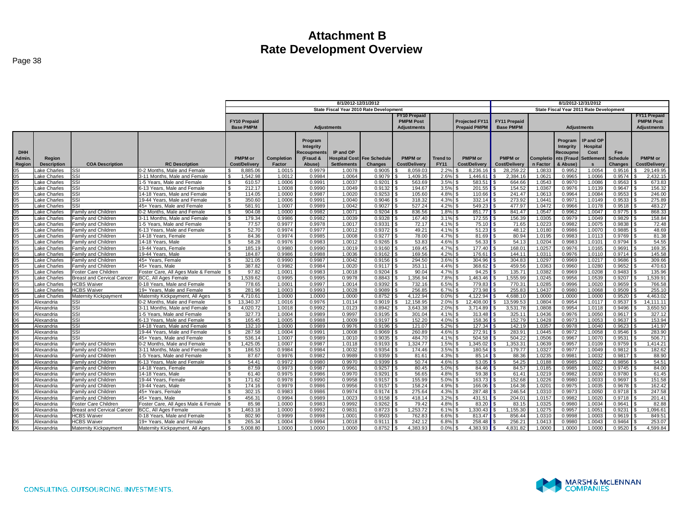|                |                    |                                   |                                     | 8/1/2012-12/31/2012       |            |            |                      |                                         |                      |                 | 8/1/2012-12/31/2012   |                     |           |            |                                         |                 |                      |
|----------------|--------------------|-----------------------------------|-------------------------------------|---------------------------|------------|------------|----------------------|-----------------------------------------|----------------------|-----------------|-----------------------|---------------------|-----------|------------|-----------------------------------------|-----------------|----------------------|
|                |                    |                                   |                                     |                           |            |            |                      | State Fiscal Year 2010 Rate Development |                      |                 |                       |                     |           |            | State Fiscal Year 2011 Rate Development |                 |                      |
|                |                    |                                   |                                     |                           |            |            |                      |                                         | <b>FY10 Prepaid</b>  |                 |                       |                     |           |            |                                         |                 | <b>FY11 Prepaid</b>  |
|                |                    |                                   |                                     | <b>FY10 Prepaid</b>       |            |            |                      |                                         | <b>PMPM Post</b>     |                 | <b>Projected FY11</b> | <b>FY11 Prepaid</b> |           |            |                                         |                 | <b>PMPM Post</b>     |
|                |                    |                                   |                                     | <b>Base PMPM</b>          |            |            | <b>Adjustments</b>   |                                         | <b>Adjustments</b>   |                 | <b>Prepaid PMPM</b>   | <b>Base PMPM</b>    |           |            | <b>Adjustments</b>                      |                 | <b>Adjustments</b>   |
|                |                    |                                   |                                     |                           |            |            |                      |                                         |                      |                 |                       |                     |           |            |                                         |                 |                      |
|                |                    |                                   |                                     |                           |            |            |                      |                                         |                      |                 |                       |                     |           |            |                                         |                 |                      |
|                |                    |                                   |                                     |                           |            | Program    |                      |                                         |                      |                 |                       |                     |           | Program    | IP and OP                               |                 |                      |
|                |                    |                                   |                                     |                           |            | Integrity  |                      |                                         |                      |                 |                       |                     |           | Integrity  | Hospital                                |                 |                      |
| <b>DHH</b>     |                    |                                   |                                     |                           |            | ecoupments | IP and OP            |                                         |                      |                 |                       |                     |           | Recoupme   | Cost                                    | Fee             |                      |
| Admin.         | Region             |                                   |                                     | <b>PMPM</b> or            | Completion | (Fraud &   | <b>Iospital Cost</b> | <b>Fee Schedule</b>                     | <b>PMPM</b> or       | <b>Trend to</b> | <b>PMPM</b> or        | <b>PMPM</b> or      | Completio | nts (Fraud | Settlement                              | <b>Schedule</b> | <b>PMPM</b> or       |
| Region         | <b>Description</b> | <b>COA Description</b>            | <b>RC Description</b>               | Cost/Delivery             | Factor     | Abuse)     | <b>Settlements</b>   | Changes                                 | <b>Cost/Delivery</b> | <b>FY11</b>     | <b>Cost/Delivery</b>  | Cost/Delivery       | n Factor  | & Abuse)   | $\mathbf{s}$                            | <b>Changes</b>  | <b>Cost/Delivery</b> |
|                | ake Charles        | SSI                               | 0-2 Months. Male and Female         | 8,885.06                  | 1.0015     | 0.9979     | 1.0078               | 0.9005                                  | 8,059.03             | 2.2%            | 8,236.16              | 28,259.22           | 1.0833    | 0.9952     | 1.0054                                  | 0.9516          | 29,149.95            |
| 05             | ake Charles        | SSI                               | 3-11 Months, Male and Female        | 1,542.98<br><b>S</b>      | 1.0012     | 0.9984     | 1.0064               | 0.9079                                  | 1,409.35             | 2.6%            | 1,446.61              | 2,384.16            | 1.062'    | 0.9965     | 1.0066                                  | 0.9574          | 2,432.15             |
| 05             | ake Charles        | SSI                               | 1-5 Years, Male and Female          | $\mathcal{S}$<br>610.57   | 1.0006     | 0.9991     | 1.0037               | 0.9201                                  | 563.69               | 3.5%            | 583.51                | 664.66              | 1.0543    | 0.9970     | 1.0086                                  | 0.9563          | 673.83               |
| 05             | ake Charles.       | SSI                               | 6-13 Years, Male and Female         | <b>S</b><br>212.17        | 1.0008     | 0.9990     | 1.0049               | 0.9132                                  | 194.67               | 3.5% \$         | 201.55                | 154.52              | 1.0367    | 0.9976     | 1.0139                                  | 0.9647          | 156.32               |
| 05             | ake Charles        | SSI                               | 14-18 Years. Male and Female        | l \$<br>114.05            | 1.0000     | 0.9987     | 1.0020               | 0.9253                                  | 105.60               | 4.8%            | 110.66                | 241.47              | 1.0613    | 0.9964     | 1.0084                                  | 0.9553          | 246.00               |
| 05             | ake Charles        | <b>SSI</b>                        | 19-44 Years, Male and Female        | 350.60<br><b>S</b>        | 1.0006     | 0.9991     | 1.0040               | 0.9046                                  | 318.32               | 4.3%            | 332.14                | 273.92              | 1.044'    | 0.9971     | 1.0149                                  | 0.9533          | 275.89               |
| 05             | ake Charles        | <b>SSI</b>                        | 45+ Years. Male and Female          | <b>S</b><br>581.91        | 1.0007     | 0.9989     | 1.0042               | 0.9027                                  | 527.24               | $4.2\%$ \$      | 549.23                | 477.97              | 1.0472    | 0.9966     | 1.0178                                  | 0.9518          | 483.27               |
| 05             | ake Charles        | Family and Children               | 0-2 Months. Male and Female         | 904.08<br>- \$            | 1.0000     | 0.9982     | 1.0071               | 0.9204                                  | 836.56               | $1.8\%$ \$      | 851.77                | 841.47              | 1.0547    | 0.9962     | 1.0047                                  | 0.9775          | 868.33               |
| 05             | .ake Charles       | Family and Children               | 3-11 Months, Male and Female        | 179.34<br><b>S</b>        | 0.9986     | 0.9982     | 1.0039               | 0.9328                                  | 167.40               | 3.1%            | 172.55                | 156.39              | 1.0305    | 0.9979     | 1.0049                                  | 0.9829          | 158.84               |
| 05             | ake Charles.       | Family and Children               | 1-5 Years. Male and Female          | 77.57<br>- \$             | 0.9977     | 0.9978     | 1.0017               | 0.9331                                  | 72.17                | $4.1\%$ \$      | 75.10                 | 71.65               | 1.0223    | 0.9982     | 1.0075                                  | 0.9838          | 72.48                |
| 05             | ake Charles        | Family and Children               | 6-13 Years. Male and Female         | 52.70<br>-S               | 0.9974     | 0.9977     | 1.0012               | 0.9372                                  | 49.21                | 4.1%            | 51.23<br>- \$         | 48.12               | 1.0180    | 0.9986     | 1.0070                                  | 0.9885          | 48.69                |
| 05             | ake Charles        | Family and Children               | 14-18 Years, Female                 | $\mathbf{s}$<br>84.36     | 0.9974     | 0.9985     | 1.0008               | 0.9277                                  | 78.00                | 4.7%            | 81.69<br>ς.           | 80.94               | 1.0195    | 0.9983     | 1.0113                                  | 0.9769          | 81.38                |
| 0 <sub>5</sub> | ake Charles        | Family and Children               | 14-18 Years, Male                   | 58.28<br>$\mathcal{S}$    | 0.9976     | 0.9983     | 1.0012               | 0.9265                                  | 53.83                | 4.6%            | 56.33<br>∣ \$         | 54.13               | 1.0204    | 0.9983     | 1.0101                                  | 0.9794          | 54.55                |
| 05             | ake Charles        | Family and Children               | 19-44 Years, Female                 | $\mathfrak{s}$<br>185.19  | 0.9980     | 0.9990     | 1.0019               | 0.9160                                  | 169.45               | 4.7%            | 177.40                | 168.01              | 1.0257    | 0.9976     | 1.0165                                  | 0.9691          | 169.35               |
| 05             | ake Charles        | Family and Children               | 19-44 Years, Male                   | $\mathcal{R}$<br>184.87   | 0.9986     | 0.9988     | 1.0036               | 0.9162                                  | 169.56               | 4.2%            | 176.61                | 144.11              | 1.031'    | 0.9976     | 1.0110                                  | 0.9714          | 145.58               |
| 05             | Lake Charles       | Family and Children               | 45+ Years, Female                   | 321.05<br>- \$            | 0.9990     | 0.9987     | 1.0042               | 0.9156                                  | 294.50               | $3.6\%$ \$      | 304.96                | 304.83              | 1.0297    | 0.9969     | 1.0217                                  | 0.9686          | 309.66               |
| 05             | ake Charles        | Family and Children               | 45+ Years, Male                     | 387.82                    | 0.9982     | 0.9984     | 1.0020               | 0.9117                                  | 353.11               | $4.4\%$ \$      | 368.62                | 459.56              | 1.0363    | 0.9960     | 1.0280                                  | 0.9652          | 470.63               |
| 05             | ake Charles        | Foster Care Children              | Foster Care, All Ages Male & Female | 97.82                     | 1.0001     | 0.9983     | 1.0018               | 0.9204                                  | 90.04                | 4.7%            | 94.25                 | 135.71              | 1.0382    | 0.9969     | 1.0208                                  | 0.9483          | 135.96               |
| 05             | ake Charles        | <b>Breast and Cervical Cancer</b> | BCC. All Ages Female                | 1.539.62                  | 0.9995     | 0.9995     | 0.9978               | 0.8843                                  | 1.356.94             | 7.8%            | 1.463.46              | 1.555.99            | 1.0245    | 0.9956     | 1.0539                                  | 0.9207          | 1,539.91             |
| 05             | ake Charles        | <b>HCBS Waiver</b>                | 0-18 Years. Male and Female         | - \$<br>778.65            | 1.0001     | 0.9997     | 1.0014               | 0.9392                                  | 732.16               | 6.5%            | 779.83                | 770.3'              | 1.0285    | 0.9996     | 1.0020                                  | 0.9659          | 766.58               |
| 05             | ake Charles        | <b>HCBS Waiver</b>                | 19+ Years, Male and Female          | 281.96<br>$\mathfrak{s}$  | 1.0003     | 0.9993     | 1.0028               | 0.9089                                  | 256.85               | $6.7\%$ \$      | 273.98                | 255.83              | 1.0437    | 0.9980     | 1.0068                                  | 0.9509          | 255.10               |
| 0 <sub>5</sub> | ake Charles        | Maternity Kickpayment             | Maternity Kickpayment, All Ages     | 4.710.61<br>$\mathbb{R}$  | 1.0000     | 1.0000     | 1.0000               | 0.8752                                  | 4.122.94             | 0.0%            | 4.122.94              | 4.688.10            | 1.0000    | 1.0000     | 1.0000                                  | 0.9520          | 4.463.02             |
| 06             | Alexandria         | <b>SSI</b>                        | 0-2 Months. Male and Female         | $\mathbf{s}$<br>13.340.37 | 1.0016     | 0.9976     | 1.0114               | 0.9019                                  | 12,158.95            | 2.0%            | 12,408.00<br>- \$     | 13.599.53           | 1.0804    | 0.9954     | 1.0117                                  | 0.9537          | 14.111.11            |
| 06             | Alexandria         | SSI                               | 3-11 Months, Male and Female        | 4.020.72<br>- \$          | 1.0018     | 0.9992     | 1.0123               | 0.8942                                  | 3.643.38             | 2.0%            | 3.714.89              | 3,531.78            | 1.0808    | 0.9954     | 1.0118                                  | 0.9496          | 3,650.50             |
| 06             | Alexandria         | SSI                               | 1-5 Years. Male and Female          | ⊺\$<br>327.73             | 1.0004     | 0.9989     | 0.9997               | 0.9195                                  | 301.04               | 4.1%            | 313.48                | 325.11              | 1.0436    | 0.9976     | 1.0050                                  | 0.9617          | 327.12               |
| 06             | Alexandria         | SSI                               | 6-13 Years, Male and Female         | 165.45<br><b>S</b>        | 1.0005     | 0.9988     | 1.0009               | 0.9197                                  | 152.20               | 4.0%            | 158.36                | 152.79              | 1.0428    | 0.9973     | 1.0053                                  | 0.9637          | 153.94               |
| 06             | Alexandria         | SSI                               | 14-18 Years, Male and Female        | - \$<br>132.10            | 1.0000     | 0.9989     | 0.9976               | 0.9196                                  | 121.07               | 5.2%            | 127.34                | 142.19              | 1.0357    | 0.9978     | 1.0040                                  | 0.9623          | 141.97               |
| 06             | Alexandria         | SSI                               | 19-44 Years, Male and Female        | 287.58<br>$\mathfrak{S}$  | 1.0004     | 0.9991     | 1.0008               | 0.9069                                  | 260.89               | 4.6%            | 272.91                | 283.91              | 1.0445    | 0.9972     | 1.0058                                  | 0.9546          | 283.90               |
| 06             | Alexandria         | <b>SSI</b>                        | 45+ Years, Male and Female          | <b>S</b><br>536.14        | 1.0007     | 0.9989     | 1.0010               | 0.9035                                  | 484.70               | 4.1%            | 504.58                | 504.22              | 1.0506    | 0.9967     | 1.0070                                  | 0.9531          | 506.71               |
| 06             | Alexandria         | Family and Children               | 0-2 Months, Male and Female         | $\sqrt{3}$<br>,425.05     | 1.0007     | 0.9987     | 1.0118               | 0.9193                                  | 1,324.77             | $1.5\%$ \$      | 1,345.02              | 1,353.31            | 1.0639    | 0.9957     | 1.0109                                  | 0.9759          | 1,414.21             |
| 06             | Alexandria         | <b>Family and Children</b>        | 3-11 Months, Male and Female        | $\sqrt{3}$<br>186.53      | 0.9984     | 0.9984     | 1.0032               | 0.9354                                  | 174.46               | $3.5\%$ \$      | 180.54                | 179.77              | 1.0327    | 0.9977     | 1.0049                                  | 0.9812          | 182.62               |
| 06             | Alexandria         | Family and Children               | 1-5 Years. Male and Female          | 87.67<br>- \$             | 0.9976     | 0.9982     | 0.9989               | 0.9359                                  | 81.61                | 4.3%            | 85.14<br>- \$         | 88.36               | 1.0235    | 0.9981     | 1.0032                                  | 0.9817          | 88.90                |
| 06             | Alexandria         | Family and Children               | 6-13 Years. Male and Female         | -S<br>54.41               | 0.9972     | 0.9980     | 0.9970               | 0.9399                                  | 50.74                | $4.6\%$ \$      | 53.05                 | 54.25               | 1.0188    | 0.9985     | 1.0022                                  | 0.9856          | 54.51                |
| 06             | Alexandria         | Family and Children               | 14-18 Years, Female                 | $\mathfrak{s}$<br>87.59   | 0.9973     | 0.9987     | 0.9961               | 0.9257                                  | 80.45                | 5.0%            | 84.46                 | 84.57               | 1.0185    | 0.9985     | 1.0022                                  | 0.9745          | 84.00                |
| 06             | Nexandria          | Family and Children               | 14-18 Years, Male                   | $\mathfrak{s}$<br>61.40   | 0.9975     | 0.9986     | 0.9970               | 0.9291                                  | 56.65                | 4.8%            | 59.38<br>- \$         | 61.41               | 1.0219    | 0.9982     | 1.0030                                  | 0.9780          | 61.45                |
| 06             | Alexandria         | Family and Children               | 19-44 Years, Female                 | 171.62<br>$\mathbf{s}$    | 0.9978     | 0.9990     | 0.9958               | 0.9157                                  | 155.99               | 5.0%            | 163.73<br>- \$        | 152.68              | 1.0226    | 0.9980     | 1.0033                                  | 0.9697          | 151.58               |
| 06             | Alexandria         | Family and Children               | 19-44 Years, Male                   | 174.16<br>- \$            | 0.9979     | 0.9986     | 0.9956               | 0.9157                                  | 158.24               | 4.9%            | 166.06                | 164.36              | 1.020     | 0.9975     | 1.0035                                  | 0.9678          | 162.42               |
| 06             | Nexandria          | Family and Children               | 45+ Years. Female                   | $\mathfrak{R}$<br>302.15  | 0.9983     | 0.9986     | 0.9974               | 0.9174                                  | 275.64               | $4.3\%$ \$      | 287.48                | 246.54              | 1.0310    | 0.9973     | 1.0050                                  | 0.9718          | 247.58               |
| 06             | Alexandria         | Family and Children               | 45+ Years, Male                     | 456.31<br>-96             | 0.9994     | 0.9989     | 1.0023               | 0.9158                                  | 418.14               | 3.2%            | 431.51                | 204.01              | 1.0157    | 0.9982     | 1.0020                                  | 0.9718          | 201.41               |
| 06             | Alexandria         | Foster Care Children              | Foster Care, All Ages Male & Female | 85.98                     | 1.0000     | 0.9983     | 0.9992               | 0.9262                                  | 79.42                | 4.8%            | 83.20                 | 83.15               | 1.0325    | 0.9980     | 1.0034                                  | 0.9641          | 82.88                |
| 06             | Alexandria         | <b>Breast and Cervical Cancer</b> | BCC, All Ages Female                | ,463.18                   | 1.0000     | 0.9992     | 0.9831               | 0.8723                                  | 1,253.72             | 6.1%            | .330.43               | ,155.30             | 1.0275    | 0.9957     | 1.0051                                  | 0.9231          | 1,096.61             |
| 06             | Alexandria         | <b>HCBS Waiver</b>                | 0-18 Years, Male and Female         | 802.90                    | 0.9999     | 0.9998     | 1.0001               | 0.9503                                  | 762.83               | 6.6%            | 813.47                | 856.44              | 1.0310    | 0.9998     | 1.0003                                  | 0.9619          | 849.51               |
| 06             | Alexandria         | <b>HCBS</b> Waiver                | 19+ Years. Male and Female          | 265.34<br>ፍ               | 1.0004     | 0.9994     | 1.0018               | 0.9111                                  | 242.12               | 6.8%            | 258.48                | 256.21              | 1.0413    | 0.9980     | 1.0043                                  | 0.9464          | 253.07               |
| 06             | Alexandria         | Maternity Kickpayment             | Maternity Kickpayment, All Ages     | 5.008.80<br>- \$          | 1.0000     | 1.0000     | 1.0000               | 0.8752                                  | 4.383.93             | 0.0%            | 4.383.93              | 4.831.82            | 1.0000    | 1.0000     | 1.0000                                  | 0.9520          | 4.599.84             |
|                |                    |                                   |                                     |                           |            |            |                      |                                         |                      |                 |                       |                     |           |            |                                         |                 |                      |

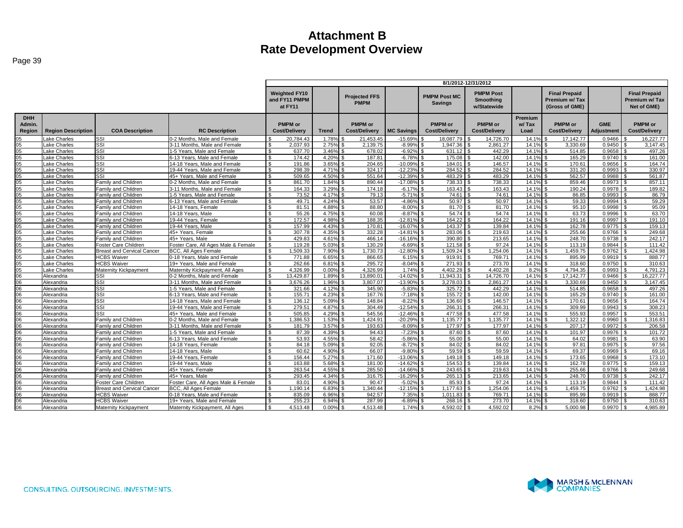|                                |                           |                                   |                                     |                                                  |              |                                        |                   |                                        | 8/1/2012-12/31/2012                                 |                          |                                                         |                                 |                                                       |
|--------------------------------|---------------------------|-----------------------------------|-------------------------------------|--------------------------------------------------|--------------|----------------------------------------|-------------------|----------------------------------------|-----------------------------------------------------|--------------------------|---------------------------------------------------------|---------------------------------|-------------------------------------------------------|
|                                |                           |                                   |                                     | <b>Weighted FY10</b><br>and FY11 PMPM<br>at FY11 |              | <b>Projected FFS</b><br><b>PMPM</b>    |                   | <b>PMPM Post MC</b><br><b>Savings</b>  | <b>PMPM Post</b><br><b>Smoothing</b><br>w/Statewide |                          | <b>Final Prepaid</b><br>Premium w/Tax<br>(Gross of GME) |                                 | <b>Final Prepaid</b><br>Premium w/ Tax<br>Net of GME) |
| <b>DHH</b><br>Admin.<br>Region | <b>Region Description</b> | <b>COA Description</b>            | <b>RC Description</b>               | <b>PMPM</b> or<br><b>Cost/Delivery</b>           | <b>Trend</b> | <b>PMPM</b> or<br><b>Cost/Delivery</b> | <b>MC Savings</b> | <b>PMPM</b> or<br><b>Cost/Delivery</b> | <b>PMPM</b> or<br><b>Cost/Delivery</b>              | Premium<br>w/Tax<br>Load | <b>PMPM or</b><br><b>Cost/Delivery</b>                  | <b>GME</b><br><b>Adiustment</b> | <b>PMPM</b> or<br><b>Cost/Delivery</b>                |
| 05                             | ake Charles               | SSI                               | 0-2 Months, Male and Female         | 20.784.43                                        | 1.78%        | 21.453.45                              | $-15.69%$         | 18.087.79                              | 14,726.70                                           | 14.1%                    | 17.142.77                                               | 0.9466                          | 16.227.77                                             |
| 05                             | ake Charles               | SSI                               | 3-11 Months, Male and Female        | 2.037.93                                         | 2.75%        | 2,139.75                               | $-8.99%$          | 1.947.36                               | 2,861.27<br>l S                                     | 14.1%                    | 3.330.69<br>\$                                          | 0.9450                          | 3,147.45<br>∣ \$                                      |
| 05                             | ake Charles               | SSI                               | 1-5 Years, Male and Female          | 637.70                                           | 3.46%        | 678.02                                 | $-6.92%$          | 631.12                                 | 442.29                                              | 14.1%                    | 514.85                                                  | 0.9658                          | 497.26                                                |
| 05                             | Lake Charles              | SSI                               | 6-13 Years. Male and Female         | 174.42                                           | 4.20%        | 187.81                                 | $-6.78%$          | 175.08                                 | 142.00                                              | 14.1%                    | 165.29                                                  | 0.9740                          | 161.00                                                |
| 05                             | Lake Charles              | SSI                               | 14-18 Years, Male and Female        | 191.86<br>$\mathfrak{L}$                         | 3.65%        | 204.65                                 | $-10.099$         | 184.01                                 | 146.57                                              | 14.1%                    | 170.61                                                  | 0.9656                          | 164.74                                                |
| 05                             | ake Charles               | SSI                               | 19-44 Years, Male and Female        | $\mathfrak{L}$<br>298.39                         | 4.71%        | 324.17                                 | $-12.239$         | 284.52                                 | 284.52                                              | 14.1%                    | 331.20                                                  | 0.9993                          | 330.97                                                |
| 05                             | ake Charles               | SSI                               | 45+ Years, Male and Female          | 509.65                                           | 4.50%        | 551.64                                 | $-12.399$         | 483.29                                 | 483.29                                              | 14.1%                    | 562.57                                                  | 0.9988                          | 561.87                                                |
| $05\,$                         | Lake Charles              | Family and Children               | 0-2 Months, Male and Female         | $\mathfrak{L}$<br>861.70                         | 1.84%        | 890.44                                 | $-17.08%$         | 738.33                                 | 738.33                                              | 14.1%                    | 859.46                                                  | 0.9973                          | 857.11                                                |
| 05                             | Lake Charles              | <b>Family and Children</b>        | 3-11 Months, Male and Female        | 164.33<br>$\hat{\mathcal{L}}$                    | 3.29%        | 174.18                                 | $-6.17%$          | 163.43                                 | 163.43                                              | 14.1%                    | 190.24                                                  | 0.9978                          | 189.82                                                |
| 05                             | Lake Charles              | Family and Children               | 1-5 Years, Male and Female          | 73.52<br><b>¢</b>                                | 4.17%        | 79.13                                  | $-5.71%$          | 74.61                                  | 74.61                                               | 14.1%                    | 86.85                                                   | 0.9993                          | 86.79                                                 |
| 05                             | Lake Charles              | Family and Children               | 6-13 Years, Male and Female         | $\mathcal{R}$<br>49.71                           | 4.24%        | 53.57                                  | $-4.86%$          | 50.97                                  | 50.97                                               | 14.1%                    | 59.33<br>- \$                                           | 0.9994                          | 59.29                                                 |
| 05                             | ake Charles               | Family and Children               | 14-18 Years, Female                 | 81.51                                            | 4.88%        | 88.80                                  | $-8.00%$          | 81.70                                  | 81.70                                               | 14.1%                    | 95.10                                                   | 0.9998                          | 95.09                                                 |
| 05                             | ake Charles               | Family and Children               | 14-18 Years, Male                   | 55.26                                            | 4.75%        | 60.08                                  | $-8.87%$          | 54.74                                  | 54.74                                               | 14.1%                    | 63.73                                                   | 0.9996                          | 63.70                                                 |
| 05                             | Lake Charles              | Family and Children               | 19-44 Years, Female                 | 172.57<br>\$                                     | 4.98%        | 188.35                                 | $-12.819$         | 164.22                                 | 164.22                                              | 14.1%                    | 191.16                                                  | 0.9997                          | 191.10                                                |
| 05                             | Lake Charles              | Family and Children               | 19-44 Years, Male                   | 157.99<br>ፍ                                      | 4.43%        | 170.81                                 | $-16.07%$         | 143.37                                 | 139.84                                              | 14.1%                    | 162.78                                                  | 0.9775                          | 159.13                                                |
| 05                             | Lake Charles              | Family and Children               | 45+ Years, Female                   | 307.78                                           | 4.35%        | 332.28                                 | $-14.819$         | 283.06                                 | 219.63                                              | 14.1%                    | 255.66                                                  | 0.9766                          | 249.68                                                |
| 05                             | ake Charles               | Family and Children               | 45+ Years, Male                     | 429.83                                           | 4.61%        | 466.14                                 | $-16.16%$         | 390.80                                 | 213.65                                              | 14.1%                    | 248.70<br>- \$                                          | 0.9738                          | 242.17                                                |
| 05                             | ake Charles               | Foster Care Children              | Foster Care, All Ages Male & Female | 119.28                                           | 5.03%        | 130.29                                 | $-6.69%$          | 121.58                                 | 97.24                                               | 14.1%                    | 113.19                                                  | 0.9844                          | 111.42                                                |
| 05                             | Lake Charles              | <b>Breast and Cervical Cancer</b> | BCC, All Ages Female                | 1.509.33                                         | 7.90%        | 1.730.73                               | $-12.80%$         | 1.509.24                               | 1.254.06                                            | 14.1%                    | 1,459.75                                                | 0.9762                          | 1.424.98                                              |
| 05                             | Lake Charles              | <b>HCBS Waiver</b>                | 0-18 Years. Male and Female         | $\mathfrak{L}$<br>771.88                         | 6.65%        | 866.65                                 | 6.15%             | 919.91                                 | 769.71                                              | 14.1%                    | 895.99                                                  | 0.9919                          | 888.77                                                |
| 05                             |                           | <b>HCBS Waiver</b>                | 19+ Years. Male and Female          | 262.66<br>$\mathfrak{L}$                         | 6.81%        | 295.72                                 | $-8.04%$          | 271.93                                 | 273.70                                              | 14.1%                    | 318.60                                                  | 0.9750                          | 310.63                                                |
| 05                             | Lake Charles              |                                   | Maternity Kickpayment, All Ages     | 4.326.99                                         | 0.00%        | 4.326.99                               | 1.74%             | 4.402.28                               | 4.402.28                                            | 8.2%                     | 4.794.35                                                | 0.9993                          | 4.791.23                                              |
| 06                             | ake Charles<br>Alexandria | Maternity Kickpayment             | 0-2 Months, Male and Female         | 13.429.87                                        |              |                                        | $-14.029$         |                                        |                                                     | 14.1%                    | 17.142.77                                               |                                 |                                                       |
|                                |                           | SSI                               |                                     |                                                  | 1.89%        | 13.890.01                              |                   | 11.943.31                              | 14.726.70                                           |                          |                                                         | 0.9466                          | 16.227.77                                             |
| 06                             | Alexandria                | SSI                               | 3-11 Months, Male and Female        | -\$<br>3,676.26                                  | 1.96%        | 3,807.07                               | $-13.90%$         | 3,278.03                               | 2,861.27                                            | 14.1%                    | 3,330.69<br>\$.                                         | 0.9450                          | 3,147.45                                              |
| 06                             | Alexandria                | SSI                               | 1-5 Years, Male and Female          | ፍ<br>321.66                                      | 4.12%        | 345.90                                 | $-5.83%$          | 325.72                                 | 442.29                                              | 14.1%                    | 514.85                                                  | 0.9658                          | 497.26                                                |
| 06                             | Alexandria                | SSI                               | 6-13 Years. Male and Female         | 155.71<br>$\mathcal{R}$                          | 4.23%        | 167.76                                 | $-7.18%$          | 155.72                                 | 142.00<br>۱۹.                                       | 14.1%                    | 165.29<br>-96                                           | 0.9740                          | 161.00                                                |
| 06                             | Alexandria                | SSI                               | 14-18 Years. Male and Female        | 136.12                                           | 5.09%        | 148.84                                 | $-8.229$          | 136.60                                 | 146.57                                              | 14.1%                    | 170.61                                                  | 0.9656                          | 164.74                                                |
| 06                             | Alexandria                | SSI                               | 19-44 Years, Male and Female        | 279.51                                           | 4.87%        | 304.49                                 | $-12.549$         | 266.31                                 | 266.31                                              | 14.1%                    | 309.99                                                  | 0.9943                          | 308.23                                                |
| 06                             | Alexandria                | SSI                               | 45+ Years. Male and Female          | 505.85                                           | 4.29%        | 545.56                                 | $-12.469$         | 477.58                                 | 477.58                                              | 14.1%                    | 555.93                                                  | 0.9957                          | 553.51                                                |
| 06                             | Alexandria                | Family and Children               | 0-2 Months. Male and Female         | $\mathbf{\$}$<br>1,386.53                        | 1.53%        | ,424.91                                | $-20.29%$         | 1,135.77                               | 1,135.77                                            | 14.1%                    | 1,322.12<br>-96                                         | 0.9960                          | 1,316.83                                              |
| 06                             | Alexandria                | Family and Children               | 3-11 Months, Male and Female        | 181.79                                           | 3.57%        | 193.63                                 | $-8.09%$          | 177.97                                 | 177.97                                              | 14.1%                    | 207.17<br>\$.                                           | 0.9972                          | 206.58                                                |
| 06                             | Alexandria                | Family and Children               | 1-5 Years, Male and Female          | 87.39                                            | 4.39%        | 94.43                                  | $-7.23%$          | 87.60                                  | 87.60                                               | 14.1%                    | 101.97                                                  | 0.9976                          | 101.72                                                |
| 06                             | Alexandria                | <b>Family and Children</b>        | 6-13 Years. Male and Female         | 53.93<br>$\mathfrak{L}$                          | 4.55%        | 58.42                                  | $-5.86%$          | 55.00                                  | 55.00                                               | 14.1%                    | 64.02                                                   | 0.9981                          | 63.90                                                 |
| 06                             | Alexandria                | <b>Family and Children</b>        | 14-18 Years, Female                 | 84.18                                            | 5.09%        | 92.05                                  | $-8.729$          | 84.02                                  | 84.02                                               | 14.1%                    | 97.81                                                   | 0.9975                          | 97.56                                                 |
| 06                             | Alexandria                | Family and Children               | 14-18 Years, Male                   | 60.62<br><b>¢</b>                                | 4.90%        | 66.07                                  | $-9.80%$          | 59.59                                  | 59.59                                               | 14.1%                    | 69.37                                                   | 0.9969                          | 69.16                                                 |
| 06                             | Alexandria                | Family and Children               | 19-44 Years, Female                 | 156.44<br>\$                                     | 5.27%        | 171.60                                 | $-13.069$         | 149.18                                 | 149.18                                              | 14.1%                    | 173.65                                                  | 0.9968                          | 173.10                                                |
| 06                             | Alexandria                | Familv and Children               | 19-44 Years, Male                   | 163.88                                           | 5.68%        | 181.00                                 | $-14.629$         | 154.53                                 | 139.84                                              | 14.1%                    | 162.78<br>\$.                                           | 0.9775                          | 159.13<br>l \$                                        |
| 06                             | Alexandria                | Family and Children               | 45+ Years, Female                   | $\hat{\mathcal{L}}$<br>263.54                    | 4.55%        | 285.50                                 | $-14.669$         | 243.65                                 | 219.63                                              | 14.1%                    | 255.66                                                  | 0.9766                          | 249.68                                                |
| 06                             | Alexandria                | Family and Children               | 45+ Years, Male                     | 293.45                                           | 4.34%        | 316.75                                 | $-16.299$         | 265.13                                 | 213.65                                              | 14.1%                    | 248.70                                                  | 0.9738                          | 242.17                                                |
| 06                             | Alexandria                | Foster Care Children              | Foster Care, All Ages Male & Female | 83.01<br>$\mathbf{\$}$                           | 4.90%        | 90.47                                  | $-5.02%$          | 85.93                                  | 97.24<br>l \$                                       | 14.1%                    | 113.19<br>$\mathbf{s}$                                  | 0.9844                          | 111.42<br>l \$                                        |
| 06                             | Alexandria                | <b>Breast and Cervical Cancer</b> | BCC, All Ages Female                | 1.190.14                                         | 6.83%        | .340.44                                | $-12.15%$         | 1.177.63                               | 1.254.06                                            | 14.1%                    | 1.459.75                                                | 0.9762                          | 1,424.98                                              |
| 06                             | Alexandria                | <b>HCBS Waiver</b>                | 0-18 Years, Male and Female         | 835.09                                           | 6.96%        | 942.57                                 | 7.35%             | 1.011.83                               | 769.71                                              | 14.1%                    | 895.99                                                  | 0.9919                          | 888.77                                                |
| 06                             | Alexandria                | <b>HCBS Waiver</b>                | 19+ Years. Male and Female          | $\mathfrak{L}$<br>255.23                         | 6.94%        | 287.99                                 | $-6.89%$          | 268.16                                 | 273.70                                              | 14.1%                    | 318.60                                                  | 0.9750                          | 310.63                                                |
| 06                             | Alexandria                | Maternity Kickpayment             | Maternity Kickpayment, All Ages     | 4.513.48<br>$\hat{\mathbf{r}}$                   | 0.00%        | 4.513.48                               | 1.74%             | 4.592.02                               | 4.592.02                                            | 8.2%                     | 5.000.98                                                | 0.9970                          | 4,985.89                                              |

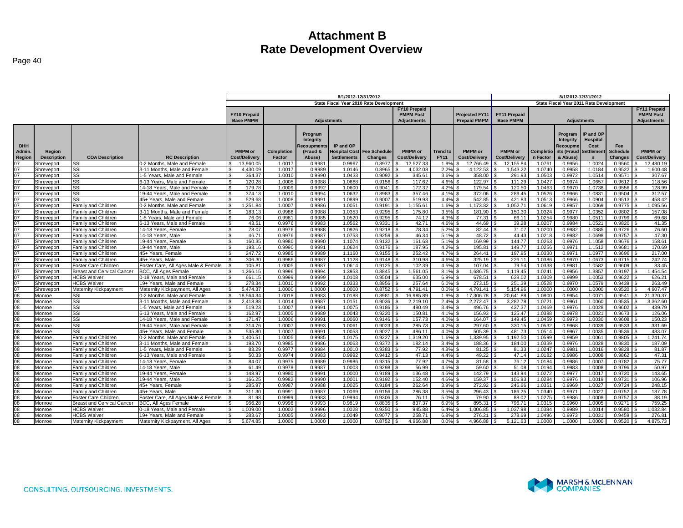|            |                    |                                   |                                     | 8/1/2012-12/31/2012       |            |                    |                    |                                         |                      | 8/1/2012 12/31/2012 |                         |                      |           |                  |                                         |                 |                     |
|------------|--------------------|-----------------------------------|-------------------------------------|---------------------------|------------|--------------------|--------------------|-----------------------------------------|----------------------|---------------------|-------------------------|----------------------|-----------|------------------|-----------------------------------------|-----------------|---------------------|
|            |                    |                                   |                                     |                           |            |                    |                    | State Fiscal Year 2010 Rate Development |                      |                     |                         |                      |           |                  | State Fiscal Year 2011 Rate Development |                 |                     |
|            |                    |                                   |                                     |                           |            |                    |                    |                                         | <b>FY10 Prepaid</b>  |                     |                         |                      |           |                  |                                         |                 | <b>FY11 Prepaid</b> |
|            |                    |                                   |                                     | <b>FY10 Prepaid</b>       |            |                    |                    |                                         | <b>PMPM Post</b>     |                     | <b>Projected FY11</b>   | <b>FY11 Prepaid</b>  |           |                  |                                         |                 | <b>PMPM Post</b>    |
|            |                    |                                   |                                     | <b>Base PMPM</b>          |            | <b>Adjustments</b> |                    |                                         | <b>Adjustments</b>   |                     | <b>Prepaid PMPM</b>     | <b>Base PMPM</b>     |           |                  | <b>Adjustments</b>                      |                 | <b>Adjustments</b>  |
|            |                    |                                   |                                     |                           |            |                    |                    |                                         |                      |                     |                         |                      |           |                  |                                         |                 |                     |
|            |                    |                                   |                                     |                           |            |                    |                    |                                         |                      |                     |                         |                      |           |                  |                                         |                 |                     |
|            |                    |                                   |                                     |                           |            | Program            |                    |                                         |                      |                     |                         |                      |           | Program          | <b>IP and OP</b>                        |                 |                     |
| <b>DHH</b> |                    |                                   |                                     |                           |            | Integrity          |                    |                                         |                      |                     |                         |                      |           | <b>Integrity</b> | Hospital                                |                 |                     |
|            |                    |                                   |                                     |                           |            | <b>Recoupments</b> | IP and OP          |                                         |                      |                     |                         |                      |           | Recoupme         | Cost                                    | Fee             |                     |
| Admin.     | Region             |                                   |                                     | <b>PMPM</b> or            | Completion | (Fraud &           |                    | Hospital Cost Fee Schedule              | <b>PMPM</b> or       | <b>Trend to</b>     | <b>PMPM</b> or          | <b>PMPM</b> or       | Completio | nts (Fraud       | <b>Settlement</b>                       | <b>Schedule</b> | <b>PMPM</b> or      |
| Region     | <b>Description</b> | <b>COA Description</b>            | <b>RC Description</b>               | <b>Cost/Delivery</b>      | Factor     | Abuse)             | <b>Settlements</b> | <b>Changes</b>                          | <b>Cost/Delivery</b> | <b>FY11</b>         | <b>Cost/Delivery</b>    | <b>Cost/Delivery</b> | n Factor  | & Abuse)         |                                         | Changes         | Cost/Delivery       |
|            | Shreveport         | SSI                               | 0-2 Months. Male and Female         | 13,960.05                 | 1.0017     | 0.9981             | 0.9997             | 0.8977                                  | 12,527.33            | 1.9%                | 12,766.49               | 12, 155.8            | 1.0761    | 0.9956           | 1.0024                                  | 0.9560          | 12,480.19           |
| 07         | Shreveport         | SSI                               | 3-11 Months. Male and Female        | 4,430.09<br>-S            | 1.0017     | 0.9989             | 1.0146             | 0.8965                                  | 4,032.08             | 2.2%                | 4.122.53                | 1.543.22             | 1.0740    | 0.9958           | 1.0184                                  | 0.9522          | 1,600.48            |
| 07         | Shreveport         | SSI                               | 1-5 Years. Male and Female          | 364.37<br>- \$            | 1.0010     | 0.9990             | 1.0433             | 0.9092                                  | 345.61               | 3.6%                | 358.00                  | 291.93               | 1.0503    | 0.9972           | 1.0514                                  | 0.9571          | 307.67              |
| 07         | Shreveport         | SSI                               | 3-13 Years, Male and Female         | $\mathfrak{s}$<br>120.28  | 1.0005     | 0.9988             | 1.0688             | 0.9156                                  | 117.62               | 4.6%                | 122.97                  | 111.29               | 1.0427    | 0.9974           | 1.0657                                  | 0.9612          | 118.56              |
| 07         | Shreveport         | SSI                               | 14-18 Years, Male and Female        | ه.<br>179.78              | 1.0009     | 0.9992             | 1.0600             | 0.9041                                  | 172.32               | 4.2%                | 179.54                  | 120.50               | 1.0463    | 0.9970           | 1.0738                                  | 0.9556          | 128.99              |
| 07         | Shreveport         | SSI                               | 19-44 Years, Male and Female        | s,<br>374.13              | 1,0010     | 0.9994             | 1.0632             | 0.8983                                  | 357.46               | 4.1%                | 372.06                  | 289.45               | 1.0526    | 0.9966           | 1.0831                                  | 0.9504          | 312.57              |
| 07         | Shreveport         | SSI                               | 45+ Years, Male and Female          | 529.68<br>- \$            | 1.0008     | 0.9991             | 1.0899             | 0.9007                                  | 519.93               | 4.4%                | 542.85                  | 421.83               | 1.0513    | 0.9966           | 1.0904                                  | 0.9513          | 458.42              |
| 07         | Shreveport         | Family and Children               | 0-2 Months, Male and Female         | $\mathbf{R}$<br>.251.84   | 1.0007     | 0.9986             | 1.0051             | 0.9191                                  | 1,155.61             | 1.6%                | .173.82                 | 1.052.7 <sup>2</sup> | 1.0619    | 0.9957           | 1.0069                                  | 0.9775          | 095.56              |
| 07         | Shreveport         | Family and Children               | 3-11 Months, Male and Female        | 183.13<br>l \$            | 0.9988     | 0.9988             | 1.0353             | 0.9295                                  | 175.80               | 3.5%                | 181.90                  | 150.30               | 1.0324    | 0.9977           | 1.0352                                  | 0.9802          | 157.08              |
| 07         | Shreveport         | Family and Children               | 1-5 Years. Male and Female          | $\mathfrak{s}$<br>76.06   | 0.9981     | 0.9985             | 1.0520             | 0.9295                                  | 74.12                | 4.3%                | 77.31   \$              | 66.1                 | 1.0254    | 0.9980           | 1.051                                   | 0.9799          | 69.68               |
| 07         | Shreveport         | <b>Family and Children</b>        | 6-13 Years, Male and Female         | \$<br>43.51               | 0.9976     | 0.9983             | 1.0562             | 0.9331                                  | 42.71                | 4.6%                | 44.69                   | 39.28                | 1.0207    | 0.9984           | 1.0521                                  | 0.9820          | 41.35               |
| 07         | Shreveport         | Family and Children               | 14-18 Years, Female                 | \$<br>78.07               | 0.9976     | 0.9988             | 1.0926             | 0.9218                                  | 78.34                | 5.2%                | 82.44                   | 71.07                | 1.0200    | 0.9982           | 1.0885                                  | 0.9726          | 76.60               |
| 07         | Shreveport         | Family and Children               | 14-18 Years, Male                   | l \$<br>46.71             | 0.9976     | 0.9987             | 1.0753             | 0.9259                                  | 46.34                | 5.1%                | 48.72                   | 44.43                | 1.0218    | 0.9982           | 1.0698                                  | 0.9757          | 47.30               |
| 07         | Shreveport         | Family and Children               | 19-44 Years, Female                 | - \$<br>160.35            | 0.9980     | 0.9990             | 1.1074             | 0.9132                                  | 161.68               | 5.1%                | 169.99                  | 144.77               | 1.0263    | 0.9976           | 1.1058                                  | 0.9676          | 158.61              |
| 07         | Shreveport         | Family and Children               | 19-44 Years, Male                   | - \$<br>193.16            | 0.9990     | 0.9991             | 1.0624             | 0.9176                                  | 187.95               | 4.2%                | 195.81                  | 149.77               | 1.0256    | 0.997'           | 1.1512                                  | 0.9681          | 170.69              |
| 07         | Shreveport         | Family and Children               | 45+ Years, Female                   | 247.72<br>- \$            | 0.9985     | 0.9989             | 1.1160             | 0.9155                                  | 252.42               | 4.7%                | 264.41                  | 197.95               | 1.0330    | 0.9971           | 1.0977                                  | 0.9696          | 217.00              |
| 07         | Shreveport         | Family and Children               | 45+ Years, Male                     | 306.30<br>-S              | 0.9986     | 0.9987             | 1.1128             | 0.9148                                  | 310.98               | 4.6%                | 325.19                  | 226.1                | 1.0386    | 0.997            | 1.0673                                  | 0.9715          | 242.74              |
| 07         | Shreveport         | Foster Care Children              | Foster Care, All Ages Male & Female | 105.81<br>-96             | 1.0005     | 0.9987             | 1.0614             | 0.9125                                  | 102.39               | 4.5%                | 107.04                  | 79.54                | 1.0338    | 0.9981           | 1.0582                                  | 0.9609          | 83.45               |
| 07         | Shreveport         | <b>Breast and Cervical Cancer</b> | BCC, All Ages Female                | 1,266.15<br>\$.           | 0.9996     | 0.9994             | 1.3953             | 0.8845                                  | 1,561.05             | 8.1%                | 1,686.75                | 1.119.45             | 1.0241    | 0.9956           | 1.3857                                  | 0.9197          | 1,454.54            |
| 07         | Shreveport         | <b>HCBS Waiver</b>                | 0-18 Years, Male and Female         | 661.15                    | 0.9999     | 0.9999             | 1.0108             | 0.9504                                  | 635.00               | 6.9%                | 678.51                  | 628.02               | 1.0309    | 0.9999           | 1.0053                                  | 0.9622          | 626.21              |
| 07         | Shreveport         | <b>HCBS Waiver</b>                | 19+ Years, Male and Female          | 278.34                    | 1.0010     | 0.9992             | 1.0333             | 0.8956                                  | 257.64               | 6.0%                | 273.15                  | 251.39               | 1.0528    | 0.9970           | 1.0579                                  | 0.9439          | 263.49              |
| 07         | Shreveport         | Maternity Kickpayment             | Maternity Kickpayment, All Ages     | 5,474.37<br>- \$          | 1.0000     | 1.0000             | 1.0000             | 0.8752                                  | 4,791.41             | 0.0%                | $4,791.41$ \$           | 5,154.96             | 1.0000    | 1.0000           | 1.0000                                  | 0.9520          | 4,907.47            |
| 08         | Monroe             | <b>SSI</b>                        | 0-2 Months. Male and Female         | $\mathbf{s}$<br>18.564.34 | 1.0018     | 0.9983             | 1.0188             | 0.8981                                  | 16.985.89            | 1.9%                | 17.306.78               | 20.641.88            | 1.0800    | 0.9954           | 1.0071                                  | 0.9541          | 21.320.37           |
| 80         | Monroe             | SSI                               | 3-11 Months, Male and Female        | 2.418.88<br>-S            | 1.0014     | 0.9987             | 1.0151             | 0.9036                                  | 2,219.10             | 2.4%                | 2.272.47                | 3.282.78             | 1.0721    | 0.9961           | 1.0060                                  | 0.9535          | 3,362.60            |
| 80         | Monroe             | SSI                               | 1-5 Years, Male and Female          | $\mathfrak{s}$<br>519.23  | 1.0007     | 0.9991             | 1.0075             | 0.9186                                  | 480.49               | 3.4%                | 496.76                  | 437.37               | 1.0469    | 0.9976           | 1.0028                                  | 0.9602          | 439.79              |
| 80         | Monroe             | <b>SSI</b>                        | 6-13 Years, Male and Female         | 162.97<br><b>S</b>        | 1.0005     | 0.9989             | 1.0043             | 0.9220                                  | 150.81               | 4.1%                | 156.93                  | 125.47               | 1.0388    | 0.9978           | 1.0021                                  | 0.9673          | 126.06              |
| 08         | Monroe             | SSI                               | 14-18 Years, Male and Female        | $\mathfrak{s}$<br>171.47  | 1.0006     | 0.9991             | 1.0060             | $0.9146$ \ \$                           | 157.73               | 4.0%                | $164.07$ $\blacksquare$ | 149.45               | 1.0459    | 0.9973           | 1.0030                                  | 0.9608          | 150.23              |
| 08         | Monroe             | SSI                               | 19-44 Years, Male and Female        | - S<br>314.76             | 1.0007     | 0.9993             | 1.0061             | 0.9023                                  | 285.73               | 4.2%                | 297.60                  | 330.15               | 1.0532    | 0.9968           | 1.0039                                  | 0.9533          | 331.69              |
| 08         | Monroe             | SSI                               | 45+ Years, Male and Female          | 535.80<br>- \$            | 1.0007     | 0.9991             | 1.0053             | 0.9027                                  | 486.11               | 4.0%                | 505.39                  | 481.73               | 1.0514    | 0.9967           | 1.0035                                  | 0.9536          | 483.07              |
| 80         | Monroe             | Family and Children               | 0-2 Months, Male and Female         | <b>S</b><br>,406.51       | 1.0005     | 0.9985             | 1.0175             | 0.9227                                  | 1,319.20             | 1.6%                | 1,339.95                | 1,192.50             | 1.0599    | 0.9959           | 1.0061                                  | 0.9805          | 1,241.74            |
| 08         | Monroe             | Family and Children               | 3-11 Months, Male and Female        | - \$<br>193.70            | 0.9985     | 0.9986             | 1.0063             | 0.9372                                  | 182.14               | 3.4%                | 188.36                  | 184.00               | 1.0339    | 0.9976           | 1.0028                                  | 0.9830          | 187.09              |
| 08         | Monroe             | Family and Children               | 1-5 Years, Male and Female          | $\mathfrak{s}$<br>83.29   | 0.9977     | 0.9984             | 1.0010             | 0.9383                                  | 77.92                | 4.3%                | 81.25                   | 81.33                | 1.0247    | 0.9981           | 1.001                                   | 0.9828          | 81.87               |
| 08         | Monroe             | Family and Children               | 6-13 Years. Male and Female         | ه.<br>-<br>50.33          | 0.9974     | 0.9983             | 0.9992             | 0.9412                                  | 47.13                | 4.4%                | 49.22                   | 47.14                | 1.0182    | 0.9986           | 1.0008                                  | 0.9862          | 47.31               |
| 08         | Monroe             | Family and Children               | 14-18 Years, Female                 | <b>S</b><br>84.07         | 0.9975     | 0.9989             | 0.9986             | 0.9315                                  | 77.92                | 4.7%                | $81.58$ $\vert$ :       | 76.12                | 1.0184    | 0.9986           | 1.0007                                  | 0.9782          | 75.77               |
| 08         | Monroe             | Family and Children               | 14-18 Years, Male                   | -S<br>61.49               | 0.9978     | 0.9987             | 1.0003             | 0.9298                                  | 56.99                | 4.6%                | $59.60$ \$              | 51.08                | 1.0194    | 0.9983           | 1.0008                                  | 0.9796          | 50.97               |
| 80         | Monroe             | Family and Children               | 19-44 Years, Female                 | 148.97<br>- \$            | 0.9980     | 0.9991             | 1.0000             | 0.9189                                  | 136.48               | 4.6%                | 142.79                  | 143.94               | 1.0272    | 0.9977           | 1.0017                                  | 0.9720          | 143.65              |
| 08         | Monroe             | Family and Children               | 19-44 Years. Male                   | 166.25<br>- \$            | 0.9982     | 0.9990             | 1.0001             | 0.9192                                  | 152.40               | 4.6%                | 159.37                  | 106.93               | 1.0284    | 0.9976           | 1.0019                                  | 0.9731          | 106.96              |
| 08         | Monroe             | Family and Children               | 45+ Years, Female                   | 285.97<br>ŗ,              | 0.9987     | 0.9988             | 1.0025             | 0.9184                                  | 262.64               | 3.9%                | 272.92                  | 246.66               | 1.0351    | 0.9969           | 1.0027                                  | 0.9724          | 248.15              |
| 08         | Monroe             | Family and Children               | 45+ Years, Male                     | 311.30                    | 0.9991     | 0.9987             | 1.0069             | 0.9156                                  | 286.38               | 3.5%                | 296.43                  | 186.25               | 1.0340    | 0.9971           | 1.0027                                  | 0.9752          | 187.78              |
| 80         | Monroe             | Foster Care Children              | Foster Care, All Ages Male & Female | 81.98<br>- \$             | 0.9999     | 0.9983             | 0.9994             | 0.9306                                  | 76.11                | 5.0%                | 79.90                   | 88.02                | 1.0275    | 0.9986           | 1.0008                                  | 0.9757          | 88.19               |
| 80         | Monroe             | <b>Breast and Cervical Cancer</b> | <b>BCC, All Ages Female</b>         | 966.28                    | 0.9996     | 0.9993             | 0.9819             | 0.8835                                  | 837.37               | 6.9%                |                         | 796.7                | 1.0315    | 0.9960           | 1.0005                                  | 0.9271          | 759.25              |
| 08         | Monroe             | <b>HCBS Waiver</b>                | 0-18 Years. Male and Female         | ,009.00<br>-S             | 1.0002     | 0.9996             | 1.0028             | 0.9350                                  | 945.88               | 6.4%                | 1,006.85                | 1.037.98             | 1.0384    | 0.9989           | 1.0014                                  | 0.9580          | 1,032.84            |
| 08         | Monroe             | <b>HCBS Waiver</b>                | 19+ Years, Male and Female          | 283.67<br>- \$            | 1.0005     | 0.9993             | 1.0049             | 0.9077                                  | 258.71               | 6.8%                | 276.21                  | 278.69               | 1.0496    | 0.9973           | 1.003                                   | 0.9459          | 276.81              |
| 08         | Monroe             | Maternity Kickpayment             | Maternity Kickpayment, All Ages     | 5.674.85<br>-S            | 1.0000     | 1.0000             | 1.0000             | 0.8752                                  | 4.966.88<br>l S      | 0.0%                | 4.966.88 $\vert$ \$     | 5.121.63             | 1.0000    | 1.0000           | 1.0000                                  | $0.9520$ \$     | 4.875.73            |
|            |                    |                                   |                                     |                           |            |                    |                    |                                         |                      |                     |                         |                      |           |                  |                                         |                 |                     |

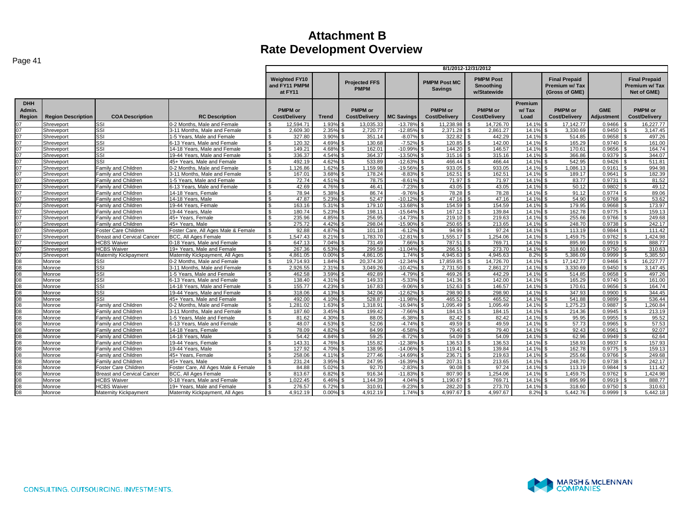| Page 41                                                             |                           |                                   |                                     |                                                  |              |                                        |                       |                                        | 8/1/2012-12/31/2012                                 |                          |                                                         |                          |                                                       |
|---------------------------------------------------------------------|---------------------------|-----------------------------------|-------------------------------------|--------------------------------------------------|--------------|----------------------------------------|-----------------------|----------------------------------------|-----------------------------------------------------|--------------------------|---------------------------------------------------------|--------------------------|-------------------------------------------------------|
|                                                                     |                           |                                   |                                     | <b>Weighted FY10</b><br>and FY11 PMPM<br>at FY11 |              | <b>Projected FFS</b><br><b>PMPM</b>    |                       | <b>PMPM Post MC</b><br><b>Savings</b>  | <b>PMPM Post</b><br><b>Smoothing</b><br>w/Statewide |                          | <b>Final Prepaid</b><br>Premium w/Tax<br>(Gross of GME) |                          | <b>Final Prepaid</b><br>Premium w/ Tax<br>Net of GME) |
| <b>DHH</b><br>Admin.<br>Region                                      | <b>Region Description</b> | <b>COA Description</b>            | <b>RC Description</b>               | <b>PMPM</b> or<br><b>Cost/Delivery</b>           | <b>Trend</b> | <b>PMPM</b> or<br><b>Cost/Delivery</b> | <b>MC Savings</b>     | <b>PMPM</b> or<br><b>Cost/Deliverv</b> | <b>PMPM</b> or<br><b>Cost/Delivery</b>              | Premium<br>w/Tax<br>Load | <b>PMPM</b> or<br><b>Cost/Delivery</b>                  | <b>GME</b><br>Adjustment | <b>PMPM</b> or<br><b>Cost/Delivery</b>                |
| 07                                                                  | Shreveport                | SSI                               | 0-2 Months, Male and Female         | 12.594.71                                        | 1.93%        | 13.035.33                              | $-13.789$             | 11.238.98                              | 14.726.70                                           | 14.19                    | 17.142.77                                               | 0.9466                   | 16,227.77                                             |
| $\overline{07}$                                                     | Shreveport                | SSI                               | 3-11 Months, Male and Female        | 2.609.30                                         | 2.35%        | 2.720.77                               | $-12.859$             | 2.371.28                               | 2.861.27                                            | 14.1%                    | 3.330.69                                                | 0.9450                   | 3.147.45                                              |
| $\frac{07}{07}$                                                     | Shreveport                | SSI                               | 1-5 Years, Male and Female          | 327.80                                           | 3.90%        | 351.14                                 | $-8.07%$              | 322.82                                 | 442.29                                              | 14.1%                    | 514.85                                                  | 0.9658                   | 497.26                                                |
|                                                                     | Shreveport                | SSI                               | 6-13 Years, Male and Female         | 120.32                                           | 4.69%        | 130.68                                 | $-7.52%$              | 120.85                                 | 142.00                                              | 14.1%                    | 165.29                                                  | 0.9740                   | 161.00                                                |
| $\overline{07}$                                                     | Shreveport                | SSI                               | 14-18 Years. Male and Female        | 149.21<br>-S                                     | 4.68%        | 162.01                                 | $-10.99%$             | 144.20                                 | 146.57                                              | 14.1%                    | 170.61                                                  | 0.9656                   | 164.74                                                |
| 07                                                                  | Shreveport                | SSI                               | 19-44 Years, Male and Female        | 336.37                                           | 4.54%        | 364.37                                 | $-13.50$ <sup>c</sup> | 315.16                                 | 315.16                                              | 14.1%                    | 366.86                                                  | 0.9379                   | 344.07<br>l \$                                        |
| 07                                                                  | Shreveport                | SSI                               | 45+ Years, Male and Female          | 492.19                                           | 4.62%        | 533.89                                 | $-12.63%$             | 466.44                                 | 466.44                                              | 14.1%                    | 542.95                                                  | 0.9426                   | 511.81                                                |
| $\frac{07}{07}$                                                     | Shreveport                | Family and Children               | 0-2 Months, Male and Female         | 1.126.86<br>\$                                   | 1.62%        | 1,159.98                               | $-19.569$             | 933.05                                 | 933.05                                              | 14.1%                    | 1,086.13                                                | 0.9161                   | 994.98                                                |
|                                                                     | Shreveport                | Family and Children               | 3-11 Months, Male and Female        | 167.01<br>\$                                     | 3.68%        | 178.24                                 | $-8.83%$              | 162.51                                 | 162.51                                              | 14.1%                    | 189.17                                                  | 0.9641                   | 182.39                                                |
| 07                                                                  | Shreveport                | Family and Children               | 1-5 Years, Male and Female          | 72.74<br>$\mathfrak{s}$                          | 4.51%        | 78.75                                  | $-8.61%$              | 71.97                                  | 71.97                                               | 14.1%                    | 83.77                                                   | 0.9731                   | 81.52                                                 |
| $\overline{07}$                                                     | Shreveport                | Family and Children               | 6-13 Years, Male and Female         | 42.69                                            | 4.76%        | 46.41                                  | $-7.23%$              | 43.05                                  | 43.05                                               | 14.19                    | 50.12                                                   | 0.9802                   | 49.12                                                 |
| 07                                                                  | Shreveport                | Family and Children               | 14-18 Years, Female                 | 78.94<br>ፍ                                       | 5.38%        | 86.74                                  | $-9.76%$              | 78.28                                  | 78.28                                               | 14.1%                    | 91.12                                                   | 0.9774                   | 89.06                                                 |
| $\frac{07}{07}$                                                     | Shreveport                | Family and Children               | 14-18 Years, Male                   | 47.87<br>ፍ                                       | 5.23%        | 52.47                                  | $-10.129$             | 47.16                                  | 47.16                                               | 14.1%                    | 54.90                                                   | 0.9768                   | 53.62                                                 |
|                                                                     | Shreveport                | Family and Children               | 19-44 Years, Female                 | 163.16                                           | 5.31%        | 179.10                                 | $-13.68%$             | 154.59                                 | 154.59                                              | 14.1%                    | 179.95                                                  | 0.9668                   | 173.97                                                |
| 07                                                                  | Shreveport                | Family and Children               | 19-44 Years, Male                   | 180.74                                           | 5.23%        | 198.11                                 | $-15.64%$             | 167.12                                 | 139.84                                              | 14.1%                    | 162.78                                                  | 0.9775                   | 159.13                                                |
| $\frac{07}{07}$                                                     | Shreveport                | Family and Children               | 45+ Years, Female                   | 235.96<br>\$                                     | 4.85%        | 256.95                                 | $-14.739$             | 219.10                                 | 219.63                                              | 14.1%                    | 255.66                                                  | 0.9766                   | 249.68                                                |
|                                                                     | Shreveport                | Family and Children               | 45+ Years, Male                     | 275.72<br>. ድ                                    | 4.42%        | 298.04                                 | $-15.90%$             | 250.65                                 | 213.65                                              | 14.1%                    | 248.70                                                  | 0.9738                   | 242.17                                                |
| 07                                                                  | Shreveport                | Foster Care Children              | Foster Care, All Ages Male & Female | 92.88<br>.ኖ                                      | 4.87%        | 101.18                                 | $-6.12%$              | 94.99                                  | 97.24                                               | 14.1%                    | 113.19                                                  | 0.9844                   | 111.42                                                |
| $\frac{07}{07}$                                                     | Shreveport                | <b>Breast and Cervical Cancer</b> | <b>BCC. All Ages Female</b>         | .547.43                                          | 8.21%        | 1.783.70                               | $-12.819$             | 1,555.17                               | 1.254.06                                            | 14.1%                    | 1.459.75                                                | 0.9762                   | 1.424.98                                              |
|                                                                     | Shreveport                | <b>HCBS Waiver</b>                | 0-18 Years. Male and Female         | 647.13                                           | 7.04%        | 731.49                                 | 7.66%                 | 787.51                                 | 769.71                                              | 14.1%                    | 895.99                                                  | 0.9919                   | 888.77                                                |
| $\frac{07}{07}$                                                     | Shreveport                | <b>HCBS Waiver</b>                | 19+ Years, Male and Female          | 267.36<br>ፍ                                      | 6.53%        | 299.58                                 | $-11.049$             | 266.51                                 | 273.70                                              | 14.1%                    | 318.60                                                  | 0.9750                   | 310.63                                                |
|                                                                     | Shreveport                | Maternity Kickpayment             | Maternity Kickpayment, All Ages     | 4.861.05<br>\$                                   | 0.00%        | 4.861.05                               | 1.74%                 | 4.945.63                               | 4.945.63                                            | 8.2%                     | 5.386.09<br>\$                                          | 0.9999                   | 5,385.50<br><b>A</b>                                  |
| $\frac{08}{08}$                                                     | Monroe                    | SSI                               | 0-2 Months, Male and Female         | 19.714.93                                        | 1.84%        | 20.374.30                              | $-12.349$             | 17.859.85                              | 14.726.70                                           | 14.1%                    | 17.142.77                                               | 0.9466                   | 16.227.77                                             |
|                                                                     | Monroe                    | SSI                               | 3-11 Months, Male and Female        | 2,926.55                                         | 2.31%        | 3,049.26                               | $-10.42%$             | 2,731.50                               | 2,861.27                                            | 14.1%                    | 3,330.69                                                | 0.9450                   | 3,147.45                                              |
|                                                                     | Monroe                    | SSI                               | 1-5 Years, Male and Female          | 462.58                                           | 3.59%        | 492.89                                 | $-4.79%$              | 469.26                                 | 442.29                                              | 14.1%                    | 514.85                                                  | 0.9658                   | 497.26                                                |
| $\begin{array}{c}\n 08 \\ \hline\n 08 \\ \hline\n 08\n \end{array}$ | Monroe                    | SSI                               | 3-13 Years. Male and Female         | 138.40                                           | 4.31%        | 149.33                                 | $-5.339$              | 141.36                                 | 142.00                                              | 14.1%                    | 165.29                                                  | 0.9740                   | 161.00                                                |
|                                                                     | Monroe                    | SSI                               | 14-18 Years, Male and Female        | 155.77                                           | 4.23%        | 167.83                                 | $-9.069$              | 152.63                                 | 146.57                                              | 14.1%                    | 170.61                                                  | 0.9656                   | 164.74                                                |
|                                                                     | Monroe                    | SSI                               | 19-44 Years, Male and Female        | 318.06                                           | 4.13%        | 342.06                                 | $-12.629$             | 298.90                                 | 298.90                                              | 14.1%                    | 347.93                                                  | 0.9900                   | 344.45                                                |
| 08                                                                  | Monroe                    | SSI                               | 45+ Years. Male and Female          | 492.00                                           | 4.10%        | 528.87                                 | $-11.989$             | 465.52                                 | 465.52                                              | 14.19                    | 541.88                                                  | 0.9899                   | 536.44                                                |
| $\frac{08}{08}$                                                     | Monroe                    | Family and Children               | 0-2 Months. Male and Female         | 1.281.02<br>\$                                   | 1.63%        | 1,318.91                               | $-16.94%$             | 1,095.49                               | 1,095.49                                            | 14.1%                    | 1,275.23                                                | 0.9887                   | 1,260.84<br>l \$                                      |
|                                                                     | Monroe                    | Family and Children               | 3-11 Months, Male and Female        | $\mathfrak{L}$<br>187.60                         | 3.45%        | 199.42                                 | $-7.66%$              | 184.15                                 | 184.15                                              | 14.1%                    | 214.36                                                  | 0.9945                   | 213.19                                                |
|                                                                     | Monroe                    | Family and Children               | 1-5 Years, Male and Female          | 81.62                                            | 4.30%        | 88.05                                  | $-6.38%$              | 82.42                                  | 82.42                                               | 14.1%                    | 95.95                                                   | 0.9955                   | 95.52                                                 |
|                                                                     | Monroe                    | Family and Children               | 6-13 Years, Male and Female         | 48.07                                            | 4.53%        | 52.06                                  | $-4.749$              | 49.59                                  | 49.59                                               | 14.1%                    | 57.73                                                   | 0.9965                   | 57.53                                                 |
|                                                                     | Monroe                    | Family and Children               | 14-18 Years, Female                 | 78.09<br>Я.                                      | 4.82%        | 84.99                                  | $-6.58%$              | 79.40                                  | 79.40                                               | 14.1%                    | 92.43                                                   | 0.9961                   | 92.07                                                 |
|                                                                     | Monroe                    | Family and Children               | 14-18 Years, Male                   | 54.42                                            | 4.84%        | 59.25                                  | $-8.72%$              | 54.09                                  | 54.09                                               | 14.1%                    | 62.96                                                   | 0.9949                   | 62.64                                                 |
|                                                                     | Monroe                    | Family and Children               | 19-44 Years, Female                 | 143.31                                           | 4.76%        | 155.82                                 | $-12.38%$             | 136.53                                 | 136.53                                              | 14.1%                    | 158.93                                                  | 0.9937                   | 157.93                                                |
|                                                                     | Monroe                    | Family and Children               | 19-44 Years, Male                   | 127.92                                           | 4.70%        | 138.95                                 | $-14.069$             | 119.41                                 | 139.84                                              | 14.1%                    | 162.78                                                  | 0.9775                   | 159.13                                                |
|                                                                     | Monroe                    | Family and Children               | 45+ Years, Female                   | 258.06<br>ፍ                                      | 4.11%        | 277.46                                 | $-14.69%$             | 236.71                                 | 219.63                                              | 14.1%                    | 255.66                                                  | 0.9766                   | 249.68                                                |
| <u>ଅଅଅଅଅଅଅଅଅ</u>                                                    | Monroe                    | Family and Children               | 45+ Years, Male                     | 231.24                                           | 3.95%        | 247.95                                 | $-16.399$             | 207.31                                 | 213.65                                              | 14.1%                    | 248.70                                                  | 0.9738                   | 242.17                                                |
|                                                                     | Monroe                    | Foster Care Children              | Foster Care, All Ages Male & Female | 84.88<br>-\$                                     | 5.02%        | 92.70                                  | $-2.83%$              | 90.08                                  | 97.24                                               | 14.19                    | 113.19                                                  | 0.9844                   | 111.42                                                |
|                                                                     | Monroe                    | <b>Breast and Cervical Cancer</b> | <b>BCC. All Ages Female</b>         | 813.67                                           | 6.82%        | 916.34                                 | $-11.839$             | 807.90                                 | 1.254.06                                            | 14.1%                    | 1,459.75                                                | 0.9762                   | 1,424.98                                              |
|                                                                     | Monroe                    | <b>HCBS Waiver</b>                | 0-18 Years, Male and Female         | 1.022.45<br>. ድ                                  | 6.46%        | 1.144.39                               | 4.04%                 | 1.190.67                               | 769.71                                              | 14.1%                    | 895.99                                                  | 0.9919                   | 888.77                                                |
| $\frac{80}{80}$                                                     | Monroe                    | <b>HCBS Waiver</b>                | 19+ Years. Male and Female          | 276.57                                           | 6.72%        | 310.91                                 | $-9.23%$              | 282.20                                 | 273.70                                              | 14.1%                    | 318.60                                                  | 0.9750                   | 310.63                                                |
|                                                                     | Monroe                    | Maternity Kickpayment             | Maternity Kickpayment, All Ages     | 4,912.19                                         | $0.00\%$ \$  | 4,912.19                               | 1.74%                 | 4,997.67                               | 4,997.67                                            | 8.2%                     | 5,442.76                                                | 0.9999                   | 5,442.18                                              |

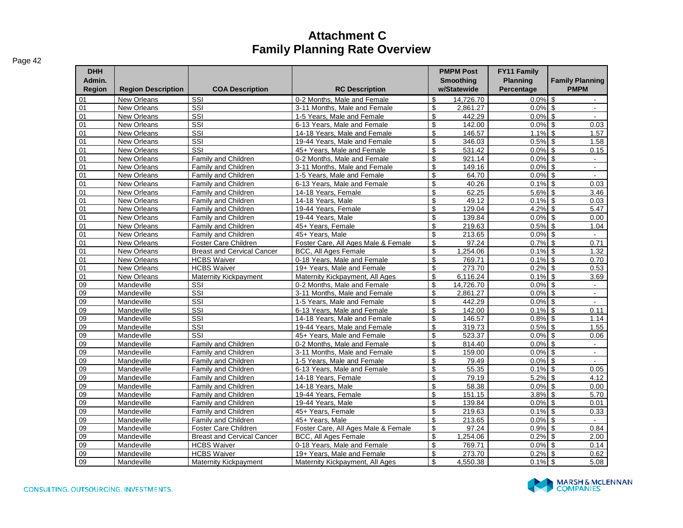| <b>DHH</b><br>Admin.<br><b>Region</b> | <b>Region Description</b> | <b>COA Description</b>            | <b>RC Description</b>               | <b>PMPM Post</b><br><b>Smoothing</b><br>w/Statewide | <b>FY11 Family</b><br><b>Planning</b><br>Percentage | <b>Family Planning</b><br><b>PMPM</b>     |
|---------------------------------------|---------------------------|-----------------------------------|-------------------------------------|-----------------------------------------------------|-----------------------------------------------------|-------------------------------------------|
| 01                                    | <b>New Orleans</b>        | SSI                               | 0-2 Months. Male and Female         | \$<br>14.726.70                                     | 0.0%                                                | <b>S</b><br>$\sim$                        |
| 01                                    | New Orleans               | SSI                               | 3-11 Months. Male and Female        | \$<br>2,861.27                                      | 0.0%                                                | \$<br>$\blacksquare$                      |
| 01                                    | New Orleans               | SSI                               | 1-5 Years, Male and Female          | \$<br>442.29                                        | 0.0%                                                | \$<br>$\mathbf{r}$                        |
| 01                                    | New Orleans               | SSI                               | 6-13 Years. Male and Female         | \$<br>142.00                                        | 0.0%                                                | \$<br>0.03                                |
| 01                                    | <b>New Orleans</b>        | SSI                               | 14-18 Years. Male and Female        | \$<br>146.57                                        | 1.1%                                                | \$<br>1.57                                |
| 01                                    | <b>New Orleans</b>        | SSI                               | 19-44 Years. Male and Female        | $\frac{1}{2}$<br>346.03                             | 0.5%                                                | \$<br>1.58                                |
| 01                                    | New Orleans               | SSI                               | 45+ Years, Male and Female          | \$<br>531.42                                        | 0.0%                                                | \$<br>0.15                                |
| 01                                    | New Orleans               | Family and Children               | 0-2 Months. Male and Female         | \$<br>921.14                                        | 0.0%                                                | $\mathbb S$<br>$\mathbf{r}$               |
| 01                                    | New Orleans               | Family and Children               | 3-11 Months, Male and Female        | \$<br>149.16                                        | 0.0%                                                | \$<br>$\blacksquare$                      |
| 01                                    | New Orleans               | Family and Children               | 1-5 Years, Male and Female          | \$<br>64.70                                         | 0.0%                                                | $\sqrt[6]{\frac{1}{2}}$<br>$\blacksquare$ |
| 01                                    | <b>New Orleans</b>        | <b>Family and Children</b>        | 6-13 Years. Male and Female         | $\frac{1}{2}$<br>40.26                              | 0.1%                                                | \$<br>0.03                                |
| 01                                    | <b>New Orleans</b>        | Family and Children               | 14-18 Years, Female                 | \$<br>62.25                                         | 5.6%                                                | \$<br>3.46                                |
| 01                                    | New Orleans               | Family and Children               | 14-18 Years, Male                   | \$<br>49.12                                         | 0.1%                                                | \$<br>0.03                                |
| 01                                    | <b>New Orleans</b>        | Family and Children               | 19-44 Years. Female                 | \$<br>129.04                                        | 4.2%                                                | \$<br>5.47                                |
| 01                                    | <b>New Orleans</b>        | Family and Children               | 19-44 Years, Male                   | $\frac{1}{2}$<br>139.84                             | 0.0%                                                | $\mathfrak s$<br>0.00                     |
| 01                                    | <b>New Orleans</b>        | Family and Children               | 45+ Years, Female                   | \$<br>219.63                                        | 0.5%                                                | \$<br>1.04                                |
| 01                                    | New Orleans               | Family and Children               | 45+ Years, Male                     | \$<br>213.65                                        | 0.0%                                                | \$<br>$\blacksquare$                      |
| $\overline{01}$                       | New Orleans               | Foster Care Children              | Foster Care, All Ages Male & Female | \$<br>97.24                                         | 0.7%                                                | \$<br>0.71                                |
| 01                                    | <b>New Orleans</b>        | <b>Breast and Cervical Cancer</b> | <b>BCC, All Ages Female</b>         | \$<br>1,254.06                                      | 0.1%                                                | $\sqrt[6]{\frac{1}{2}}$<br>1.32           |
| 01                                    | <b>New Orleans</b>        | <b>HCBS Waiver</b>                | 0-18 Years, Male and Female         | \$<br>769.71                                        | 0.1%                                                | \$<br>0.70                                |
| 01                                    | <b>New Orleans</b>        | <b>HCBS Waiver</b>                | 19+ Years. Male and Female          | \$<br>273.70                                        | 0.2%                                                | \$<br>0.53                                |
| 01                                    | New Orleans               | Maternity Kickpayment             | Maternity Kickpayment, All Ages     | \$<br>6,116.24                                      | 0.1%                                                | \$<br>3.69                                |
| 09                                    | Mandeville                | SSI                               | 0-2 Months. Male and Female         | \$<br>14.726.70                                     | 0.0%                                                | \$<br>$\omega$                            |
| 09                                    | Mandeville                | SSI                               | 3-11 Months, Male and Female        | \$<br>2,861.27                                      | 0.0%                                                | \$<br>$\mathbf{r}$                        |
| $\overline{09}$                       | Mandeville                | $\overline{\text{SSI}}$           | 1-5 Years, Male and Female          | $\overline{\mathcal{S}}$<br>442.29                  | 0.0%                                                | \$<br>$\blacksquare$                      |
| 09                                    | Mandeville                | $\overline{\text{SSI}}$           | 6-13 Years, Male and Female         | $\frac{1}{2}$<br>142.00                             | 0.1%                                                | \$<br>0.11                                |
| 09                                    | Mandeville                | $\overline{\text{SSI}}$           | 14-18 Years, Male and Female        | $\frac{1}{2}$<br>146.57                             | 0.8%                                                | \$<br>1.14                                |
| $\overline{09}$                       | Mandeville                | SSI                               | 19-44 Years, Male and Female        | $\overline{\mathbf{e}}$<br>319.73                   | 0.5%                                                | $\sqrt{3}$<br>1.55                        |
| 09                                    | Mandeville                | $\overline{\text{SSI}}$           | 45+ Years. Male and Female          | $\overline{\mathcal{S}}$<br>523.37                  | 0.0%                                                | \$<br>0.06                                |
| $\overline{09}$                       | Mandeville                | Family and Children               | 0-2 Months, Male and Female         | \$<br>814.40                                        | 0.0%                                                | \$<br>$\sim$                              |
| 09                                    | Mandeville                | Family and Children               | 3-11 Months, Male and Female        | \$<br>159.00                                        | 0.0%                                                | \$<br>$\sim$                              |
| 09                                    | Mandeville                | Family and Children               | 1-5 Years, Male and Female          | \$<br>79.49                                         | 0.0%                                                | \$<br>$\mathbf{r}$                        |
| 09                                    | Mandeville                | <b>Family and Children</b>        | 6-13 Years, Male and Female         | \$<br>55.35                                         | 0.1%                                                | \$<br>0.05                                |
| 09                                    | Mandeville                | Family and Children               | 14-18 Years, Female                 | $\overline{\mathcal{S}}$<br>79.19                   | 5.2%                                                | \$<br>4.12                                |
| $\overline{09}$                       | Mandeville                | Family and Children               | 14-18 Years, Male                   | $\overline{\mathcal{S}}$<br>58.38                   | 0.0%                                                | $\mathsf{\$}$<br>0.00                     |
| 09                                    | Mandeville                | <b>Family and Children</b>        | 19-44 Years, Female                 | \$<br>151.15                                        | 3.8%                                                | \$<br>5.70                                |
| 09                                    | Mandeville                | Family and Children               | 19-44 Years, Male                   | \$<br>139.84                                        | 0.0%                                                | $$\mathbb{S}$$<br>0.01                    |
| 09                                    | Mandeville                | Family and Children               | 45+ Years. Female                   | \$<br>219.63                                        | 0.1%                                                | \$<br>0.33                                |
| 09                                    | Mandeville                | Family and Children               | 45+ Years, Male                     | \$<br>213.65                                        | 0.0%                                                | \$<br>$\sim$                              |
| 09                                    | Mandeville                | Foster Care Children              | Foster Care, All Ages Male & Female | \$<br>97.24                                         | 0.9%                                                | \$<br>0.84                                |
| 09                                    | Mandeville                | <b>Breast and Cervical Cancer</b> | <b>BCC, All Ages Female</b>         | \$<br>1,254.06                                      | 0.2%                                                | \$<br>2.00                                |
| 09                                    | Mandeville                | <b>HCBS Waiver</b>                | 0-18 Years, Male and Female         | $\frac{1}{2}$<br>769.71                             | 0.0%                                                | \$<br>0.14                                |
| $\overline{09}$                       | Mandeville                | <b>HCBS Waiver</b>                | 19+ Years, Male and Female          | \$<br>273.70                                        | 0.2%                                                | \$<br>0.62                                |
| 09                                    | Mandeville                | Maternity Kickpayment             | Maternity Kickpayment, All Ages     | \$<br>4,550.38                                      | 0.1%                                                | $\sqrt[6]{\frac{1}{2}}$<br>5.08           |

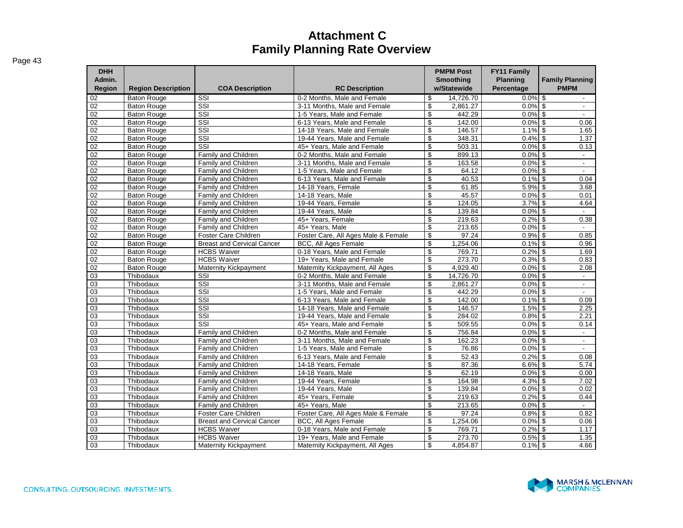| <b>DHH</b><br>Admin.<br><b>Region</b> | <b>Region Description</b> | <b>COA Description</b>            | <b>RC Description</b>               | <b>PMPM Post</b><br><b>Smoothing</b><br>w/Statewide | <b>FY11 Family</b><br><b>Planning</b><br>Percentage | <b>Family Planning</b><br><b>PMPM</b> |
|---------------------------------------|---------------------------|-----------------------------------|-------------------------------------|-----------------------------------------------------|-----------------------------------------------------|---------------------------------------|
| 02                                    | <b>Baton Rouge</b>        | SSI                               | 0-2 Months, Male and Female         | 14,726.70<br>\$                                     | $0.0\%$ \$                                          | $\sim$                                |
| 02                                    | <b>Baton Rouge</b>        | SSI                               | 3-11 Months. Male and Female        | \$<br>2,861.27                                      | $0.0\%$ \$                                          | $\blacksquare$                        |
| 02                                    | <b>Baton Rouge</b>        | SSI                               | 1-5 Years. Male and Female          | \$<br>442.29                                        | $0.0\%$ \$                                          | $\blacksquare$                        |
| 02                                    | <b>Baton Rouge</b>        | $\overline{\text{SSI}}$           | 6-13 Years, Male and Female         | \$<br>142.00                                        | $0.0\sqrt{8}$ \$                                    | 0.06                                  |
| 02                                    | <b>Baton Rouge</b>        | SSI                               | 14-18 Years. Male and Female        | \$<br>146.57                                        | $1.1\%$ \$                                          | 1.65                                  |
| $\overline{02}$                       | <b>Baton Rouge</b>        | $\overline{\text{SSI}}$           | 19-44 Years, Male and Female        | $\overline{\mathcal{E}}$<br>348.31                  | $0.4\%$ \$                                          | 1.37                                  |
| 02                                    | <b>Baton Rouge</b>        | SSI                               | 45+ Years. Male and Female          | \$<br>503.31                                        | $0.0\%$ \$                                          | 0.13                                  |
| 02                                    | <b>Baton Rouge</b>        | Family and Children               | 0-2 Months, Male and Female         | \$<br>899.13                                        | $0.0\%$ \$                                          | $\blacksquare$                        |
| 02                                    | <b>Baton Rouge</b>        | Family and Children               | 3-11 Months, Male and Female        | \$<br>163.58                                        | $0.0\%$ \$                                          | $\blacksquare$                        |
| 02                                    | <b>Baton Rouge</b>        | Family and Children               | 1-5 Years, Male and Female          | \$<br>64.12                                         | $0.0\%$ \$                                          | $\blacksquare$                        |
| $\overline{02}$                       | <b>Baton Rouge</b>        | Family and Children               | 6-13 Years, Male and Female         | \$<br>40.53                                         | $0.1\%$ \$                                          | 0.04                                  |
| 02                                    | <b>Baton Rouge</b>        | Family and Children               | 14-18 Years, Female                 | \$<br>61.85                                         | $5.9\%$ \$                                          | 3.68                                  |
| 02                                    | <b>Baton Rouge</b>        | Family and Children               | 14-18 Years, Male                   | \$<br>45.57                                         | $0.0\%$ \$                                          | 0.01                                  |
| 02                                    | <b>Baton Rouge</b>        | Family and Children               | 19-44 Years, Female                 | \$<br>124.05                                        | $3.7\%$ \$                                          | 4.64                                  |
| 02                                    | <b>Baton Rouge</b>        | Family and Children               | 19-44 Years, Male                   | \$<br>139.84                                        | $0.0\%$ \$                                          | $\mathcal{L}_{\mathcal{A}}$           |
| 02                                    | <b>Baton Rouge</b>        | Family and Children               | 45+ Years, Female                   | $\overline{\mathcal{S}}$<br>219.63                  | $0.2\%$ \$                                          | 0.38                                  |
| 02                                    | <b>Baton Rouge</b>        | Family and Children               | 45+ Years, Male                     | \$<br>213.65                                        | $0.0\%$ \$                                          | $\overline{\phantom{a}}$              |
| 02                                    | <b>Baton Rouge</b>        | <b>Foster Care Children</b>       | Foster Care, All Ages Male & Female | \$<br>97.24                                         | $0.9\%$ \$                                          | 0.85                                  |
| 02                                    | <b>Baton Rouge</b>        | <b>Breast and Cervical Cancer</b> | <b>BCC, All Ages Female</b>         | \$<br>1,254.06                                      | $0.1\%$ \$                                          | 0.96                                  |
| $\overline{02}$                       | <b>Baton Rouge</b>        | <b>HCBS Waiver</b>                | 0-18 Years, Male and Female         | \$<br>769.71                                        | $0.2\%$ \$                                          | 1.69                                  |
| 02                                    | <b>Baton Rouge</b>        | <b>HCBS Waiver</b>                | 19+ Years, Male and Female          | $\overline{\mathcal{S}}$<br>273.70                  | $0.3\%$ \$                                          | 0.83                                  |
| 02                                    | <b>Baton Rouge</b>        | Maternity Kickpayment             | Maternity Kickpayment, All Ages     | \$<br>4,929.40                                      | $0.0\%$ \$                                          | 2.08                                  |
| 03                                    | Thibodaux                 | SSI                               | 0-2 Months, Male and Female         | \$<br>14,726.70                                     | $0.0\%$ \$                                          | $\sim$                                |
| 03                                    | Thibodaux                 | $\overline{\text{SSI}}$           | 3-11 Months. Male and Female        | \$<br>2.861.27                                      | $0.0\%$ \$                                          | $\mathbb{Z}^{\mathbb{Z}}$             |
| 03                                    | Thibodaux                 | $\overline{\text{SSI}}$           | 1-5 Years, Male and Female          | \$<br>442.29                                        | $0.0\%$ \$                                          | $\sim$                                |
| 03                                    | Thibodaux                 | SSI                               | 6-13 Years, Male and Female         | \$<br>142.00                                        | $0.1\%$ \$                                          | 0.09                                  |
| 03                                    | Thibodaux                 | SSI                               | 14-18 Years. Male and Female        | \$<br>146.57                                        | $1.5\%$ \$                                          | 2.25                                  |
| 03                                    | Thibodaux                 | SSI                               | 19-44 Years. Male and Female        | \$<br>284.02                                        | $0.8\%$ \$                                          | 2.21                                  |
| $\overline{03}$                       | Thibodaux                 | SSI                               | 45+ Years. Male and Female          | \$<br>509.55                                        | $0.0\%$ \$                                          | 0.14                                  |
| $\overline{03}$                       | Thibodaux                 | Family and Children               | 0-2 Months, Male and Female         | \$<br>756.84                                        | $0.0\%$ \$                                          | $\mathbf{r}$                          |
| $\overline{03}$                       | Thibodaux                 | Family and Children               | 3-11 Months, Male and Female        | \$<br>162.23                                        | $0.0\%$ \$                                          | $\blacksquare$                        |
| 03                                    | Thibodaux                 | Family and Children               | 1-5 Years, Male and Female          | \$<br>76.86                                         | $0.0\%$ \$                                          | $\sim$                                |
| 03                                    | Thibodaux                 | Family and Children               | 6-13 Years. Male and Female         | \$<br>52.43                                         | $0.2\%$ \$                                          | 0.08                                  |
| 03                                    | Thibodaux                 | Family and Children               | 14-18 Years, Female                 | \$<br>87.36                                         | $6.6\%$ \$                                          | 5.74                                  |
| 03                                    | Thibodaux                 | Family and Children               | 14-18 Years, Male                   | \$<br>62.19                                         | $0.0\%$ \$                                          | 0.00                                  |
| 03                                    | Thibodaux                 | Family and Children               | 19-44 Years, Female                 | \$<br>164.98                                        | $4.3\%$ \$                                          | 7.02                                  |
| 03                                    | Thibodaux                 | Family and Children               | 19-44 Years, Male                   | \$<br>139.84                                        | $0.0\%$ \$                                          | 0.02                                  |
| 03                                    | Thibodaux                 | Family and Children               | 45+ Years, Female                   | \$<br>219.63                                        | $0.2%$ \$                                           | 0.44                                  |
| $\overline{03}$                       | Thibodaux                 | Family and Children               | 45+ Years, Male                     | \$<br>213.65                                        | $0.0\%$ \$                                          | $\mathbf{r}$                          |
| 03                                    | Thibodaux                 | Foster Care Children              | Foster Care, All Ages Male & Female | \$<br>97.24                                         | $0.8\%$ \$                                          | 0.82                                  |
| 03                                    | Thibodaux                 | <b>Breast and Cervical Cancer</b> | <b>BCC, All Ages Female</b>         | \$<br>1,254.06                                      | $0.0\%$ \$                                          | 0.06                                  |
| 03                                    | Thibodaux                 | <b>HCBS Waiver</b>                | 0-18 Years, Male and Female         | \$<br>769.71                                        | $0.2\%$ \$                                          | 1.17                                  |
| 03                                    | Thibodaux                 | <b>HCBS Waiver</b>                | 19+ Years. Male and Female          | \$<br>273.70                                        | $0.5\%$ \$                                          | 1.35                                  |
| 03                                    | Thibodaux                 | <b>Maternity Kickpayment</b>      | Maternity Kickpayment, All Ages     | \$<br>4.854.87                                      | $0.1\%$ \$                                          | 4.66                                  |

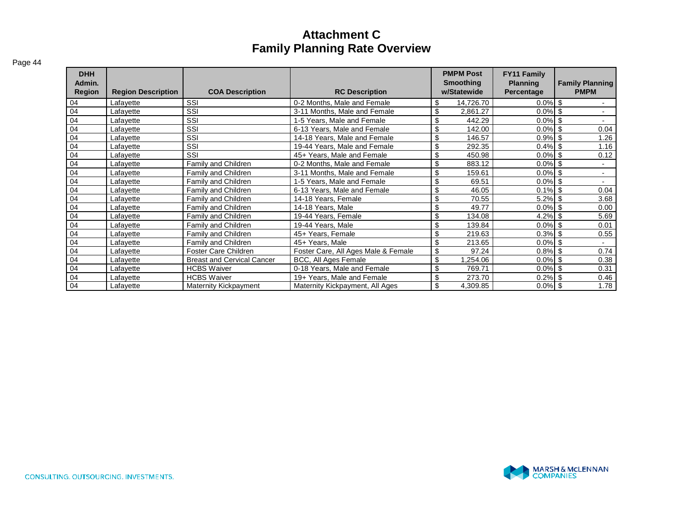| <b>DHH</b><br>Admin.<br><b>Region</b> | <b>Region Description</b> | <b>COA Description</b>            | <b>RC Description</b>               | <b>PMPM Post</b><br><b>Smoothing</b><br>w/Statewide | <b>FY11 Family</b><br><b>Planning</b><br>Percentage | <b>Family Planning</b><br><b>PMPM</b> |
|---------------------------------------|---------------------------|-----------------------------------|-------------------------------------|-----------------------------------------------------|-----------------------------------------------------|---------------------------------------|
| 04                                    | Lafayette                 | SSI                               | 0-2 Months, Male and Female         | \$<br>14,726.70                                     | $0.0\%$   \$                                        |                                       |
| 04                                    | Lafayette                 | SSI                               | 3-11 Months, Male and Female        | \$<br>2,861.27                                      | $0.0\%$ \$                                          |                                       |
| 04                                    | Lafayette                 | SSI                               | 1-5 Years, Male and Female          | \$<br>442.29                                        | $0.0\%$ \$                                          | $\blacksquare$                        |
| 04                                    | Lafayette                 | SSI                               | 6-13 Years, Male and Female         | \$<br>142.00                                        | $0.0\%$ \$                                          | 0.04                                  |
| 04                                    | Lafayette                 | SSI                               | 14-18 Years, Male and Female        | \$<br>146.57                                        | $0.9\%$ \$                                          | 1.26                                  |
| 04                                    | Lafayette                 | SSI                               | 19-44 Years, Male and Female        | \$<br>292.35                                        | 0.4%                                                | 1.16                                  |
| 04                                    | Lafayette                 | SSI                               | 45+ Years, Male and Female          | \$<br>450.98                                        | $0.0\%$ \$                                          | 0.12                                  |
| 04                                    | Lafayette                 | Family and Children               | 0-2 Months, Male and Female         | \$<br>883.12                                        | $0.0\%$ \$                                          |                                       |
| 04                                    | Lafayette                 | Family and Children               | 3-11 Months, Male and Female        | \$<br>159.61                                        | $0.0\%$ \$                                          |                                       |
| 04                                    | Lafayette                 | Family and Children               | 1-5 Years, Male and Female          | \$<br>69.51                                         | $0.0\%$ \$                                          |                                       |
| 04                                    | Lafayette                 | Family and Children               | 6-13 Years, Male and Female         | \$<br>46.05                                         | $0.1\%$ \$                                          | 0.04                                  |
| 04                                    | Lafayette                 | Family and Children               | 14-18 Years, Female                 | \$<br>70.55                                         | $5.2\%$ \$                                          | 3.68                                  |
| 04                                    | Lafayette                 | Family and Children               | 14-18 Years, Male                   | \$<br>49.77                                         | $0.0\%$ \$                                          | 0.00                                  |
| 04                                    | Lafayette                 | Family and Children               | 19-44 Years, Female                 | \$<br>134.08                                        | $4.2\%$ \$                                          | 5.69                                  |
| 04                                    | Lafayette                 | Family and Children               | 19-44 Years, Male                   | \$<br>139.84                                        | $0.0\%$ \$                                          | 0.01                                  |
| 04                                    | Lafayette                 | Family and Children               | 45+ Years, Female                   | \$<br>219.63                                        | $0.3\%$ \$                                          | 0.55                                  |
| 04                                    | Lafayette                 | Family and Children               | 45+ Years, Male                     | \$<br>213.65                                        | $0.0\%$ \$                                          |                                       |
| 04                                    | Lafayette                 | Foster Care Children              | Foster Care, All Ages Male & Female | \$<br>97.24                                         | $0.8\%$ \$                                          | 0.74                                  |
| 04                                    | Lafayette                 | <b>Breast and Cervical Cancer</b> | BCC, All Ages Female                | \$<br>.254.06                                       | $0.0\%$ \$                                          | 0.38                                  |
| 04                                    | Lafayette                 | <b>HCBS Waiver</b>                | 0-18 Years, Male and Female         | \$<br>769.71                                        | $0.0\%$ \$                                          | 0.31                                  |
| 04                                    | Lafayette                 | <b>HCBS Waiver</b>                | 19+ Years, Male and Female          | \$<br>273.70                                        | $0.2\%$ \$                                          | 0.46                                  |
| 04                                    | Lafayette                 | <b>Maternity Kickpayment</b>      | Maternity Kickpayment, All Ages     | \$<br>4,309.85                                      | $0.0\%$ \$                                          | 1.78                                  |

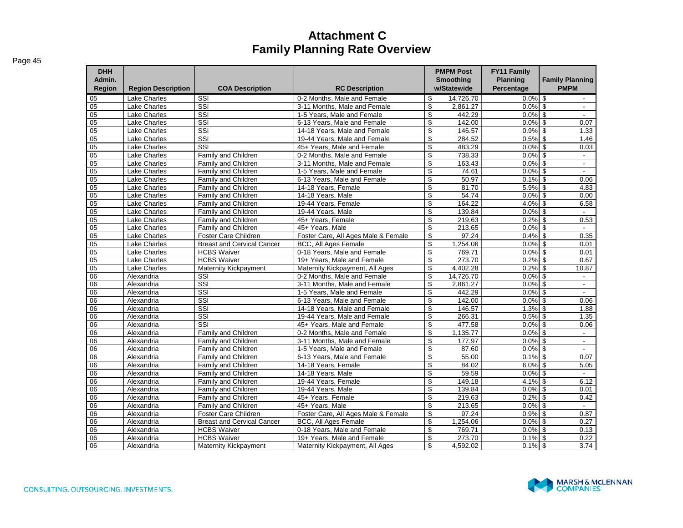| <b>DHH</b><br>Admin.<br>Region | <b>Region Description</b> | <b>COA Description</b>            | <b>RC Description</b>               | <b>PMPM Post</b><br><b>Smoothing</b><br>w/Statewide | FY11 Family<br><b>Planning</b><br>Percentage | <b>Family Planning</b><br><b>PMPM</b> |
|--------------------------------|---------------------------|-----------------------------------|-------------------------------------|-----------------------------------------------------|----------------------------------------------|---------------------------------------|
| 05                             | <b>Lake Charles</b>       | SSI                               | 0-2 Months, Male and Female         | 14,726.70<br>\$                                     | $0.0\%$ \$                                   |                                       |
| 05                             | <b>Lake Charles</b>       | $\overline{\text{SSI}}$           | 3-11 Months, Male and Female        | \$<br>2.861.27                                      | 0.0%                                         | \$                                    |
| 05                             | <b>Lake Charles</b>       | SSI                               | 1-5 Years, Male and Female          | \$<br>442.29                                        | $0.0\%$ \$                                   |                                       |
| 05                             | <b>Lake Charles</b>       | SSI                               | 6-13 Years, Male and Female         | \$<br>142.00                                        | $0.0\%$ \$                                   | 0.07                                  |
| 05                             | <b>Lake Charles</b>       | $\overline{\text{ss}}$            | 14-18 Years, Male and Female        | \$<br>146.57                                        | $0.9\%$ \$                                   | 1.33                                  |
| 05                             | <b>Lake Charles</b>       | $\overline{\text{ss}}$            | 19-44 Years, Male and Female        | \$<br>284.52                                        | $0.5\%$ \$                                   | 1.46                                  |
| 05                             | <b>Lake Charles</b>       | SSI                               | 45+ Years, Male and Female          | $\overline{\mathbb{S}}$<br>483.29                   | 0.0%                                         | $\overline{\mathbf{s}}$<br>0.03       |
| 05                             | <b>Lake Charles</b>       | Family and Children               | 0-2 Months, Male and Female         | \$<br>738.33                                        | 0.0%                                         | \$<br>$\sim$                          |
| 05                             | <b>Lake Charles</b>       | <b>Family and Children</b>        | 3-11 Months, Male and Female        | \$<br>163.43                                        | 0.0%                                         | $\mathbf{s}$<br>$\mathbf{r}$          |
| $\overline{05}$                | <b>Lake Charles</b>       | Family and Children               | 1-5 Years, Male and Female          | \$<br>74.61                                         | $0.0\%$ \$                                   | $\mathbf{r}$                          |
| 05                             | <b>Lake Charles</b>       | <b>Family and Children</b>        | 6-13 Years, Male and Female         | \$<br>50.97                                         | $0.1\%$ \$                                   | 0.06                                  |
| $\overline{05}$                | <b>Lake Charles</b>       | <b>Family and Children</b>        | 14-18 Years, Female                 | \$<br>81.70                                         | $5.9\%$ \$                                   | 4.83                                  |
| 05                             | <b>Lake Charles</b>       | Family and Children               | 14-18 Years, Male                   | \$<br>54.74                                         | 0.0%                                         | $\overline{s}$<br>0.00                |
| 05                             | <b>Lake Charles</b>       | Family and Children               | 19-44 Years, Female                 | \$<br>164.22                                        | 4.0%                                         | \$<br>6.58                            |
| 05                             | <b>Lake Charles</b>       | Family and Children               | 19-44 Years, Male                   | \$<br>139.84                                        | 0.0%                                         | \$                                    |
| 05                             | <b>Lake Charles</b>       | Family and Children               | 45+ Years, Female                   | \$<br>219.63                                        | 0.2%                                         | \$<br>0.53                            |
| 05                             | <b>Lake Charles</b>       | Family and Children               | 45+ Years, Male                     | $\overline{\mathcal{S}}$<br>213.65                  | $0.0\%$ \$                                   | $\overline{\phantom{a}}$              |
| 05                             | <b>Lake Charles</b>       | Foster Care Children              | Foster Care, All Ages Male & Female | \$<br>97.24                                         | $0.4\%$ \$                                   | 0.35                                  |
| 05                             | <b>Lake Charles</b>       | <b>Breast and Cervical Cancer</b> | <b>BCC, All Ages Female</b>         | \$<br>1,254.06                                      | $0.0\%$ \$                                   | 0.01                                  |
| $\overline{05}$                | <b>Lake Charles</b>       | <b>HCBS</b> Waiver                | 0-18 Years. Male and Female         | \$<br>769.71                                        | 0.0%                                         | \$<br>0.01                            |
| 05                             | <b>Lake Charles</b>       | <b>HCBS Waiver</b>                | 19+ Years, Male and Female          | \$<br>273.70                                        | 0.2%                                         | \$<br>0.67                            |
| 05                             | <b>Lake Charles</b>       | Maternity Kickpayment             | Maternity Kickpayment, All Ages     | \$<br>4,402.28                                      | 0.2%                                         | \$<br>10.87                           |
| $\overline{06}$                | Alexandria                | SSI                               | 0-2 Months, Male and Female         | \$<br>14,726.70                                     | $0.0\%$ \$                                   | $\blacksquare$                        |
| $\overline{06}$                | Alexandria                | $\overline{\text{ss}}$            | 3-11 Months, Male and Female        | \$<br>2,861.27                                      | $0.0\%$ \$                                   | $\blacksquare$                        |
| 06                             | Alexandria                | SSI                               | 1-5 Years, Male and Female          | \$<br>442.29                                        | 0.0%                                         | \$<br>$\blacksquare$                  |
| 06                             | Alexandria                | SSI                               | 6-13 Years, Male and Female         | \$<br>142.00                                        | $0.0\%$ \$                                   | 0.06                                  |
| 06                             | Alexandria                | $\overline{\text{ss}}$            | 14-18 Years, Male and Female        | \$<br>146.57                                        | $1.3\%$ \$                                   | 1.88                                  |
| 06                             | Alexandria                | $\overline{\text{ss}}$            | 19-44 Years, Male and Female        | \$<br>266.31                                        | $0.5\%$ \$                                   | 1.35                                  |
| 06                             | Alexandria                | SSI                               | 45+ Years, Male and Female          | \$<br>477.58                                        | $0.0\%$ \$                                   | 0.06                                  |
| 06                             | Alexandria                | <b>Family and Children</b>        | 0-2 Months, Male and Female         | \$<br>1,135.77                                      | $0.0\%$ \$                                   | $\sim$                                |
| $\overline{06}$                | Alexandria                | Family and Children               | 3-11 Months, Male and Female        | \$<br>177.97                                        | 0.0%                                         | \$<br>$\omega$                        |
| 06                             | Alexandria                | Family and Children               | 1-5 Years, Male and Female          | \$<br>87.60                                         | 0.0%                                         | \$<br>$\sim$                          |
| 06                             | Alexandria                | <b>Family and Children</b>        | 6-13 Years. Male and Female         | \$<br>55.00                                         | 0.1%                                         | \$<br>0.07                            |
| 06                             | Alexandria                | <b>Family and Children</b>        | 14-18 Years, Female                 | \$<br>84.02                                         | $6.0\%$ \$                                   | 5.05                                  |
| 06                             | Alexandria                | <b>Family and Children</b>        | 14-18 Years, Male                   | \$<br>59.59                                         | $0.0\%$ \$                                   | $\mathbf{r}$                          |
| 06                             | Alexandria                | <b>Family and Children</b>        | 19-44 Years, Female                 | \$<br>149.18                                        | $4.1\%$ \$                                   | 6.12                                  |
| 06                             | Alexandria                | Family and Children               | 19-44 Years, Male                   | \$<br>139.84                                        | $0.0\%$ \$                                   | 0.01                                  |
| 06                             | Alexandria                | Family and Children               | 45+ Years, Female                   | \$<br>219.63                                        | 0.2%                                         | \$<br>0.42                            |
| 06                             | Alexandria                | Family and Children               | 45+ Years, Male                     | \$<br>213.65                                        | $0.0\%$ \$                                   | $\overline{\phantom{a}}$              |
| 06                             | Alexandria                | Foster Care Children              | Foster Care, All Ages Male & Female | \$<br>97.24                                         | $0.9\%$ \$                                   | 0.87                                  |
| 06                             | Alexandria                | <b>Breast and Cervical Cancer</b> | BCC, All Ages Female                | \$<br>1,254.06                                      | $0.0\%$ \$                                   | 0.27                                  |
| 06                             | Alexandria                | <b>HCBS Waiver</b>                | 0-18 Years. Male and Female         | \$<br>769.71                                        | $0.0\%$ \$                                   | 0.13                                  |
| 06                             | Alexandria                | <b>HCBS Waiver</b>                | 19+ Years, Male and Female          | \$<br>273.70                                        | $0.1\%$ \$                                   | 0.22                                  |
| 06                             | Alexandria                | <b>Maternity Kickpayment</b>      | Maternity Kickpayment, All Ages     | \$<br>4,592.02                                      | $0.1\%$ \$                                   | 3.74                                  |

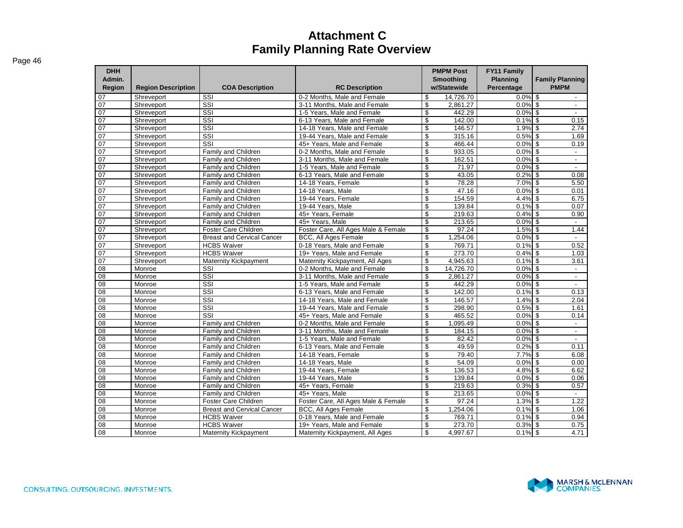| <b>DHH</b><br>Admin. |                           |                                   |                                     | <b>PMPM Post</b><br><b>Smoothing</b> | FY11 Family<br><b>Planning</b> | <b>Family Planning</b>                                |
|----------------------|---------------------------|-----------------------------------|-------------------------------------|--------------------------------------|--------------------------------|-------------------------------------------------------|
| <b>Region</b>        | <b>Region Description</b> | <b>COA Description</b>            | <b>RC Description</b>               | w/Statewide                          | Percentage                     | <b>PMPM</b>                                           |
| 07                   | Shreveport                | SSI                               | 0-2 Months, Male and Female         | \$<br>14,726.70                      | $0.0\%$ \$                     |                                                       |
| 07                   | Shreveport                | SSI                               | 3-11 Months, Male and Female        | \$<br>2.861.27                       | 0.0%                           | \$<br>$\overline{\phantom{a}}$                        |
| 07                   | Shreveport                | SSI                               | 1-5 Years, Male and Female          | \$<br>442.29                         | $0.0\%$ \$                     | $\overline{\phantom{a}}$                              |
| 07                   | Shreveport                | SSI                               | 6-13 Years. Male and Female         | \$<br>142.00                         | $0.1\%$ \$                     | 0.15                                                  |
| 07                   | Shreveport                | SSI                               | 14-18 Years, Male and Female        | \$<br>146.57                         | $1.9\%$ \$                     | 2.74                                                  |
| 07                   | Shreveport                | SSI                               | 19-44 Years, Male and Female        | \$<br>315.16                         | 0.5%                           | \$<br>1.69                                            |
| 07                   | Shreveport                | SSI                               | 45+ Years. Male and Female          | \$<br>466.44                         | 0.0%                           | \$<br>0.19                                            |
| 07                   | Shreveport                | Family and Children               | 0-2 Months. Male and Female         | \$<br>933.05                         | 0.0%                           | $\mathfrak{S}$<br>$\sim$                              |
| 07                   | Shreveport                | <b>Family and Children</b>        | 3-11 Months, Male and Female        | \$<br>162.51                         | $0.0\%$ \$                     | $\mathbf{r}$                                          |
| 07                   | Shreveport                | Family and Children               | 1-5 Years. Male and Female          | \$<br>71.97                          | 0.0%                           | $\mathfrak{S}$                                        |
| 07                   | Shreveport                | <b>Family and Children</b>        | 6-13 Years. Male and Female         | \$<br>43.05                          | 0.2%                           | \$<br>0.08                                            |
| 07                   | Shreveport                | Family and Children               | 14-18 Years, Female                 | \$<br>78.28                          | 7.0%                           | \$<br>5.50                                            |
| 07                   | Shreveport                | Family and Children               | 14-18 Years, Male                   | \$<br>47.16                          | 0.0%                           | $\boldsymbol{\mathsf{s}}$<br>0.01                     |
| 07                   | Shreveport                | Family and Children               | 19-44 Years, Female                 | \$<br>154.59                         | $4.4\%$ \$                     | 6.75                                                  |
| 07                   | Shreveport                | Family and Children               | 19-44 Years, Male                   | \$<br>139.84                         | 0.1%                           | $\mathfrak{s}$<br>0.07                                |
| 07                   | Shreveport                | Family and Children               | 45+ Years, Female                   | \$<br>219.63                         | $0.4\%$ \$                     | 0.90                                                  |
| 07                   | Shreveport                | Family and Children               | 45+ Years, Male                     | \$<br>213.65                         | 0.0%                           | \$<br>$\sim$                                          |
| 07                   | Shreveport                | <b>Foster Care Children</b>       | Foster Care, All Ages Male & Female | \$<br>97.24                          | 1.5%                           | \$<br>1.44                                            |
| 07                   | Shreveport                | <b>Breast and Cervical Cancer</b> | <b>BCC, All Ages Female</b>         | \$<br>1,254.06                       | 0.0%                           | $\overline{\mathbf{s}}$<br>$\mathbb{Z}^2$             |
| 07                   | Shreveport                | <b>HCBS Waiver</b>                | 0-18 Years. Male and Female         | \$<br>769.71                         | $0.1\%$ \$                     | 0.52                                                  |
| 07                   | Shreveport                | <b>HCBS Waiver</b>                | 19+ Years. Male and Female          | \$<br>273.70                         | 0.4%                           | \$<br>1.03                                            |
| 07                   | Shreveport                | Maternity Kickpayment             | Maternity Kickpayment, All Ages     | \$<br>4.945.63                       | 0.1%                           | \$<br>3.61                                            |
| 08                   | Monroe                    | SSI                               | 0-2 Months, Male and Female         | \$<br>14,726.70                      | 0.0%                           | $\boldsymbol{\mathsf{s}}$<br>$\overline{\phantom{a}}$ |
| $\overline{08}$      | Monroe                    | SSI                               | 3-11 Months, Male and Female        | \$<br>2,861.27                       | $0.0\%$ \$                     | $\blacksquare$                                        |
| 08                   | Monroe                    | $\overline{\text{SSI}}$           | 1-5 Years. Male and Female          | \$<br>442.29                         | $0.0\%$ \$                     | $\overline{\phantom{a}}$                              |
| $\overline{08}$      | Monroe                    | SSI                               | 6-13 Years, Male and Female         | \$<br>142.00                         | $0.1\%$ \$                     | 0.13                                                  |
| 08                   | Monroe                    | SSI                               | 14-18 Years. Male and Female        | \$<br>146.57                         | $1.4\%$ \$                     | 2.04                                                  |
| 08                   | Monroe                    | SSI                               | 19-44 Years, Male and Female        | \$<br>298.90                         | 0.5%                           | \$<br>1.61                                            |
| 08                   | Monroe                    | SSI                               | 45+ Years. Male and Female          | \$<br>465.52                         | 0.0%                           | \$<br>0.14                                            |
| $\overline{08}$      | Monroe                    | Family and Children               | 0-2 Months, Male and Female         | \$<br>1,095.49                       | 0.0%                           | \$<br>$\blacksquare$                                  |
| 08                   | Monroe                    | Family and Children               | 3-11 Months. Male and Female        | \$<br>184.15                         | 0.0%                           | \$<br>$\blacksquare$                                  |
| 08                   | Monroe                    | Family and Children               | 1-5 Years. Male and Female          | \$<br>82.42                          | $0.0\%$ \$                     | $\mathbf{r}$                                          |
| 08                   | Monroe                    | Family and Children               | 6-13 Years. Male and Female         | \$<br>49.59                          | 0.2%                           | \$<br>0.11                                            |
| $\overline{08}$      | Monroe                    | <b>Family and Children</b>        | 14-18 Years, Female                 | \$<br>79.40                          | 7.7%                           | \$<br>6.08                                            |
| $\overline{08}$      | Monroe                    | Family and Children               | 14-18 Years, Male                   | \$<br>54.09                          | 0.0%                           | \$<br>0.00                                            |
| 08                   | Monroe                    | Family and Children               | 19-44 Years, Female                 | \$<br>136.53                         | 4.8%                           | \$<br>6.62                                            |
| $\overline{08}$      | Monroe                    | Family and Children               | 19-44 Years, Male                   | \$<br>139.84                         | 0.0%                           | \$<br>0.06                                            |
| 08                   | Monroe                    | Family and Children               | 45+ Years, Female                   | \$<br>219.63                         | $0.3\%$ \$                     | 0.57                                                  |
| 08                   | Monroe                    | Family and Children               | 45+ Years, Male                     | \$<br>213.65                         | 0.0%                           | \$<br>$\sim$                                          |
| 08                   | Monroe                    | <b>Foster Care Children</b>       | Foster Care, All Ages Male & Female | \$<br>97.24                          | $1.3\%$ \$                     | 1.22                                                  |
| 08                   | Monroe                    | <b>Breast and Cervical Cancer</b> | BCC, All Ages Female                | \$<br>1,254.06                       | 0.1%                           | \$<br>1.06                                            |
| $\overline{08}$      | Monroe                    | <b>HCBS Waiver</b>                | 0-18 Years, Male and Female         | \$<br>769.71                         | $0.1\%$ \$                     | 0.94                                                  |
| 08                   | Monroe                    | <b>HCBS Waiver</b>                | 19+ Years, Male and Female          | \$<br>273.70                         | 0.3%                           | $\mathfrak{L}$<br>0.75                                |
| 08                   | Monroe                    | Maternity Kickpayment             | Maternity Kickpayment, All Ages     | \$<br>4.997.67                       | $0.1\%$ \$                     | 4.71                                                  |